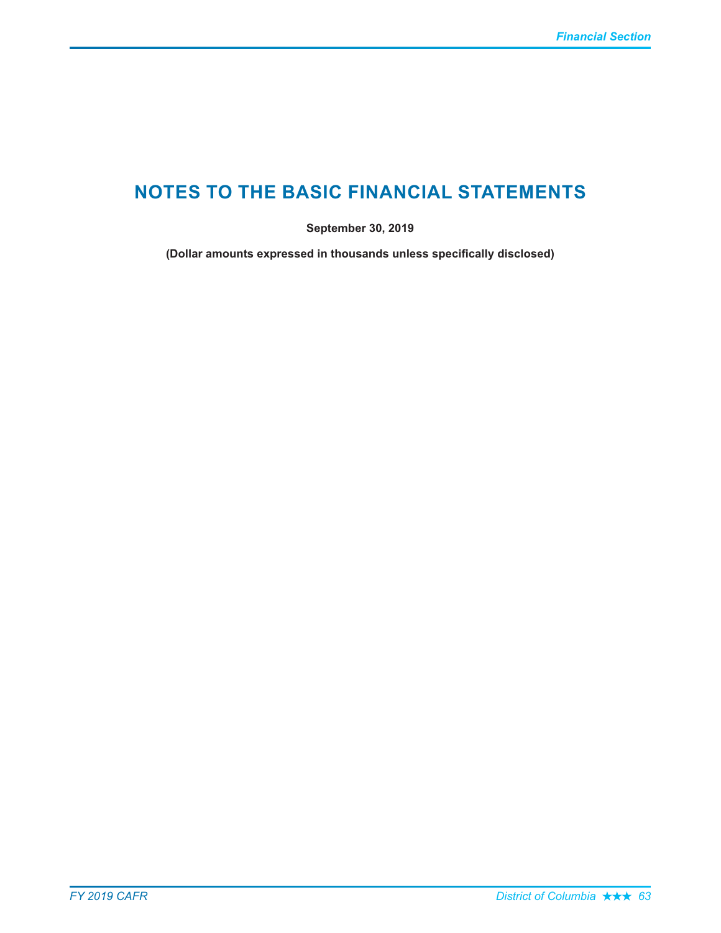# **NOTES TO THE BASIC FINANCIAL STATEMENTS**

September 30, 2019

(Dollar amounts expressed in thousands unless specifically disclosed)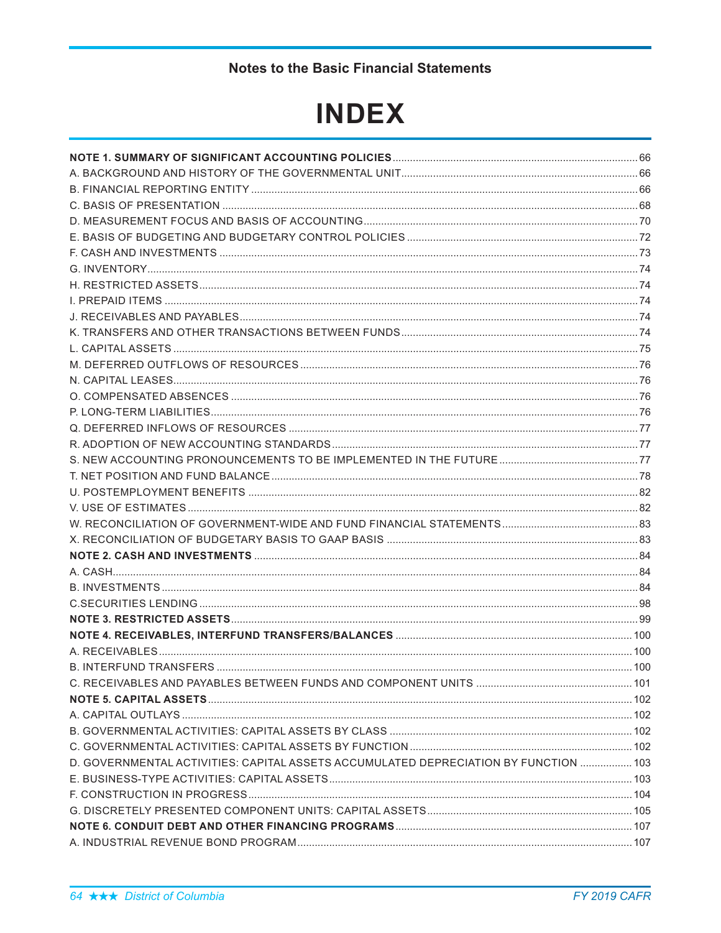# **Notes to the Basic Financial Statements**

# **INDEX**

| D. GOVERNMENTAL ACTIVITIES: CAPITAL ASSETS ACCUMULATED DEPRECIATION BY FUNCTION  103 |  |
|--------------------------------------------------------------------------------------|--|
|                                                                                      |  |
|                                                                                      |  |
|                                                                                      |  |
|                                                                                      |  |
|                                                                                      |  |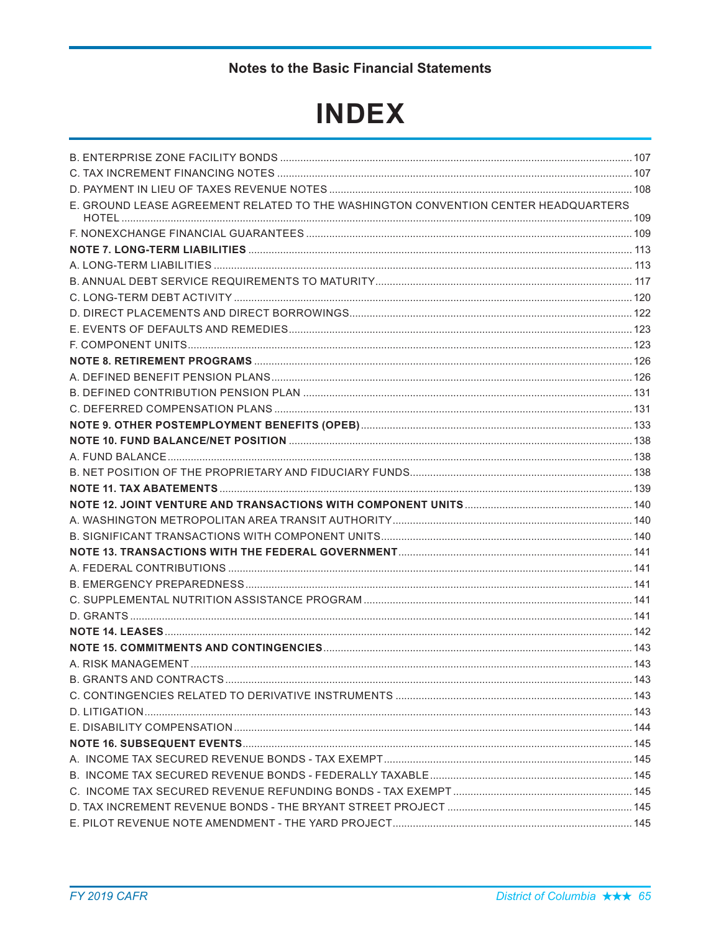# **Notes to the Basic Financial Statements**

# **INDEX**

| E. GROUND LEASE AGREEMENT RELATED TO THE WASHINGTON CONVENTION CENTER HEADQUARTERS |  |
|------------------------------------------------------------------------------------|--|
|                                                                                    |  |
|                                                                                    |  |
|                                                                                    |  |
|                                                                                    |  |
|                                                                                    |  |
|                                                                                    |  |
|                                                                                    |  |
|                                                                                    |  |
|                                                                                    |  |
|                                                                                    |  |
|                                                                                    |  |
|                                                                                    |  |
|                                                                                    |  |
|                                                                                    |  |
|                                                                                    |  |
|                                                                                    |  |
|                                                                                    |  |
|                                                                                    |  |
|                                                                                    |  |
|                                                                                    |  |
|                                                                                    |  |
|                                                                                    |  |
|                                                                                    |  |
|                                                                                    |  |
|                                                                                    |  |
|                                                                                    |  |
|                                                                                    |  |
|                                                                                    |  |
|                                                                                    |  |
|                                                                                    |  |
|                                                                                    |  |
|                                                                                    |  |
|                                                                                    |  |
|                                                                                    |  |
|                                                                                    |  |
|                                                                                    |  |
|                                                                                    |  |
|                                                                                    |  |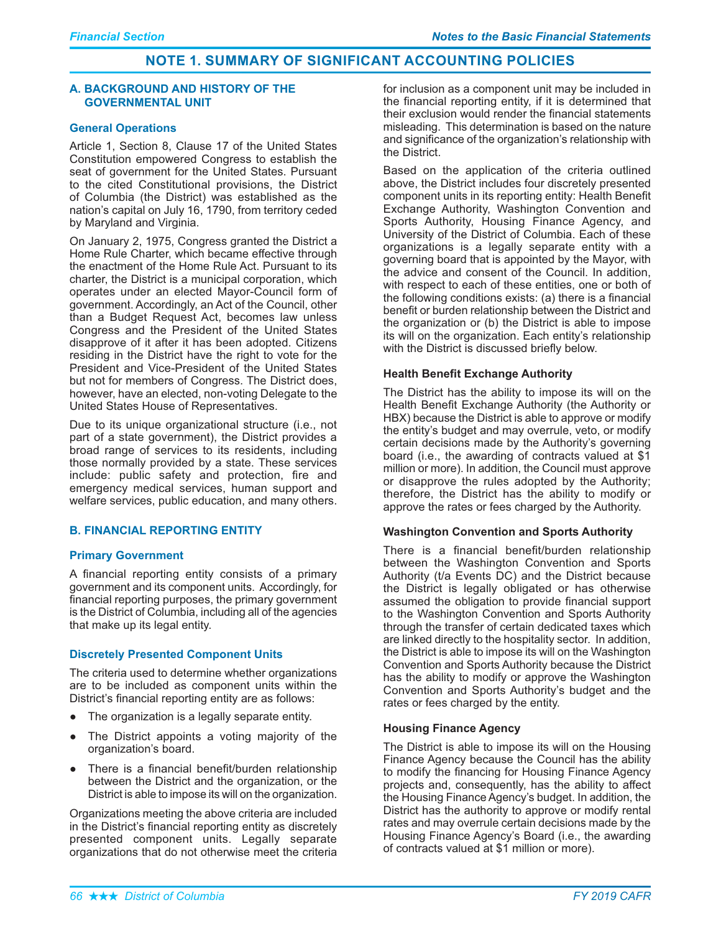#### A. BACKGROUND AND HISTORY OF THE **GOVERNMENTAL UNIT**

## **General Operations**

Article 1, Section 8, Clause 17 of the United States Constitution empowered Congress to establish the seat of government for the United States. Pursuant to the cited Constitutional provisions, the District of Columbia (the District) was established as the nation's capital on July 16, 1790, from territory ceded by Maryland and Virginia.

On January 2, 1975, Congress granted the District a Home Rule Charter, which became effective through the enactment of the Home Rule Act. Pursuant to its charter, the District is a municipal corporation, which operates under an elected Mayor-Council form of government. Accordingly, an Act of the Council, other than a Budget Request Act, becomes law unless Congress and the President of the United States disapprove of it after it has been adopted. Citizens residing in the District have the right to vote for the President and Vice-President of the United States but not for members of Congress. The District does, however, have an elected, non-voting Delegate to the United States House of Representatives.

Due to its unique organizational structure (i.e., not part of a state government), the District provides a broad range of services to its residents, including those normally provided by a state. These services include: public safety and protection, fire and emergency medical services, human support and welfare services, public education, and many others.

# **B. FINANCIAL REPORTING ENTITY**

# **Primary Government**

A financial reporting entity consists of a primary government and its component units. Accordingly, for financial reporting purposes, the primary government is the District of Columbia, including all of the agencies that make up its legal entity.

# **Discretely Presented Component Units**

The criteria used to determine whether organizations are to be included as component units within the District's financial reporting entity are as follows:

- The organization is a legally separate entity.  $\bullet$
- The District appoints a voting majority of the organization's board.
- There is a financial benefit/burden relationship between the District and the organization, or the District is able to impose its will on the organization.

Organizations meeting the above criteria are included in the District's financial reporting entity as discretely presented component units. Legally separate organizations that do not otherwise meet the criteria

for inclusion as a component unit may be included in the financial reporting entity, if it is determined that their exclusion would render the financial statements misleading. This determination is based on the nature and significance of the organization's relationship with the District.

Based on the application of the criteria outlined above, the District includes four discretely presented component units in its reporting entity: Health Benefit Exchange Authority, Washington Convention and Sports Authority, Housing Finance Agency, and University of the District of Columbia. Each of these organizations is a legally separate entity with a governing board that is appointed by the Mayor, with the advice and consent of the Council. In addition, with respect to each of these entities, one or both of the following conditions exists: (a) there is a financial benefit or burden relationship between the District and the organization or (b) the District is able to impose its will on the organization. Each entity's relationship with the District is discussed briefly below.

## **Health Benefit Exchange Authority**

The District has the ability to impose its will on the Health Benefit Exchange Authority (the Authority or HBX) because the District is able to approve or modify the entity's budget and may overrule, veto, or modify certain decisions made by the Authority's governing board (i.e., the awarding of contracts valued at \$1 million or more). In addition, the Council must approve or disapprove the rules adopted by the Authority; therefore, the District has the ability to modify or approve the rates or fees charged by the Authority.

#### **Washington Convention and Sports Authority**

There is a financial benefit/burden relationship between the Washington Convention and Sports Authority (t/a Events DC) and the District because the District is legally obligated or has otherwise assumed the obligation to provide financial support to the Washington Convention and Sports Authority through the transfer of certain dedicated taxes which are linked directly to the hospitality sector. In addition, the District is able to impose its will on the Washington Convention and Sports Authority because the District has the ability to modify or approve the Washington Convention and Sports Authority's budget and the rates or fees charged by the entity.

# **Housing Finance Agency**

The District is able to impose its will on the Housing Finance Agency because the Council has the ability to modify the financing for Housing Finance Agency projects and, consequently, has the ability to affect the Housing Finance Agency's budget. In addition, the District has the authority to approve or modify rental rates and may overrule certain decisions made by the Housing Finance Agency's Board (i.e., the awarding of contracts valued at \$1 million or more).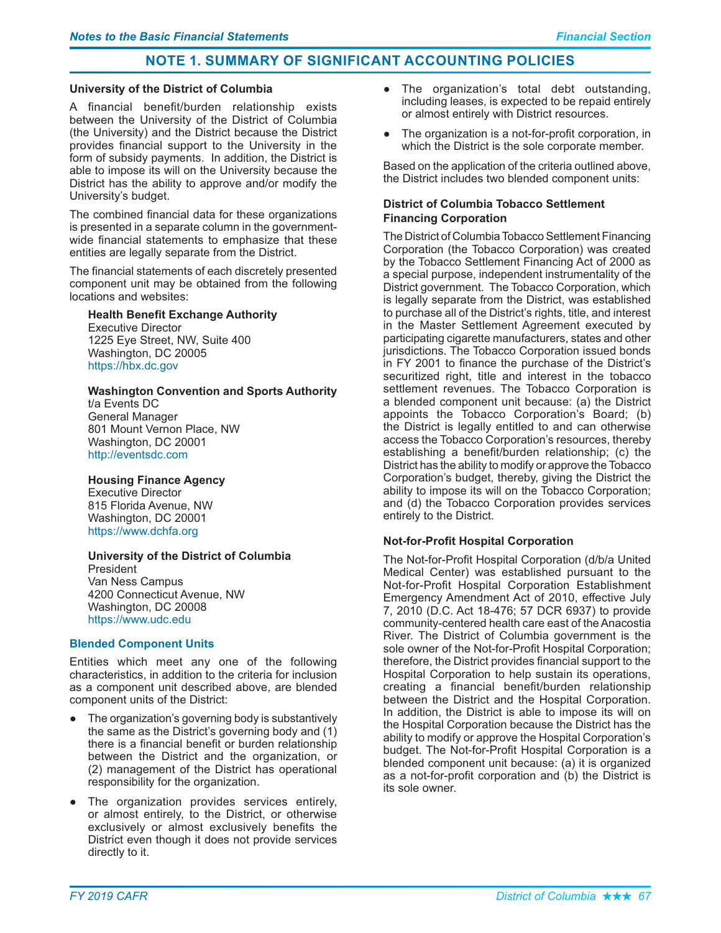## **University of the District of Columbia**

A financial benefit/burden relationship exists between the University of the District of Columbia (the University) and the District because the District provides financial support to the University in the form of subsidy payments. In addition, the District is able to impose its will on the University because the District has the ability to approve and/or modify the University's budget.

The combined financial data for these organizations is presented in a separate column in the governmentwide financial statements to emphasize that these entities are legally separate from the District.

The financial statements of each discretely presented component unit may be obtained from the following locations and websites:

# **Health Benefit Exchange Authority**

Executive Director 1225 Eye Street, NW, Suite 400 Washington, DC 20005 https://hbx.dc.gov

## **Washington Convention and Sports Authority**

t/a Events DC General Manager 801 Mount Vernon Place, NW Washington, DC 20001 http://eventsdc.com

# **Housing Finance Agency**

Executive Director 815 Florida Avenue, NW Washington, DC 20001 https://www.dchfa.org

# University of the District of Columbia

President Van Ness Campus 4200 Connecticut Avenue, NW Washington, DC 20008 https://www.udc.edu

# **Blended Component Units**

Entities which meet any one of the following characteristics, in addition to the criteria for inclusion as a component unit described above, are blended component units of the District:

- The organization's governing body is substantively the same as the District's governing body and (1)  $\,$ there is a financial benefit or burden relationship between the District and the organization, or (2) management of the District has operational responsibility for the organization.
- The organization provides services entirely, or almost entirely, to the District, or otherwise exclusively or almost exclusively benefits the District even though it does not provide services directly to it.
- The organization's total debt outstanding, including leases, is expected to be repaid entirely or almost entirely with District resources.
- The organization is a not-for-profit corporation, in which the District is the sole corporate member.

Based on the application of the criteria outlined above, the District includes two blended component units:

# District of Columbia Tobacco Settlement **Financing Corporation**

The District of Columbia Tobacco Settlement Financing Corporation (the Tobacco Corporation) was created by the Tobacco Settlement Financing Act of 2000 as a special purpose, independent instrumentality of the District government. The Tobacco Corporation, which is legally separate from the District, was established to purchase all of the District's rights, title, and interest in the Master Settlement Agreement executed by participating cigarette manufacturers, states and other jurisdictions. The Tobacco Corporation issued bonds in FY 2001 to finance the purchase of the District's securitized right, title and interest in the tobacco settlement revenues. The Tobacco Corporation is a blended component unit because: (a) the District appoints the Tobacco Corporation's Board; (b) the District is legally entitled to and can otherwise access the Tobacco Corporation's resources, thereby establishing a benefit/burden relationship; (c) the District has the ability to modify or approve the Tobacco Corporation's budget, thereby, giving the District the ability to impose its will on the Tobacco Corporation; and (d) the Tobacco Corporation provides services entirely to the District.

# **Not-for-Profit Hospital Corporation**

The Not-for-Profit Hospital Corporation (d/b/a United Medical Center) was established pursuant to the Not-for-Profit Hospital Corporation Establishment Emergency Amendment Act of 2010, effective July 7, 2010 (D.C. Act 18-476; 57 DCR 6937) to provide community-centered health care east of the Anacostia River. The District of Columbia government is the sole owner of the Not-for-Profit Hospital Corporation; therefore, the District provides financial support to the Hospital Corporation to help sustain its operations, creating a financial benefit/burden relationship between the District and the Hospital Corporation. In addition, the District is able to impose its will on the Hospital Corporation because the District has the ability to modify or approve the Hospital Corporation's budget. The Not-for-Profit Hospital Corporation is a blended component unit because: (a) it is organized as a not-for-profit corporation and (b) the District is its sole owner.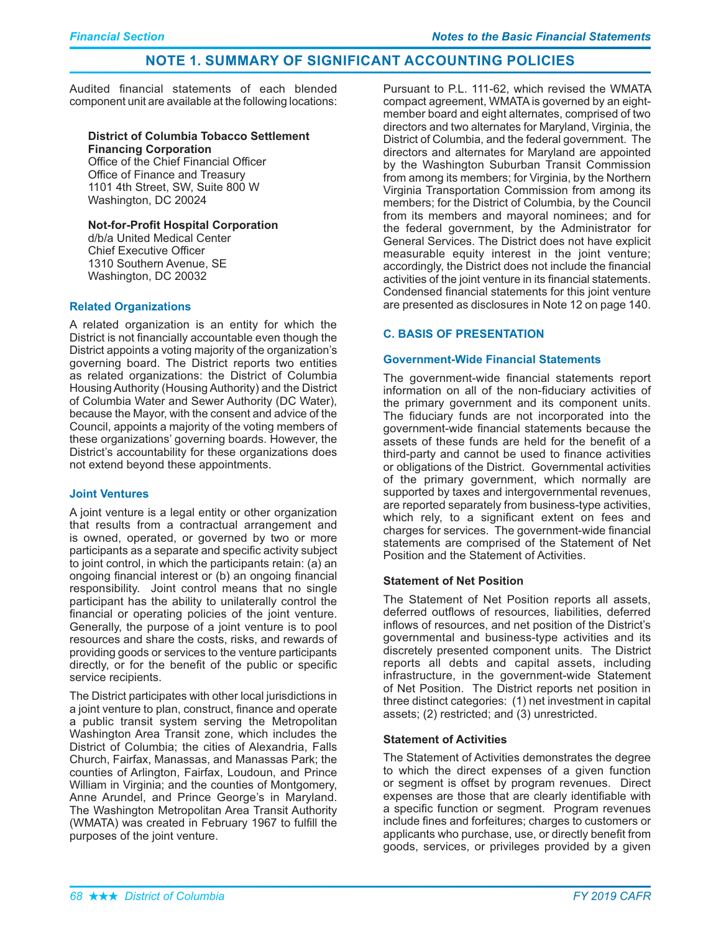Audited financial statements of each blended component unit are available at the following locations:

#### **District of Columbia Tobacco Settlement Financing Corporation**

Office of the Chief Financial Officer Office of Finance and Treasury 1101 4th Street, SW, Suite 800 W Washington, DC 20024

# **Not-for-Profit Hospital Corporation**

d/b/a United Medical Center **Chief Executive Officer** 1310 Southern Avenue, SE Washington, DC 20032

# **Related Organizations**

A related organization is an entity for which the District is not financially accountable even though the District appoints a voting majority of the organization's governing board. The District reports two entities as related organizations: the District of Columbia Housing Authority (Housing Authority) and the District of Columbia Water and Sewer Authority (DC Water), because the Mayor, with the consent and advice of the Council, appoints a majority of the voting members of these organizations' governing boards. However, the District's accountability for these organizations does not extend beyond these appointments.

# **Joint Ventures**

A joint venture is a legal entity or other organization that results from a contractual arrangement and is owned, operated, or governed by two or more participants as a separate and specific activity subject to joint control, in which the participants retain: (a) an ongoing financial interest or (b) an ongoing financial responsibility. Joint control means that no single participant has the ability to unilaterally control the financial or operating policies of the joint venture. Generally, the purpose of a joint venture is to pool resources and share the costs, risks, and rewards of providing goods or services to the venture participants directly, or for the benefit of the public or specific service recipients.

The District participates with other local jurisdictions in a joint venture to plan, construct, finance and operate a public transit system serving the Metropolitan Washington Area Transit zone, which includes the District of Columbia: the cities of Alexandria. Falls Church, Fairfax, Manassas, and Manassas Park; the counties of Arlington, Fairfax, Loudoun, and Prince William in Virginia; and the counties of Montgomery, Anne Arundel, and Prince George's in Maryland. The Washington Metropolitan Area Transit Authority (WMATA) was created in February 1967 to fulfill the purposes of the joint venture.

Pursuant to P.L. 111-62, which revised the WMATA compact agreement, WMATA is governed by an eightmember board and eight alternates, comprised of two directors and two alternates for Maryland, Virginia, the District of Columbia, and the federal government. The directors and alternates for Maryland are appointed by the Washington Suburban Transit Commission from among its members; for Virginia, by the Northern Virginia Transportation Commission from among its members; for the District of Columbia, by the Council from its members and mayoral nominees; and for the federal government, by the Administrator for General Services. The District does not have explicit measurable equity interest in the joint venture; accordingly, the District does not include the financial activities of the joint venture in its financial statements. Condensed financial statements for this joint venture are presented as disclosures in Note 12 on page 140.

# **C. BASIS OF PRESENTATION**

# **Government-Wide Financial Statements**

The government-wide financial statements report information on all of the non-fiduciary activities of the primary government and its component units. The fiduciary funds are not incorporated into the government-wide financial statements because the assets of these funds are held for the benefit of a third-party and cannot be used to finance activities or obligations of the District. Governmental activities of the primary government, which normally are supported by taxes and intergovernmental revenues, are reported separately from business-type activities, which rely, to a significant extent on fees and charges for services. The government-wide financial statements are comprised of the Statement of Net Position and the Statement of Activities.

# **Statement of Net Position**

The Statement of Net Position reports all assets, deferred outflows of resources, liabilities, deferred inflows of resources, and net position of the District's governmental and business-type activities and its discretely presented component units. The District reports all debts and capital assets, including infrastructure, in the government-wide Statement of Net Position. The District reports net position in three distinct categories: (1) net investment in capital assets; (2) restricted; and (3) unrestricted.

# **Statement of Activities**

The Statement of Activities demonstrates the degree to which the direct expenses of a given function or segment is offset by program revenues. Direct expenses are those that are clearly identifiable with a specific function or segment. Program revenues include fines and forfeitures; charges to customers or applicants who purchase, use, or directly benefit from goods, services, or privileges provided by a given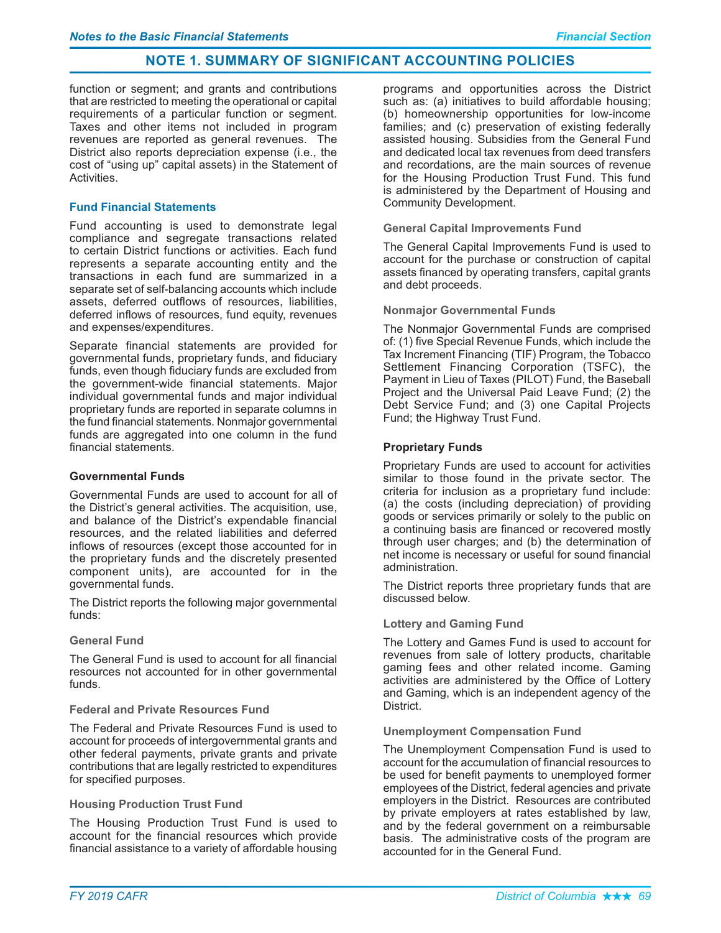function or segment; and grants and contributions that are restricted to meeting the operational or capital requirements of a particular function or segment. Taxes and other items not included in program revenues are reported as general revenues. The District also reports depreciation expense (*i.e.*, the cost of "using up" capital assets) in the Statement of Activities.

# **Fund Financial Statements**

Fund accounting is used to demonstrate legal compliance and segregate transactions related to certain District functions or activities. Each fund represents a separate accounting entity and the transactions in each fund are summarized in a separate set of self-balancing accounts which include assets, deferred outflows of resources, liabilities, deferred inflows of resources, fund equity, revenues and expenses/expenditures.

Separate financial statements are provided for governmental funds, proprietary funds, and fiduciary funds, even though fiduciary funds are excluded from the government-wide financial statements. Major individual governmental funds and major individual proprietary funds are reported in separate columns in the fund financial statements. Nonmajor governmental funds are aggregated into one column in the fund financial statements.

#### **Governmental Funds**

Governmental Funds are used to account for all of the District's general activities. The acquisition, use, and balance of the District's expendable financial resources, and the related liabilities and deferred inflows of resources (except those accounted for in the proprietary funds and the discretely presented component units), are accounted for in the governmental funds.

The District reports the following major governmental funds:

# **General Fund**

The General Fund is used to account for all financial resources not accounted for in other governmental funds

#### **Federal and Private Resources Fund**

The Federal and Private Resources Fund is used to account for proceeds of intergovernmental grants and other federal payments, private grants and private contributions that are legally restricted to expenditures for specified purposes.

#### **Housing Production Trust Fund**

The Housing Production Trust Fund is used to account for the financial resources which provide financial assistance to a variety of affordable housing

programs and opportunities across the District such as: (a) initiatives to build affordable housing; (b) homeownership opportunities for low-income families; and (c) preservation of existing federally assisted housing. Subsidies from the General Fund and dedicated local tax revenues from deed transfers and recordations, are the main sources of revenue for the Housing Production Trust Fund. This fund is administered by the Department of Housing and Community Development.

### **General Capital Improvements Fund**

The General Capital Improvements Fund is used to account for the purchase or construction of capital assets financed by operating transfers, capital grants and debt proceeds.

#### **Nonmajor Governmental Funds**

The Nonmajor Governmental Funds are comprised of: (1) five Special Revenue Funds, which include the Tax Increment Financing (TIF) Program, the Tobacco Settlement Financing Corporation (TSFC), the Payment in Lieu of Taxes (PILOT) Fund, the Baseball Project and the Universal Paid Leave Fund; (2) the Debt Service Fund; and (3) one Capital Projects Fund; the Highway Trust Fund.

## **Proprietary Funds**

Proprietary Funds are used to account for activities similar to those found in the private sector. The criteria for inclusion as a proprietary fund include: (a) the costs (including depreciation) of providing goods or services primarily or solely to the public on a continuing basis are financed or recovered mostly through user charges; and (b) the determination of net income is necessary or useful for sound financial administration.

The District reports three proprietary funds that are discussed below.

# **Lottery and Gaming Fund**

The Lottery and Games Fund is used to account for revenues from sale of lottery products, charitable gaming fees and other related income. Gaming activities are administered by the Office of Lottery and Gaming, which is an independent agency of the District.

#### **Unemployment Compensation Fund**

The Unemployment Compensation Fund is used to account for the accumulation of financial resources to be used for benefit payments to unemployed former employees of the District, federal agencies and private employers in the District. Resources are contributed by private employers at rates established by law, and by the federal government on a reimbursable basis. The administrative costs of the program are accounted for in the General Fund.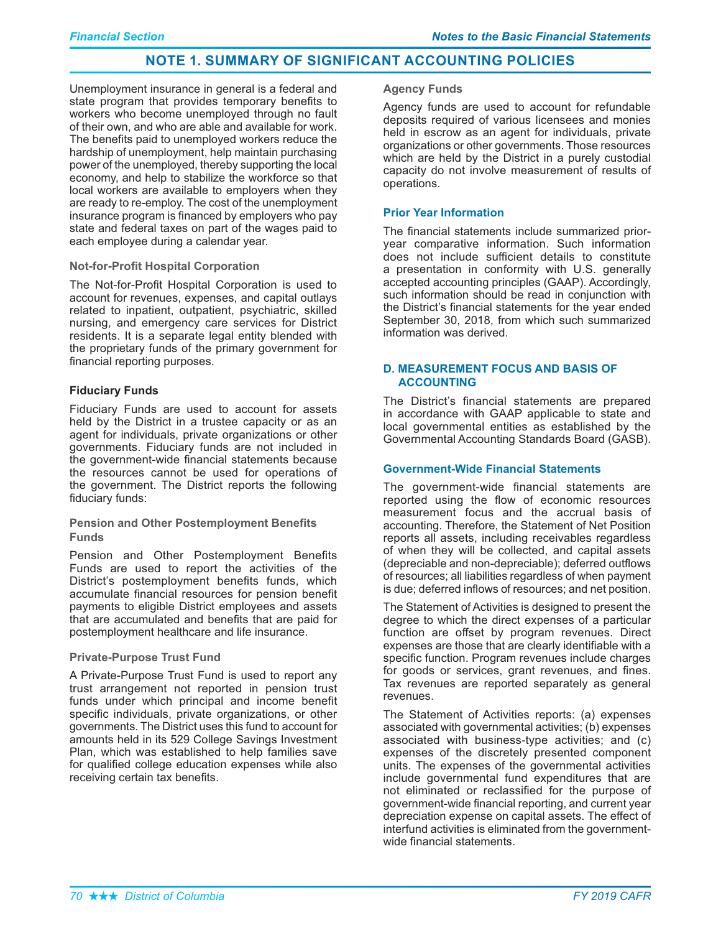Unemployment insurance in general is a federal and state program that provides temporary benefits to workers who become unemployed through no fault of their own, and who are able and available for work. The benefits paid to unemployed workers reduce the hardship of unemployment, help maintain purchasing power of the unemployed, thereby supporting the local economy, and help to stabilize the workforce so that local workers are available to emplovers when they are ready to re-employ. The cost of the unemployment insurance program is financed by employers who pay state and federal taxes on part of the wages paid to each employee during a calendar year.

# **Not-for-Profit Hospital Corporation**

The Not-for-Profit Hospital Corporation is used to account for revenues, expenses, and capital outlays related to inpatient, outpatient, psychiatric, skilled nursing, and emergency care services for District residents. It is a separate legal entity blended with the proprietary funds of the primary government for financial reporting purposes.

# **Fiduciary Funds**

Fiduciary Funds are used to account for assets held by the District in a trustee capacity or as an agent for individuals, private organizations or other governments. Fiduciary funds are not included in the government-wide financial statements because the resources cannot be used for operations of the government. The District reports the following fiduciary funds:

## **Pension and Other Postemployment Benefits Funds**

Pension and Other Postemployment Benefits Funds are used to report the activities of the District's postemployment benefits funds, which accumulate financial resources for pension benefit payments to eligible District employees and assets that are accumulated and benefits that are paid for postemployment healthcare and life insurance.

## **Private-Purpose Trust Fund**

A Private-Purpose Trust Fund is used to report any trust arrangement not reported in pension trust funds under which principal and income benefit specific individuals, private organizations, or other governments. The District uses this fund to account for amounts held in its 529 College Savings Investment Plan, which was established to help families save for qualified college education expenses while also receiving certain tax benefits.

#### **Agency Funds**

Agency funds are used to account for refundable deposits required of various licensees and monies held in escrow as an agent for individuals, private organizations or other governments. Those resources which are held by the District in a purely custodial capacity do not involve measurement of results of operations.

# **Prior Year Information**

The financial statements include summarized prioryear comparative information. Such information does not include sufficient details to constitute a presentation in conformity with U.S. generally accepted accounting principles (GAAP). Accordingly, such information should be read in conjunction with the District's financial statements for the year ended September 30, 2018, from which such summarized information was derived.

# **D. MEASUREMENT FOCUS AND BASIS OF ACCOUNTING**

The District's financial statements are prepared in accordance with GAAP applicable to state and local governmental entities as established by the Governmental Accounting Standards Board (GASB).

#### **Government-Wide Financial Statements**

The government-wide financial statements are reported using the flow of economic resources measurement focus and the accrual basis of accounting. Therefore, the Statement of Net Position reports all assets, including receivables regardless of when they will be collected, and capital assets (depreciable and non-depreciable); deferred outflows of resources; all liabilities regardless of when payment is due; deferred inflows of resources; and net position.

The Statement of Activities is designed to present the degree to which the direct expenses of a particular function are offset by program revenues. Direct expenses are those that are clearly identifiable with a specific function. Program revenues include charges for goods or services, grant revenues, and fines. Tax revenues are reported separately as general revenues.

The Statement of Activities reports: (a) expenses associated with governmental activities: (b) expenses associated with business-type activities; and (c) expenses of the discretely presented component units. The expenses of the governmental activities include governmental fund expenditures that are not eliminated or reclassified for the purpose of government-wide financial reporting, and current year depreciation expense on capital assets. The effect of interfund activities is eliminated from the governmentwide financial statements.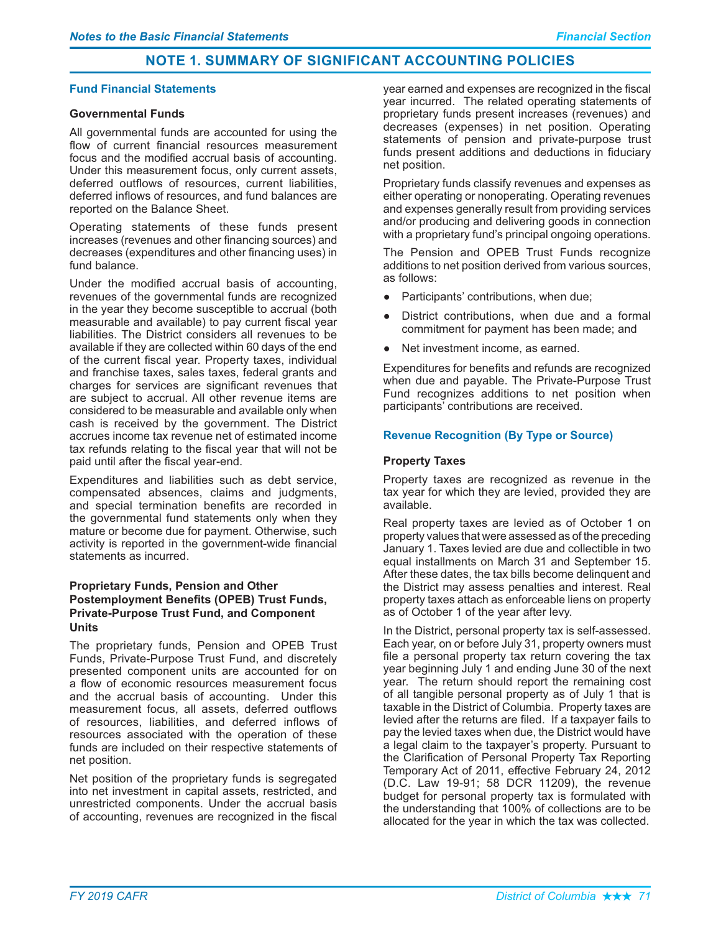### **Fund Financial Statements**

### **Governmental Funds**

All governmental funds are accounted for using the flow of current financial resources measurement focus and the modified accrual basis of accounting. Under this measurement focus, only current assets. deferred outflows of resources, current liabilities, deferred inflows of resources, and fund balances are reported on the Balance Sheet.

Operating statements of these funds present increases (revenues and other financing sources) and decreases (expenditures and other financing uses) in fund balance.

Under the modified accrual basis of accounting, revenues of the governmental funds are recognized in the year they become susceptible to accrual (both measurable and available) to pay current fiscal year liabilities. The District considers all revenues to be available if they are collected within 60 days of the end of the current fiscal year. Property taxes, individual and franchise taxes, sales taxes, federal grants and charges for services are significant revenues that are subject to accrual. All other revenue items are considered to be measurable and available only when cash is received by the government. The District accrues income tax revenue net of estimated income tax refunds relating to the fiscal year that will not be paid until after the fiscal year-end.

Expenditures and liabilities such as debt service, compensated absences, claims and judgments, and special termination benefits are recorded in the governmental fund statements only when they mature or become due for payment. Otherwise, such activity is reported in the government-wide financial statements as incurred.

# **Proprietary Funds, Pension and Other Postemployment Benefits (OPEB) Trust Funds, Private-Purpose Trust Fund, and Component Units**

The proprietary funds, Pension and OPEB Trust Funds, Private-Purpose Trust Fund, and discretely presented component units are accounted for on a flow of economic resources measurement focus and the accrual basis of accounting. Under this measurement focus, all assets, deferred outflows of resources, liabilities, and deferred inflows of resources associated with the operation of these funds are included on their respective statements of net position.

Net position of the proprietary funds is segregated into net investment in capital assets, restricted, and unrestricted components. Under the accrual basis of accounting, revenues are recognized in the fiscal year earned and expenses are recognized in the fiscal year incurred. The related operating statements of proprietary funds present increases (revenues) and decreases (expenses) in net position. Operating statements of pension and private-purpose trust funds present additions and deductions in fiduciary net position.

Proprietary funds classify revenues and expenses as either operating or nonoperating. Operating revenues and expenses generally result from providing services and/or producing and delivering goods in connection with a proprietary fund's principal ongoing operations.

The Pension and OPEB Trust Funds recognize additions to net position derived from various sources, as follows:

- Participants' contributions, when due;  $\bullet$
- District contributions, when due and a formal commitment for payment has been made; and
- Net investment income, as earned.

Expenditures for benefits and refunds are recognized when due and payable. The Private-Purpose Trust Fund recognizes additions to net position when participants' contributions are received.

# **Revenue Recognition (By Type or Source)**

## **Property Taxes**

Property taxes are recognized as revenue in the tax year for which they are levied, provided they are available.

Real property taxes are levied as of October 1 on property values that were assessed as of the preceding January 1. Taxes levied are due and collectible in two equal installments on March 31 and September 15. After these dates, the tax bills become delinguent and the District may assess penalties and interest. Real property taxes attach as enforceable liens on property as of October 1 of the year after levy.

In the District, personal property tax is self-assessed. Each vear, on or before July 31, property owners must file a personal property tax return covering the tax year beginning July 1 and ending June 30 of the next year. The return should report the remaining cost of all tangible personal property as of July 1 that is taxable in the District of Columbia. Property taxes are levied after the returns are filed. If a taxpayer fails to pay the levied taxes when due, the District would have a legal claim to the taxpayer's property. Pursuant to the Clarification of Personal Property Tax Reporting Temporary Act of 2011, effective February 24, 2012 (D.C. Law 19-91; 58 DCR 11209), the revenue budget for personal property tax is formulated with the understanding that 100% of collections are to be allocated for the year in which the tax was collected.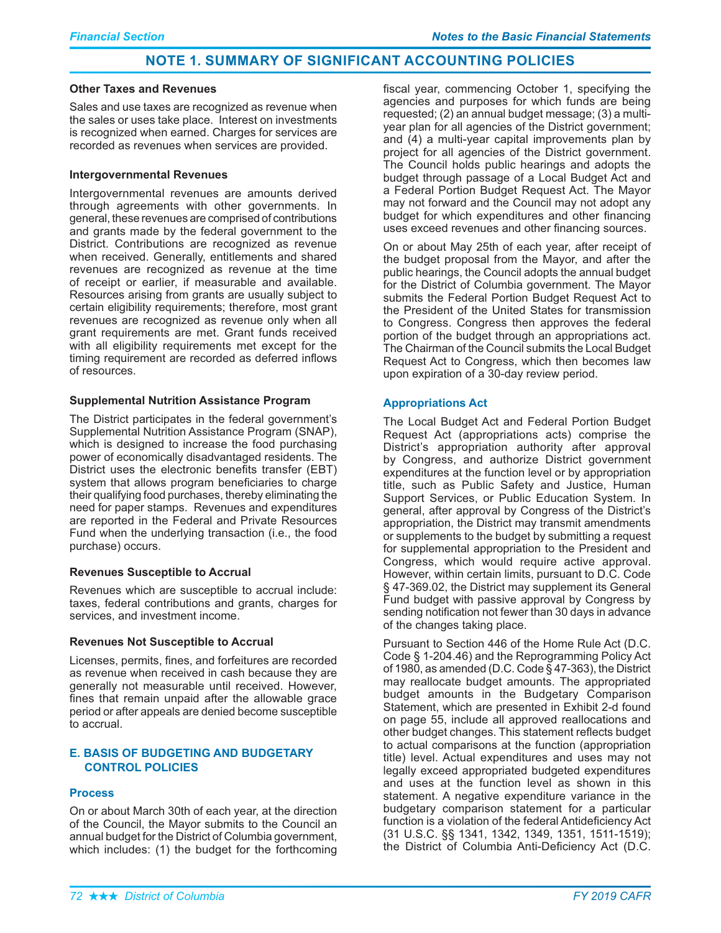#### **Other Taxes and Revenues**

Sales and use taxes are recognized as revenue when the sales or uses take place. Interest on investments is recognized when earned. Charges for services are recorded as revenues when services are provided.

#### **Intergovernmental Revenues**

Intergovernmental revenues are amounts derived through agreements with other governments. In general, these revenues are comprised of contributions and grants made by the federal government to the District. Contributions are recognized as revenue when received. Generally, entitlements and shared revenues are recognized as revenue at the time of receipt or earlier, if measurable and available. Resources arising from grants are usually subject to certain eligibility requirements; therefore, most grant revenues are recognized as revenue only when all grant requirements are met. Grant funds received with all eligibility requirements met except for the timing requirement are recorded as deferred inflows of resources.

## **Supplemental Nutrition Assistance Program**

The District participates in the federal government's Supplemental Nutrition Assistance Program (SNAP), which is designed to increase the food purchasing power of economically disadvantaged residents. The District uses the electronic benefits transfer (EBT) system that allows program beneficiaries to charge their qualifying food purchases, thereby eliminating the need for paper stamps. Revenues and expenditures are reported in the Federal and Private Resources Fund when the underlying transaction (i.e., the food purchase) occurs.

# **Revenues Susceptible to Accrual**

Revenues which are susceptible to accrual include: taxes, federal contributions and grants, charges for services, and investment income.

# **Revenues Not Susceptible to Accrual**

Licenses, permits, fines, and forfeitures are recorded as revenue when received in cash because they are generally not measurable until received. However, fines that remain unpaid after the allowable grace period or after appeals are denied become susceptible to accrual.

# **E. BASIS OF BUDGETING AND BUDGETARY CONTROL POLICIES**

# **Process**

On or about March 30th of each year, at the direction of the Council, the Mayor submits to the Council an annual budget for the District of Columbia government, which includes: (1) the budget for the forthcoming fiscal year, commencing October 1, specifying the agencies and purposes for which funds are being requested; (2) an annual budget message; (3) a multiyear plan for all agencies of the District government; and (4) a multi-year capital improvements plan by project for all agencies of the District government. The Council holds public hearings and adopts the budget through passage of a Local Budget Act and a Federal Portion Budget Request Act. The Mayor may not forward and the Council may not adopt any budget for which expenditures and other financing uses exceed revenues and other financing sources.

On or about May 25th of each year, after receipt of the budget proposal from the Mayor, and after the public hearings, the Council adopts the annual budget for the District of Columbia government. The Mayor submits the Federal Portion Budget Request Act to the President of the United States for transmission to Congress. Congress then approves the federal portion of the budget through an appropriations act. The Chairman of the Council submits the Local Budget Request Act to Congress, which then becomes law upon expiration of a 30-day review period.

## **Appropriations Act**

The Local Budget Act and Federal Portion Budget Request Act (appropriations acts) comprise the District's appropriation authority after approval by Congress, and authorize District government expenditures at the function level or by appropriation title, such as Public Safety and Justice, Human Support Services, or Public Education System. In general, after approval by Congress of the District's appropriation, the District may transmit amendments or supplements to the budget by submitting a request for supplemental appropriation to the President and Congress, which would require active approval. However, within certain limits, pursuant to D.C. Code §47-369.02, the District may supplement its General Fund budget with passive approval by Congress by sending notification not fewer than 30 days in advance of the changes taking place.

Pursuant to Section 446 of the Home Rule Act (D.C. Code § 1-204.46) and the Reprogramming Policy Act of 1980, as amended (D.C. Code  $\S$  47-363), the District may reallocate budget amounts. The appropriated budget amounts in the Budgetary Comparison Statement, which are presented in Exhibit 2-d found on page 55, include all approved reallocations and other budget changes. This statement reflects budget to actual comparisons at the function (appropriation title) level. Actual expenditures and uses may not legally exceed appropriated budgeted expenditures and uses at the function level as shown in this statement. A negative expenditure variance in the budgetary comparison statement for a particular function is a violation of the federal Antideficiency Act (31 U.S.C. §§ 1341, 1342, 1349, 1351, 1511-1519); the District of Columbia Anti-Deficiency Act (D.C.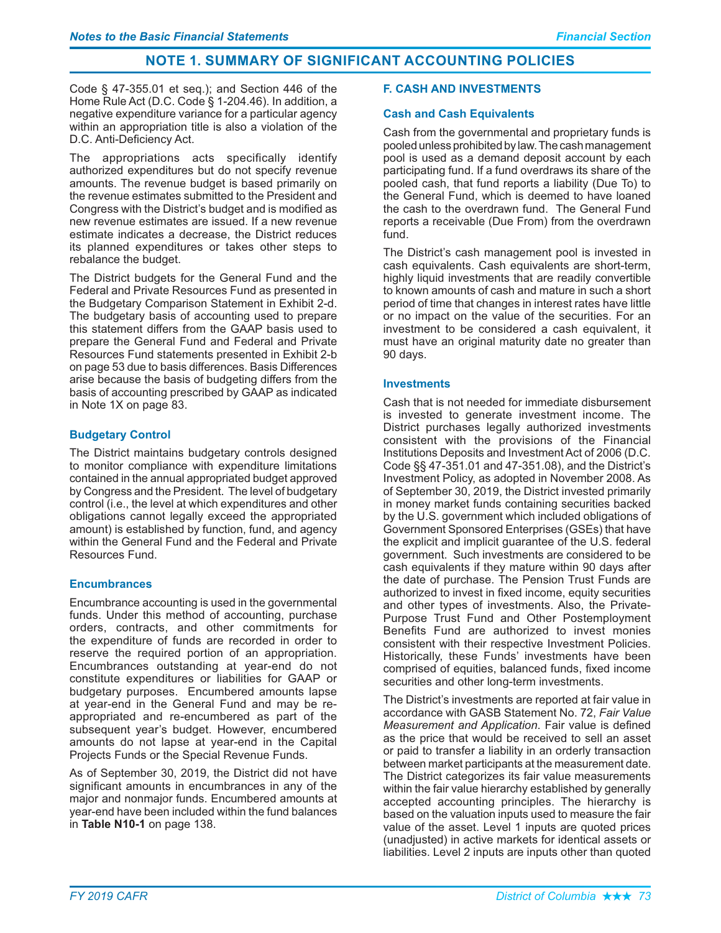Code  $\S$  47-355.01 et seq.); and Section 446 of the Home Rule Act (D.C. Code § 1-204.46). In addition, a negative expenditure variance for a particular agency within an appropriation title is also a violation of the D.C. Anti-Deficiency Act.

The appropriations acts specifically identify authorized expenditures but do not specify revenue amounts. The revenue budget is based primarily on the revenue estimates submitted to the President and Congress with the District's budget and is modified as new revenue estimates are issued. If a new revenue estimate indicates a decrease, the District reduces its planned expenditures or takes other steps to rebalance the budget.

The District budgets for the General Fund and the Federal and Private Resources Fund as presented in the Budgetary Comparison Statement in Exhibit 2-d. The budgetary basis of accounting used to prepare this statement differs from the GAAP basis used to prepare the General Fund and Federal and Private Resources Fund statements presented in Exhibit 2-b on page 53 due to basis differences. Basis Differences arise because the basis of budgeting differs from the basis of accounting prescribed by GAAP as indicated in Note 1X on page 83.

# **Budgetary Control**

The District maintains budgetary controls designed to monitor compliance with expenditure limitations contained in the annual appropriated budget approved by Congress and the President. The level of budgetary control (i.e., the level at which expenditures and other obligations cannot legally exceed the appropriated amount) is established by function, fund, and agency within the General Fund and the Federal and Private Resources Fund

# **Encumbrances**

Encumbrance accounting is used in the governmental funds. Under this method of accounting, purchase orders, contracts, and other commitments for the expenditure of funds are recorded in order to reserve the required portion of an appropriation. Encumbrances outstanding at year-end do not constitute expenditures or liabilities for GAAP or budgetary purposes. Encumbered amounts lapse at year-end in the General Fund and may be reappropriated and re-encumbered as part of the subsequent year's budget. However, encumbered amounts do not lapse at year-end in the Capital Projects Funds or the Special Revenue Funds.

As of September 30, 2019, the District did not have significant amounts in encumbrances in any of the major and nonmajor funds. Encumbered amounts at year-end have been included within the fund balances in Table N10-1 on page 138.

# **F. CASH AND INVESTMENTS**

# **Cash and Cash Equivalents**

Cash from the governmental and proprietary funds is pooled unless prohibited by law. The cash management pool is used as a demand deposit account by each participating fund. If a fund overdraws its share of the pooled cash, that fund reports a liability (Due To) to the General Fund, which is deemed to have loaned the cash to the overdrawn fund. The General Fund reports a receivable (Due From) from the overdrawn fund.

The District's cash management pool is invested in cash equivalents. Cash equivalents are short-term, highly liquid investments that are readily convertible to known amounts of cash and mature in such a short period of time that changes in interest rates have little or no impact on the value of the securities. For an investment to be considered a cash equivalent, it must have an original maturity date no greater than 90 days.

## **Investments**

Cash that is not needed for immediate disbursement is invested to generate investment income. The District purchases legally authorized investments consistent with the provisions of the Financial Institutions Deposits and Investment Act of 2006 (D.C. Code §§ 47-351.01 and 47-351.08), and the District's Investment Policy, as adopted in November 2008. As of September 30, 2019, the District invested primarily in money market funds containing securities backed by the U.S. government which included obligations of Government Sponsored Enterprises (GSEs) that have the explicit and implicit guarantee of the U.S. federal government. Such investments are considered to be cash equivalents if they mature within 90 days after the date of purchase. The Pension Trust Funds are authorized to invest in fixed income, equity securities and other types of investments. Also, the Private-Purpose Trust Fund and Other Postemployment Benefits Fund are authorized to invest monies consistent with their respective Investment Policies. Historically, these Funds' investments have been comprised of equities, balanced funds, fixed income securities and other long-term investments.

The District's investments are reported at fair value in accordance with GASB Statement No. 72, Fair Value Measurement and Application. Fair value is defined as the price that would be received to sell an asset or paid to transfer a liability in an orderly transaction between market participants at the measurement date. The District categorizes its fair value measurements within the fair value hierarchy established by generally accepted accounting principles. The hierarchy is based on the valuation inputs used to measure the fair value of the asset. Level 1 inputs are quoted prices (unadiusted) in active markets for identical assets or liabilities. Level 2 inputs are inputs other than quoted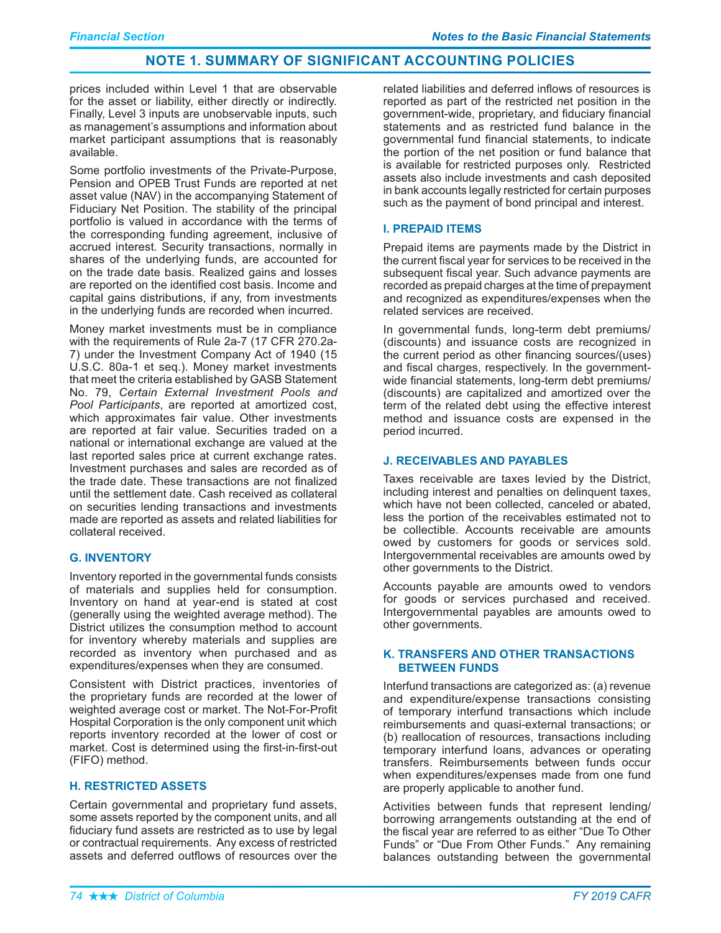prices included within Level 1 that are observable for the asset or liability, either directly or indirectly. Finally, Level 3 inputs are unobservable inputs, such as management's assumptions and information about market participant assumptions that is reasonably available.

Some portfolio investments of the Private-Purpose. Pension and OPEB Trust Funds are reported at net asset value (NAV) in the accompanying Statement of Fiduciary Net Position. The stability of the principal portfolio is valued in accordance with the terms of the corresponding funding agreement, inclusive of accrued interest. Security transactions, normally in shares of the underlying funds, are accounted for on the trade date basis. Realized gains and losses are reported on the identified cost basis. Income and capital gains distributions, if any, from investments in the underlying funds are recorded when incurred.

Money market investments must be in compliance with the requirements of Rule 2a-7 (17 CFR 270.2a-7) under the Investment Company Act of 1940 (15 U.S.C. 80a-1 et seg.). Money market investments that meet the criteria established by GASB Statement No. 79, Certain External Investment Pools and Pool Participants, are reported at amortized cost, which approximates fair value. Other investments are reported at fair value. Securities traded on a national or international exchange are valued at the last reported sales price at current exchange rates. Investment purchases and sales are recorded as of the trade date. These transactions are not finalized until the settlement date. Cash received as collateral on securities lending transactions and investments made are reported as assets and related liabilities for collateral received.

# **G. INVENTORY**

Inventory reported in the governmental funds consists of materials and supplies held for consumption. Inventory on hand at year-end is stated at cost (generally using the weighted average method). The District utilizes the consumption method to account for inventory whereby materials and supplies are recorded as inventory when purchased and as expenditures/expenses when they are consumed.

Consistent with District practices, inventories of the proprietary funds are recorded at the lower of weighted average cost or market. The Not-For-Profit Hospital Corporation is the only component unit which reports inventory recorded at the lower of cost or market. Cost is determined using the first-in-first-out (FIFO) method.

# **H. RESTRICTED ASSETS**

Certain governmental and proprietary fund assets, some assets reported by the component units, and all fiduciary fund assets are restricted as to use by legal or contractual requirements. Any excess of restricted assets and deferred outflows of resources over the

related liabilities and deferred inflows of resources is reported as part of the restricted net position in the government-wide, proprietary, and fiduciary financial statements and as restricted fund balance in the governmental fund financial statements, to indicate the portion of the net position or fund balance that is available for restricted purposes only. Restricted assets also include investments and cash deposited in bank accounts legally restricted for certain purposes such as the payment of bond principal and interest.

# **I. PREPAID ITEMS**

Prepaid items are payments made by the District in the current fiscal year for services to be received in the subsequent fiscal year. Such advance payments are recorded as prepaid charges at the time of prepayment and recognized as expenditures/expenses when the related services are received.

In governmental funds, long-term debt premiums/ (discounts) and issuance costs are recognized in the current period as other financing sources/(uses) and fiscal charges, respectively. In the governmentwide financial statements, long-term debt premiums/ (discounts) are capitalized and amortized over the term of the related debt using the effective interest method and issuance costs are expensed in the period incurred.

# **J. RECEIVABLES AND PAYABLES**

Taxes receivable are taxes levied by the District, including interest and penalties on delinguent taxes. which have not been collected, canceled or abated, less the portion of the receivables estimated not to be collectible. Accounts receivable are amounts owed by customers for goods or services sold. Intergovernmental receivables are amounts owed by other governments to the District.

Accounts payable are amounts owed to vendors for goods or services purchased and received. Intergovernmental payables are amounts owed to other governments.

# K. TRANSFERS AND OTHER TRANSACTIONS **BETWEEN FUNDS**

Interfund transactions are categorized as: (a) revenue and expenditure/expense transactions consisting of temporary interfund transactions which include reimbursements and quasi-external transactions; or (b) reallocation of resources, transactions including temporary interfund loans, advances or operating transfers. Reimbursements between funds occur when expenditures/expenses made from one fund are properly applicable to another fund.

Activities between funds that represent lending/ borrowing arrangements outstanding at the end of the fiscal year are referred to as either "Due To Other Funds" or "Due From Other Funds." Any remaining balances outstanding between the governmental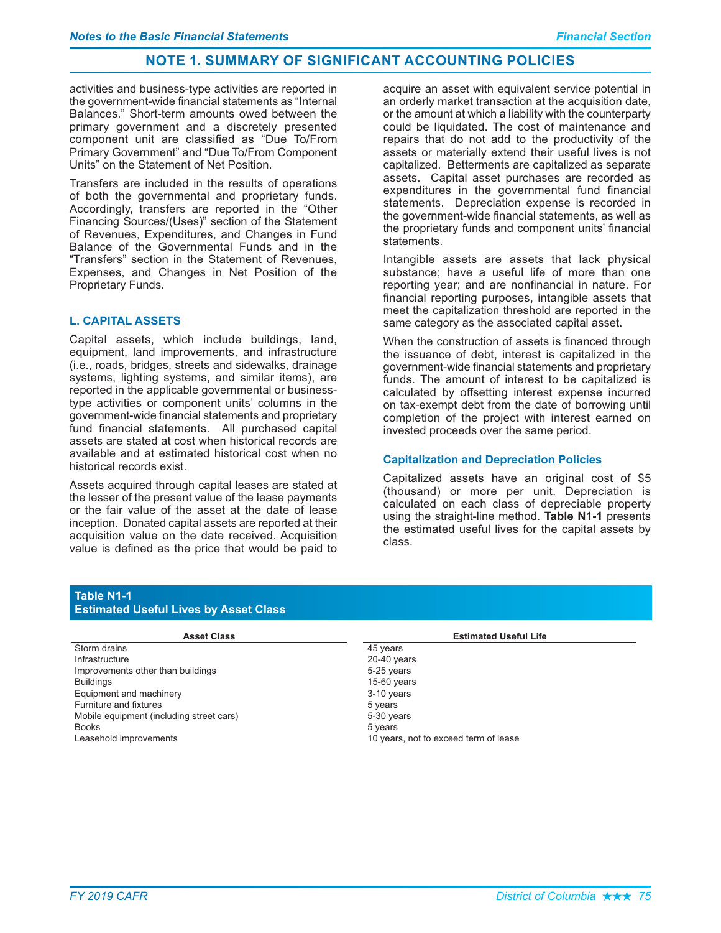activities and business-type activities are reported in the government-wide financial statements as "Internal Balances." Short-term amounts owed between the primary government and a discretely presented component unit are classified as "Due To/From Primary Government" and "Due To/From Component Units" on the Statement of Net Position.

Transfers are included in the results of operations of both the governmental and proprietary funds. Accordingly, transfers are reported in the "Other Financing Sources/(Uses)" section of the Statement of Revenues, Expenditures, and Changes in Fund Balance of the Governmental Funds and in the "Transfers" section in the Statement of Revenues, Expenses, and Changes in Net Position of the Proprietary Funds.

## **L. CAPITAL ASSETS**

Capital assets, which include buildings, land, equipment, land improvements, and infrastructure (i.e., roads, bridges, streets and sidewalks, drainage systems, lighting systems, and similar items), are reported in the applicable governmental or businesstype activities or component units' columns in the government-wide financial statements and proprietary fund financial statements. All purchased capital assets are stated at cost when historical records are available and at estimated historical cost when no historical records exist.

Assets acquired through capital leases are stated at the lesser of the present value of the lease payments or the fair value of the asset at the date of lease inception. Donated capital assets are reported at their acquisition value on the date received. Acquisition value is defined as the price that would be paid to

acquire an asset with equivalent service potential in an orderly market transaction at the acquisition date, or the amount at which a liability with the counterparty could be liquidated. The cost of maintenance and repairs that do not add to the productivity of the assets or materially extend their useful lives is not capitalized. Betterments are capitalized as separate assets. Capital asset purchases are recorded as expenditures in the governmental fund financial statements. Depreciation expense is recorded in the government-wide financial statements, as well as the proprietary funds and component units' financial statements.

Intangible assets are assets that lack physical substance; have a useful life of more than one reporting year; and are nonfinancial in nature. For financial reporting purposes, intangible assets that meet the capitalization threshold are reported in the same category as the associated capital asset.

When the construction of assets is financed through the issuance of debt, interest is capitalized in the government-wide financial statements and proprietary funds. The amount of interest to be capitalized is calculated by offsetting interest expense incurred on tax-exempt debt from the date of borrowing until completion of the project with interest earned on invested proceeds over the same period.

# **Capitalization and Depreciation Policies**

Capitalized assets have an original cost of \$5 (thousand) or more per unit. Depreciation is calculated on each class of depreciable property using the straight-line method. Table N1-1 presents the estimated useful lives for the capital assets by class.

# **Table N1-1**

## **Estimated Useful Lives by Asset Class**

| <b>Asset Class</b>                       | <b>Estimated Useful Life</b>          |
|------------------------------------------|---------------------------------------|
| Storm drains                             | 45 years                              |
| Infrastructure                           | $20-40$ years                         |
| Improvements other than buildings        | 5-25 years                            |
| <b>Buildings</b>                         | $15-60$ years                         |
| Equipment and machinery                  | 3-10 years                            |
| Furniture and fixtures                   | 5 years                               |
| Mobile equipment (including street cars) | 5-30 years                            |
| <b>Books</b>                             | 5 years                               |
| Leasehold improvements                   | 10 years, not to exceed term of lease |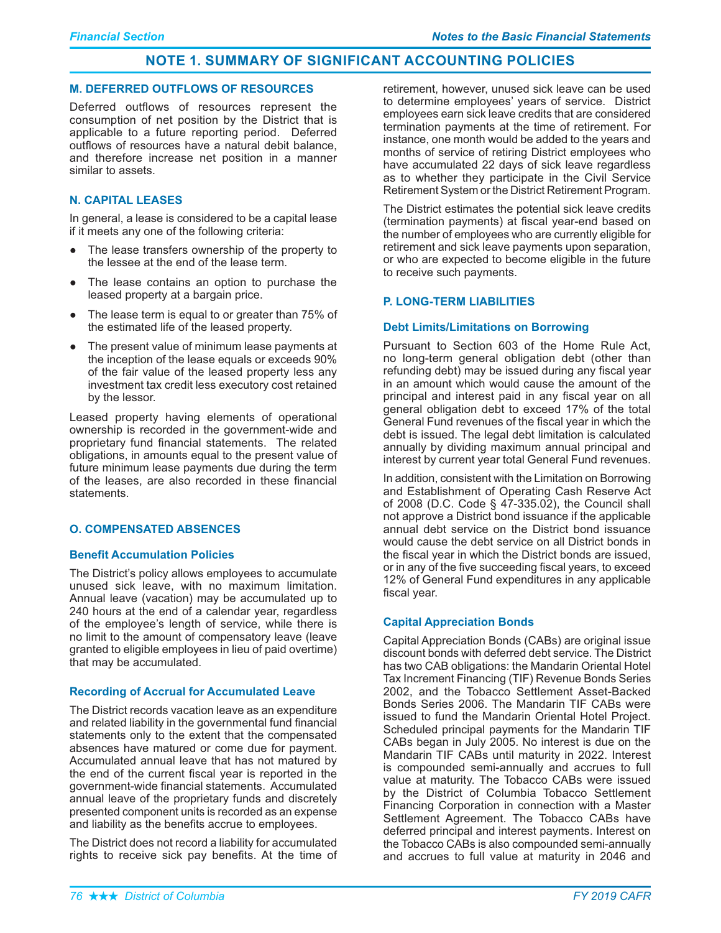### **M. DEFERRED OUTFLOWS OF RESOURCES**

Deferred outflows of resources represent the consumption of net position by the District that is applicable to a future reporting period. Deferred outflows of resources have a natural debit balance, and therefore increase net position in a manner similar to assets.

# **N. CAPITAL LEASES**

In general, a lease is considered to be a capital lease if it meets any one of the following criteria:

- The lease transfers ownership of the property to the lessee at the end of the lease term.
- The lease contains an option to purchase the leased property at a bargain price.
- The lease term is equal to or greater than 75% of the estimated life of the leased property.
- The present value of minimum lease payments at the inception of the lease equals or exceeds 90% of the fair value of the leased property less any investment tax credit less executory cost retained by the lessor.

Leased property having elements of operational ownership is recorded in the government-wide and proprietary fund financial statements. The related obligations, in amounts equal to the present value of future minimum lease payments due during the term of the leases, are also recorded in these financial statements.

# **O. COMPENSATED ABSENCES**

# **Benefit Accumulation Policies**

The District's policy allows employees to accumulate unused sick leave, with no maximum limitation. Annual leave (vacation) may be accumulated up to 240 hours at the end of a calendar year, regardless of the employee's length of service, while there is no limit to the amount of compensatory leave (leave granted to eligible employees in lieu of paid overtime) that may be accumulated.

#### **Recording of Accrual for Accumulated Leave**

The District records vacation leave as an expenditure and related liability in the governmental fund financial statements only to the extent that the compensated absences have matured or come due for payment. Accumulated annual leave that has not matured by the end of the current fiscal year is reported in the government-wide financial statements. Accumulated annual leave of the proprietary funds and discretely presented component units is recorded as an expense and liability as the benefits accrue to employees.

The District does not record a liability for accumulated rights to receive sick pay benefits. At the time of

retirement, however, unused sick leave can be used to determine employees' years of service. District employees earn sick leave credits that are considered termination payments at the time of retirement. For instance, one month would be added to the years and months of service of retiring District employees who have accumulated 22 days of sick leave regardless as to whether they participate in the Civil Service Retirement System or the District Retirement Program.

The District estimates the potential sick leave credits (termination payments) at fiscal year-end based on the number of employees who are currently eligible for retirement and sick leave payments upon separation, or who are expected to become eligible in the future to receive such payments.

# **P. LONG-TERM LIABILITIES**

## Debt Limits/Limitations on Borrowing

Pursuant to Section 603 of the Home Rule Act, no long-term general obligation debt (other than refunding debt) may be issued during any fiscal year in an amount which would cause the amount of the principal and interest paid in any fiscal year on all general obligation debt to exceed 17% of the total General Fund revenues of the fiscal year in which the debt is issued. The legal debt limitation is calculated annually by dividing maximum annual principal and interest by current year total General Fund revenues.

In addition, consistent with the Limitation on Borrowing and Establishment of Operating Cash Reserve Act of 2008 (D.C. Code  $\S$  47-335.02), the Council shall not approve a District bond issuance if the applicable annual debt service on the District bond issuance would cause the debt service on all District bonds in the fiscal year in which the District bonds are issued, or in any of the five succeeding fiscal years, to exceed 12% of General Fund expenditures in any applicable fiscal year.

# **Capital Appreciation Bonds**

Capital Appreciation Bonds (CABs) are original issue discount bonds with deferred debt service. The District has two CAB obligations: the Mandarin Oriental Hotel Tax Increment Financing (TIF) Revenue Bonds Series 2002, and the Tobacco Settlement Asset-Backed Bonds Series 2006. The Mandarin TIF CABs were issued to fund the Mandarin Oriental Hotel Project. Scheduled principal payments for the Mandarin TIF CABs began in July 2005. No interest is due on the Mandarin TIF CABs until maturity in 2022. Interest is compounded semi-annually and accrues to full value at maturity. The Tobacco CABs were issued by the District of Columbia Tobacco Settlement Financing Corporation in connection with a Master Settlement Agreement. The Tobacco CABs have deferred principal and interest payments. Interest on the Tobacco CABs is also compounded semi-annually and accrues to full value at maturity in 2046 and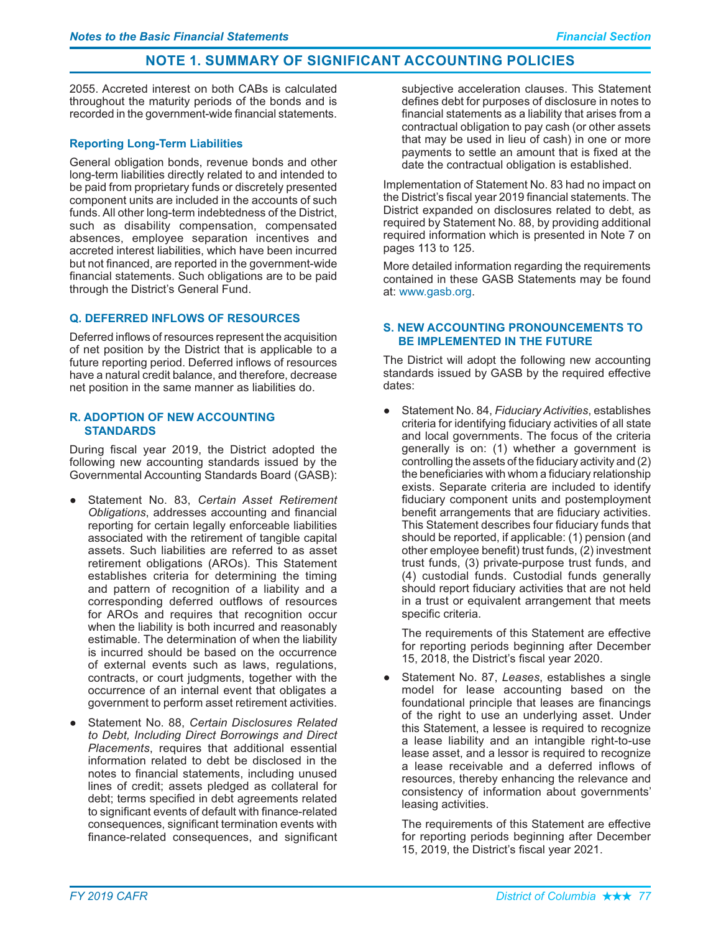2055. Accreted interest on both CABs is calculated throughout the maturity periods of the bonds and is recorded in the government-wide financial statements.

# **Reporting Long-Term Liabilities**

General obligation bonds, revenue bonds and other long-term liabilities directly related to and intended to be paid from proprietary funds or discretely presented component units are included in the accounts of such funds. All other long-term indebtedness of the District, such as disability compensation, compensated absences, employee separation incentives and accreted interest liabilities, which have been incurred but not financed, are reported in the government-wide financial statements. Such obligations are to be paid through the District's General Fund.

# **Q. DEFERRED INFLOWS OF RESOURCES**

Deferred inflows of resources represent the acquisition of net position by the District that is applicable to a future reporting period. Deferred inflows of resources have a natural credit balance, and therefore, decrease net position in the same manner as liabilities do.

## **R. ADOPTION OF NEW ACCOUNTING STANDARDS**

During fiscal year 2019, the District adopted the following new accounting standards issued by the Governmental Accounting Standards Board (GASB):

- } Statement No. 83, *Certain Asset Retirement*  Obligations, addresses accounting and financial reporting for certain legally enforceable liabilities associated with the retirement of tangible capital assets. Such liabilities are referred to as asset retirement obligations (AROs). This Statement establishes criteria for determining the timing and pattern of recognition of a liability and a corresponding deferred outflows of resources for AROs and requires that recognition occur when the liability is both incurred and reasonably estimable. The determination of when the liability is incurred should be based on the occurrence of external events such as laws, regulations, contracts, or court judgments, together with the occurrence of an internal event that obligates a government to perform asset retirement activities.
- } Statement No. 88, *Certain Disclosures Related to Debt, Including Direct Borrowings and Direct*  Placements, requires that additional essential information related to debt be disclosed in the notes to financial statements, including unused lines of credit; assets pledged as collateral for debt; terms specified in debt agreements related to significant events of default with finance-related consequences, significant termination events with finance-related consequences, and significant

subjective acceleration clauses. This Statement defines debt for purposes of disclosure in notes to financial statements as a liability that arises from a contractual obligation to pay cash (or other assets that may be used in lieu of cash) in one or more payments to settle an amount that is fixed at the date the contractual obligation is established.

Implementation of Statement No. 83 had no impact on the District's fiscal year 2019 financial statements. The District expanded on disclosures related to debt, as required by Statement No. 88, by providing additional required information which is presented in Note 7 on pages 113 to 125.

More detailed information regarding the requirements contained in these GASB Statements may be found at: www.gasb.org.

# **S. NEW ACCOUNTING PRONOUNCEMENTS TO BE IMPLEMENTED IN THE FUTURE**

The District will adopt the following new accounting standards issued by GASB by the required effective dates:

• Statement No. 84, *Fiduciary Activities*, establishes criteria for identifying fiduciary activities of all state and local governments. The focus of the criteria generally is on: (1) whether a government is controlling the assets of the fiduciary activity and (2) the beneficiaries with whom a fiduciary relationship exists. Separate criteria are included to identify fiduciary component units and postemployment benefit arrangements that are fiduciary activities. This Statement describes four fiduciary funds that should be reported, if applicable: (1) pension (and other employee benefit) trust funds, (2) investment trust funds, (3) private-purpose trust funds, and (4) custodial funds. Custodial funds generally should report fiduciary activities that are not held in a trust or equivalent arrangement that meets specific criteria.

The requirements of this Statement are effective for reporting periods beginning after December 15, 2018, the District's fiscal year 2020.

} Statement No. 87, *Leases*, establishes a single model for lease accounting based on the foundational principle that leases are financings of the right to use an underlying asset. Under this Statement, a lessee is required to recognize a lease liability and an intangible right-to-use lease asset, and a lessor is required to recognize a lease receivable and a deferred inflows of resources, thereby enhancing the relevance and consistency of information about governments' leasing activities.

The requirements of this Statement are effective for reporting periods beginning after December 15, 2019, the District's fiscal year 2021.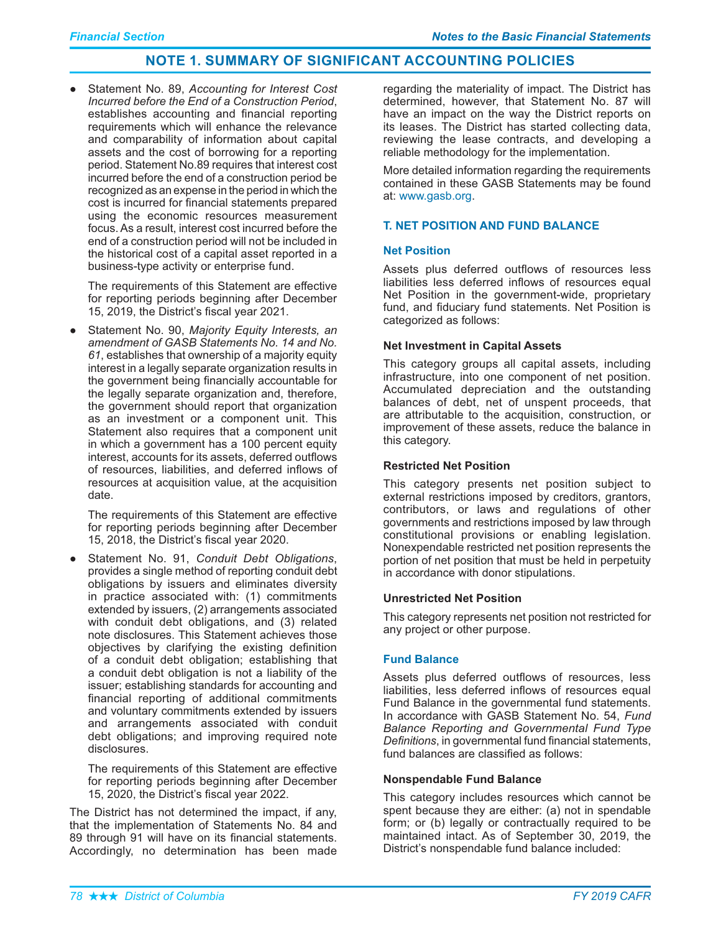Statement No. 89, Accounting for Interest Cost Incurred before the End of a Construction Period, establishes accounting and financial reporting requirements which will enhance the relevance and comparability of information about capital assets and the cost of borrowing for a reporting period. Statement No.89 requires that interest cost incurred before the end of a construction period be recognized as an expense in the period in which the cost is incurred for financial statements prepared using the economic resources measurement focus. As a result, interest cost incurred before the end of a construction period will not be included in the historical cost of a capital asset reported in a business-type activity or enterprise fund.

The requirements of this Statement are effective for reporting periods beginning after December 15, 2019, the District's fiscal year 2021.

Statement No. 90, Majority Equity Interests, an amendment of GASB Statements No. 14 and No. 61, establishes that ownership of a majority equity interest in a legally separate organization results in the government being financially accountable for the legally separate organization and, therefore, the government should report that organization as an investment or a component unit. This Statement also requires that a component unit in which a government has a 100 percent equity interest, accounts for its assets, deferred outflows of resources, liabilities, and deferred inflows of resources at acquisition value, at the acquisition date.

The requirements of this Statement are effective for reporting periods beginning after December 15, 2018, the District's fiscal year 2020.

Statement No. 91, Conduit Debt Obligations, provides a single method of reporting conduit debt obligations by issuers and eliminates diversity in practice associated with: (1) commitments extended by issuers, (2) arrangements associated with conduit debt obligations, and (3) related note disclosures. This Statement achieves those objectives by clarifying the existing definition of a conduit debt obligation; establishing that a conduit debt obligation is not a liability of the issuer; establishing standards for accounting and financial reporting of additional commitments and voluntary commitments extended by issuers and arrangements associated with conduit debt obligations; and improving required note disclosures.

The requirements of this Statement are effective for reporting periods beginning after December 15, 2020, the District's fiscal year 2022.

The District has not determined the impact, if any, that the implementation of Statements No. 84 and 89 through 91 will have on its financial statements. Accordingly, no determination has been made

regarding the materiality of impact. The District has determined, however, that Statement No. 87 will have an impact on the way the District reports on its leases. The District has started collecting data, reviewing the lease contracts, and developing a reliable methodology for the implementation.

More detailed information regarding the requirements contained in these GASB Statements may be found at: www.gasb.org.

## **T. NET POSITION AND FUND BALANCE**

## **Net Position**

Assets plus deferred outflows of resources less liabilities less deferred inflows of resources equal Net Position in the government-wide, proprietary fund, and fiduciary fund statements. Net Position is categorized as follows:

#### **Net Investment in Capital Assets**

This category groups all capital assets, including infrastructure, into one component of net position. Accumulated depreciation and the outstanding balances of debt, net of unspent proceeds, that are attributable to the acquisition, construction, or improvement of these assets, reduce the balance in this category.

#### **Restricted Net Position**

This category presents net position subject to external restrictions imposed by creditors, grantors, contributors, or laws and regulations of other governments and restrictions imposed by law through constitutional provisions or enabling legislation. Nonexpendable restricted net position represents the portion of net position that must be held in perpetuity in accordance with donor stipulations.

#### **Unrestricted Net Position**

This category represents net position not restricted for any project or other purpose.

### **Fund Balance**

Assets plus deferred outflows of resources, less liabilities. less deferred inflows of resources equal Fund Balance in the governmental fund statements. In accordance with GASB Statement No. 54, Fund Balance Reporting and Governmental Fund Type Definitions, in governmental fund financial statements, fund balances are classified as follows:

#### **Nonspendable Fund Balance**

This category includes resources which cannot be spent because they are either: (a) not in spendable form; or (b) legally or contractually required to be maintained intact. As of September 30, 2019, the District's nonspendable fund balance included: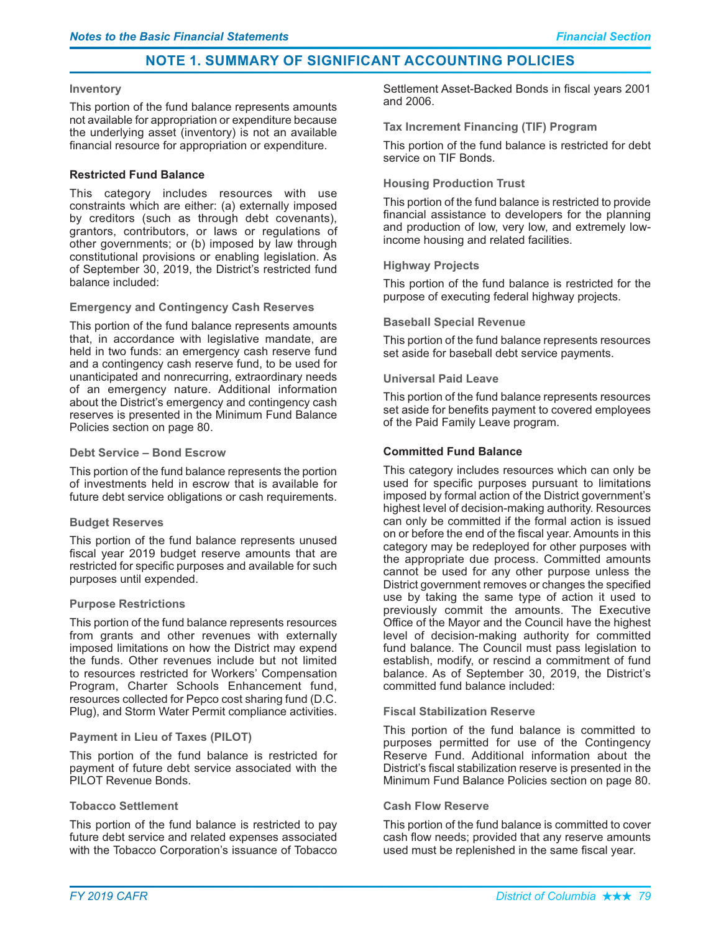#### **Inventory**

This portion of the fund balance represents amounts not available for appropriation or expenditure because the underlying asset (inventory) is not an available financial resource for appropriation or expenditure.

## **Restricted Fund Balance**

This category includes resources with use constraints which are either: (a) externally imposed by creditors (such as through debt covenants), grantors, contributors, or laws or regulations of other governments; or (b) imposed by law through constitutional provisions or enabling legislation. As of September 30, 2019, the District's restricted fund balance included:

#### **Emergency and Contingency Cash Reserves**

This portion of the fund balance represents amounts that, in accordance with legislative mandate, are held in two funds: an emergency cash reserve fund and a contingency cash reserve fund, to be used for unanticipated and nonrecurring, extraordinary needs of an emergency nature. Additional information about the District's emergency and contingency cash reserves is presented in the Minimum Fund Balance Policies section on page 80.

### **Debt Service - Bond Escrow**

This portion of the fund balance represents the portion of investments held in escrow that is available for future debt service obligations or cash requirements.

#### **Budget Reserves**

This portion of the fund balance represents unused fiscal year 2019 budget reserve amounts that are restricted for specific purposes and available for such purposes until expended.

#### **Purpose Restrictions**

This portion of the fund balance represents resources from grants and other revenues with externally imposed limitations on how the District may expend the funds. Other revenues include but not limited to resources restricted for Workers' Compensation Program, Charter Schools Enhancement fund, resources collected for Pepco cost sharing fund (D.C. Plug), and Storm Water Permit compliance activities.

# **Payment in Lieu of Taxes (PILOT)**

This portion of the fund balance is restricted for payment of future debt service associated with the PILOT Revenue Bonds.

#### **Tobacco Settlement**

This portion of the fund balance is restricted to pay future debt service and related expenses associated with the Tobacco Corporation's issuance of Tobacco

Settlement Asset-Backed Bonds in fiscal years 2001 and 2006.

## **Tax Increment Financing (TIF) Program**

This portion of the fund balance is restricted for debt service on TIF Bonds.

## **Housing Production Trust**

This portion of the fund balance is restricted to provide financial assistance to developers for the planning and production of low, very low, and extremely lowincome housing and related facilities.

## **Highway Projects**

This portion of the fund balance is restricted for the purpose of executing federal highway projects.

## **Baseball Special Revenue**

This portion of the fund balance represents resources set aside for baseball debt service payments.

## **Universal Paid Leave**

This portion of the fund balance represents resources set aside for benefits payment to covered employees of the Paid Family Leave program.

## **Committed Fund Balance**

This category includes resources which can only be used for specific purposes pursuant to limitations imposed by formal action of the District government's highest level of decision-making authority. Resources can only be committed if the formal action is issued on or before the end of the fiscal year. Amounts in this category may be redeployed for other purposes with the appropriate due process. Committed amounts cannot be used for any other purpose unless the District government removes or changes the specified use by taking the same type of action it used to previously commit the amounts. The Executive Office of the Mayor and the Council have the highest level of decision-making authority for committed fund balance. The Council must pass legislation to establish, modify, or rescind a commitment of fund balance. As of September 30, 2019, the District's committed fund balance included:

#### **Fiscal Stabilization Reserve**

This portion of the fund balance is committed to purposes permitted for use of the Contingency Reserve Fund. Additional information about the District's fiscal stabilization reserve is presented in the Minimum Fund Balance Policies section on page 80.

#### **Cash Flow Reserve**

This portion of the fund balance is committed to cover cash flow needs; provided that any reserve amounts used must be replenished in the same fiscal year.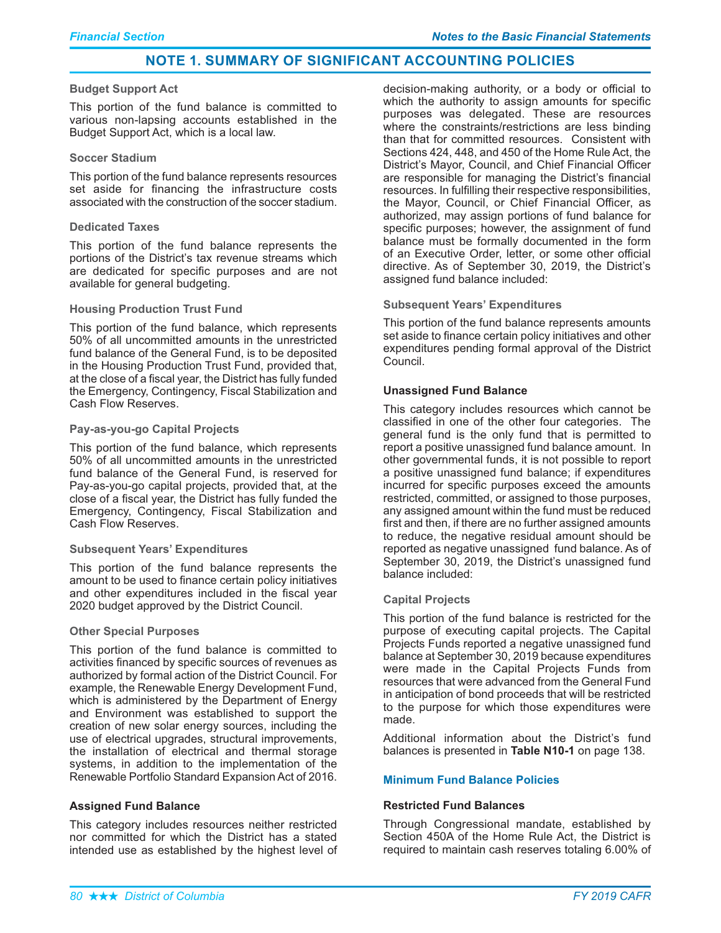#### **Budget Support Act**

This portion of the fund balance is committed to various non-lapsing accounts established in the Budget Support Act, which is a local law.

#### **Soccer Stadium**

This portion of the fund balance represents resources set aside for financing the infrastructure costs associated with the construction of the soccer stadium.

### **Dedicated Taxes**

This portion of the fund balance represents the portions of the District's tax revenue streams which are dedicated for specific purposes and are not available for general budgeting.

## **Housing Production Trust Fund**

This portion of the fund balance, which represents 50% of all uncommitted amounts in the unrestricted fund balance of the General Fund, is to be deposited in the Housing Production Trust Fund, provided that, at the close of a fiscal year, the District has fully funded the Emergency, Contingency, Fiscal Stabilization and Cash Flow Reserves.

## **Pay-as-you-go Capital Projects**

This portion of the fund balance, which represents 50% of all uncommitted amounts in the unrestricted fund balance of the General Fund, is reserved for Pay-as-you-go capital projects, provided that, at the close of a fiscal year, the District has fully funded the Emergency, Contingency, Fiscal Stabilization and Cash Flow Reserves.

#### **Subsequent Years' Expenditures**

This portion of the fund balance represents the amount to be used to finance certain policy initiatives and other expenditures included in the fiscal year 2020 budget approved by the District Council.

# **Other Special Purposes**

This portion of the fund balance is committed to activities financed by specific sources of revenues as authorized by formal action of the District Council. For example, the Renewable Energy Development Fund, which is administered by the Department of Energy and Environment was established to support the creation of new solar energy sources, including the use of electrical upgrades, structural improvements, the installation of electrical and thermal storage systems, in addition to the implementation of the Renewable Portfolio Standard Expansion Act of 2016.

# **Assigned Fund Balance**

This category includes resources neither restricted nor committed for which the District has a stated intended use as established by the highest level of

decision-making authority, or a body or official to which the authority to assign amounts for specific purposes was delegated. These are resources where the constraints/restrictions are less binding than that for committed resources. Consistent with Sections 424, 448, and 450 of the Home Rule Act, the District's Mavor. Council, and Chief Financial Officer are responsible for managing the District's financial resources. In fulfilling their respective responsibilities, the Mayor, Council, or Chief Financial Officer, as authorized, may assign portions of fund balance for specific purposes; however, the assignment of fund balance must be formally documented in the form of an Executive Order, letter, or some other official directive. As of September 30, 2019, the District's assigned fund balance included:

## **Subsequent Years' Expenditures**

This portion of the fund balance represents amounts set aside to finance certain policy initiatives and other expenditures pending formal approval of the District Council.

## **Unassigned Fund Balance**

This category includes resources which cannot be classified in one of the other four categories. The general fund is the only fund that is permitted to report a positive unassigned fund balance amount. In other governmental funds, it is not possible to report a positive unassigned fund balance; if expenditures incurred for specific purposes exceed the amounts restricted, committed, or assigned to those purposes, any assigned amount within the fund must be reduced first and then, if there are no further assigned amounts to reduce, the negative residual amount should be reported as negative unassigned fund balance. As of September 30, 2019, the District's unassigned fund balance included:

# **Capital Projects**

This portion of the fund balance is restricted for the purpose of executing capital projects. The Capital Projects Funds reported a negative unassigned fund balance at September 30, 2019 because expenditures were made in the Capital Projects Funds from resources that were advanced from the General Fund in anticipation of bond proceeds that will be restricted to the purpose for which those expenditures were made.

Additional information about the District's fund balances is presented in Table N10-1 on page 138.

# **Minimum Fund Balance Policies**

#### **Restricted Fund Balances**

Through Congressional mandate, established by Section 450A of the Home Rule Act, the District is required to maintain cash reserves totaling 6.00% of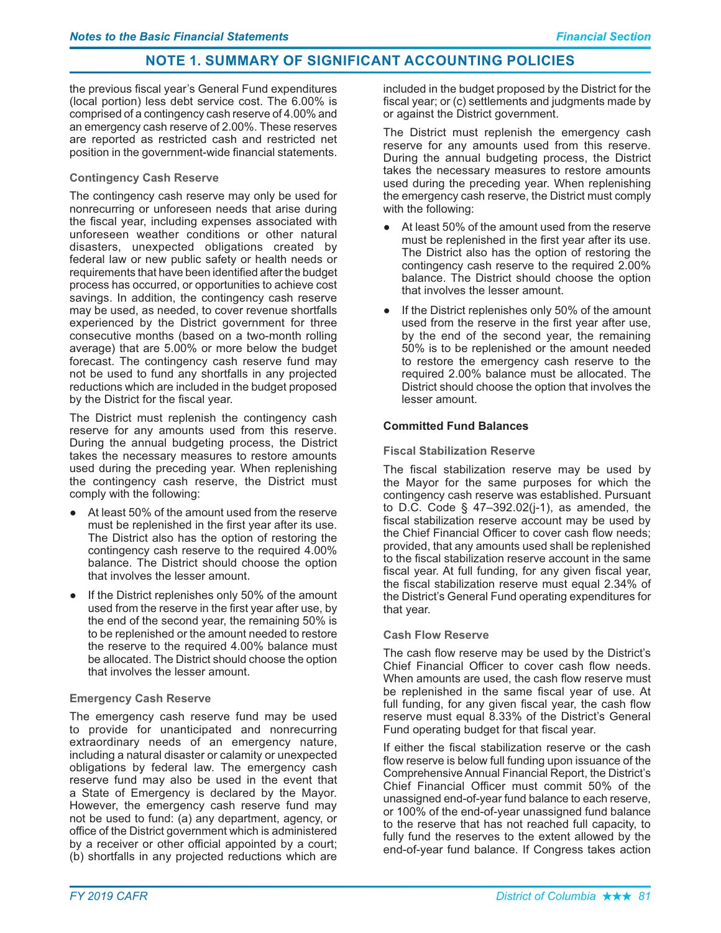the previous fiscal year's General Fund expenditures (local portion) less debt service cost. The 6.00% is comprised of a contingency cash reserve of 4.00% and an emergency cash reserve of 2.00%. These reserves are reported as restricted cash and restricted net position in the government-wide financial statements.

# **Contingency Cash Reserve**

The contingency cash reserve may only be used for nonrecurring or unforeseen needs that arise during the fiscal year, including expenses associated with unforeseen weather conditions or other natural disasters, unexpected obligations created by federal law or new public safety or health needs or requirements that have been identified after the budget process has occurred, or opportunities to achieve cost savings. In addition, the contingency cash reserve may be used, as needed, to cover revenue shortfalls experienced by the District government for three consecutive months (based on a two-month rolling average) that are 5.00% or more below the budget forecast. The contingency cash reserve fund may not be used to fund any shortfalls in any projected reductions which are included in the budget proposed by the District for the fiscal year.

The District must replenish the contingency cash reserve for any amounts used from this reserve. During the annual budgeting process, the District takes the necessary measures to restore amounts used during the preceding year. When replenishing the contingency cash reserve, the District must comply with the following:

- At least 50% of the amount used from the reserve must be replenished in the first year after its use. The District also has the option of restoring the contingency cash reserve to the required 4.00% balance. The District should choose the option that involves the lesser amount.
- If the District replenishes only 50% of the amount used from the reserve in the first year after use, by the end of the second year, the remaining 50% is to be replenished or the amount needed to restore the reserve to the required 4.00% balance must be allocated. The District should choose the option that involves the lesser amount.

# **Emergency Cash Reserve**

The emergency cash reserve fund may be used to provide for unanticipated and nonrecurring extraordinary needs of an emergency nature, including a natural disaster or calamity or unexpected obligations by federal law. The emergency cash reserve fund may also be used in the event that a State of Emergency is declared by the Mayor. However, the emergency cash reserve fund may not be used to fund: (a) any department, agency, or office of the District government which is administered by a receiver or other official appointed by a court; (b) shortfalls in any projected reductions which are

included in the budget proposed by the District for the fiscal year; or (c) settlements and judgments made by or against the District government.

The District must replenish the emergency cash reserve for any amounts used from this reserve. During the annual budgeting process, the District takes the necessary measures to restore amounts used during the preceding year. When replenishing the emergency cash reserve, the District must comply with the following:

- At least 50% of the amount used from the reserve must be replenished in the first year after its use. The District also has the option of restoring the contingency cash reserve to the required 2.00% balance. The District should choose the option that involves the lesser amount.
- If the District replenishes only 50% of the amount used from the reserve in the first year after use, by the end of the second year, the remaining 50% is to be replenished or the amount needed to restore the emergency cash reserve to the required 2.00% balance must be allocated. The District should choose the option that involves the lesser amount.

## **Committed Fund Balances**

# **Fiscal Stabilization Reserve**

The fiscal stabilization reserve may be used by the Mayor for the same purposes for which the contingency cash reserve was established. Pursuant to D.C. Code  $\S$  47-392.02(j-1), as amended, the fiscal stabilization reserve account may be used by the Chief Financial Officer to cover cash flow needs; provided, that any amounts used shall be replenished to the fiscal stabilization reserve account in the same fiscal year. At full funding, for any given fiscal year, the fiscal stabilization reserve must equal 2.34% of the District's General Fund operating expenditures for that year.

#### **Cash Flow Reserve**

The cash flow reserve may be used by the District's Chief Financial Officer to cover cash flow needs. When amounts are used, the cash flow reserve must be replenished in the same fiscal year of use. At full funding, for any given fiscal year, the cash flow reserve must equal 8.33% of the District's General Fund operating budget for that fiscal year.

If either the fiscal stabilization reserve or the cash flow reserve is below full funding upon issuance of the Comprehensive Annual Financial Report, the District's Chief Financial Officer must commit 50% of the unassigned end-of-year fund balance to each reserve, or 100% of the end-of-year unassigned fund balance to the reserve that has not reached full capacity, to fully fund the reserves to the extent allowed by the end-of-year fund balance. If Congress takes action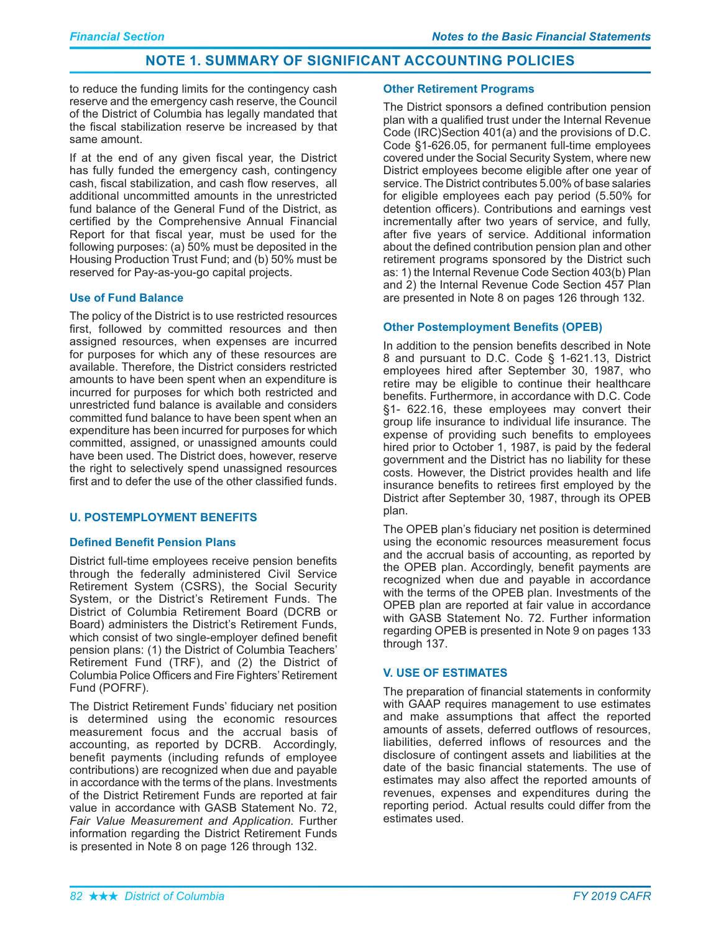to reduce the funding limits for the contingency cash reserve and the emergency cash reserve, the Council of the District of Columbia has legally mandated that the fiscal stabilization reserve be increased by that same amount.

If at the end of any given fiscal year, the District has fully funded the emergency cash, contingency cash, fiscal stabilization, and cash flow reserves, all additional uncommitted amounts in the unrestricted fund balance of the General Fund of the District, as certified by the Comprehensive Annual Financial Report for that fiscal year, must be used for the following purposes: (a) 50% must be deposited in the Housing Production Trust Fund; and (b) 50% must be reserved for Pay-as-you-go capital projects.

# **Use of Fund Balance**

The policy of the District is to use restricted resources first, followed by committed resources and then assigned resources, when expenses are incurred for purposes for which any of these resources are available. Therefore, the District considers restricted amounts to have been spent when an expenditure is incurred for purposes for which both restricted and unrestricted fund balance is available and considers committed fund balance to have been spent when an expenditure has been incurred for purposes for which committed, assigned, or unassigned amounts could have been used. The District does, however, reserve the right to selectively spend unassigned resources first and to defer the use of the other classified funds.

# **U. POSTEMPLOYMENT BENEFITS**

# **Defined Benefit Pension Plans**

District full-time employees receive pension benefits through the federally administered Civil Service Retirement System (CSRS), the Social Security System, or the District's Retirement Funds. The District of Columbia Retirement Board (DCRB or Board) administers the District's Retirement Funds, which consist of two single-emplover defined benefit pension plans: (1) the District of Columbia Teachers' Retirement Fund (TRF), and (2) the District of Columbia Police Officers and Fire Fighters' Retirement Fund (POFRF).

The District Retirement Funds' fiduciary net position is determined using the economic resources measurement focus and the accrual basis of accounting, as reported by DCRB. Accordingly, benefit payments (including refunds of employee contributions) are recognized when due and payable in accordance with the terms of the plans. Investments of the District Retirement Funds are reported at fair value in accordance with GASB Statement No. 72, Fair Value Measurement and Application. Further information regarding the District Retirement Funds is presented in Note 8 on page 126 through 132.

## **Other Retirement Programs**

The District sponsors a defined contribution pension plan with a qualified trust under the Internal Revenue Code (IRC)Section 401(a) and the provisions of D.C. Code §1-626.05, for permanent full-time employees covered under the Social Security System, where new District employees become eligible after one year of service. The District contributes 5.00% of base salaries for eligible employees each pay period (5.50% for detention officers). Contributions and earnings vest incrementally after two years of service, and fully, after five years of service. Additional information about the defined contribution pension plan and other retirement programs sponsored by the District such as: 1) the Internal Revenue Code Section 403(b) Plan and 2) the Internal Revenue Code Section 457 Plan are presented in Note 8 on pages 126 through 132.

# **Other Postemployment Benefits (OPEB)**

In addition to the pension benefits described in Note 8 and pursuant to D.C. Code § 1-621.13, District employees hired after September 30, 1987, who retire may be eligible to continue their healthcare benefits. Furthermore, in accordance with D.C. Code §1- 622.16, these employees may convert their group life insurance to individual life insurance. The expense of providing such benefits to employees hired prior to October 1, 1987, is paid by the federal government and the District has no liability for these costs. However, the District provides health and life insurance benefits to retirees first emploved by the District after September 30, 1987, through its OPEB plan.

The OPEB plan's fiduciary net position is determined using the economic resources measurement focus and the accrual basis of accounting, as reported by the OPEB plan. Accordingly, benefit payments are recognized when due and payable in accordance with the terms of the OPEB plan. Investments of the OPEB plan are reported at fair value in accordance with GASB Statement No. 72. Further information regarding OPEB is presented in Note 9 on pages 133 through 137.

# **V. USE OF ESTIMATES**

The preparation of financial statements in conformity with GAAP requires management to use estimates and make assumptions that affect the reported amounts of assets, deferred outflows of resources, liabilities, deferred inflows of resources and the disclosure of contingent assets and liabilities at the date of the basic financial statements. The use of estimates may also affect the reported amounts of revenues, expenses and expenditures during the reporting period. Actual results could differ from the estimates used.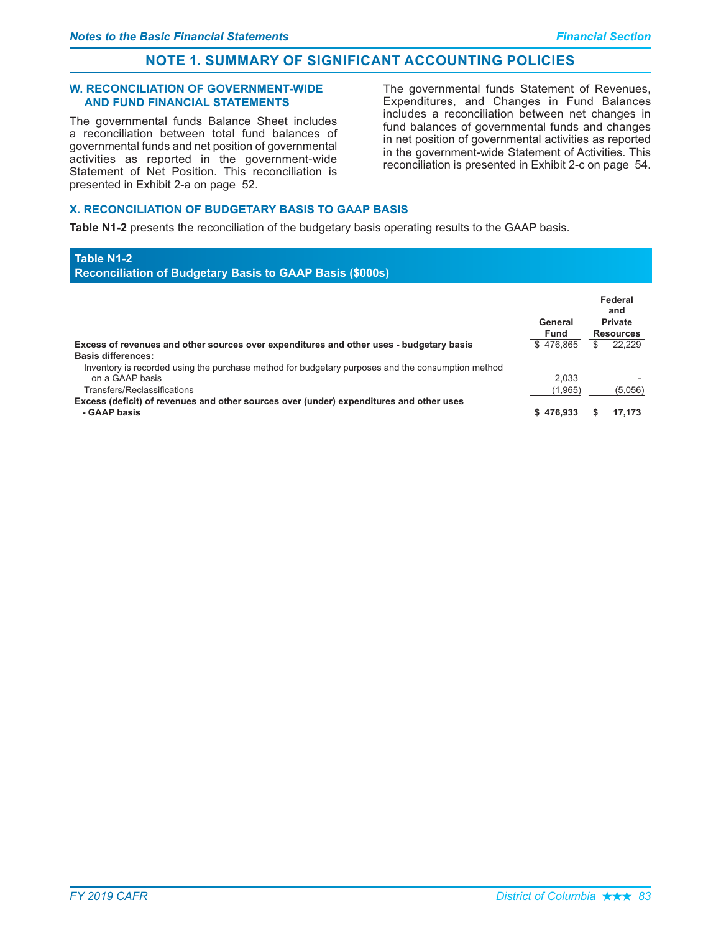**Table N1-2** 

# **NOTE 1. SUMMARY OF SIGNIFICANT ACCOUNTING POLICIES**

#### **W. RECONCILIATION OF GOVERNMENT-WIDE AND FUND FINANCIAL STATEMENTS**

The governmental funds Balance Sheet includes a reconciliation between total fund balances of governmental funds and net position of governmental activities as reported in the government-wide Statement of Net Position. This reconciliation is presented in Exhibit 2-a on page 52.

The governmental funds Statement of Revenues, Expenditures, and Changes in Fund Balances includes a reconciliation between net changes in fund balances of governmental funds and changes in net position of governmental activities as reported in the government-wide Statement of Activities. This reconciliation is presented in Exhibit 2-c on page 54.

# **X. RECONCILIATION OF BUDGETARY BASIS TO GAAP BASIS**

Table N1-2 presents the reconciliation of the budgetary basis operating results to the GAAP basis.

#### Reconciliation of Budgetary Basis to GAAP Basis (\$000s) Federal and<br>Private  **6**   $\mathsf{Fund}$  Resources Excess of revenues and other sources over expenditures and other uses - budgetary basis  $$476,865$   $$22,229$ Basis differences: Inventory is recorded using the purchase method for budgetary purposes and the consumption method on a GAAP ba  $2,033$  -  $2,033$ Transfers/Reclassifica tions (1,965) (5,056) Excess (deficit) of revenues and other sources over (under) expenditures and other uses<br>- GAAP hasis **• GAAP** basis **\***  $\frac{1}{3}$  **7**,173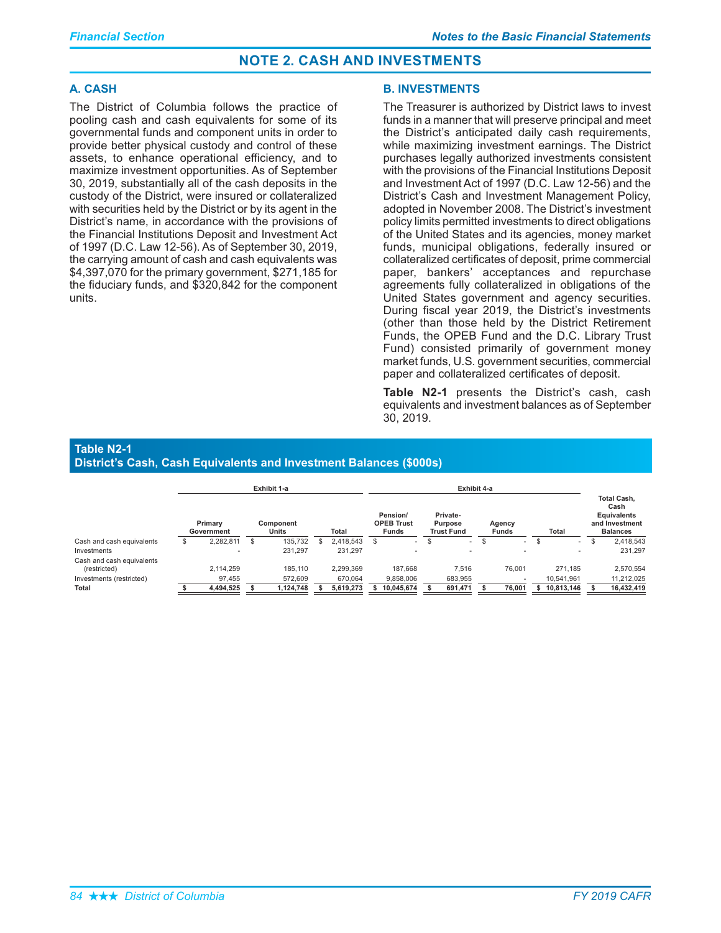# A. CASH

The District of Columbia follows the practice of pooling cash and cash equivalents for some of its governmental funds and component units in order to provide better physical custody and control of these assets, to enhance operational efficiency, and to maximize investment opportunities. As of September 30, 2019, substantially all of the cash deposits in the custody of the District, were insured or collateralized with securities held by the District or by its agent in the District's name, in accordance with the provisions of the Financial Institutions Deposit and Investment Act of 1997 (D.C. Law 12-56). As of September 30, 2019, the carrying amount of cash and cash equivalents was \$4,397,070 for the primary government, \$271,185 for the fiduciary funds, and \$320,842 for the component units.

# **B. INVESTMENTS**

The Treasurer is authorized by District laws to invest funds in a manner that will preserve principal and meet the District's anticipated daily cash requirements, while maximizing investment earnings. The District purchases legally authorized investments consistent with the provisions of the Financial Institutions Deposit and Investment Act of 1997 (D.C. Law 12-56) and the District's Cash and Investment Management Policy, adopted in November 2008. The District's investment policy limits permitted investments to direct obligations of the United States and its agencies, money market funds, municipal obligations, federally insured or collateralized certificates of deposit, prime commercial paper, bankers' acceptances and repurchase agreements fully collateralized in obligations of the United States government and agency securities. During fiscal year 2019, the District's investments (other than those held by the District Retirement Funds, the OPEB Fund and the D.C. Library Trust Fund) consisted primarily of government money market funds, U.S. government securities, commercial paper and collateralized certificates of deposit.

Table N2-1 presents the District's cash, cash equivalents and investment balances as of September 30.2019.

#### **Table N2-1 District's Cash, Cash Equivalents and Investment Balances (\$000s)**

|                                                                                |    |                                  |   | Exhibit 1-a                     |                                   | Exhibit 4-a                                                                                                         |   |                             |     |                                              |                                                                                       |                                     |    |                                       |  |
|--------------------------------------------------------------------------------|----|----------------------------------|---|---------------------------------|-----------------------------------|---------------------------------------------------------------------------------------------------------------------|---|-----------------------------|-----|----------------------------------------------|---------------------------------------------------------------------------------------|-------------------------------------|----|---------------------------------------|--|
|                                                                                |    | Primary<br>Government            |   | Component<br>Units              | Total                             | Private-<br>Pension/<br><b>OPEB Trust</b><br>Purpose<br>Agency<br><b>Funds</b><br><b>Funds</b><br><b>Trust Fund</b> |   |                             |     | <b>Total</b>                                 | <b>Total Cash.</b><br>Cash<br><b>Equivalents</b><br>and Investment<br><b>Balances</b> |                                     |    |                                       |  |
| Cash and cash equivalents                                                      | ۰D | 2,282,811                        | S | 135,732                         | 2,418,543                         | \$.<br>$\overline{\phantom{a}}$                                                                                     | S | $\overline{\phantom{a}}$    | \$. | ۰                                            | а                                                                                     | $\sim$                              | .ъ | 2,418,543                             |  |
| Investments                                                                    |    |                                  |   | 231,297                         | 231.297                           |                                                                                                                     |   | $\overline{\phantom{a}}$    |     |                                              |                                                                                       |                                     |    | 231.297                               |  |
| Cash and cash equivalents<br>(restricted)<br>Investments (restricted)<br>Total |    | 2.114.259<br>97.455<br>4,494,525 |   | 185.110<br>572,609<br>1,124,748 | 2,299,369<br>670.064<br>5,619,273 | 187.668<br>9.858.006<br>10,045,674                                                                                  |   | 7.516<br>683,955<br>691,471 |     | 76.001<br>$\overline{\phantom{a}}$<br>76,001 |                                                                                       | 271.185<br>10.541.961<br>10,813,146 |    | 2,570,554<br>11,212,025<br>16,432,419 |  |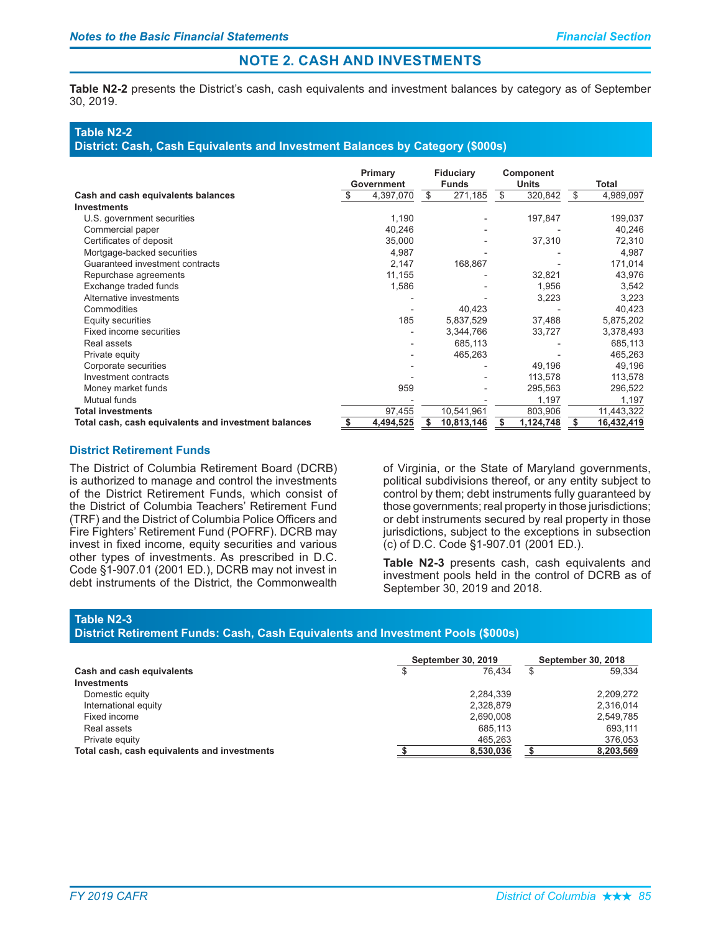Table N2-2 presents the District's cash, cash equivalents and investment balances by category as of September 30, 2019.

# **Table N2-2**

District: Cash, Cash Equivalents and Investment Balances by Category (\$000s)

|                                                      |   | Primary<br>Government |    | <b>Fiduciary</b><br><b>Funds</b> | Component<br><b>Units</b> |           | Total            |  |
|------------------------------------------------------|---|-----------------------|----|----------------------------------|---------------------------|-----------|------------------|--|
| Cash and cash equivalents balances                   |   | 4,397,070             | \$ | 271,185                          | \$                        | 320,842   | \$<br>4,989,097  |  |
| <b>Investments</b>                                   |   |                       |    |                                  |                           |           |                  |  |
| U.S. government securities                           |   | 1,190                 |    |                                  |                           | 197,847   | 199,037          |  |
| Commercial paper                                     |   | 40,246                |    |                                  |                           |           | 40,246           |  |
| Certificates of deposit                              |   | 35,000                |    |                                  |                           | 37,310    | 72,310           |  |
| Mortgage-backed securities                           |   | 4,987                 |    |                                  |                           |           | 4,987            |  |
| Guaranteed investment contracts                      |   | 2,147                 |    | 168,867                          |                           |           | 171,014          |  |
| Repurchase agreements                                |   | 11,155                |    |                                  |                           | 32,821    | 43,976           |  |
| Exchange traded funds                                |   | 1,586                 |    |                                  |                           | 1,956     | 3,542            |  |
| Alternative investments                              |   |                       |    |                                  |                           | 3,223     | 3,223            |  |
| Commodities                                          |   |                       |    | 40,423                           |                           |           | 40,423           |  |
| Equity securities                                    |   | 185                   |    | 5,837,529                        |                           | 37,488    | 5,875,202        |  |
| Fixed income securities                              |   |                       |    | 3,344,766                        |                           | 33,727    | 3,378,493        |  |
| Real assets                                          |   |                       |    | 685,113                          |                           |           | 685,113          |  |
| Private equity                                       |   |                       |    | 465,263                          |                           |           | 465,263          |  |
| Corporate securities                                 |   |                       |    |                                  |                           | 49,196    | 49,196           |  |
| Investment contracts                                 |   |                       |    |                                  |                           | 113,578   | 113,578          |  |
| Money market funds                                   |   | 959                   |    |                                  |                           | 295,563   | 296,522          |  |
| Mutual funds                                         |   |                       |    |                                  |                           | 1,197     | 1,197            |  |
| <b>Total investments</b>                             |   | 97,455                |    | 10,541,961                       |                           | 803,906   | 11,443,322       |  |
| Total cash, cash equivalents and investment balances | S | 4,494,525             | S  | 10,813,146                       | S                         | 1,124,748 | \$<br>16,432,419 |  |

# District Retirement Funds

The District of Columbia Retirement Board (DCRB) is authorized to manage and control the investments of the District Retirement Funds, which consist of the District of Columbia Teachers' Retirement Fund (TRF) and the District of Columbia Police Officers and Fire Fighters' Retirement Fund (POFRF). DCRB may invest in fixed income, equity securities and various other types of investments. As prescribed in D.C. Code §1-907.01 (2001 ED.), DCRB may not invest in debt instruments of the District, the Commonwealth

of Virginia, or the State of Maryland governments, political subdivisions thereof, or any entity subject to control by them; debt instruments fully guaranteed by those governments; real property in those jurisdictions; or debt instruments secured by real property in those jurisdictions, subject to the exceptions in subsection (c) of D.C. Code §1-907.01 (2001 ED.).

Table N2-3 presents cash, cash equivalents and investment pools held in the control of DCRB as of September 30, 2019 and 2018.

#### **Table N2-3**

# District Retirement Funds: Cash, Cash Equivalents and Investment Pools (\$000s)

|                                              | September 30, 2019 | <b>September 30, 2018</b> |    |           |
|----------------------------------------------|--------------------|---------------------------|----|-----------|
| Cash and cash equivalents                    |                    | 76.434                    | \$ | 59.334    |
| <b>Investments</b>                           |                    |                           |    |           |
| Domestic equity                              |                    | 2.284.339                 |    | 2,209,272 |
| International equity                         |                    | 2.328.879                 |    | 2,316,014 |
| Fixed income                                 |                    | 2,690,008                 |    | 2,549,785 |
| Real assets                                  |                    | 685.113                   |    | 693,111   |
| Private equity                               |                    | 465.263                   |    | 376,053   |
| Total cash, cash equivalents and investments |                    | 8,530,036                 |    | 8,203,569 |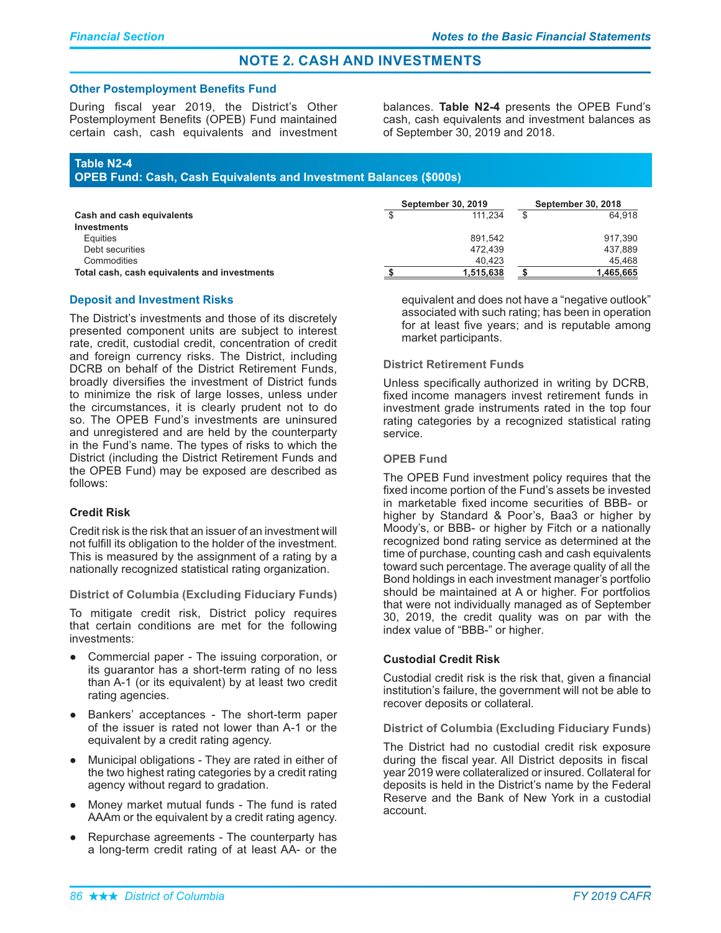#### **Other Postemployment Benefits Fund**

During fiscal year 2019, the District's Other Postemployment Benefits (OPEB) Fund maintained certain cash, cash equivalents and investment

balances. Table N2-4 presents the OPEB Fund's cash, cash equivalents and investment balances as of September 30, 2019 and 2018.

# Table N2-4

**OPEB Fund: Cash, Cash Equivalents and Investment Balances (\$000s)** 

|                                              | <b>September 30, 2019</b> | <b>September 30, 2018</b> |           |  |
|----------------------------------------------|---------------------------|---------------------------|-----------|--|
| Cash and cash equivalents                    | 111.234                   |                           | 64.918    |  |
| Investments                                  |                           |                           |           |  |
| Equities                                     | 891.542                   |                           | 917.390   |  |
| Debt securities                              | 472.439                   |                           | 437.889   |  |
| Commodities                                  | 40.423                    |                           | 45.468    |  |
| Total cash, cash equivalents and investments | 1,515,638                 |                           | 1,465,665 |  |

# **Deposit and Investment Risks**

The District's investments and those of its discretely presented component units are subject to interest rate, credit, custodial credit, concentration of credit and foreign currency risks. The District, including DCRB on behalf of the District Retirement Funds, broadly diversifies the investment of District funds to minimize the risk of large losses, unless under the circumstances, it is clearly prudent not to do so. The OPEB Fund's investments are uninsured and unregistered and are held by the counterparty in the Fund's name. The types of risks to which the District (including the District Retirement Funds and the OPEB Fund) may be exposed are described as follows:

# **Credit Risk**

Credit risk is the risk that an issuer of an investment will not fulfill its obligation to the holder of the investment. This is measured by the assignment of a rating by a nationally recognized statistical rating organization.

**District of Columbia (Excluding Fiduciary Funds)** 

To mitigate credit risk, District policy requires that certain conditions are met for the following investments:

- Commercial paper The issuing corporation, or its guarantor has a short-term rating of no less than A-1 (or its equivalent) by at least two credit rating agencies.
- Bankers' acceptances The short-term paper of the issuer is rated not lower than A-1 or the equivalent by a credit rating agency.
- Municipal obligations They are rated in either of  $\bullet$ the two highest rating categories by a credit rating agency without regard to gradation.
- Money market mutual funds The fund is rated AAAm or the equivalent by a credit rating agency.
- Repurchase agreements The counterparty has a long-term credit rating of at least AA- or the

equivalent and does not have a "negative outlook" associated with such rating; has been in operation for at least five years; and is reputable among market participants.

# **District Retirement Funds**

Unless specifically authorized in writing by DCRB, fixed income managers invest retirement funds in investment grade instruments rated in the top four rating categories by a recognized statistical rating service.

## **OPEB Fund**

The OPEB Fund investment policy requires that the fixed income portion of the Fund's assets be invested in marketable fixed income securities of BBB- or higher by Standard & Poor's, Baa3 or higher by Moody's, or BBB- or higher by Fitch or a nationally recognized bond rating service as determined at the time of purchase, counting cash and cash equivalents toward such percentage. The average quality of all the Bond holdings in each investment manager's portfolio should be maintained at A or higher. For portfolios that were not individually managed as of September 30, 2019, the credit quality was on par with the index value of "BBB-" or higher.

# **Custodial Credit Risk**

Custodial credit risk is the risk that, given a financial institution's failure, the government will not be able to recover deposits or collateral.

**District of Columbia (Excluding Fiduciary Funds)** 

The District had no custodial credit risk exposure during the fiscal year. All District deposits in fiscal year 2019 were collateralized or insured. Collateral for deposits is held in the District's name by the Federal Reserve and the Bank of New York in a custodial account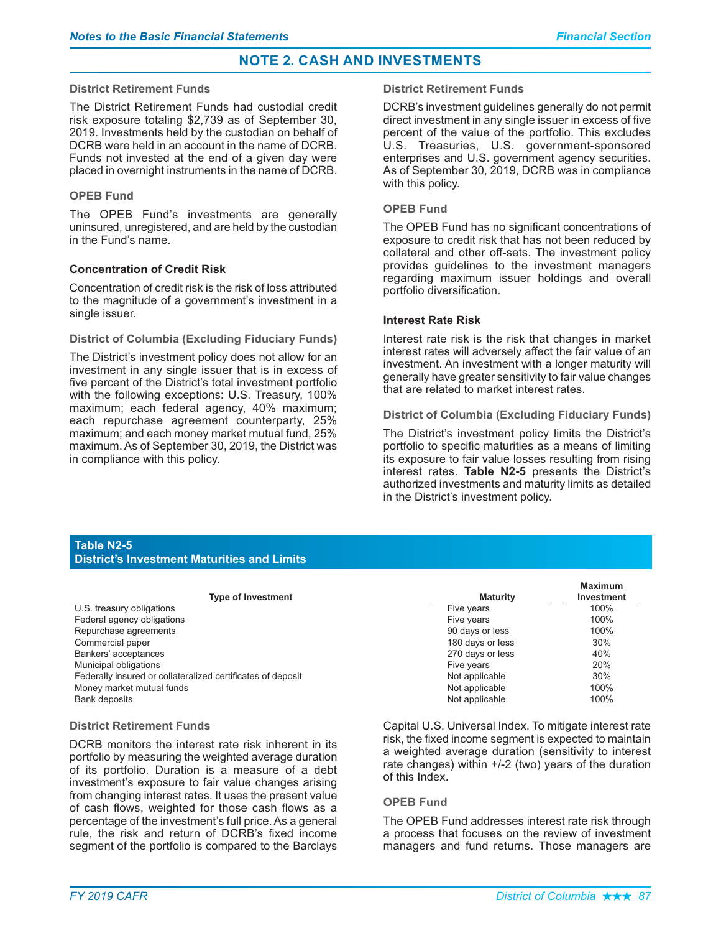### District Retirement Funds

The District Retirement Funds had custodial credit risk exposure totaling \$2,739 as of September 30, 2019. Investments held by the custodian on behalf of DCRB were held in an account in the name of DCRB. Funds not invested at the end of a given day were placed in overnight instruments in the name of DCRB.

# **OPEB Fund**

The OPEB Fund's investments are generally uninsured, unregistered, and are held by the custodian in the Fund's name.

# **Concentration of Credit Risk**

Concentration of credit risk is the risk of loss attributed to the magnitude of a government's investment in a single issuer.

#### District of Columbia (Excluding Fiduciary Funds)

The District's investment policy does not allow for an investment in any single issuer that is in excess of five percent of the District's total investment portfolio with the following exceptions: U.S. Treasury, 100% maximum; each federal agency, 40% maximum; each repurchase agreement counterparty, 25% maximum; and each money market mutual fund, 25% maximum. As of September 30, 2019, the District was in compliance with this policy.

## District Retirement Funds

DCRB's investment guidelines generally do not permit direct investment in any single issuer in excess of five percent of the value of the portfolio. This excludes U.S. Treasuries, U.S. government-sponsored enterprises and U.S. government agency securities. As of September 30, 2019, DCRB was in compliance with this policy.

## **OPEB Fund**

The OPEB Fund has no significant concentrations of exposure to credit risk that has not been reduced by collateral and other off-sets. The investment policy provides guidelines to the investment managers regarding maximum issuer holdings and overall portfolio diversification.

## Interest Rate Risk

Interest rate risk is the risk that changes in market interest rates will adversely affect the fair value of an investment. An investment with a longer maturity will generally have greater sensitivity to fair value changes that are related to market interest rates.

## District of Columbia (Excluding Fiduciary Funds)

The District's investment policy limits the District's portfolio to specific maturities as a means of limiting its exposure to fair value losses resulting from rising interest rates. Table N2-5 presents the District's authorized investments and maturity limits as detailed in the District's investment policy.

# **Table N2-5 District's Investment Maturities and Limits**

|                                                             |                  | <b>Maximum</b> |
|-------------------------------------------------------------|------------------|----------------|
| <b>Type of Investment</b>                                   | <b>Maturity</b>  | Investment     |
| U.S. treasury obligations                                   | Five years       | 100%           |
| Federal agency obligations                                  | Five years       | 100%           |
| Repurchase agreements                                       | 90 days or less  | 100%           |
| Commercial paper                                            | 180 days or less | 30%            |
| Bankers' acceptances                                        | 270 days or less | 40%            |
| Municipal obligations                                       | Five years       | 20%            |
| Federally insured or collateralized certificates of deposit | Not applicable   | 30%            |
| Money market mutual funds                                   | Not applicable   | 100%           |
| Bank deposits                                               | Not applicable   | 100%           |

## District Retirement Funds

DCRB monitors the interest rate risk inherent in its portfolio by measuring the weighted average duration of its portfolio. Duration is a measure of a debt investment's exposure to fair value changes arising from changing interest rates. It uses the present value of cash flows, weighted for those cash flows as a percentage of the investment's full price. As a general rule, the risk and return of DCRB's fixed income segment of the portfolio is compared to the Barclays

Capital U.S. Universal Index. To mitigate interest rate risk, the fixed income segment is expected to maintain a weighted average duration (sensitivity to interest rate changes) within +/-2 (two) years of the duration of this Index.

#### **OPEB Fund**

The OPEB Fund addresses interest rate risk through a process that focuses on the review of investment managers and fund returns. Those managers are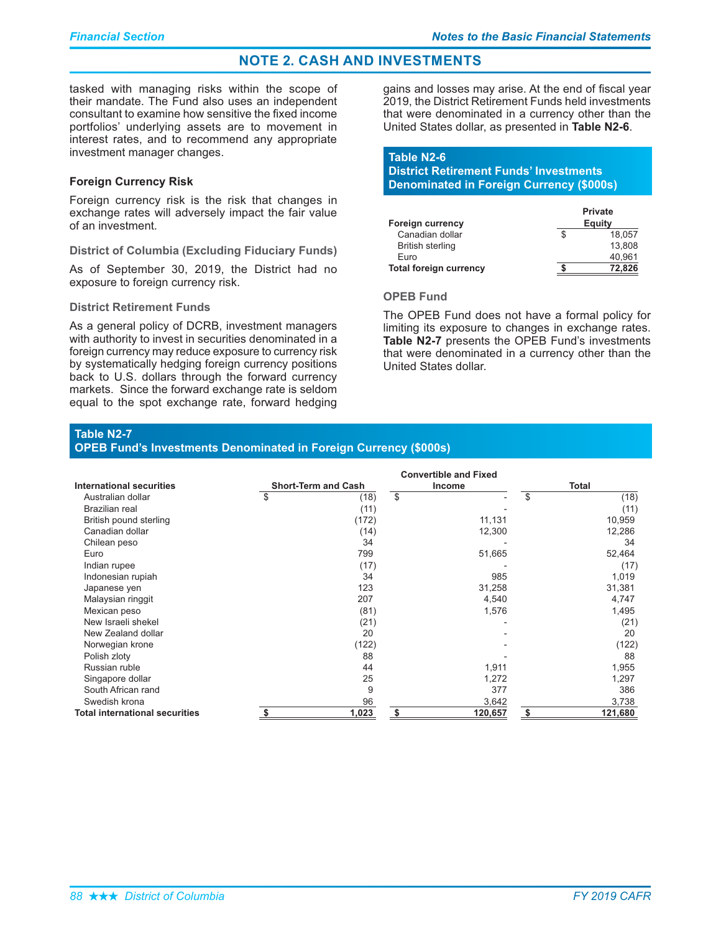tasked with managing risks within the scope of their mandate. The Fund also uses an independent consultant to examine how sensitive the fixed income portfolios' underlying assets are to movement in interest rates, and to recommend any appropriate investment manager changes.

## **Foreign Currency Risk**

Foreign currency risk is the risk that changes in exchange rates will adversely impact the fair value of an investment.

#### District of Columbia (Excluding Fiduciary Funds)

As of September 30, 2019, the District had no exposure to foreign currency risk.

#### District Retirement Funds

As a general policy of DCRB, investment managers with authority to invest in securities denominated in a foreign currency may reduce exposure to currency risk by systematically hedging foreign currency positions back to U.S. dollars through the forward currency markets. Since the forward exchange rate is seldom equal to the spot exchange rate, forward hedging

gains and losses may arise. At the end of fiscal year 2019, the District Retirement Funds held investments that were denominated in a currency other than the United States dollar, as presented in Table N2-6.

# **Table N2-6** District Retirement Funds' Investments

**Denominated in Foreign Currency (\$000s)** 

|                               | <b>Private</b> |
|-------------------------------|----------------|
| <b>Foreign currency</b>       | Equity         |
| Canadian dollar               | 18.057         |
| <b>British sterling</b>       | 13.808         |
| Euro                          | 40.961         |
| <b>Total foreign currency</b> | 72.826         |

# **OPEB Fund**

The OPEB Fund does not have a formal policy for limiting its exposure to changes in exchange rates. Table N2-7 presents the OPEB Fund's investments that were denominated in a currency other than the United States dollar.

### **Table N2-7**

## OPEB Fund's Investments Denominated in Foreign Currency (\$000s)

| <b>International securities</b>       |    | <b>Short-Term and Cash</b> | Income        | <b>Total</b> |         |  |
|---------------------------------------|----|----------------------------|---------------|--------------|---------|--|
| Australian dollar                     | \$ | (18)                       | \$            | \$           | (18)    |  |
| Brazilian real                        |    | (11)                       |               |              | (11)    |  |
| British pound sterling                |    | (172)                      | 11,131        |              | 10,959  |  |
| Canadian dollar                       |    | (14)                       | 12,300        |              | 12,286  |  |
| Chilean peso                          |    | 34                         |               |              | 34      |  |
| Euro                                  |    | 799                        | 51,665        |              | 52,464  |  |
| Indian rupee                          |    | (17)                       |               |              | (17)    |  |
| Indonesian rupiah                     |    | 34                         | 985           |              | 1,019   |  |
| Japanese yen                          |    | 123                        | 31,258        |              | 31,381  |  |
| Malaysian ringgit                     |    | 207                        | 4,540         |              | 4,747   |  |
| Mexican peso                          |    | (81)                       | 1,576         |              | 1,495   |  |
| New Israeli shekel                    |    | (21)                       |               |              | (21)    |  |
| New Zealand dollar                    |    | 20                         |               |              | 20      |  |
| Norwegian krone                       |    | (122)                      |               |              | (122)   |  |
| Polish zloty                          |    | 88                         |               |              | 88      |  |
| Russian ruble                         |    | 44                         | 1,911         |              | 1,955   |  |
| Singapore dollar                      |    | 25                         | 1,272         |              | 1,297   |  |
| South African rand                    |    | 9                          | 377           |              | 386     |  |
| Swedish krona                         |    | 96                         | 3,642         |              | 3,738   |  |
| <b>Total international securities</b> | \$ | 1,023                      | \$<br>120,657 | \$           | 121,680 |  |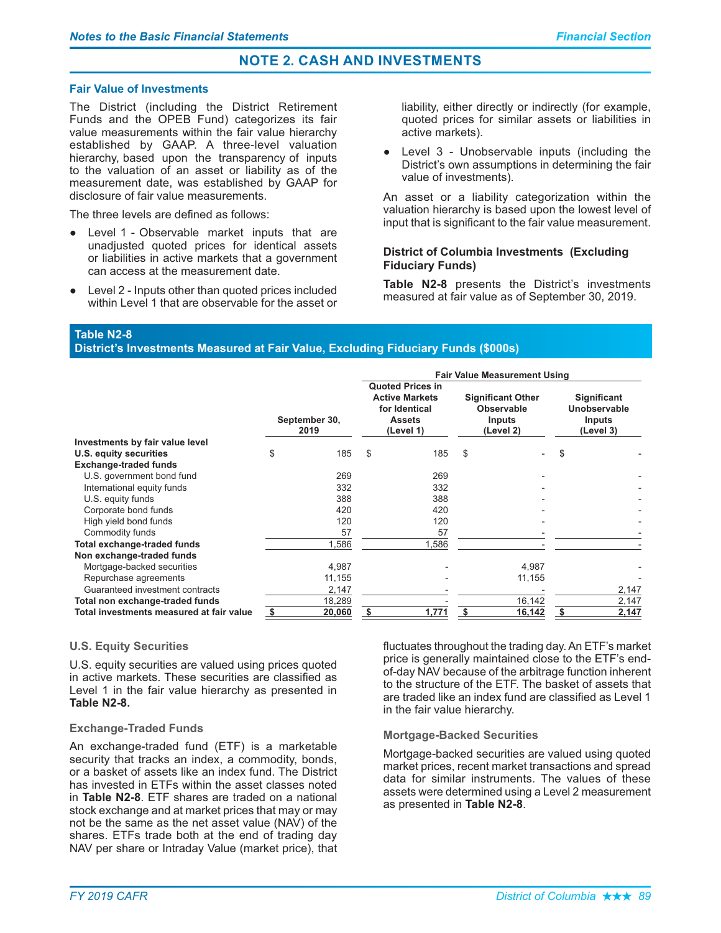## **Fair Value of Investments**

The District (including the District Retirement Funds and the OPEB Fund) categorizes its fair value measurements within the fair value hierarchy established by GAAP. A three-level valuation hierarchy, based upon the transparency of inputs to the valuation of an asset or liability as of the measurement date, was established by GAAP for disclosure of fair value measurements.

The three levels are defined as follows:

- Level 1 Observable market inputs that are unadjusted quoted prices for identical assets or liabilities in active markets that a government can access at the measurement date.
- Level 2 Inputs other than quoted prices included within Level 1 that are observable for the asset or

liability, either directly or indirectly (for example, quoted prices for similar assets or liabilities in active markets).

• Level 3 - Unobservable inputs (including the District's own assumptions in determining the fair value of investments).

An asset or a liability categorization within the valuation hierarchy is based upon the lowest level of input that is significant to the fair value measurement.

## **District of Columbia Investments (Excluding Fiduciary Funds)**

Table N2-8 presents the District's investments measured at fair value as of September 30, 2019.

**Table N2-8** 

District's Investments Measured at Fair Value, Excluding Fiduciary Funds (\$000s)

|                                          |                       |                                                                                                 | <b>Fair Value Measurement Using</b> |                                                                      |    |        |                                                                  |       |  |  |  |
|------------------------------------------|-----------------------|-------------------------------------------------------------------------------------------------|-------------------------------------|----------------------------------------------------------------------|----|--------|------------------------------------------------------------------|-------|--|--|--|
|                                          | September 30,<br>2019 | <b>Quoted Prices in</b><br><b>Active Markets</b><br>for Identical<br><b>Assets</b><br>(Level 1) |                                     | <b>Significant Other</b><br>Observable<br><b>Inputs</b><br>(Level 2) |    |        | <b>Significant</b><br>Unobservable<br><b>Inputs</b><br>(Level 3) |       |  |  |  |
| Investments by fair value level          |                       |                                                                                                 |                                     |                                                                      |    |        |                                                                  |       |  |  |  |
| U.S. equity securities                   | \$                    | 185                                                                                             | \$                                  | 185                                                                  | \$ |        | \$                                                               |       |  |  |  |
| <b>Exchange-traded funds</b>             |                       |                                                                                                 |                                     |                                                                      |    |        |                                                                  |       |  |  |  |
| U.S. government bond fund                |                       | 269                                                                                             |                                     | 269                                                                  |    |        |                                                                  |       |  |  |  |
| International equity funds               |                       | 332                                                                                             |                                     | 332                                                                  |    |        |                                                                  |       |  |  |  |
| U.S. equity funds                        |                       | 388                                                                                             |                                     | 388                                                                  |    |        |                                                                  |       |  |  |  |
| Corporate bond funds                     |                       | 420                                                                                             |                                     | 420                                                                  |    |        |                                                                  |       |  |  |  |
| High yield bond funds                    |                       | 120                                                                                             |                                     | 120                                                                  |    |        |                                                                  |       |  |  |  |
| Commodity funds                          |                       | 57                                                                                              |                                     | 57                                                                   |    |        |                                                                  |       |  |  |  |
| Total exchange-traded funds              |                       | 1,586                                                                                           |                                     | 1,586                                                                |    |        |                                                                  |       |  |  |  |
| Non exchange-traded funds                |                       |                                                                                                 |                                     |                                                                      |    |        |                                                                  |       |  |  |  |
| Mortgage-backed securities               |                       | 4,987                                                                                           |                                     |                                                                      |    | 4,987  |                                                                  |       |  |  |  |
| Repurchase agreements                    |                       | 11,155                                                                                          |                                     |                                                                      |    | 11,155 |                                                                  |       |  |  |  |
| Guaranteed investment contracts          |                       | 2,147                                                                                           |                                     |                                                                      |    |        |                                                                  | 2,147 |  |  |  |
| Total non exchange-traded funds          | 18,289                |                                                                                                 |                                     |                                                                      |    | 16,142 |                                                                  | 2,147 |  |  |  |
| Total investments measured at fair value | \$<br>20,060          |                                                                                                 | \$                                  | 1,771                                                                | \$ | 16,142 | \$                                                               | 2,147 |  |  |  |

#### **U.S. Equity Securities**

U.S. equity securities are valued using prices quoted in active markets. These securities are classified as Level 1 in the fair value hierarchy as presented in **Table N2-8.** 

#### **Exchange-Traded Funds**

An exchange-traded fund (ETF) is a marketable security that tracks an index, a commodity, bonds, or a basket of assets like an index fund. The District has invested in ETFs within the asset classes noted in Table N2-8. ETF shares are traded on a national stock exchange and at market prices that may or may not be the same as the net asset value (NAV) of the shares. ETFs trade both at the end of trading day NAV per share or Intraday Value (market price), that

fluctuates throughout the trading day. An ETF's market price is generally maintained close to the ETF's endof-day NAV because of the arbitrage function inherent to the structure of the ETF. The basket of assets that are traded like an index fund are classified as Level 1 in the fair value hierarchy.

#### **Mortgage-Backed Securities**

Mortgage-backed securities are valued using quoted market prices, recent market transactions and spread data for similar instruments. The values of these assets were determined using a Level 2 measurement as presented in Table N2-8.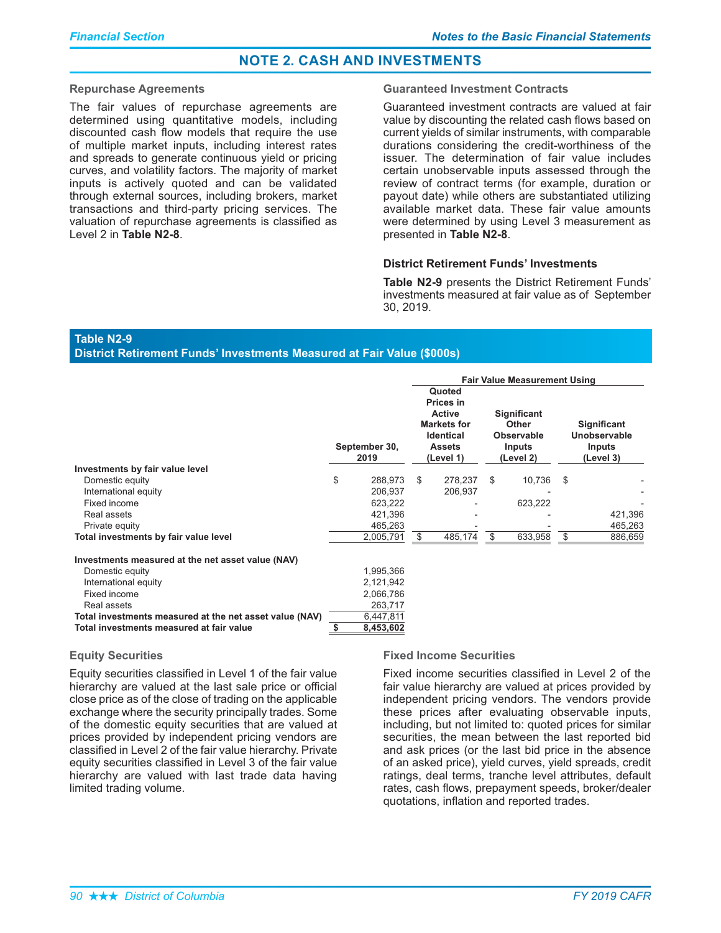#### **Repurchase Agreements**

The fair values of repurchase agreements are determined using quantitative models, including discounted cash flow models that require the use of multiple market inputs, including interest rates and spreads to generate continuous yield or pricing curves, and volatility factors. The majority of market inputs is actively quoted and can be validated through external sources, including brokers, market transactions and third-party pricing services. The valuation of repurchase agreements is classified as Level 2 in Table N2-8.

#### **Guaranteed Investment Contracts**

Guaranteed investment contracts are valued at fair value by discounting the related cash flows based on current yields of similar instruments, with comparable durations considering the credit-worthiness of the issuer. The determination of fair value includes certain unobservable inputs assessed through the review of contract terms (for example, duration or payout date) while others are substantiated utilizing available market data. These fair value amounts were determined by using Level 3 measurement as presented in Table N2-8.

#### District Retirement Funds' Investments

Table N2-9 presents the District Retirement Funds' investments measured at fair value as of September 30, 2019.

# **Table N2-9**

District Retirement Funds' Investments Measured at Fair Value (\$000s)

|                                                         |                       | <b>Fair Value Measurement Using</b> |                                                                                                              |     |                                                                                |      |         |  |                                                                  |
|---------------------------------------------------------|-----------------------|-------------------------------------|--------------------------------------------------------------------------------------------------------------|-----|--------------------------------------------------------------------------------|------|---------|--|------------------------------------------------------------------|
|                                                         | September 30,<br>2019 |                                     | Quoted<br>Prices in<br><b>Active</b><br><b>Markets for</b><br><b>Identical</b><br><b>Assets</b><br>(Level 1) |     | <b>Significant</b><br><b>Other</b><br><b>Observable</b><br>Inputs<br>(Level 2) |      |         |  | <b>Significant</b><br>Unobservable<br><b>Inputs</b><br>(Level 3) |
| Investments by fair value level                         |                       |                                     |                                                                                                              |     |                                                                                |      |         |  |                                                                  |
| Domestic equity                                         | \$<br>288,973         | \$                                  | 278,237                                                                                                      | \$. | 10,736                                                                         | - \$ |         |  |                                                                  |
| International equity                                    | 206,937               |                                     | 206,937                                                                                                      |     |                                                                                |      |         |  |                                                                  |
| Fixed income                                            | 623,222               |                                     |                                                                                                              |     | 623,222                                                                        |      |         |  |                                                                  |
| Real assets                                             | 421,396               |                                     |                                                                                                              |     |                                                                                |      | 421,396 |  |                                                                  |
| Private equity                                          | 465,263               |                                     |                                                                                                              |     |                                                                                |      | 465,263 |  |                                                                  |
| Total investments by fair value level                   | 2,005,791             |                                     | 485,174                                                                                                      | \$  | 633,958                                                                        | \$   | 886,659 |  |                                                                  |
| Investments measured at the net asset value (NAV)       |                       |                                     |                                                                                                              |     |                                                                                |      |         |  |                                                                  |
| Domestic equity                                         | 1,995,366             |                                     |                                                                                                              |     |                                                                                |      |         |  |                                                                  |
| International equity                                    | 2,121,942             |                                     |                                                                                                              |     |                                                                                |      |         |  |                                                                  |
| Fixed income                                            | 2,066,786             |                                     |                                                                                                              |     |                                                                                |      |         |  |                                                                  |
| Real assets                                             | 263,717               |                                     |                                                                                                              |     |                                                                                |      |         |  |                                                                  |
| Total investments measured at the net asset value (NAV) | 6,447,811             |                                     |                                                                                                              |     |                                                                                |      |         |  |                                                                  |
| Total investments measured at fair value                | \$<br>8,453,602       |                                     |                                                                                                              |     |                                                                                |      |         |  |                                                                  |

## **Equity Securities**

Equity securities classified in Level 1 of the fair value hierarchy are valued at the last sale price or official close price as of the close of trading on the applicable exchange where the security principally trades. Some of the domestic equity securities that are valued at prices provided by independent pricing vendors are classified in Level 2 of the fair value hierarchy. Private equity securities classified in Level 3 of the fair value hierarchy are valued with last trade data having limited trading volume.

# **Fixed Income Securities**

Fixed income securities classified in Level 2 of the fair value hierarchy are valued at prices provided by independent pricing vendors. The vendors provide these prices after evaluating observable inputs, including, but not limited to: quoted prices for similar securities, the mean between the last reported bid and ask prices (or the last bid price in the absence of an asked price), yield curves, yield spreads, credit ratings, deal terms, tranche level attributes, default rates, cash flows, prepayment speeds, broker/dealer quotations, inflation and reported trades.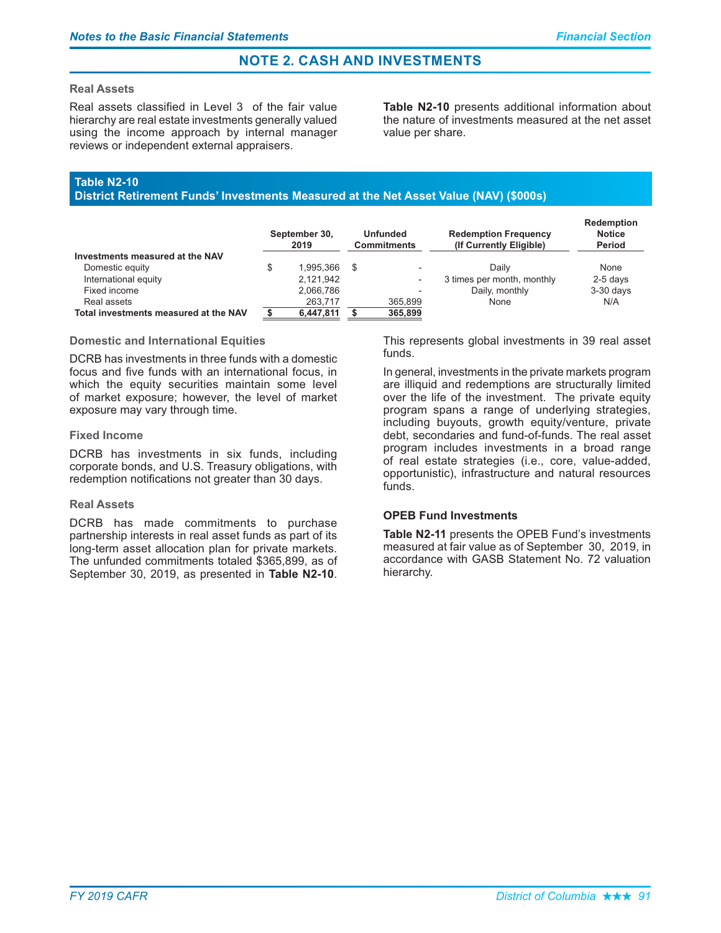## **Real Assets**

Real assets classified in Level 3 of the fair value hierarchy are real estate investments generally valued using the income approach by internal manager reviews or independent external appraisers.

Table N2-10 presents additional information about the nature of investments measured at the net asset value per share.

# Table N2-10

District Retirement Funds' Investments Measured at the Net Asset Value (NAV) (\$000s)

|                                       | September 30,<br>2019 |           | <b>Unfunded</b><br><b>Commitments</b> |                          | <b>Redemption Frequency</b><br>(If Currently Eligible) | <b>Redemption</b><br><b>Notice</b><br>Period |  |
|---------------------------------------|-----------------------|-----------|---------------------------------------|--------------------------|--------------------------------------------------------|----------------------------------------------|--|
| Investments measured at the NAV       |                       |           |                                       |                          |                                                        |                                              |  |
| Domestic equity                       |                       | 1.995.366 | - \$                                  | $\overline{\phantom{a}}$ | Daily                                                  | None                                         |  |
| International equity                  |                       | 2.121.942 |                                       | $\overline{\phantom{a}}$ | 3 times per month, monthly                             | $2-5$ days                                   |  |
| Fixed income                          |                       | 2.066.786 |                                       | -                        | Daily, monthly                                         | $3-30$ days                                  |  |
| Real assets                           |                       | 263.717   |                                       | 365.899                  | None                                                   | N/A                                          |  |
| Total investments measured at the NAV |                       | 6,447,811 |                                       | 365,899                  |                                                        |                                              |  |

# **Domestic and International Equities**

DCRB has investments in three funds with a domestic focus and five funds with an international focus, in which the equity securities maintain some level of market exposure; however, the level of market exposure may vary through time.

#### **Fixed Income**

DCRB has investments in six funds, including corporate bonds, and U.S. Treasury obligations, with redemption notifications not greater than 30 days.

# **Real Assets**

DCRB has made commitments to purchase partnership interests in real asset funds as part of its long-term asset allocation plan for private markets. The unfunded commitments totaled \$365,899, as of September 30, 2019, as presented in Table N2-10.

This represents global investments in 39 real asset  $f$ unds

In general, investments in the private markets program are illiquid and redemptions are structurally limited over the life of the investment. The private equity program spans a range of underlying strategies, including buyouts, growth equity/venture, private debt, secondaries and fund-of-funds. The real asset program includes investments in a broad range of real estate strategies (i.e., core, value-added, opportunistic), infrastructure and natural resources funds.

# **OPEB Fund Investments**

Table N2-11 presents the OPEB Fund's investments measured at fair value as of September 30, 2019, in accordance with GASB Statement No. 72 valuation hierarchy.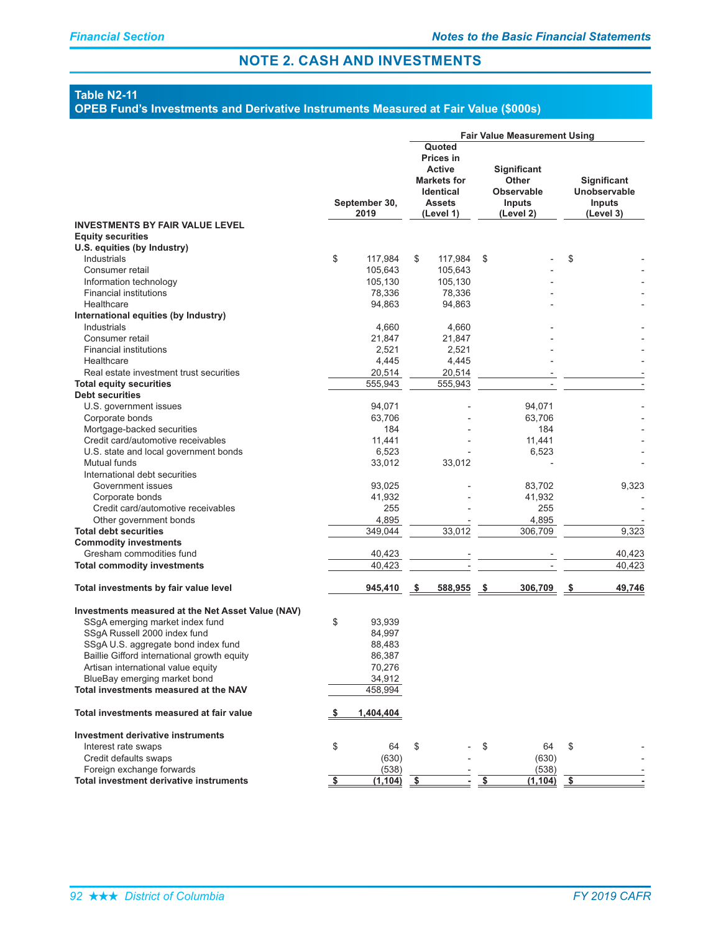# **Table N2-11**

#### OPEB Fund's Investments and Derivative Instruments Measured at Fair Value (\$000s)

|                                                                    |            |                       | <b>Fair Value Measurement Using</b> |                                                                                                                     |     |                                                                         |      |                                                                  |
|--------------------------------------------------------------------|------------|-----------------------|-------------------------------------|---------------------------------------------------------------------------------------------------------------------|-----|-------------------------------------------------------------------------|------|------------------------------------------------------------------|
|                                                                    |            | September 30,<br>2019 |                                     | Quoted<br><b>Prices in</b><br><b>Active</b><br><b>Markets for</b><br><b>Identical</b><br><b>Assets</b><br>(Level 1) |     | Significant<br><b>Other</b><br><b>Observable</b><br>Inputs<br>(Level 2) |      | <b>Significant</b><br>Unobservable<br><b>Inputs</b><br>(Level 3) |
| <b>INVESTMENTS BY FAIR VALUE LEVEL</b><br><b>Equity securities</b> |            |                       |                                     |                                                                                                                     |     |                                                                         |      |                                                                  |
| U.S. equities (by Industry)                                        |            |                       |                                     |                                                                                                                     |     |                                                                         |      |                                                                  |
| Industrials                                                        | \$         | 117.984               | \$                                  | 117,984                                                                                                             | \$  |                                                                         | \$   |                                                                  |
| Consumer retail                                                    |            | 105,643               |                                     | 105.643                                                                                                             |     |                                                                         |      |                                                                  |
| Information technology                                             |            | 105,130               |                                     | 105,130                                                                                                             |     |                                                                         |      |                                                                  |
| <b>Financial institutions</b>                                      |            | 78,336                |                                     | 78,336                                                                                                              |     |                                                                         |      |                                                                  |
| Healthcare                                                         |            | 94,863                |                                     | 94,863                                                                                                              |     |                                                                         |      |                                                                  |
| International equities (by Industry)                               |            |                       |                                     |                                                                                                                     |     |                                                                         |      |                                                                  |
| Industrials                                                        |            | 4,660                 |                                     | 4,660                                                                                                               |     |                                                                         |      |                                                                  |
| Consumer retail                                                    |            | 21,847                |                                     | 21,847                                                                                                              |     |                                                                         |      |                                                                  |
| <b>Financial institutions</b>                                      |            | 2,521                 |                                     | 2,521                                                                                                               |     |                                                                         |      |                                                                  |
| Healthcare                                                         |            | 4,445                 |                                     | 4,445                                                                                                               |     |                                                                         |      |                                                                  |
| Real estate investment trust securities                            |            | 20,514                |                                     | 20,514                                                                                                              |     |                                                                         |      |                                                                  |
| <b>Total equity securities</b>                                     |            | 555,943               |                                     | 555,943                                                                                                             |     | $\overline{a}$                                                          |      |                                                                  |
| <b>Debt securities</b>                                             |            |                       |                                     |                                                                                                                     |     |                                                                         |      |                                                                  |
| U.S. government issues                                             |            | 94,071                |                                     |                                                                                                                     |     | 94,071                                                                  |      |                                                                  |
| Corporate bonds                                                    |            | 63,706                |                                     |                                                                                                                     |     | 63,706                                                                  |      |                                                                  |
| Mortgage-backed securities                                         |            | 184                   |                                     |                                                                                                                     |     | 184                                                                     |      |                                                                  |
| Credit card/automotive receivables                                 |            | 11,441                |                                     |                                                                                                                     |     | 11,441                                                                  |      |                                                                  |
| U.S. state and local government bonds                              |            | 6,523                 |                                     |                                                                                                                     |     | 6,523                                                                   |      |                                                                  |
| Mutual funds                                                       |            | 33,012                |                                     | 33,012                                                                                                              |     |                                                                         |      |                                                                  |
| International debt securities                                      |            |                       |                                     |                                                                                                                     |     |                                                                         |      |                                                                  |
| Government issues                                                  |            | 93,025                |                                     |                                                                                                                     |     | 83,702                                                                  |      | 9,323                                                            |
| Corporate bonds                                                    |            | 41,932                |                                     |                                                                                                                     |     | 41,932                                                                  |      |                                                                  |
| Credit card/automotive receivables                                 |            | 255                   |                                     |                                                                                                                     |     | 255                                                                     |      |                                                                  |
| Other government bonds                                             |            | 4,895                 |                                     |                                                                                                                     |     | 4,895                                                                   |      |                                                                  |
| <b>Total debt securities</b>                                       |            | 349,044               |                                     | 33,012                                                                                                              |     | 306,709                                                                 |      | 9,323                                                            |
| <b>Commodity investments</b>                                       |            |                       |                                     |                                                                                                                     |     |                                                                         |      |                                                                  |
| Gresham commodities fund                                           |            | 40,423                |                                     |                                                                                                                     |     |                                                                         |      | 40,423                                                           |
| <b>Total commodity investments</b>                                 |            | 40,423                |                                     |                                                                                                                     |     |                                                                         |      | 40,423                                                           |
| Total investments by fair value level                              |            | 945,410               | \$                                  | 588,955                                                                                                             | -\$ | 306,709                                                                 | \$   | 49,746                                                           |
|                                                                    |            |                       |                                     |                                                                                                                     |     |                                                                         |      |                                                                  |
| Investments measured at the Net Asset Value (NAV)                  |            |                       |                                     |                                                                                                                     |     |                                                                         |      |                                                                  |
| SSgA emerging market index fund                                    | \$         | 93,939                |                                     |                                                                                                                     |     |                                                                         |      |                                                                  |
| SSgA Russell 2000 index fund                                       |            | 84,997                |                                     |                                                                                                                     |     |                                                                         |      |                                                                  |
| SSgA U.S. aggregate bond index fund                                |            | 88,483                |                                     |                                                                                                                     |     |                                                                         |      |                                                                  |
| Baillie Gifford international growth equity                        |            | 86,387                |                                     |                                                                                                                     |     |                                                                         |      |                                                                  |
| Artisan international value equity                                 |            | 70,276                |                                     |                                                                                                                     |     |                                                                         |      |                                                                  |
| BlueBay emerging market bond                                       |            | 34,912                |                                     |                                                                                                                     |     |                                                                         |      |                                                                  |
| Total investments measured at the NAV                              |            | 458,994               |                                     |                                                                                                                     |     |                                                                         |      |                                                                  |
| Total investments measured at fair value                           | <u>_\$</u> | 1,404,404             |                                     |                                                                                                                     |     |                                                                         |      |                                                                  |
| Investment derivative instruments                                  |            |                       |                                     |                                                                                                                     |     |                                                                         |      |                                                                  |
| Interest rate swaps                                                | \$         | 64                    | \$                                  |                                                                                                                     | \$  | 64                                                                      | S    |                                                                  |
| Credit defaults swaps                                              |            | (630)                 |                                     |                                                                                                                     |     | (630)                                                                   |      |                                                                  |
| Foreign exchange forwards                                          |            | (538)                 |                                     |                                                                                                                     |     | (538)                                                                   |      |                                                                  |
| Total investment derivative instruments                            | \$         | (1, 104)              | -\$                                 |                                                                                                                     | \$  | (1, 104)                                                                | - \$ |                                                                  |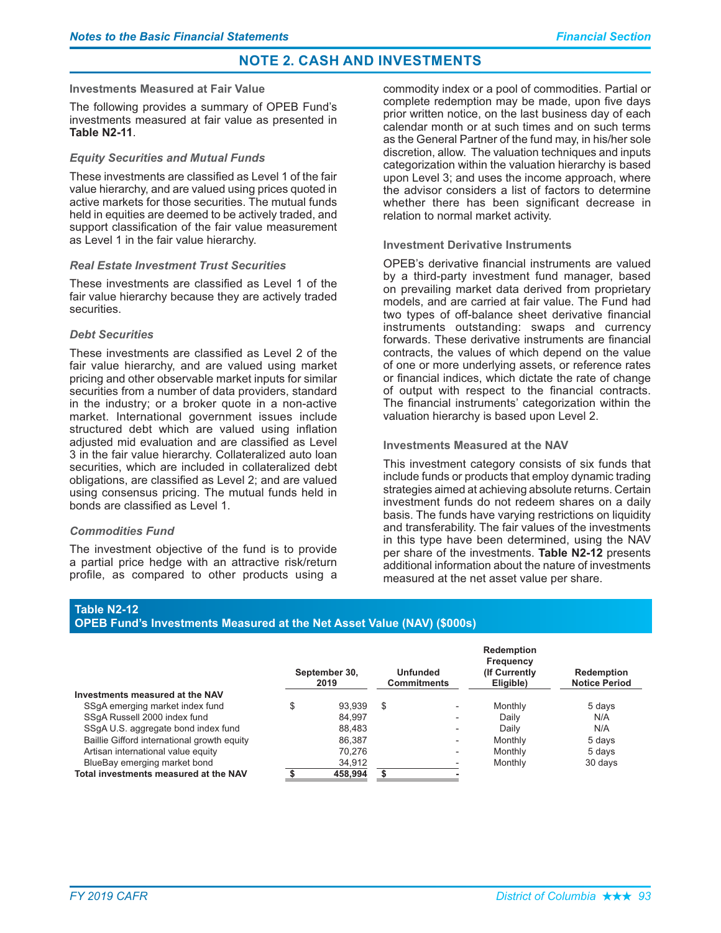#### **Investments Measured at Fair Value**

The following provides a summary of OPEB Fund's investments measured at fair value as presented in **Table N2-11.** 

#### **Equity Securities and Mutual Funds**

These investments are classified as Level 1 of the fair value hierarchy, and are valued using prices quoted in active markets for those securities. The mutual funds held in equities are deemed to be actively traded, and support classification of the fair value measurement as Level 1 in the fair value hierarchy.

#### **Real Estate Investment Trust Securities**

These investments are classified as Level 1 of the fair value hierarchy because they are actively traded securities.

# Deht Securities

These investments are classified as Level 2 of the fair value hierarchy, and are valued using market pricing and other observable market inputs for similar securities from a number of data providers, standard in the industry; or a broker quote in a non-active market. International government issues include structured debt which are valued using inflation adiusted mid evaluation and are classified as Level 3 in the fair value hierarchy. Collateralized auto loan securities, which are included in collateralized debt obligations, are classified as Level 2; and are valued using consensus pricing. The mutual funds held in bonds are classified as Level 1.

# **Commodities Fund**

The investment objective of the fund is to provide a partial price hedge with an attractive risk/return profile, as compared to other products using a

commodity index or a pool of commodities. Partial or complete redemption may be made, upon five days prior written notice, on the last business day of each calendar month or at such times and on such terms as the General Partner of the fund may, in his/her sole discretion, allow. The valuation techniques and inputs categorization within the valuation hierarchy is based upon Level 3; and uses the income approach, where the advisor considers a list of factors to determine whether there has been significant decrease in relation to normal market activity.

## **Investment Derivative Instruments**

OPEB's derivative financial instruments are valued by a third-party investment fund manager, based on prevailing market data derived from proprietary models, and are carried at fair value. The Fund had two types of off-balance sheet derivative financial instruments outstanding: swaps and currency forwards. These derivative instruments are financial contracts, the values of which depend on the value of one or more underlying assets, or reference rates or financial indices, which dictate the rate of change of output with respect to the financial contracts. The financial instruments' categorization within the valuation hierarchy is based upon Level 2.

## **Investments Measured at the NAV**

This investment category consists of six funds that include funds or products that employ dynamic trading strategies aimed at achieving absolute returns. Certain investment funds do not redeem shares on a daily basis. The funds have varying restrictions on liquidity and transferability. The fair values of the investments in this type have been determined, using the NAV per share of the investments. Table N2-12 presents additional information about the nature of investments measured at the net asset value per share.

#### Table N2-12

#### **OPEB Fund's Investments Measured at the Net Asset Value (NAV) (\$000s)**

|                                             | September 30,<br>2019 |         | <b>Unfunded</b><br><b>Commitments</b> |                          | <b>Redemption</b><br>Frequency<br>(If Currently)<br>Eligible) | <b>Redemption</b><br><b>Notice Period</b> |
|---------------------------------------------|-----------------------|---------|---------------------------------------|--------------------------|---------------------------------------------------------------|-------------------------------------------|
| Investments measured at the NAV             |                       |         |                                       |                          |                                                               |                                           |
| SSgA emerging market index fund             | \$                    | 93.939  | -S                                    | $\overline{\phantom{0}}$ | Monthly                                                       | 5 days                                    |
| SSqA Russell 2000 index fund                |                       | 84.997  |                                       | $\overline{\phantom{0}}$ | Daily                                                         | N/A                                       |
| SSqA U.S. aggregate bond index fund         |                       | 88.483  |                                       | $\overline{\phantom{0}}$ | Daily                                                         | N/A                                       |
| Baillie Gifford international growth equity |                       | 86.387  |                                       | $\overline{\phantom{a}}$ | Monthly                                                       | 5 days                                    |
| Artisan international value equity          |                       | 70.276  |                                       | $\overline{\phantom{0}}$ | Monthly                                                       | 5 days                                    |
| BlueBay emerging market bond                |                       | 34.912  |                                       |                          | Monthly                                                       | 30 days                                   |
| Total investments measured at the NAV       |                       | 458.994 |                                       |                          |                                                               |                                           |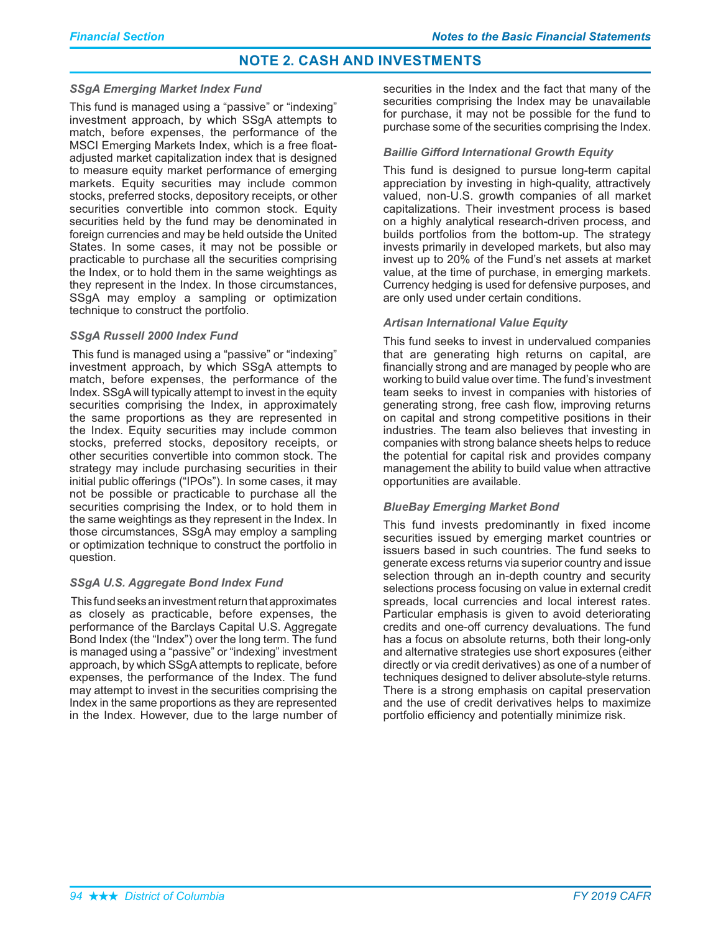### *SSgA Emerging Market Index Fund*

This fund is managed using a "passive" or "indexing" investment approach, by which SSgA attempts to match, before expenses, the performance of the MSCI Emerging Markets Index, which is a free floatadjusted market capitalization index that is designed to measure equity market performance of emerging markets. Equity securities may include common stocks, preferred stocks, depository receipts, or other securities convertible into common stock. Equity securities held by the fund may be denominated in foreign currencies and may be held outside the United States. In some cases, it may not be possible or practicable to purchase all the securities comprising the Index, or to hold them in the same weightings as they represent in the Index. In those circumstances, SSgA may employ a sampling or optimization technique to construct the portfolio.

#### *SSgA Russell 2000 Index Fund*

This fund is managed using a "passive" or "indexing" investment approach, by which SSgA attempts to match, before expenses, the performance of the Index. SSgA will typically attempt to invest in the equity securities comprising the Index, in approximately the same proportions as they are represented in the Index. Equity securities may include common stocks, preferred stocks, depository receipts, or other securities convertible into common stock. The strategy may include purchasing securities in their initial public offerings ("IPOs"). In some cases, it may not be possible or practicable to purchase all the securities comprising the Index, or to hold them in the same weightings as they represent in the Index. In those circumstances, SSgA may employ a sampling or optimization technique to construct the portfolio in question.

# *SSgA U.S. Aggregate Bond Index Fund*

This fund seeks an investment return that approximates as closely as practicable, before expenses, the performance of the Barclays Capital U.S. Aggregate Bond Index (the "Index") over the long term. The fund is managed using a "passive" or "indexing" investment approach, by which SSgA attempts to replicate, before expenses, the performance of the Index. The fund may attempt to invest in the securities comprising the Index in the same proportions as they are represented in the Index. However, due to the large number of securities in the Index and the fact that many of the securities comprising the Index may be unavailable for purchase, it may not be possible for the fund to purchase some of the securities comprising the Index.

## **Baillie Gifford International Growth Equity**

This fund is designed to pursue long-term capital appreciation by investing in high-quality, attractively valued, non-U.S. growth companies of all market capitalizations. Their investment process is based on a highly analytical research-driven process, and builds portfolios from the bottom-up. The strategy invests primarily in developed markets, but also may invest up to 20% of the Fund's net assets at market value, at the time of purchase, in emerging markets. Currency hedging is used for defensive purposes, and are only used under certain conditions.

## *Artisan International Value Equity*

This fund seeks to invest in undervalued companies that are generating high returns on capital, are financially strong and are managed by people who are working to build value over time. The fund's investment team seeks to invest in companies with histories of generating strong, free cash flow, improving returns on capital and strong competitive positions in their industries. The team also believes that investing in companies with strong balance sheets helps to reduce the potential for capital risk and provides company management the ability to build value when attractive opportunities are available.

# *BlueBay Emerging Market Bond*

This fund invests predominantly in fixed income securities issued by emerging market countries or issuers based in such countries. The fund seeks to generate excess returns via superior country and issue selection through an in-depth country and security selections process focusing on value in external credit spreads, local currencies and local interest rates. Particular emphasis is given to avoid deteriorating credits and one-off currency devaluations. The fund has a focus on absolute returns, both their long-only and alternative strategies use short exposures (either directly or via credit derivatives) as one of a number of techniques designed to deliver absolute-style returns. There is a strong emphasis on capital preservation and the use of credit derivatives helps to maximize portfolio efficiency and potentially minimize risk.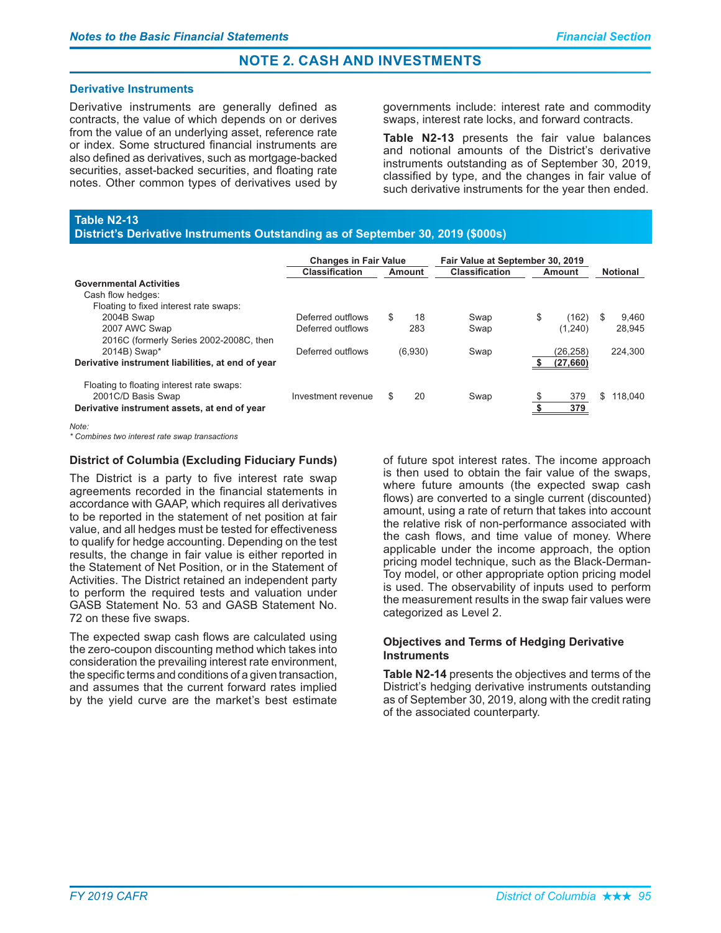#### **Derivative Instruments**

Derivative instruments are generally defined as contracts, the value of which depends on or derives from the value of an underlying asset, reference rate or index. Some structured financial instruments are also defined as derivatives, such as mortgage-backed securities, asset-backed securities, and floating rate notes. Other common types of derivatives used by governments include: interest rate and commodity swaps, interest rate locks, and forward contracts.

Table N2-13 presents the fair value balances and notional amounts of the District's derivative instruments outstanding as of September 30, 2019, classified by type, and the changes in fair value of such derivative instruments for the year then ended.

# **Table N2-13**

#### District's Derivative Instruments Outstanding as of September 30, 2019 (\$000s)

|                                                                                                                 | <b>Changes in Fair Value</b> |     | Fair Value at September 30, 2019 |      |        |            |    |                 |  |
|-----------------------------------------------------------------------------------------------------------------|------------------------------|-----|----------------------------------|------|--------|------------|----|-----------------|--|
|                                                                                                                 | <b>Classification</b>        |     | <b>Classification</b><br>Amount  |      | Amount |            |    | <b>Notional</b> |  |
| <b>Governmental Activities</b>                                                                                  |                              |     |                                  |      |        |            |    |                 |  |
| Cash flow hedges:                                                                                               |                              |     |                                  |      |        |            |    |                 |  |
| Floating to fixed interest rate swaps:                                                                          |                              |     |                                  |      |        |            |    |                 |  |
| 2004B Swap                                                                                                      | Deferred outflows            | \$. | 18                               | Swap | \$     | (162)      | S  | 9.460           |  |
| 2007 AWC Swap                                                                                                   | Deferred outflows            |     | 283                              | Swap |        | (1,240)    |    | 28.945          |  |
| 2016C (formerly Series 2002-2008C, then                                                                         |                              |     |                                  |      |        |            |    |                 |  |
| 2014B) Swap*                                                                                                    | Deferred outflows            |     | (6,930)                          | Swap |        | (26,258)   |    | 224.300         |  |
| Derivative instrument liabilities, at end of year                                                               |                              |     |                                  |      |        | (27, 660)  |    |                 |  |
| Floating to floating interest rate swaps:<br>2001C/D Basis Swap<br>Derivative instrument assets, at end of year | Investment revenue           | S.  | 20                               | Swap |        | 379<br>379 | \$ | 118.040         |  |

*Note:*

*\* Combines two interest rate swap transactions*

### District of Columbia (Excluding Fiduciary Funds)

The District is a party to five interest rate swap agreements recorded in the financial statements in accordance with GAAP, which requires all derivatives to be reported in the statement of net position at fair value, and all hedges must be tested for effectiveness to qualify for hedge accounting. Depending on the test results, the change in fair value is either reported in the Statement of Net Position, or in the Statement of Activities. The District retained an independent party to perform the required tests and valuation under GASB Statement No. 53 and GASB Statement No. 72 on these five swaps.

The expected swap cash flows are calculated using the zero-coupon discounting method which takes into consideration the prevailing interest rate environment, the specific terms and conditions of a given transaction, and assumes that the current forward rates implied by the yield curve are the market's best estimate of future spot interest rates. The income approach is then used to obtain the fair value of the swaps, where future amounts (the expected swap cash flows) are converted to a single current (discounted) amount, using a rate of return that takes into account the relative risk of non-performance associated with the cash flows, and time value of money. Where applicable under the income approach, the option pricing model technique, such as the Black-Derman-Toy model, or other appropriate option pricing model is used. The observability of inputs used to perform the measurement results in the swap fair values were categorized as Level 2.

#### **Objectives and Terms of Hedging Derivative Instruments**

**Table N2-14** presents the objectives and terms of the District's hedging derivative instruments outstanding as of September 30, 2019, along with the credit rating of the associated counterparty.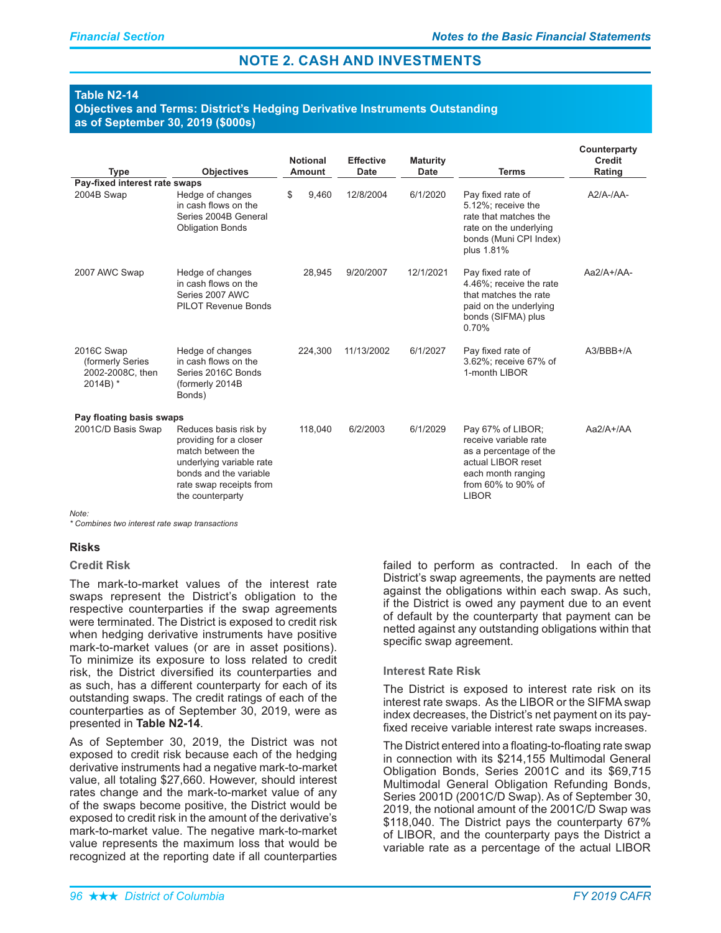## **Table N2-14**

Objectives and Terms: District's Hedging Derivative Instruments Outstanding as of September 30, 2019 (\$000s)

|                                                                   |                                                                                                                                                                           | <b>Notional</b> | <b>Effective</b> |            | <b>Maturity</b> |                                                                                                                                                        | Counterparty<br><b>Credit</b> |
|-------------------------------------------------------------------|---------------------------------------------------------------------------------------------------------------------------------------------------------------------------|-----------------|------------------|------------|-----------------|--------------------------------------------------------------------------------------------------------------------------------------------------------|-------------------------------|
| Type                                                              | <b>Objectives</b>                                                                                                                                                         | <b>Amount</b>   |                  | Date       | <b>Date</b>     | Terms                                                                                                                                                  | Rating                        |
| Pay-fixed interest rate swaps<br>2004B Swap                       | Hedge of changes<br>in cash flows on the<br>Series 2004B General<br><b>Obligation Bonds</b>                                                                               | \$<br>9.460     |                  | 12/8/2004  | 6/1/2020        | Pay fixed rate of<br>5.12%; receive the<br>rate that matches the<br>rate on the underlying<br>bonds (Muni CPI Index)<br>plus 1.81%                     | $A2/A$ -/ $AA$ -              |
| 2007 AWC Swap                                                     | Hedge of changes<br>in cash flows on the<br>Series 2007 AWC<br><b>PILOT Revenue Bonds</b>                                                                                 | 28,945          |                  | 9/20/2007  | 12/1/2021       | Pay fixed rate of<br>4.46%; receive the rate<br>that matches the rate<br>paid on the underlying<br>bonds (SIFMA) plus<br>0.70%                         | $Aa2/A+/AA-$                  |
| 2016C Swap<br>(formerly Series<br>2002-2008C, then<br>$2014B$ ) * | Hedge of changes<br>in cash flows on the<br>Series 2016C Bonds<br>(formerly 2014B<br>Bonds)                                                                               | 224,300         |                  | 11/13/2002 | 6/1/2027        | Pay fixed rate of<br>3.62%; receive 67% of<br>1-month LIBOR                                                                                            | A3/BBB+/A                     |
| Pay floating basis swaps<br>2001C/D Basis Swap                    | Reduces basis risk by<br>providing for a closer<br>match between the<br>underlying variable rate<br>bonds and the variable<br>rate swap receipts from<br>the counterparty | 118,040         |                  | 6/2/2003   | 6/1/2029        | Pay 67% of LIBOR;<br>receive variable rate<br>as a percentage of the<br>actual LIBOR reset<br>each month ranging<br>from 60% to 90% of<br><b>LIBOR</b> | $Aa2/A+/AA$                   |
| Note:                                                             |                                                                                                                                                                           |                 |                  |            |                 |                                                                                                                                                        |                               |

*\* Combines two interest rate swap transactions*

#### Risks

## Credit Risk

The mark-to-market values of the interest rate swaps represent the District's obligation to the respective counterparties if the swap agreements were terminated. The District is exposed to credit risk when hedging derivative instruments have positive mark-to-market values (or are in asset positions). To minimize its exposure to loss related to credit risk, the District diversified its counterparties and as such, has a different counterparty for each of its outstanding swaps. The credit ratings of each of the counterparties as of September 30, 2019, were as presented in Table N2-14.

As of September 30, 2019, the District was not exposed to credit risk because each of the hedging derivative instruments had a negative mark-to-market value, all totaling \$27,660. However, should interest rates change and the mark-to-market value of any of the swaps become positive, the District would be exposed to credit risk in the amount of the derivative's mark-to-market value. The negative mark-to-market value represents the maximum loss that would be recognized at the reporting date if all counterparties

failed to perform as contracted. In each of the District's swap agreements, the payments are netted against the obligations within each swap. As such, if the District is owed any payment due to an event of default by the counterparty that payment can be netted against any outstanding obligations within that specific swap agreement.

#### **Interest Rate Risk**

The District is exposed to interest rate risk on its interest rate swaps. As the LIBOR or the SIFMA swap index decreases, the District's net payment on its payfixed receive variable interest rate swaps increases.

The District entered into a floating-to-floating rate swap in connection with its \$214,155 Multimodal General Obligation Bonds, Series 2001C and its \$69,715 Multimodal General Obligation Refunding Bonds, Series 2001D (2001C/D Swap). As of September 30, 2019, the notional amount of the 2001C/D Swap was \$118,040. The District pays the counterparty 67% of LIBOR, and the counterparty pays the District a variable rate as a percentage of the actual LIBOR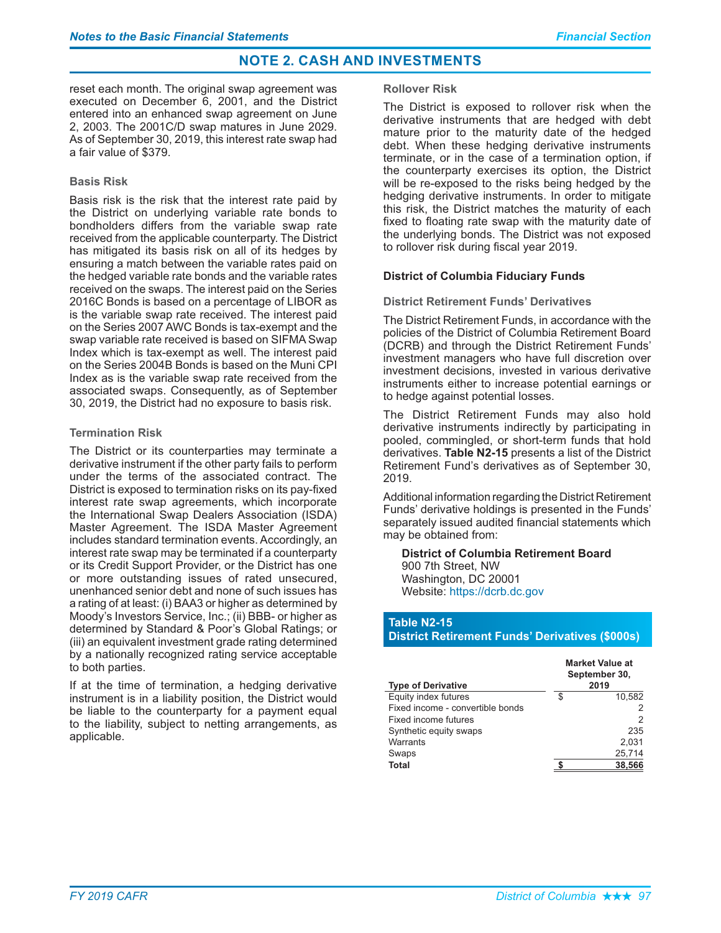reset each month. The original swap agreement was executed on December 6, 2001, and the District entered into an enhanced swap agreement on June 2, 2003. The 2001C/D swap matures in June 2029. As of September 30, 2019, this interest rate swap had a fair value of \$379.

# **Basis Risk**

Basis risk is the risk that the interest rate paid by the District on underlying variable rate bonds to bondholders differs from the variable swap rate received from the applicable counterparty. The District has mitigated its basis risk on all of its hedges by ensuring a match between the variable rates paid on the hedged variable rate bonds and the variable rates received on the swaps. The interest paid on the Series 2016C Bonds is based on a percentage of LIBOR as is the variable swap rate received. The interest paid on the Series 2007 AWC Bonds is tax-exempt and the swap variable rate received is based on SIFMA Swap Index which is tax-exempt as well. The interest paid on the Series 2004B Bonds is based on the Muni CPI Index as is the variable swap rate received from the associated swaps. Consequently, as of September 30, 2019, the District had no exposure to basis risk.

# **Termination Risk**

The District or its counterparties may terminate a derivative instrument if the other party fails to perform under the terms of the associated contract. The District is exposed to termination risks on its pay-fixed interest rate swap agreements, which incorporate the International Swap Dealers Association (ISDA) Master Agreement. The ISDA Master Agreement includes standard termination events. Accordingly, an interest rate swap may be terminated if a counterparty or its Credit Support Provider, or the District has one or more outstanding issues of rated unsecured. unenhanced senior debt and none of such issues has a rating of at least: (i) BAA3 or higher as determined by Moody's Investors Service, Inc.; (ii) BBB- or higher as determined by Standard & Poor's Global Ratings; or (iii) an equivalent investment grade rating determined by a nationally recognized rating service acceptable to both parties.

If at the time of termination, a hedging derivative instrument is in a liability position, the District would be liable to the counterparty for a payment equal to the liability, subject to netting arrangements, as applicable.

## **Rollover Risk**

The District is exposed to rollover risk when the derivative instruments that are hedged with debt mature prior to the maturity date of the hedged debt. When these hedging derivative instruments terminate, or in the case of a termination option, if the counterparty exercises its option, the District will be re-exposed to the risks being hedged by the hedging derivative instruments. In order to mitigate this risk, the District matches the maturity of each fixed to floating rate swap with the maturity date of the underlying bonds. The District was not exposed to rollover risk during fiscal year 2019.

# **District of Columbia Fiduciary Funds**

## **District Retirement Funds' Derivatives**

The District Retirement Funds, in accordance with the policies of the District of Columbia Retirement Board (DCRB) and through the District Retirement Funds' investment managers who have full discretion over investment decisions, invested in various derivative instruments either to increase potential earnings or to hedge against potential losses.

The District Retirement Funds may also hold derivative instruments indirectly by participating in pooled, commingled, or short-term funds that hold derivatives. Table N2-15 presents a list of the District Retirement Fund's derivatives as of September 30, 2019.

Additional information regarding the District Retirement Funds' derivative holdings is presented in the Funds' separately issued audited financial statements which may be obtained from:

#### **District of Columbia Retirement Board** 900 7th Street, NW Washington, DC 20001 Website: https://dcrb.dc.gov

# Table N2-15

**District Retirement Funds' Derivatives (\$000s)** 

| <b>Type of Derivative</b>        | <b>Market Value at</b><br>September 30,<br>2019 |        |  |  |  |  |
|----------------------------------|-------------------------------------------------|--------|--|--|--|--|
| Equity index futures             | S                                               | 10.582 |  |  |  |  |
| Fixed income - convertible bonds |                                                 | 2      |  |  |  |  |
| Fixed income futures             |                                                 | 2      |  |  |  |  |
| Synthetic equity swaps           |                                                 | 235    |  |  |  |  |
| Warrants                         |                                                 | 2.031  |  |  |  |  |
| Swaps                            |                                                 | 25,714 |  |  |  |  |
| Total                            |                                                 | 38,566 |  |  |  |  |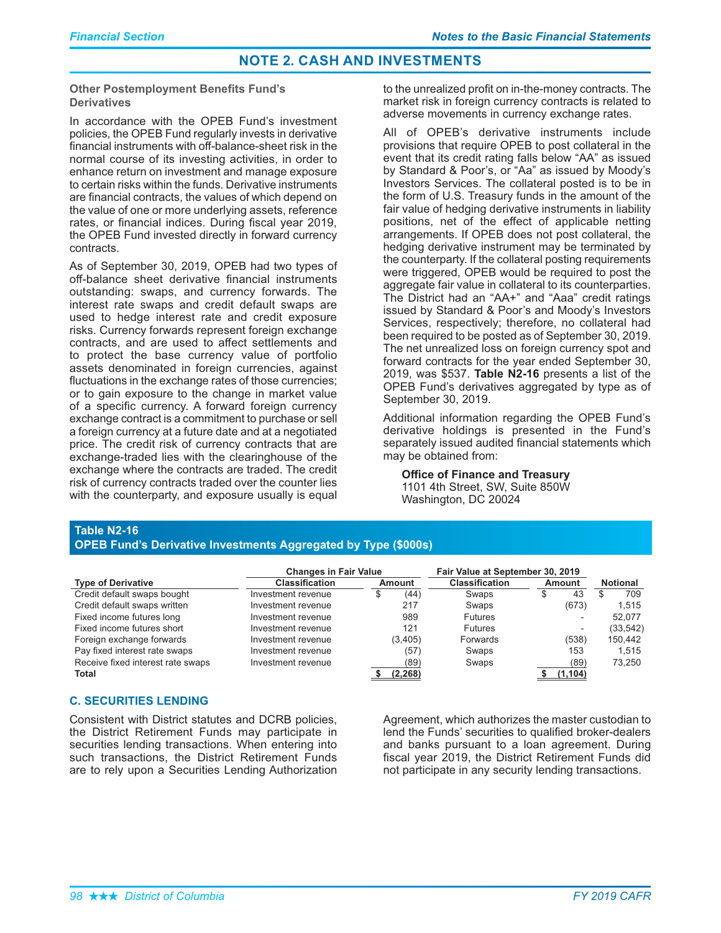**Other Postemployment Benefits Fund's Derivatives** 

In accordance with the OPEB Fund's investment policies, the OPEB Fund regularly invests in derivative financial instruments with off-balance-sheet risk in the normal course of its investing activities, in order to enhance return on investment and manage exposure to certain risks within the funds. Derivative instruments are financial contracts, the values of which depend on the value of one or more underlying assets, reference rates, or financial indices. During fiscal year 2019, the OPEB Fund invested directly in forward currency contracts.

As of September 30, 2019, OPEB had two types of off-balance sheet derivative financial instruments outstanding: swaps, and currency forwards. The interest rate swaps and credit default swaps are used to hedge interest rate and credit exposure risks. Currency forwards represent foreign exchange contracts, and are used to affect settlements and to protect the base currency value of portfolio assets denominated in foreign currencies, against fluctuations in the exchange rates of those currencies; or to gain exposure to the change in market value of a specific currency. A forward foreign currency exchange contract is a commitment to purchase or sell a foreign currency at a future date and at a negotiated price. The credit risk of currency contracts that are exchange-traded lies with the clearinghouse of the exchange where the contracts are traded. The credit risk of currency contracts traded over the counter lies with the counterparty, and exposure usually is equal to the unrealized profit on in-the-money contracts. The market risk in foreign currency contracts is related to adverse movements in currency exchange rates.

All of OPEB's derivative instruments include provisions that require OPEB to post collateral in the event that its credit rating falls below "AA" as issued by Standard & Poor's, or "Aa" as issued by Moody's Investors Services. The collateral posted is to be in the form of U.S. Treasury funds in the amount of the fair value of hedging derivative instruments in liability positions, net of the effect of applicable netting arrangements. If OPEB does not post collateral, the hedging derivative instrument may be terminated by the counterparty. If the collateral posting requirements were triggered, OPEB would be required to post the aggregate fair value in collateral to its counterparties. The District had an "AA+" and "Aaa" credit ratings issued by Standard & Poor's and Moody's Investors Services, respectively; therefore, no collateral had been required to be posted as of September 30, 2019. The net unrealized loss on foreign currency spot and forward contracts for the year ended September 30, 2019, was \$537. Table N2-16 presents a list of the OPEB Fund's derivatives aggregated by type as of September 30, 2019.

Additional information regarding the OPEB Fund's derivative holdings is presented in the Fund's separately issued audited financial statements which may be obtained from:

# **Office of Finance and Treasury**

1101 4th Street, SW, Suite 850W Washington, DC 20024

# Table N2-16

### **OPEB Fund's Derivative Investments Aggregated by Type (\$000s)**

|                                   | <b>Changes in Fair Value</b> |           | Fair Value at September 30, 2019 |                          |                 |
|-----------------------------------|------------------------------|-----------|----------------------------------|--------------------------|-----------------|
| <b>Type of Derivative</b>         | <b>Classification</b>        | Amount    | <b>Classification</b>            | Amount                   | <b>Notional</b> |
| Credit default swaps bought       | Investment revenue           | (44)<br>Œ | Swaps                            | 43<br>D                  | 709             |
| Credit default swaps written      | Investment revenue           | 217       | Swaps                            | (673)                    | 1.515           |
| Fixed income futures long         | Investment revenue           | 989       | <b>Futures</b>                   |                          | 52.077          |
| Fixed income futures short        | Investment revenue           | 121       | <b>Futures</b>                   | $\overline{\phantom{a}}$ | (33, 542)       |
| Foreign exchange forwards         | Investment revenue           | (3,405)   | Forwards                         | (538)                    | 150.442         |
| Pay fixed interest rate swaps     | Investment revenue           | (57)      | Swaps                            | 153                      | 1.515           |
| Receive fixed interest rate swaps | Investment revenue           | (89)      | Swaps                            | (89)                     | 73.250          |
| Total                             |                              | (2.268)   |                                  | (1.104)                  |                 |

#### **C. SECURITIES LENDING**

Consistent with District statutes and DCRB policies, the District Retirement Funds may participate in securities lending transactions. When entering into such transactions, the District Retirement Funds are to rely upon a Securities Lending Authorization

Agreement, which authorizes the master custodian to lend the Funds' securities to qualified broker-dealers and banks pursuant to a loan agreement. During fiscal year 2019, the District Retirement Funds did not participate in any security lending transactions.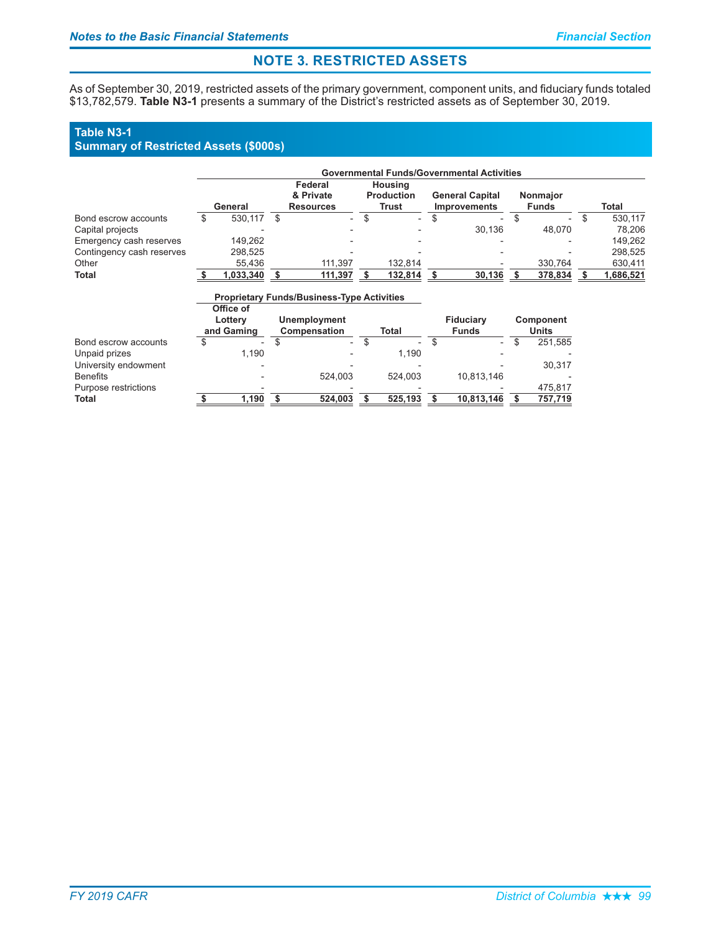# **NOTE 3. RESTRICTED ASSETS**

As of September 30, 2019, restricted assets of the primary government, component units, and fiduciary funds totaled \$13,782,579. **Table N3-1** presents a summary of the District's restricted assets as of September 30, 2019.

### **Table N3-1**

# **Summary of Restricted Assets (\$000s)**

|                           | <b>Governmental Funds/Governmental Activities</b> |           |     |                          |  |                          |                     |                          |  |                          |    |           |  |  |
|---------------------------|---------------------------------------------------|-----------|-----|--------------------------|--|--------------------------|---------------------|--------------------------|--|--------------------------|----|-----------|--|--|
|                           |                                                   |           |     | Federal                  |  | <b>Housing</b>           |                     |                          |  |                          |    |           |  |  |
|                           |                                                   |           |     | & Private                |  | <b>Production</b>        |                     | <b>General Capital</b>   |  | <b>Nonmajor</b>          |    |           |  |  |
|                           |                                                   | General   |     | <b>Resources</b>         |  | Trust                    | <b>Improvements</b> |                          |  | <b>Funds</b>             |    | Total     |  |  |
| Bond escrow accounts      |                                                   | 530.117   | \$. | $\overline{\phantom{0}}$ |  | $\overline{\phantom{0}}$ |                     | $\overline{\phantom{a}}$ |  | $\sim$                   | -S | 530.117   |  |  |
| Capital projects          |                                                   |           |     |                          |  |                          |                     | 30.136                   |  | 48.070                   |    | 78.206    |  |  |
| Emergency cash reserves   |                                                   | 149.262   |     |                          |  |                          |                     |                          |  | $\overline{\phantom{a}}$ |    | 149.262   |  |  |
| Contingency cash reserves |                                                   | 298.525   |     |                          |  |                          |                     |                          |  | $\overline{\phantom{a}}$ |    | 298.525   |  |  |
| Other                     |                                                   | 55.436    |     | 111.397                  |  | 132.814                  |                     |                          |  | 330.764                  |    | 630.411   |  |  |
| <b>Total</b>              |                                                   | 1.033.340 |     | 111.397                  |  | 132.814                  |                     | 30.136                   |  | 378.834                  |    | 1,686,521 |  |  |

#### **Proprietary Funds/Business-Type Activities ()\*+**

|                      | <b>UILCE OF</b><br>Lottery<br>and Gaming | <b>Unemployment</b><br>Compensation |                          | Total                    | <b>Fiduciary</b><br><b>Funds</b> | Component<br>Units |
|----------------------|------------------------------------------|-------------------------------------|--------------------------|--------------------------|----------------------------------|--------------------|
| Bond escrow accounts |                                          | S<br>$\overline{\phantom{0}}$       | $\overline{\phantom{a}}$ | $\overline{\phantom{a}}$ | $\overline{a}$                   | 251,585            |
| Unpaid prizes        | 1.190                                    |                                     | $\overline{\phantom{a}}$ | 1.190                    |                                  |                    |
| University endowment |                                          | $\overline{\phantom{0}}$            |                          |                          |                                  | 30.317             |
| <b>Benefits</b>      |                                          | 524.003                             |                          | 524.003                  | 10.813.146                       |                    |
| Purpose restrictions |                                          |                                     |                          |                          |                                  | 475,817            |
| Total                | 1.190                                    | 524.003                             |                          | 525.193                  | 10.813.146                       | 757,719            |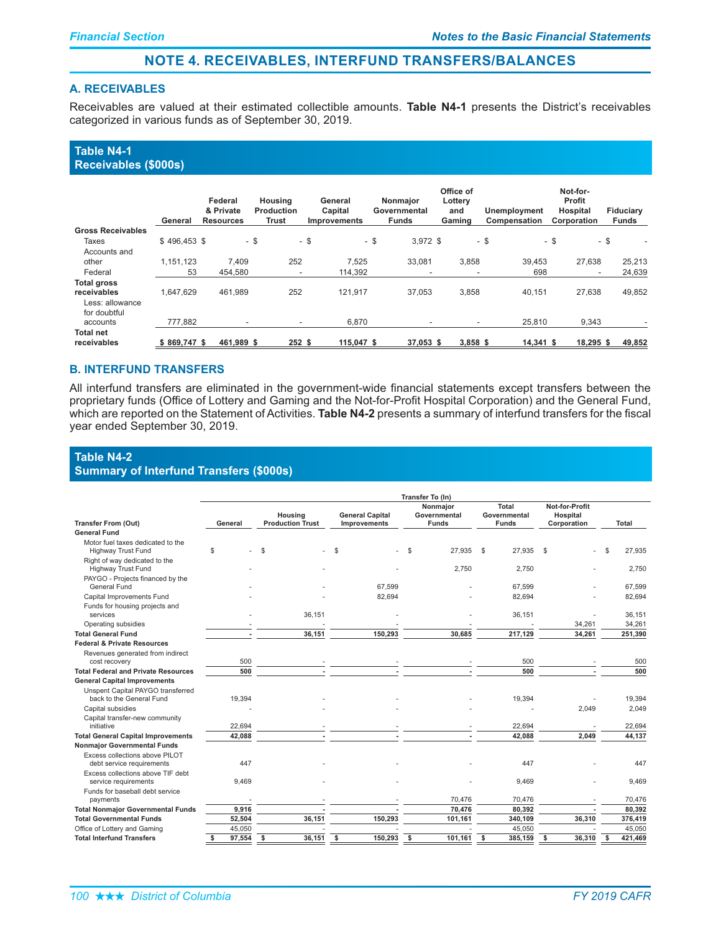### **NOTE 4. RECEIVABLES, INTERFUND TRANSFERS/BALANCES**

### **A. RECEIVABLES**

Receivables are valued at their estimated collectible amounts. Table N4-1 presents the District's receivables categorized in various funds as of September 30, 2019.

### Table N4-1 **Receivables (\$000s)**

|                                 | General       | Federal<br>& Private<br><b>Resources</b> | Housing<br>Production<br>Trust | General<br>Capital<br><b>Improvements</b> | Nonmajor<br>Governmental<br><b>Funds</b> | Office of<br>Lottery<br>and<br>Gaming | Unemployment<br>Compensation | Not-for-<br>Profit<br>Hospital<br>Corporation | <b>Fiduciary</b><br><b>Funds</b> |
|---------------------------------|---------------|------------------------------------------|--------------------------------|-------------------------------------------|------------------------------------------|---------------------------------------|------------------------------|-----------------------------------------------|----------------------------------|
| <b>Gross Receivables</b>        |               |                                          |                                |                                           |                                          |                                       |                              |                                               |                                  |
| <b>Taxes</b>                    | $$496.453$ \$ | - \$                                     |                                | - \$                                      | - \$<br>$3.972$ \$                       |                                       | - \$                         | $-$ \$<br>- \$                                |                                  |
| Accounts and                    |               |                                          |                                |                                           |                                          |                                       |                              |                                               |                                  |
| other                           | 1.151.123     | 7.409                                    | 252                            | 7.525                                     | 33.081                                   | 3,858                                 | 39.453                       | 27.638                                        | 25,213                           |
| Federal                         | 53            | 454.580                                  | $\overline{\phantom{a}}$       | 114.392                                   | $\overline{\phantom{a}}$                 | $\overline{\phantom{a}}$              | 698                          | $\overline{\phantom{a}}$                      | 24,639                           |
| <b>Total gross</b>              |               |                                          |                                |                                           |                                          |                                       |                              |                                               |                                  |
| receivables                     | 1.647.629     | 461.989                                  | 252                            | 121.917                                   | 37,053                                   | 3,858                                 | 40.151                       | 27.638                                        | 49,852                           |
| Less: allowance<br>for doubtful |               |                                          |                                |                                           |                                          |                                       |                              |                                               |                                  |
| accounts                        | 777.882       | $\overline{\phantom{a}}$                 | $\overline{\phantom{a}}$       | 6.870                                     | ۰                                        | $\overline{\phantom{a}}$              | 25.810                       | 9.343                                         |                                  |
| <b>Total net</b>                |               |                                          |                                |                                           |                                          |                                       |                              |                                               |                                  |
| receivables                     | $$869.747$ \$ | 461.989 \$                               | 252 <sub>5</sub>               | 115.047 \$                                | 37,053 \$                                | $3.858$ \$                            | $14.341$ \$                  | 18.295 \$                                     | 49,852                           |

### **B. INTERFUND TRANSFERS**

All interfund transfers are eliminated in the government-wide financial statements except transfers between the proprietary funds (Office of Lottery and Gaming and the Not-for-Profit Hospital Corporation) and the General Fund, which are reported on the Statement of Activities. Table N4-2 presents a summary of interfund transfers for the fiscal year ended September 30, 2019.

### Table N4-2 **Summary of Interfund Transfers (\$000s)**

|                                                               | Transfer To (In)                              |               |                                        |                                          |                                              |                                           |               |  |  |  |  |  |  |  |
|---------------------------------------------------------------|-----------------------------------------------|---------------|----------------------------------------|------------------------------------------|----------------------------------------------|-------------------------------------------|---------------|--|--|--|--|--|--|--|
| <b>Transfer From (Out)</b>                                    | Housing<br><b>Production Trust</b><br>General |               | <b>General Capital</b><br>Improvements | Nonmaior<br>Governmental<br><b>Funds</b> | <b>Total</b><br>Governmental<br><b>Funds</b> | Not-for-Profit<br>Hospital<br>Corporation | <b>Total</b>  |  |  |  |  |  |  |  |
| <b>General Fund</b>                                           |                                               |               |                                        |                                          |                                              |                                           |               |  |  |  |  |  |  |  |
| Motor fuel taxes dedicated to the                             |                                               |               |                                        |                                          |                                              |                                           |               |  |  |  |  |  |  |  |
| Highway Trust Fund                                            | \$                                            | <sup>\$</sup> | \$                                     | -S<br>27,935                             | \$<br>27,935                                 | \$                                        | 27,935        |  |  |  |  |  |  |  |
| Right of way dedicated to the<br>Highway Trust Fund           |                                               |               |                                        | 2,750                                    | 2,750                                        |                                           | 2,750         |  |  |  |  |  |  |  |
| PAYGO - Projects financed by the<br>General Fund              |                                               |               | 67,599                                 |                                          | 67,599                                       |                                           | 67,599        |  |  |  |  |  |  |  |
| Capital Improvements Fund                                     |                                               |               | 82,694                                 |                                          | 82,694                                       |                                           | 82,694        |  |  |  |  |  |  |  |
| Funds for housing projects and                                |                                               |               |                                        |                                          |                                              |                                           |               |  |  |  |  |  |  |  |
| services                                                      |                                               | 36,151        |                                        |                                          | 36,151                                       |                                           | 36,151        |  |  |  |  |  |  |  |
| Operating subsidies                                           |                                               |               |                                        |                                          |                                              | 34,261                                    | 34,261        |  |  |  |  |  |  |  |
| <b>Total General Fund</b>                                     |                                               | 36,151        | 150,293                                | 30,685                                   | 217,129                                      | 34,261                                    | 251,390       |  |  |  |  |  |  |  |
| <b>Federal &amp; Private Resources</b>                        |                                               |               |                                        |                                          |                                              |                                           |               |  |  |  |  |  |  |  |
| Revenues generated from indirect                              |                                               |               |                                        |                                          |                                              |                                           | 500           |  |  |  |  |  |  |  |
| cost recovery<br><b>Total Federal and Private Resources</b>   | 500<br>500                                    |               |                                        |                                          | 500<br>500                                   |                                           | 500           |  |  |  |  |  |  |  |
|                                                               |                                               |               |                                        |                                          |                                              |                                           |               |  |  |  |  |  |  |  |
| <b>General Capital Improvements</b>                           |                                               |               |                                        |                                          |                                              |                                           |               |  |  |  |  |  |  |  |
| Unspent Capital PAYGO transferred<br>back to the General Fund | 19,394                                        |               |                                        |                                          | 19,394                                       |                                           | 19,394        |  |  |  |  |  |  |  |
| Capital subsidies                                             |                                               |               |                                        |                                          |                                              | 2,049                                     | 2,049         |  |  |  |  |  |  |  |
| Capital transfer-new community                                |                                               |               |                                        |                                          |                                              |                                           |               |  |  |  |  |  |  |  |
| initiative                                                    | 22,694                                        |               |                                        |                                          | 22,694                                       |                                           | 22,694        |  |  |  |  |  |  |  |
| <b>Total General Capital Improvements</b>                     | 42,088                                        |               |                                        |                                          | 42,088                                       | 2,049                                     | 44,137        |  |  |  |  |  |  |  |
| <b>Nonmajor Governmental Funds</b>                            |                                               |               |                                        |                                          |                                              |                                           |               |  |  |  |  |  |  |  |
| Excess collections above PILOT                                |                                               |               |                                        |                                          |                                              |                                           |               |  |  |  |  |  |  |  |
| debt service requirements                                     | 447                                           |               |                                        |                                          | 447                                          |                                           | 447           |  |  |  |  |  |  |  |
| Excess collections above TIF debt<br>service requirements     | 9.469                                         |               |                                        |                                          | 9,469                                        |                                           | 9,469         |  |  |  |  |  |  |  |
| Funds for baseball debt service                               |                                               |               |                                        |                                          |                                              |                                           |               |  |  |  |  |  |  |  |
| payments                                                      |                                               |               |                                        | 70,476                                   | 70,476                                       |                                           | 70,476        |  |  |  |  |  |  |  |
| <b>Total Nonmajor Governmental Funds</b>                      | 9,916                                         |               |                                        | 70,476                                   | 80,392                                       |                                           | 80,392        |  |  |  |  |  |  |  |
| <b>Total Governmental Funds</b>                               | 52,504                                        | 36,151        | 150,293                                | 101,161                                  | 340,109                                      | 36,310                                    | 376,419       |  |  |  |  |  |  |  |
| Office of Lottery and Gaming                                  | 45,050                                        |               |                                        |                                          | 45,050                                       |                                           | 45,050        |  |  |  |  |  |  |  |
| <b>Total Interfund Transfers</b>                              | 97,554<br>\$                                  | 36,151<br>\$  | 150,293<br>\$                          | 101,161<br>\$                            | - \$<br>385,159                              | <b>S</b><br>36,310                        | 421,469<br>\$ |  |  |  |  |  |  |  |
|                                                               |                                               |               |                                        |                                          |                                              |                                           |               |  |  |  |  |  |  |  |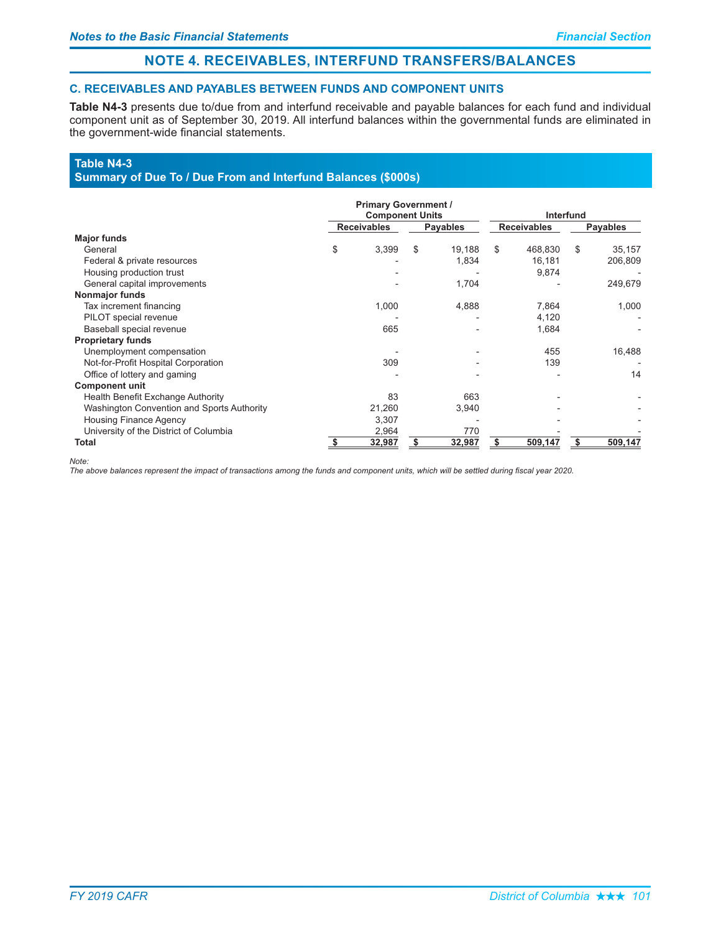# NOTE 4. RECEIVABLES, INTERFUND TRANSFERS/BALANCES

### **C. RECEIVABLES AND PAYABLES BETWEEN FUNDS AND COMPONENT UNITS**

Table N4-3 presents due to/due from and interfund receivable and payable balances for each fund and individual component unit as of September 30, 2019. All interfund balances within the governmental funds are eliminated in the government-wide financial statements.

### Table N4-3

### Summary of Due To / Due From and Interfund Balances (\$000s)

|                                            |                    | <b>Primary Government /</b><br><b>Component Units</b> |    | <b>Interfund</b> |    |                    |    |                 |  |
|--------------------------------------------|--------------------|-------------------------------------------------------|----|------------------|----|--------------------|----|-----------------|--|
|                                            | <b>Receivables</b> |                                                       |    | <b>Payables</b>  |    | <b>Receivables</b> |    | <b>Payables</b> |  |
| <b>Major funds</b>                         |                    |                                                       |    |                  |    |                    |    |                 |  |
| General                                    | \$                 | 3.399                                                 | \$ | 19,188           | \$ | 468,830            | \$ | 35,157          |  |
| Federal & private resources                |                    |                                                       |    | 1,834            |    | 16,181             |    | 206,809         |  |
| Housing production trust                   |                    |                                                       |    |                  |    | 9,874              |    |                 |  |
| General capital improvements               |                    |                                                       |    | 1,704            |    |                    |    | 249,679         |  |
| Nonmajor funds                             |                    |                                                       |    |                  |    |                    |    |                 |  |
| Tax increment financing                    |                    | 1,000                                                 |    | 4,888            |    | 7,864              |    | 1,000           |  |
| PILOT special revenue                      |                    |                                                       |    |                  |    | 4,120              |    |                 |  |
| Baseball special revenue                   |                    | 665                                                   |    |                  |    | 1,684              |    |                 |  |
| <b>Proprietary funds</b>                   |                    |                                                       |    |                  |    |                    |    |                 |  |
| Unemployment compensation                  |                    |                                                       |    |                  |    | 455                |    | 16,488          |  |
| Not-for-Profit Hospital Corporation        |                    | 309                                                   |    |                  |    | 139                |    |                 |  |
| Office of lottery and gaming               |                    |                                                       |    |                  |    |                    |    | 14              |  |
| <b>Component unit</b>                      |                    |                                                       |    |                  |    |                    |    |                 |  |
| Health Benefit Exchange Authority          |                    | 83                                                    |    | 663              |    |                    |    |                 |  |
| Washington Convention and Sports Authority |                    | 21,260                                                |    | 3,940            |    |                    |    |                 |  |
| <b>Housing Finance Agency</b>              |                    | 3,307                                                 |    |                  |    |                    |    |                 |  |
| University of the District of Columbia     |                    | 2,964                                                 |    | 770              |    |                    |    |                 |  |
| Total                                      |                    | 32,987                                                |    | 32,987           |    | 509,147            | S  | 509,147         |  |

Note:

The above balances represent the impact of transactions among the funds and component units, which will be settled during fiscal year 2020.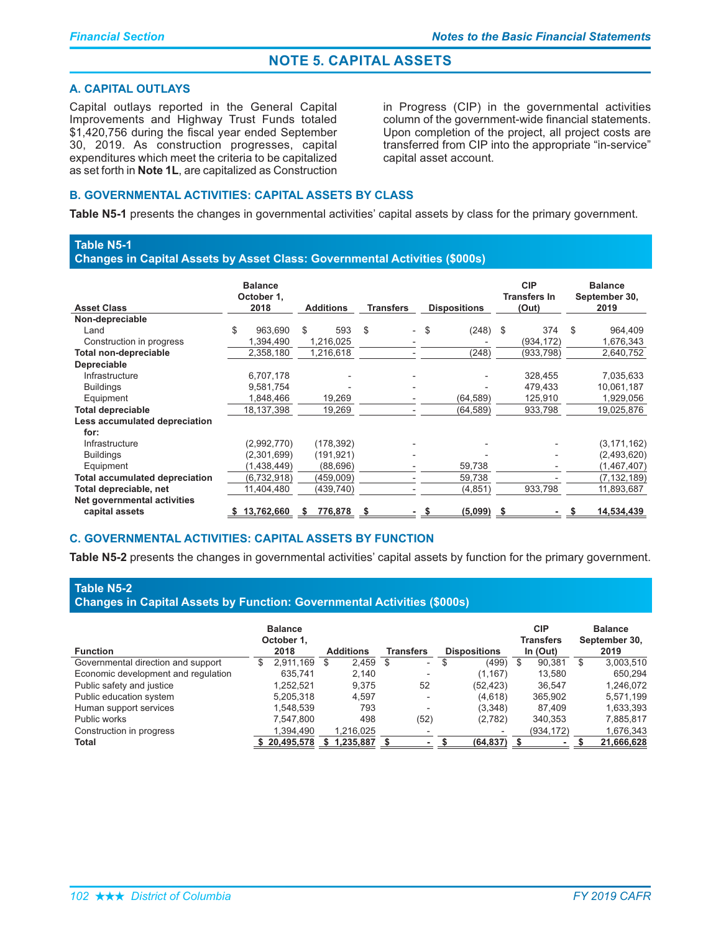### **A. CAPITAL OUTLAYS**

Capital outlays reported in the General Capital Improvements and Highway Trust Funds totaled \$1,420,756 during the fiscal year ended September 30, 2019. As construction progresses, capital expenditures which meet the criteria to be capitalized as set forth in Note 1L, are capitalized as Construction

in Progress (CIP) in the governmental activities column of the government-wide financial statements. Upon completion of the project, all project costs are transferred from CIP into the appropriate "in-service" capital asset account.

### **B. GOVERNMENTAL ACTIVITIES: CAPITAL ASSETS BY CLASS**

Table N5-1 presents the changes in governmental activities' capital assets by class for the primary government.

### **Table N5-1**

Changes in Capital Assets by Asset Class: Governmental Activities (\$000s)

| <b>Asset Class</b>                    | <b>Balance</b><br>October 1,<br>2018 | <b>Additions</b> | <b>Transfers</b> | <b>Dispositions</b> | <b>CIP</b><br><b>Transfers In</b><br>(Out) | <b>Balance</b><br>September 30,<br>2019 |
|---------------------------------------|--------------------------------------|------------------|------------------|---------------------|--------------------------------------------|-----------------------------------------|
| Non-depreciable                       |                                      |                  |                  |                     |                                            |                                         |
| Land                                  | \$<br>963.690                        | 593<br>\$        | \$.<br>$\sim$    | S.<br>(248) \$      | 374                                        | \$<br>964,409                           |
| Construction in progress              | 1,394,490                            | 1,216,025        |                  |                     | (934, 172)                                 | 1,676,343                               |
| <b>Total non-depreciable</b>          | 2,358,180                            | 1,216,618        |                  | (248)               | (933, 798)                                 | 2,640,752                               |
| <b>Depreciable</b>                    |                                      |                  |                  |                     |                                            |                                         |
| Infrastructure                        | 6,707,178                            |                  |                  |                     | 328,455                                    | 7,035,633                               |
| <b>Buildings</b>                      | 9,581,754                            |                  |                  |                     | 479,433                                    | 10,061,187                              |
| Equipment                             | 1,848,466                            | 19,269           |                  | (64, 589)           | 125,910                                    | 1,929,056                               |
| <b>Total depreciable</b>              | 18,137,398                           | 19,269           |                  | (64, 589)           | 933,798                                    | 19,025,876                              |
| Less accumulated depreciation<br>for: |                                      |                  |                  |                     |                                            |                                         |
| Infrastructure                        | (2,992,770)                          | (178, 392)       |                  |                     |                                            | (3, 171, 162)                           |
| <b>Buildings</b>                      | (2,301,699)                          | (191, 921)       |                  |                     |                                            | (2,493,620)                             |
| Equipment                             | (1,438,449)                          | (88,696)         |                  | 59,738              |                                            | (1,467,407)                             |
| <b>Total accumulated depreciation</b> | (6,732,918)                          | (459,009)        |                  | 59,738              |                                            | (7, 132, 189)                           |
| Total depreciable, net                | 11,404,480                           | (439, 740)       |                  | (4,851)             | 933,798                                    | 11,893,687                              |
| Net governmental activities           |                                      |                  |                  |                     |                                            |                                         |
| capital assets                        | 13.762.660                           | 776.878<br>S     | - 5              | $(5.099)$ \$        |                                            | 14.534.439                              |

### **C. GOVERNMENTAL ACTIVITIES: CAPITAL ASSETS BY FUNCTION**

Table N5-2 presents the changes in governmental activities' capital assets by function for the primary government.

### **Table N5-2**

**Changes in Capital Assets by Function: Governmental Activities (\$000s)** 

| <b>Function</b>                     | <b>Balance</b><br>October 1.<br>2018 | <b>Additions</b> | <b>Transfers</b>         | <b>Dispositions</b> | <b>CIP</b><br>Transfers<br>In (Out) | <b>Balance</b><br>September 30,<br>2019 |
|-------------------------------------|--------------------------------------|------------------|--------------------------|---------------------|-------------------------------------|-----------------------------------------|
| Governmental direction and support  | 2.911.169<br>S                       | $2,459$ \$<br>\$ | $\overline{\phantom{a}}$ | S<br>(499)          | 90.381<br>\$                        | 3,003,510<br>\$                         |
|                                     |                                      | 2.140            |                          |                     |                                     |                                         |
| Economic development and regulation | 635.741                              |                  | $\overline{\phantom{a}}$ | (1, 167)            | 13.580                              | 650.294                                 |
| Public safety and justice           | 1.252.521                            | 9.375            | 52                       | (52, 423)           | 36.547                              | 1.246.072                               |
| Public education system             | 5,205,318                            | 4.597            | $\overline{\phantom{a}}$ | (4,618)             | 365.902                             | 5,571,199                               |
| Human support services              | 1.548.539                            | 793              | $\overline{\phantom{a}}$ | (3,348)             | 87.409                              | 1,633,393                               |
| Public works                        | 7.547.800                            | 498              | (52)                     | (2,782)             | 340.353                             | 7,885,817                               |
| Construction in progress            | 1.394.490                            | 1.216.025        |                          |                     | (934,172)                           | 1,676,343                               |
| <b>Total</b>                        | 20,495,578                           | 1,235,887        |                          | (64, 837)           |                                     | 21,666,628                              |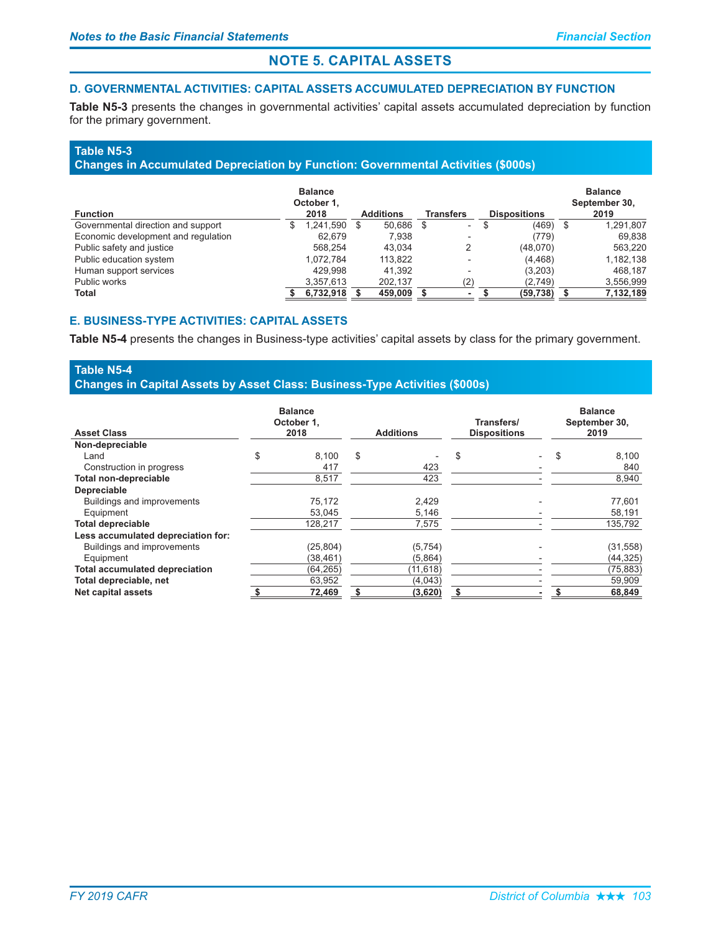### D. GOVERNMENTAL ACTIVITIES: CAPITAL ASSETS ACCUMULATED DEPRECIATION BY FUNCTION

Table N5-3 presents the changes in governmental activities' capital assets accumulated depreciation by function for the primary government.

### **Table N5-3**

### Changes in Accumulated Depreciation by Function: Governmental Activities (\$000s)

| <b>Function</b>                     | <b>Balance</b><br>October 1.<br>2018 |           |   | <b>Additions</b> |      | <b>Transfers</b>         |   | <b>Dispositions</b> |    | <b>Balance</b><br>September 30,<br>2019 |
|-------------------------------------|--------------------------------------|-----------|---|------------------|------|--------------------------|---|---------------------|----|-----------------------------------------|
| Governmental direction and support  | S                                    | 1,241,590 | S | 50.686           | - \$ | Ξ.                       | S | (469)               | -S | 1,291,807                               |
| Economic development and regulation |                                      | 62.679    |   | 7.938            |      | $\overline{\phantom{a}}$ |   | (779)               |    | 69,838                                  |
| Public safety and justice           |                                      | 568.254   |   | 43.034           |      | 2                        |   | (48,070)            |    | 563.220                                 |
| Public education system             |                                      | 1.072.784 |   | 113,822          |      | $\overline{\phantom{0}}$ |   | (4, 468)            |    | 1,182,138                               |
| Human support services              |                                      | 429.998   |   | 41.392           |      | $\overline{\phantom{a}}$ |   | (3,203)             |    | 468.187                                 |
| Public works                        |                                      | 3,357,613 |   | 202.137          |      | (2)                      |   | (2,749)             |    | 3,556,999                               |
| Total                               |                                      | 6,732,918 |   | 459,009          |      |                          |   | (59, 738)           |    | 7,132,189                               |

### **E. BUSINESS-TYPE ACTIVITIES: CAPITAL ASSETS**

Table N5-4 presents the changes in Business-type activities' capital assets by class for the primary government.

### **Table N5-4** Changes in Capital Assets by Asset Class: Business-Type Activities (\$000s)

| <b>Asset Class</b>                    | <b>Balance</b><br>October 1.<br>2018 | <b>Additions</b> | Transfers/<br><b>Dispositions</b> | <b>Balance</b><br>September 30,<br>2019 |           |  |
|---------------------------------------|--------------------------------------|------------------|-----------------------------------|-----------------------------------------|-----------|--|
| Non-depreciable                       |                                      |                  |                                   |                                         |           |  |
| Land                                  | \$<br>8,100                          | \$               | \$                                | S                                       | 8,100     |  |
| Construction in progress              | 417                                  | 423              |                                   |                                         | 840       |  |
| Total non-depreciable                 | 8.517                                | 423              |                                   |                                         | 8,940     |  |
| <b>Depreciable</b>                    |                                      |                  |                                   |                                         |           |  |
| Buildings and improvements            | 75,172                               | 2,429            |                                   |                                         | 77,601    |  |
| Equipment                             | 53.045                               | 5,146            |                                   |                                         | 58,191    |  |
| <b>Total depreciable</b>              | 128.217                              | 7.575            |                                   |                                         | 135,792   |  |
| Less accumulated depreciation for:    |                                      |                  |                                   |                                         |           |  |
| <b>Buildings and improvements</b>     | (25, 804)                            | (5, 754)         |                                   |                                         | (31, 558) |  |
| Equipment                             | (38, 461)                            | (5,864)          |                                   |                                         | (44, 325) |  |
| <b>Total accumulated depreciation</b> | (64, 265)                            | (11, 618)        |                                   |                                         | (75, 883) |  |
| Total depreciable, net                | 63,952                               | (4,043)          |                                   |                                         | 59,909    |  |
| Net capital assets                    | 72,469                               | (3,620)          | \$                                |                                         | 68,849    |  |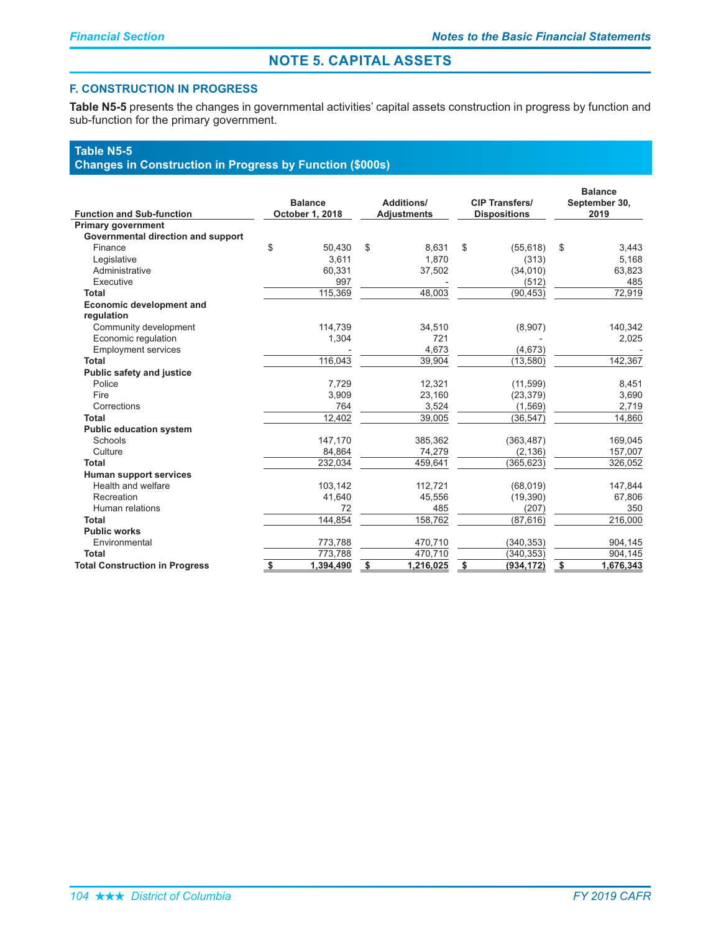### **F. CONSTRUCTION IN PROGRESS**

Table N5-5 presents the changes in governmental activities' capital assets construction in progress by function and sub-function for the primary government.

### **Table N5-5**

# **Changes in Construction in Progress by Function (\$000s)**

| <b>Function and Sub-function</b>      | <b>Balance</b><br>October 1, 2018 | <b>Additions/</b><br><b>Adjustments</b> | <b>CIP Transfers/</b><br><b>Dispositions</b> | <b>Balance</b><br>September 30,<br>2019 |           |  |
|---------------------------------------|-----------------------------------|-----------------------------------------|----------------------------------------------|-----------------------------------------|-----------|--|
| <b>Primary government</b>             |                                   |                                         |                                              |                                         |           |  |
| Governmental direction and support    |                                   |                                         |                                              |                                         |           |  |
| Finance                               | \$<br>50.430                      | \$<br>8,631                             | \$<br>(55, 618)                              | \$                                      | 3,443     |  |
| Legislative                           | 3,611                             | 1.870                                   | (313)                                        |                                         | 5,168     |  |
| Administrative                        | 60,331                            | 37,502                                  | (34,010)                                     |                                         | 63,823    |  |
| Executive                             | 997                               |                                         | (512)                                        |                                         | 485       |  |
| Total                                 | 115,369                           | 48,003                                  | (90, 453)                                    |                                         | 72,919    |  |
| <b>Economic development and</b>       |                                   |                                         |                                              |                                         |           |  |
| regulation                            |                                   |                                         |                                              |                                         |           |  |
| Community development                 | 114,739                           | 34,510                                  | (8,907)                                      |                                         | 140,342   |  |
| Economic regulation                   | 1,304                             | 721                                     |                                              |                                         | 2,025     |  |
| <b>Employment services</b>            |                                   | 4,673                                   | (4,673)                                      |                                         |           |  |
| Total                                 | 116,043                           | 39,904                                  | (13, 580)                                    |                                         | 142,367   |  |
| <b>Public safety and justice</b>      |                                   |                                         |                                              |                                         |           |  |
| Police                                | 7,729                             | 12,321                                  | (11, 599)                                    |                                         | 8,451     |  |
| Fire                                  | 3,909                             | 23,160                                  | (23, 379)                                    |                                         | 3,690     |  |
| Corrections                           | 764                               | 3,524                                   | (1, 569)                                     |                                         | 2.719     |  |
| <b>Total</b>                          | 12,402                            | 39,005                                  | (36, 547)                                    |                                         | 14,860    |  |
| <b>Public education system</b>        |                                   |                                         |                                              |                                         |           |  |
| Schools                               | 147,170                           | 385,362                                 | (363, 487)                                   |                                         | 169,045   |  |
| Culture                               | 84,864                            | 74,279                                  | (2, 136)                                     |                                         | 157,007   |  |
| <b>Total</b>                          | 232,034                           | 459,641                                 | (365, 623)                                   |                                         | 326,052   |  |
| <b>Human support services</b>         |                                   |                                         |                                              |                                         |           |  |
| Health and welfare                    | 103,142                           | 112,721                                 | (68, 019)                                    |                                         | 147,844   |  |
| Recreation                            | 41,640                            | 45,556                                  | (19, 390)                                    |                                         | 67,806    |  |
| Human relations                       | 72                                | 485                                     | (207)                                        |                                         | 350       |  |
| <b>Total</b>                          | 144,854                           | 158,762                                 | (87, 616)                                    |                                         | 216,000   |  |
| <b>Public works</b>                   |                                   |                                         |                                              |                                         |           |  |
| Environmental                         | 773,788                           | 470,710                                 | (340, 353)                                   |                                         | 904,145   |  |
| Total                                 | 773,788                           | 470,710                                 | (340, 353)                                   |                                         | 904,145   |  |
| <b>Total Construction in Progress</b> | \$<br>1,394,490                   | \$<br>1,216,025                         | \$<br>(934, 172)                             | $\frac{1}{2}$                           | 1,676,343 |  |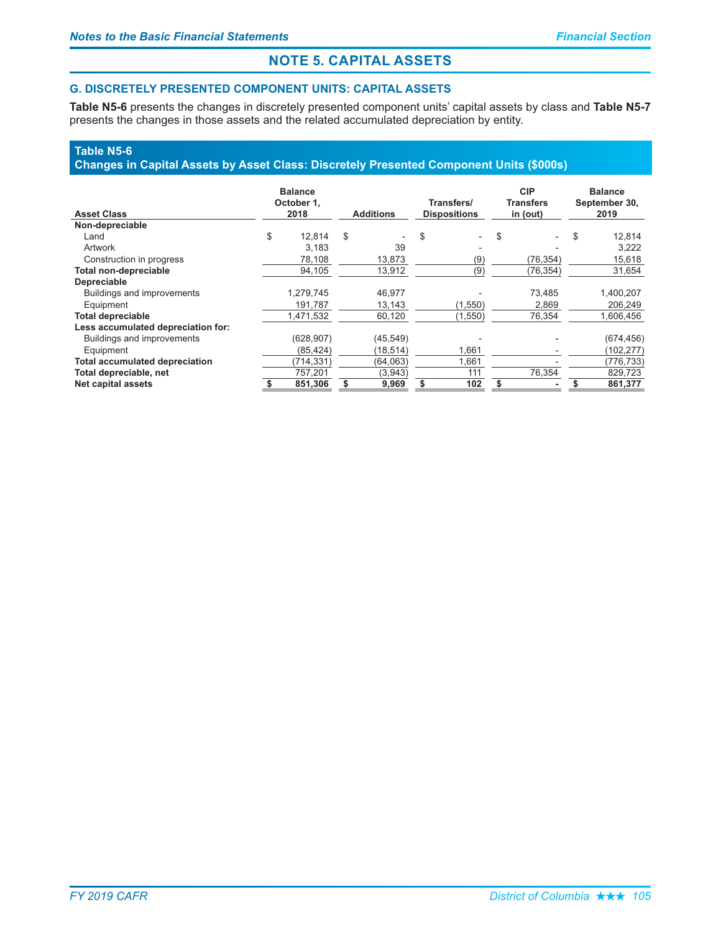### **G. DISCRETELY PRESENTED COMPONENT UNITS: CAPITAL ASSETS**

Table N5-6 presents the changes in discretely presented component units' capital assets by class and Table N5-7 presents the changes in those assets and the related accumulated depreciation by entity.

## **Table N5-6**

### Changes in Capital Assets by Asset Class: Discretely Presented Component Units (\$000s)

| <b>Asset Class</b>                    |         | <b>Balance</b><br>October 1.<br>2018 | <b>Additions</b> |           |     | Transfers/<br><b>Dispositions</b> | <b>CIP</b><br><b>Transfers</b><br>in (out) |   | <b>Balance</b><br>September 30,<br>2019 |
|---------------------------------------|---------|--------------------------------------|------------------|-----------|-----|-----------------------------------|--------------------------------------------|---|-----------------------------------------|
| Non-depreciable                       |         |                                      |                  |           |     |                                   |                                            |   |                                         |
| Land                                  | \$      | 12.814                               | \$               |           | \$  | $\overline{a}$                    | \$                                         | S | 12,814                                  |
| Artwork                               |         | 3.183                                |                  | 39        |     |                                   |                                            |   | 3.222                                   |
| Construction in progress              |         | 78,108                               |                  | 13,873    |     | (9)                               | (76, 354)                                  |   | 15,618                                  |
| Total non-depreciable                 |         | 94,105                               |                  | 13.912    |     | (9)                               | (76, 354)                                  |   | 31,654                                  |
| <b>Depreciable</b>                    |         |                                      |                  |           |     |                                   |                                            |   |                                         |
| Buildings and improvements            |         | 1,279,745                            |                  | 46,977    |     |                                   | 73,485                                     |   | 1,400,207                               |
| Equipment                             |         | 191,787                              |                  | 13,143    |     | (1,550)                           | 2,869                                      |   | 206,249                                 |
| <b>Total depreciable</b>              |         | 1.471.532                            |                  | 60,120    |     | (1,550)                           | 76,354                                     |   | 1,606,456                               |
| Less accumulated depreciation for:    |         |                                      |                  |           |     |                                   |                                            |   |                                         |
| Buildings and improvements            |         | (628, 907)                           |                  | (45, 549) |     |                                   |                                            |   | (674, 456)                              |
| Equipment                             |         | (85, 424)                            |                  | (18,514)  |     | 1,661                             |                                            |   | (102,277)                               |
| <b>Total accumulated depreciation</b> |         | (714,331)                            |                  | (64,063)  |     | 1,661                             |                                            |   | (776,733)                               |
| Total depreciable, net                | 757,201 |                                      | (3,943)          |           | 111 |                                   | 76.354                                     |   | 829,723                                 |
| <b>Net capital assets</b>             | 851.306 |                                      | 9,969            |           | 102 |                                   | \$                                         |   | 861,377                                 |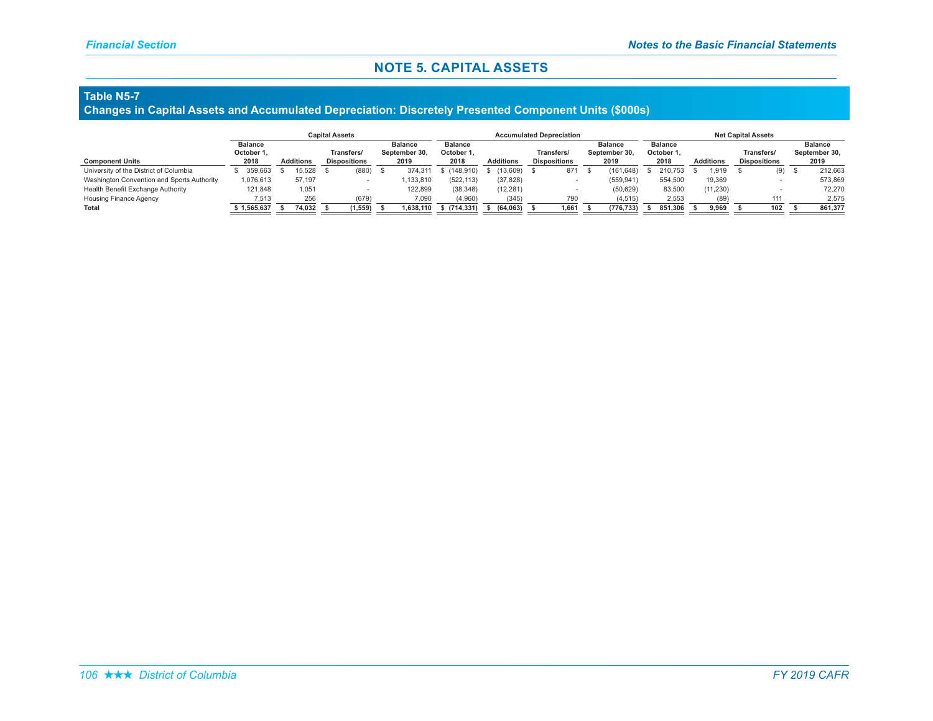#### **Table N5-7**

#### Changes in Capital Assets and Accumulated Depreciation: Discretely Presented Component Units (\$000s)

|                                            |                    |                  | <b>Capital Assets</b> |                                   |     |                       |                    | <b>Net Capital Assets</b> |                                   |                |                       |            |                    |         |                  |          |                                   |     |                       |         |
|--------------------------------------------|--------------------|------------------|-----------------------|-----------------------------------|-----|-----------------------|--------------------|---------------------------|-----------------------------------|----------------|-----------------------|------------|--------------------|---------|------------------|----------|-----------------------------------|-----|-----------------------|---------|
|                                            | <b>Balance</b>     |                  |                       | <b>Balance</b>                    |     |                       | <b>Balance</b>     |                           |                                   | <b>Balance</b> |                       |            | <b>Balance</b>     |         |                  |          |                                   |     | <b>Balance</b>        |         |
| <b>Component Units</b>                     | October 1,<br>2018 | <b>Additions</b> |                       | Transfers/<br><b>Dispositions</b> |     | September 30.<br>2019 | October 1.<br>2018 | <b>Additions</b>          | Transfers/<br><b>Dispositions</b> |                | September 30,<br>2019 |            | October 1.<br>2018 |         | <b>Additions</b> |          | Transfers/<br><b>Dispositions</b> |     | September 30,<br>2019 |         |
| University of the District of Columbia     | 359.663            | 15.528           |                       | (880)                             | - ა | 374.311               | (148.910)          | (13.609)                  |                                   | 871            |                       | (161.648)  |                    | 210.753 |                  | .919     |                                   | (9) |                       | 212.663 |
| Washington Convention and Sports Authority | 1,076,613          | 57,197           |                       |                                   |     | ,133,810              | (522, 113)         | (37, 828)                 |                                   |                |                       | (559, 941) |                    | 554,500 |                  | 19,369   |                                   |     |                       | 573,869 |
| Health Benefit Exchange Authority          | 121.848            | 1,051            |                       |                                   |     | 122,899               | (38, 348)          | (12, 281)                 |                                   |                |                       | (50, 629)  |                    | 83,500  |                  | (11,230) |                                   |     |                       | 72.270  |
| <b>Housing Finance Agency</b>              | 7.513              | 256              |                       | (679)                             |     | 7,090                 | (4,960)            | (345)                     |                                   | 790            |                       | (4, 515)   |                    | 2,553   |                  | (89)     |                                   | 111 |                       | 2,575   |
| Total                                      | 1,565,637          | 74,032           |                       | 1,559                             |     | 638,110.              | \$ (714, 331)      | (64.063)                  |                                   | 1.661          |                       | (776.733)  |                    | 851.306 |                  | 9,969    |                                   | 102 |                       | 861,377 |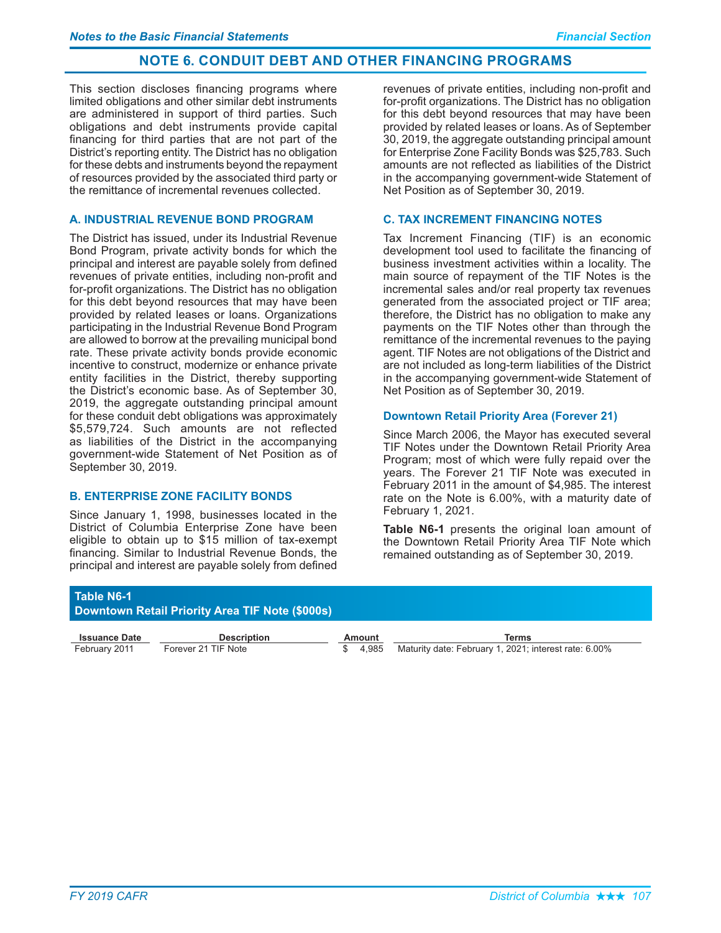This section discloses financing programs where limited obligations and other similar debt instruments are administered in support of third parties. Such obligations and debt instruments provide capital financing for third parties that are not part of the District's reporting entity. The District has no obligation for these debts and instruments bevond the repayment of resources provided by the associated third party or the remittance of incremental revenues collected.

### A. INDUSTRIAL REVENUE BOND PROGRAM

The District has issued, under its Industrial Revenue Bond Program, private activity bonds for which the principal and interest are payable solely from defined revenues of private entities, including non-profit and for-profit organizations. The District has no obligation for this debt bevond resources that may have been provided by related leases or loans. Organizations participating in the Industrial Revenue Bond Program are allowed to borrow at the prevailing municipal bond rate. These private activity bonds provide economic incentive to construct, modernize or enhance private entity facilities in the District, thereby supporting the District's economic base. As of September 30, 2019, the aggregate outstanding principal amount for these conduit debt obligations was approximately \$5,579,724. Such amounts are not reflected as liabilities of the District in the accompanying government-wide Statement of Net Position as of September 30, 2019.

### **B. ENTERPRISE ZONE FACILITY BONDS**

Since January 1, 1998, businesses located in the District of Columbia Enterprise Zone have been eligible to obtain up to \$15 million of tax-exempt financing. Similar to Industrial Revenue Bonds, the principal and interest are payable solely from defined

revenues of private entities, including non-profit and for-profit organizations. The District has no obligation for this debt beyond resources that may have been provided by related leases or loans. As of September 30, 2019, the aggregate outstanding principal amount for Enterprise Zone Facility Bonds was \$25,783, Such amounts are not reflected as liabilities of the District in the accompanying government-wide Statement of Net Position as of September 30, 2019.

### **C. TAX INCREMENT FINANCING NOTES**

Tax Increment Financing (TIF) is an economic development tool used to facilitate the financing of business investment activities within a locality. The main source of repayment of the TIF Notes is the incremental sales and/or real property tax revenues generated from the associated project or TIF area: therefore, the District has no obligation to make any payments on the TIF Notes other than through the remittance of the incremental revenues to the paving agent. TIF Notes are not obligations of the District and are not included as long-term liabilities of the District in the accompanying government-wide Statement of Net Position as of September 30, 2019.

### **Downtown Retail Priority Area (Forever 21)**

Since March 2006, the Mayor has executed several TIF Notes under the Downtown Retail Priority Area Program; most of which were fully repaid over the years. The Forever 21 TIF Note was executed in February 2011 in the amount of \$4,985. The interest rate on the Note is 6.00%, with a maturity date of February 1, 2021.

Table N6-1 presents the original loan amount of the Downtown Retail Priority Area TIF Note which remained outstanding as of September 30, 2019.

| <b>Table N6-1</b><br>Downtown Retail Priority Area TIF Note (\$000s) |                     |        |                                                       |  |  |
|----------------------------------------------------------------------|---------------------|--------|-------------------------------------------------------|--|--|
| <b>Issuance Date</b>                                                 | <b>Description</b>  | Amount | Terms                                                 |  |  |
| February 2011                                                        | Forever 21 TIF Note | 4.985  | Maturity date: February 1, 2021; interest rate: 6.00% |  |  |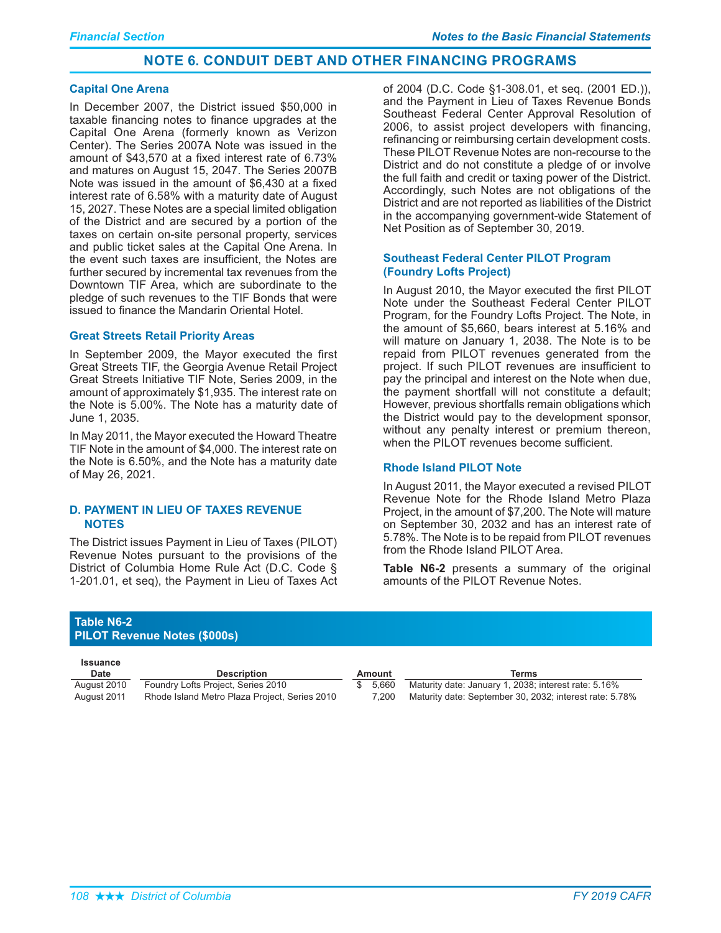### **Capital One Arena**

In December 2007, the District issued \$50,000 in taxable financing notes to finance upgrades at the Capital One Arena (formerly known as Verizon Center). The Series 2007A Note was issued in the amount of \$43,570 at a fixed interest rate of 6.73% and matures on August 15, 2047. The Series 2007B Note was issued in the amount of \$6,430 at a fixed interest rate of 6.58% with a maturity date of August 15, 2027. These Notes are a special limited obligation of the District and are secured by a portion of the taxes on certain on-site personal property, services and public ticket sales at the Capital One Arena. In the event such taxes are insufficient, the Notes are further secured by incremental tax revenues from the Downtown TIF Area, which are subordinate to the pledge of such revenues to the TIF Bonds that were issued to finance the Mandarin Oriental Hotel.

### **Great Streets Retail Priority Areas**

In September 2009, the Mayor executed the first Great Streets TIF, the Georgia Avenue Retail Project Great Streets Initiative TIF Note, Series 2009, in the amount of approximately \$1,935. The interest rate on the Note is 5.00%. The Note has a maturity date of June 1, 2035.

In May 2011, the Mayor executed the Howard Theatre TIF Note in the amount of \$4,000. The interest rate on the Note is 6.50%, and the Note has a maturity date of May 26, 2021.

### **D. PAYMENT IN LIEU OF TAXES REVENUE NOTES**

The District issues Payment in Lieu of Taxes (PILOT) Revenue Notes pursuant to the provisions of the District of Columbia Home Rule Act (D.C. Code  $\S$ 1-201.01, et seq), the Payment in Lieu of Taxes Act of 2004 (D.C. Code §1-308.01, et seq. (2001 ED.)), and the Payment in Lieu of Taxes Revenue Bonds Southeast Federal Center Approval Resolution of 2006, to assist project developers with financing, refinancing or reimbursing certain development costs. These PILOT Revenue Notes are non-recourse to the District and do not constitute a pledge of or involve the full faith and credit or taxing power of the District. Accordingly, such Notes are not obligations of the District and are not reported as liabilities of the District in the accompanying government-wide Statement of Net Position as of September 30, 2019.

### **Southeast Federal Center PILOT Program (Foundry Lofts Project)**

In August 2010, the Mayor executed the first PILOT Note under the Southeast Federal Center PILOT Program, for the Foundry Lofts Project. The Note, in the amount of \$5,660, bears interest at 5.16% and will mature on January 1, 2038. The Note is to be repaid from PILOT revenues generated from the project. If such PILOT revenues are insufficient to pay the principal and interest on the Note when due, the payment shortfall will not constitute a default; However, previous shortfalls remain obligations which the District would pay to the development sponsor, without any penalty interest or premium thereon, when the PILOT revenues become sufficient.

### **Rhode Island PILOT Note**

In August 2011, the Mayor executed a revised PILOT Revenue Note for the Rhode Island Metro Plaza Project, in the amount of \$7,200. The Note will mature on September 30, 2032 and has an interest rate of 5.78%. The Note is to be repaid from PILOT revenues from the Rhode Island PILOT Area.

Table N6-2 presents a summary of the original amounts of the PILOT Revenue Notes.

### **Table N6-2 PILOT Revenue Notes (\$000s)**

| Issuance<br>Date | <b>Description</b>                            | Amount   | Terms                                                   |
|------------------|-----------------------------------------------|----------|---------------------------------------------------------|
| August 2010      | Foundry Lofts Project, Series 2010            | \$ 5.660 | Maturity date: January 1, 2038; interest rate: 5.16%    |
| August 2011      | Rhode Island Metro Plaza Project, Series 2010 | 7.200    | Maturity date: September 30, 2032; interest rate: 5.78% |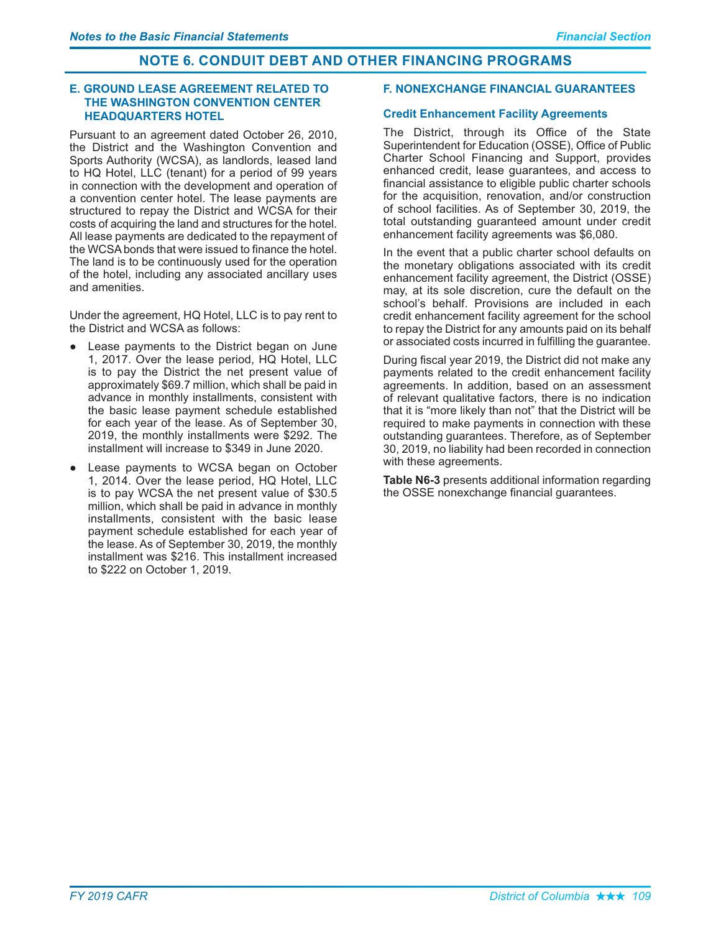### **E. GROUND LEASE AGREEMENT RELATED TO THE WASHINGTON CONVENTION CENTER HEADQUARTERS HOTEL**

Pursuant to an agreement dated October 26, 2010, the District and the Washington Convention and Sports Authority (WCSA), as landlords, leased land to HQ Hotel, LLC (tenant) for a period of 99 years in connection with the development and operation of a convention center hotel. The lease payments are structured to repay the District and WCSA for their costs of acquiring the land and structures for the hotel. All lease payments are dedicated to the repayment of the WCSA bonds that were issued to finance the hotel. The land is to be continuously used for the operation of the hotel, including any associated ancillary uses and amenities.

Under the agreement, HQ Hotel, LLC is to pay rent to the District and WCSA as follows:

- Lease payments to the District began on June 1, 2017. Over the lease period, HQ Hotel, LLC is to pay the District the net present value of approximately \$69.7 million, which shall be paid in advance in monthly installments, consistent with the basic lease payment schedule established for each year of the lease. As of September 30, 2019, the monthly installments were \$292. The installment will increase to \$349 in June 2020.
- Lease payments to WCSA began on October 1, 2014. Over the lease period, HQ Hotel, LLC is to pay WCSA the net present value of \$30.5 million, which shall be paid in advance in monthly installments, consistent with the basic lease payment schedule established for each year of the lease. As of September 30, 2019, the monthly installment was \$216. This installment increased to \$222 on October 1, 2019.

### **F. NONEXCHANGE FINANCIAL GUARANTEES**

### **Credit Enhancement Facility Agreements**

The District, through its Office of the State Superintendent for Education (OSSE), Office of Public Charter School Financing and Support, provides enhanced credit, lease guarantees, and access to financial assistance to eligible public charter schools for the acquisition, renovation, and/or construction of school facilities. As of September 30, 2019, the total outstanding guaranteed amount under credit enhancement facility agreements was \$6,080.

In the event that a public charter school defaults on the monetary obligations associated with its credit enhancement facility agreement, the District (OSSE) may, at its sole discretion, cure the default on the school's behalf. Provisions are included in each credit enhancement facility agreement for the school to repay the District for any amounts paid on its behalf or associated costs incurred in fulfilling the guarantee.

During fiscal year 2019, the District did not make any payments related to the credit enhancement facility agreements. In addition, based on an assessment of relevant qualitative factors, there is no indication that it is "more likely than not" that the District will be required to make payments in connection with these outstanding guarantees. Therefore, as of September 30, 2019, no liability had been recorded in connection with these agreements.

Table N6-3 presents additional information regarding the OSSE nonexchange financial guarantees.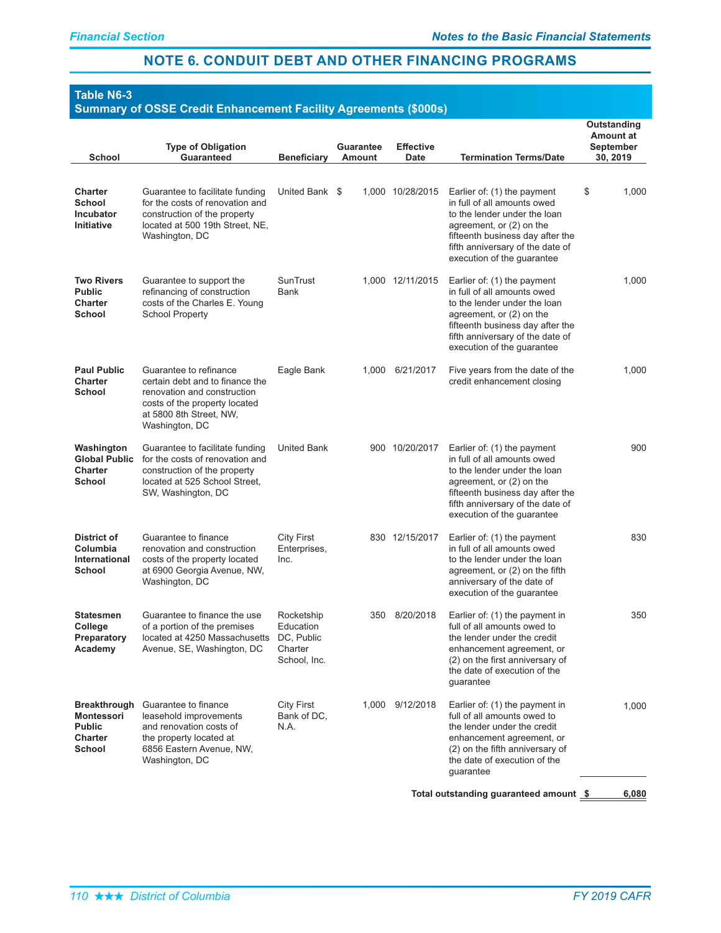# **Table N6-3**

# **Summary of OSSE Credit Enhancement Facility Agreements (\$000s)**

|                                                                         | <b>Type of Obligation</b>                                                                                                                                              |                                                                  | <b>Guarantee</b> | <b>Effective</b> |                                                                                                                                                                                                                              | Outstanding<br><b>Amount at</b><br>September |
|-------------------------------------------------------------------------|------------------------------------------------------------------------------------------------------------------------------------------------------------------------|------------------------------------------------------------------|------------------|------------------|------------------------------------------------------------------------------------------------------------------------------------------------------------------------------------------------------------------------------|----------------------------------------------|
| School                                                                  | <b>Guaranteed</b>                                                                                                                                                      | <b>Beneficiary</b>                                               | <b>Amount</b>    | Date             | <b>Termination Terms/Date</b>                                                                                                                                                                                                | 30, 2019                                     |
| <b>Charter</b><br>School<br><b>Incubator</b><br><b>Initiative</b>       | Guarantee to facilitate funding<br>for the costs of renovation and<br>construction of the property<br>located at 500 19th Street, NE,<br>Washington, DC                | United Bank \$                                                   |                  | 1,000 10/28/2015 | Earlier of: (1) the payment<br>in full of all amounts owed<br>to the lender under the loan<br>agreement, or (2) on the<br>fifteenth business day after the<br>fifth anniversary of the date of<br>execution of the guarantee | \$<br>1,000                                  |
| <b>Two Rivers</b><br><b>Public</b><br><b>Charter</b><br>School          | Guarantee to support the<br>refinancing of construction<br>costs of the Charles E. Young<br><b>School Property</b>                                                     | SunTrust<br>Bank                                                 |                  | 1,000 12/11/2015 | Earlier of: (1) the payment<br>in full of all amounts owed<br>to the lender under the loan<br>agreement, or (2) on the<br>fifteenth business day after the<br>fifth anniversary of the date of<br>execution of the guarantee | 1,000                                        |
| <b>Paul Public</b><br><b>Charter</b><br>School                          | Guarantee to refinance<br>certain debt and to finance the<br>renovation and construction<br>costs of the property located<br>at 5800 8th Street, NW,<br>Washington, DC | Eagle Bank                                                       | 1,000            | 6/21/2017        | Five years from the date of the<br>credit enhancement closing                                                                                                                                                                | 1,000                                        |
| Washington<br><b>Global Public</b><br><b>Charter</b><br>School          | Guarantee to facilitate funding<br>for the costs of renovation and<br>construction of the property<br>located at 525 School Street,<br>SW, Washington, DC              | <b>United Bank</b>                                               |                  | 900 10/20/2017   | Earlier of: (1) the payment<br>in full of all amounts owed<br>to the lender under the loan<br>agreement, or (2) on the<br>fifteenth business day after the<br>fifth anniversary of the date of<br>execution of the guarantee | 900                                          |
| <b>District of</b><br>Columbia<br>International<br>School               | Guarantee to finance<br>renovation and construction<br>costs of the property located<br>at 6900 Georgia Avenue, NW,<br>Washington, DC                                  | City First<br>Enterprises,<br>Inc.                               |                  | 830 12/15/2017   | Earlier of: (1) the payment<br>in full of all amounts owed<br>to the lender under the loan<br>agreement, or (2) on the fifth<br>anniversary of the date of<br>execution of the guarantee                                     | 830                                          |
| Statesmen<br>College<br>Preparatory<br>Academy                          | Guarantee to finance the use<br>of a portion of the premises<br>located at 4250 Massachusetts<br>Avenue, SE, Washington, DC                                            | Rocketship<br>Education<br>DC, Public<br>Charter<br>School, Inc. | 350              | 8/20/2018        | Earlier of: (1) the payment in<br>full of all amounts owed to<br>the lender under the credit<br>enhancement agreement, or<br>(2) on the first anniversary of<br>the date of execution of the<br>quarantee                    | 350                                          |
| <b>Breakthrough</b><br>Montessori<br><b>Public</b><br>Charter<br>School | Guarantee to finance<br>leasehold improvements<br>and renovation costs of<br>the property located at<br>6856 Eastern Avenue, NW,<br>Washington, DC                     | <b>City First</b><br>Bank of DC,<br>N.A.                         |                  | 1,000 9/12/2018  | Earlier of: (1) the payment in<br>full of all amounts owed to<br>the lender under the credit<br>enhancement agreement, or<br>(2) on the fifth anniversary of<br>the date of execution of the<br>guarantee                    | 1,000                                        |
|                                                                         |                                                                                                                                                                        |                                                                  |                  |                  | Total outstanding guaranteed amount \$                                                                                                                                                                                       | 6,080                                        |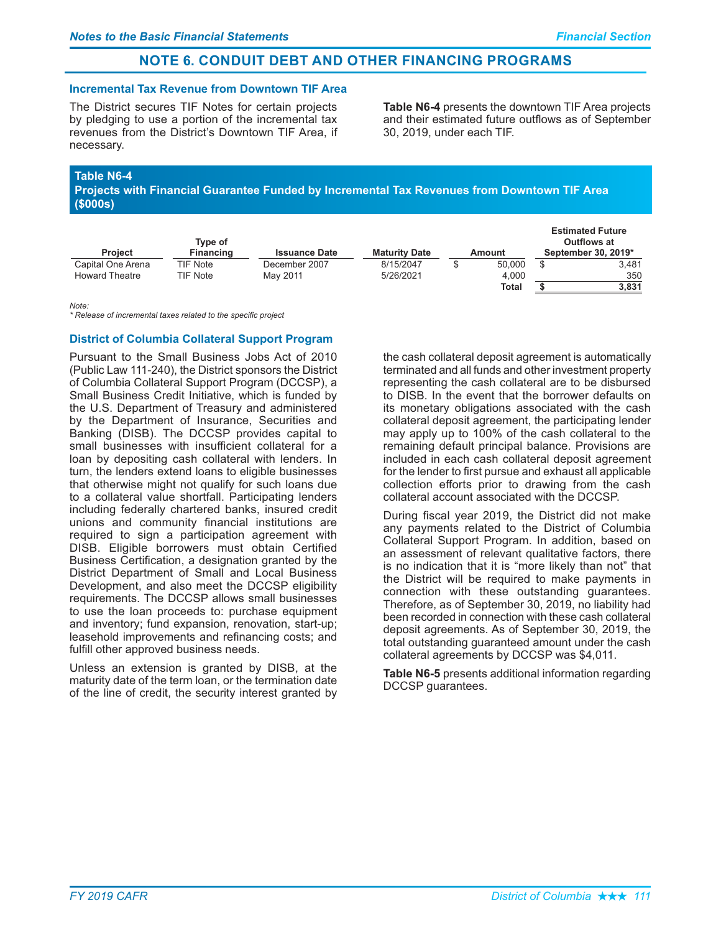### **Incremental Tax Revenue from Downtown TIF Area**

The District secures TIF Notes for certain projects by pledging to use a portion of the incremental tax revenues from the District's Downtown TIF Area, if necessarv.

Table N6-4 presents the downtown TIF Area projects and their estimated future outflows as of September 30. 2019. under each TIF.

### Table N6-4

Projects with Financial Guarantee Funded by Incremental Tax Revenues from Downtown TIF Area  $($ \$000s $)$ 

|                       | Tvpe of          |                      |                      |        | <b>Estimated Future</b><br>Outflows at |
|-----------------------|------------------|----------------------|----------------------|--------|----------------------------------------|
| <b>Project</b>        | <b>Financing</b> | <b>Issuance Date</b> | <b>Maturity Date</b> | Amount | September 30, 2019*                    |
| Capital One Arena     | <b>TIF Note</b>  | December 2007        | 8/15/2047            | 50,000 | 3.481                                  |
| <b>Howard Theatre</b> | <b>TIF Note</b>  | May 2011             | 5/26/2021            | 4.000  | 350                                    |
|                       |                  |                      |                      | Total  | 3,831                                  |

 $M$ ote<sup>-</sup>

\* Release of incremental taxes related to the specific project

### **District of Columbia Collateral Support Program**

Pursuant to the Small Business Jobs Act of 2010 (Public Law 111-240), the District sponsors the District of Columbia Collateral Support Program (DCCSP), a Small Business Credit Initiative, which is funded by the U.S. Department of Treasury and administered by the Department of Insurance, Securities and Banking (DISB). The DCCSP provides capital to small businesses with insufficient collateral for a loan by depositing cash collateral with lenders. In turn, the lenders extend loans to eligible businesses that otherwise might not qualify for such loans due to a collateral value shortfall. Participating lenders including federally chartered banks, insured credit unions and community financial institutions are required to sign a participation agreement with DISB. Eligible borrowers must obtain Certified Business Certification, a designation granted by the District Department of Small and Local Business Development, and also meet the DCCSP eligibility requirements. The DCCSP allows small businesses to use the loan proceeds to: purchase equipment and inventory; fund expansion, renovation, start-up; leasehold improvements and refinancing costs; and fulfill other approved business needs.

Unless an extension is granted by DISB, at the maturity date of the term loan, or the termination date of the line of credit, the security interest granted by

the cash collateral deposit agreement is automatically terminated and all funds and other investment property representing the cash collateral are to be disbursed to DISB. In the event that the borrower defaults on its monetary obligations associated with the cash collateral deposit agreement, the participating lender may apply up to 100% of the cash collateral to the remaining default principal balance. Provisions are included in each cash collateral deposit agreement for the lender to first pursue and exhaust all applicable collection efforts prior to drawing from the cash collateral account associated with the DCCSP.

During fiscal year 2019, the District did not make any payments related to the District of Columbia Collateral Support Program. In addition, based on an assessment of relevant qualitative factors, there is no indication that it is "more likely than not" that the District will be required to make payments in connection with these outstanding guarantees. Therefore, as of September 30, 2019, no liability had been recorded in connection with these cash collateral deposit agreements. As of September 30, 2019, the total outstanding guaranteed amount under the cash collateral agreements by DCCSP was \$4,011.

Table N6-5 presents additional information regarding DCCSP quarantees.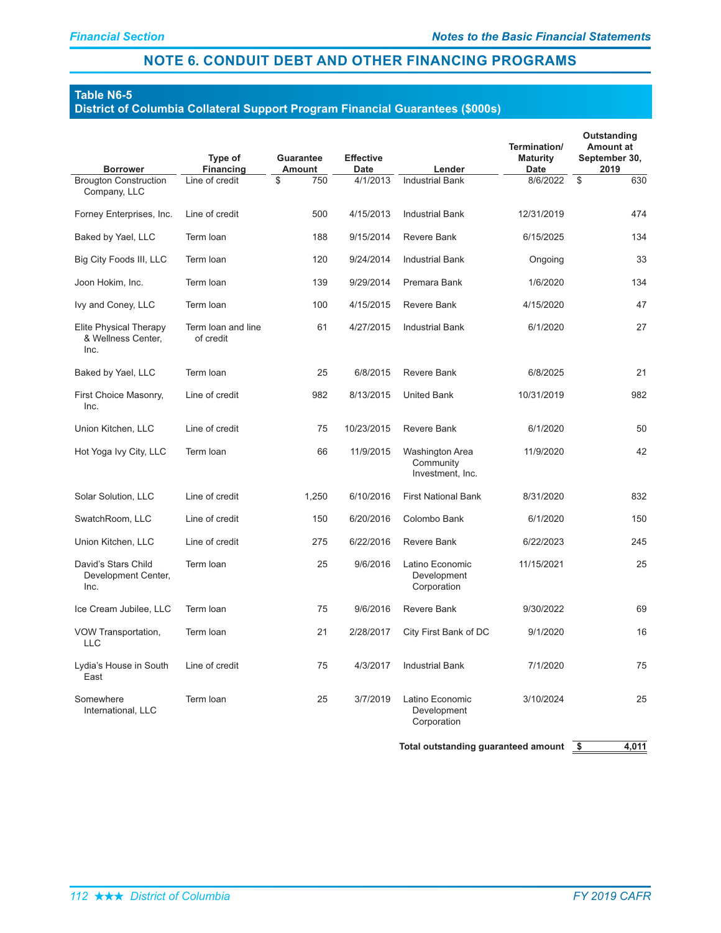# **Table N6-5**

#### District of Columbia Collateral Support Program Financial Guarantees (\$000s)

| <b>Borrower</b>                                             | Type of<br><b>Financing</b>     | <b>Guarantee</b><br>Amount | <b>Effective</b><br><b>Date</b> | Lender                                           | Termination/<br><b>Maturity</b><br><b>Date</b> | Outstanding<br><b>Amount at</b><br>September 30,<br>2019 |
|-------------------------------------------------------------|---------------------------------|----------------------------|---------------------------------|--------------------------------------------------|------------------------------------------------|----------------------------------------------------------|
| <b>Brougton Construction</b><br>Company, LLC                | Line of credit                  | \$<br>750                  | 4/1/2013                        | <b>Industrial Bank</b>                           | 8/6/2022                                       | \$<br>630                                                |
| Forney Enterprises, Inc.                                    | Line of credit                  | 500                        | 4/15/2013                       | <b>Industrial Bank</b>                           | 12/31/2019                                     | 474                                                      |
| Baked by Yael, LLC                                          | Term Ioan                       | 188                        | 9/15/2014                       | <b>Revere Bank</b>                               | 6/15/2025                                      | 134                                                      |
| Big City Foods III, LLC                                     | Term Ioan                       | 120                        | 9/24/2014                       | <b>Industrial Bank</b>                           | Ongoing                                        | 33                                                       |
| Joon Hokim, Inc.                                            | Term Ioan                       | 139                        | 9/29/2014                       | Premara Bank                                     | 1/6/2020                                       | 134                                                      |
| Ivy and Coney, LLC                                          | Term loan                       | 100                        | 4/15/2015                       | <b>Revere Bank</b>                               | 4/15/2020                                      | 47                                                       |
| <b>Elite Physical Therapy</b><br>& Wellness Center,<br>Inc. | Term loan and line<br>of credit | 61                         | 4/27/2015                       | <b>Industrial Bank</b>                           | 6/1/2020                                       | 27                                                       |
| Baked by Yael, LLC                                          | Term Ioan                       | 25                         | 6/8/2015                        | <b>Revere Bank</b>                               | 6/8/2025                                       | 21                                                       |
| First Choice Masonry,<br>Inc.                               | Line of credit                  | 982                        | 8/13/2015                       | <b>United Bank</b>                               | 10/31/2019                                     | 982                                                      |
| Union Kitchen, LLC                                          | Line of credit                  | 75                         | 10/23/2015                      | Revere Bank                                      | 6/1/2020                                       | 50                                                       |
| Hot Yoga Ivy City, LLC                                      | Term loan                       | 66                         | 11/9/2015                       | Washington Area<br>Community<br>Investment, Inc. | 11/9/2020                                      | 42                                                       |
| Solar Solution, LLC                                         | Line of credit                  | 1,250                      | 6/10/2016                       | <b>First National Bank</b>                       | 8/31/2020                                      | 832                                                      |
| SwatchRoom, LLC                                             | Line of credit                  | 150                        | 6/20/2016                       | Colombo Bank                                     | 6/1/2020                                       | 150                                                      |
| Union Kitchen, LLC                                          | Line of credit                  | 275                        | 6/22/2016                       | <b>Revere Bank</b>                               | 6/22/2023                                      | 245                                                      |
| David's Stars Child<br>Development Center,<br>Inc.          | Term loan                       | 25                         | 9/6/2016                        | Latino Economic<br>Development<br>Corporation    | 11/15/2021                                     | 25                                                       |
| Ice Cream Jubilee, LLC                                      | Term Ioan                       | 75                         | 9/6/2016                        | <b>Revere Bank</b>                               | 9/30/2022                                      | 69                                                       |
| VOW Transportation,<br><b>LLC</b>                           | Term Ioan                       | 21                         | 2/28/2017                       | City First Bank of DC                            | 9/1/2020                                       | 16                                                       |
| Lydia's House in South<br>East                              | Line of credit                  | 75                         | 4/3/2017                        | <b>Industrial Bank</b>                           | 7/1/2020                                       | 75                                                       |
| Somewhere<br>International, LLC                             | Term Ioan                       | 25                         | 3/7/2019                        | Latino Economic<br>Development<br>Corporation    | 3/10/2024                                      | 25                                                       |

Total outstanding guaranteed amount  $\frac{2}{3}$  4,011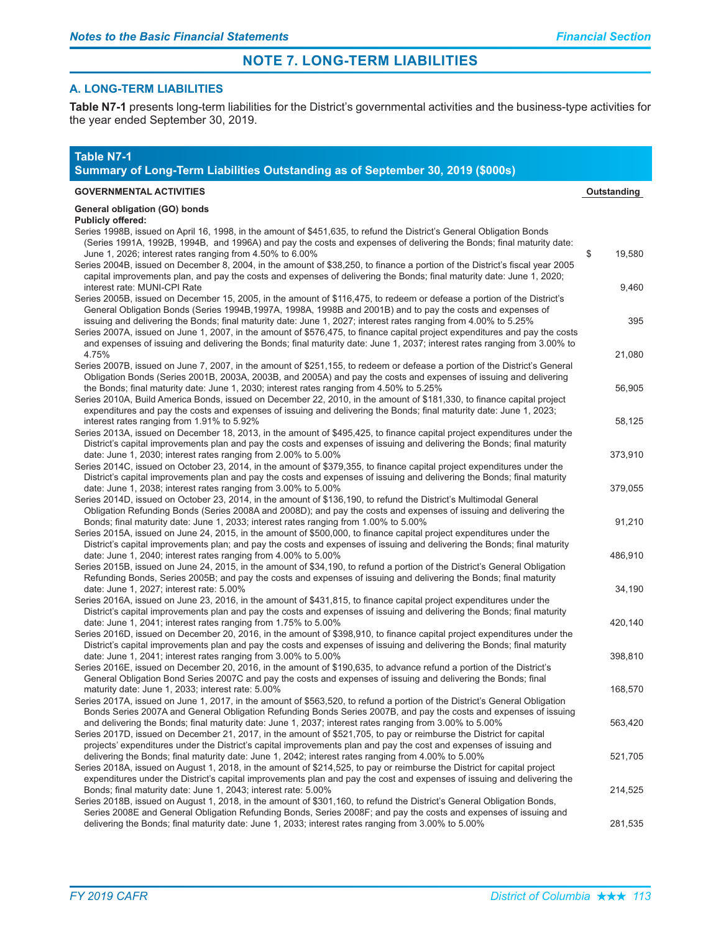### **A. LONG-TERM LIABILITIES**

Table N7-1 presents long-term liabilities for the District's governmental activities and the business-type activities for the year ended September 30, 2019.

| <b>Table N7-1</b><br>Summary of Long-Term Liabilities Outstanding as of September 30, 2019 (\$000s)                                                                                                                                                                                                                                                                                                                                                                       |              |
|---------------------------------------------------------------------------------------------------------------------------------------------------------------------------------------------------------------------------------------------------------------------------------------------------------------------------------------------------------------------------------------------------------------------------------------------------------------------------|--------------|
| <b>GOVERNMENTAL ACTIVITIES</b>                                                                                                                                                                                                                                                                                                                                                                                                                                            | Outstanding  |
| General obligation (GO) bonds                                                                                                                                                                                                                                                                                                                                                                                                                                             |              |
| <b>Publicly offered:</b><br>Series 1998B, issued on April 16, 1998, in the amount of \$451,635, to refund the District's General Obligation Bonds<br>(Series 1991A, 1992B, 1994B, and 1996A) and pay the costs and expenses of delivering the Bonds; final maturity date:<br>June 1, 2026; interest rates ranging from 4.50% to 6.00%<br>Series 2004B, issued on December 8, 2004, in the amount of \$38,250, to finance a portion of the District's fiscal year 2005     | \$<br>19,580 |
| capital improvements plan, and pay the costs and expenses of delivering the Bonds; final maturity date: June 1, 2020;<br>interest rate: MUNI-CPI Rate<br>Series 2005B, issued on December 15, 2005, in the amount of \$116,475, to redeem or defease a portion of the District's                                                                                                                                                                                          | 9,460        |
| General Obligation Bonds (Series 1994B,1997A, 1998A, 1998B and 2001B) and to pay the costs and expenses of<br>issuing and delivering the Bonds; final maturity date: June 1, 2027; interest rates ranging from 4.00% to 5.25%<br>Series 2007A, issued on June 1, 2007, in the amount of \$576,475, to finance capital project expenditures and pay the costs                                                                                                              | 395          |
| and expenses of issuing and delivering the Bonds; final maturity date: June 1, 2037; interest rates ranging from 3.00% to<br>4.75%<br>Series 2007B, issued on June 7, 2007, in the amount of \$251,155, to redeem or defease a portion of the District's General                                                                                                                                                                                                          | 21,080       |
| Obligation Bonds (Series 2001B, 2003A, 2003B, and 2005A) and pay the costs and expenses of issuing and delivering<br>the Bonds; final maturity date: June 1, 2030; interest rates ranging from 4.50% to 5.25%<br>Series 2010A, Build America Bonds, issued on December 22, 2010, in the amount of \$181,330, to finance capital project                                                                                                                                   | 56,905       |
| expenditures and pay the costs and expenses of issuing and delivering the Bonds; final maturity date: June 1, 2023;<br>interest rates ranging from 1.91% to 5.92%<br>Series 2013A, issued on December 18, 2013, in the amount of \$495,425, to finance capital project expenditures under the                                                                                                                                                                             | 58,125       |
| District's capital improvements plan and pay the costs and expenses of issuing and delivering the Bonds; final maturity<br>date: June 1, 2030; interest rates ranging from 2.00% to 5.00%<br>Series 2014C, issued on October 23, 2014, in the amount of \$379,355, to finance capital project expenditures under the                                                                                                                                                      | 373,910      |
| District's capital improvements plan and pay the costs and expenses of issuing and delivering the Bonds; final maturity<br>date: June 1, 2038; interest rates ranging from 3.00% to 5.00%<br>Series 2014D, issued on October 23, 2014, in the amount of \$136,190, to refund the District's Multimodal General                                                                                                                                                            | 379,055      |
| Obligation Refunding Bonds (Series 2008A and 2008D); and pay the costs and expenses of issuing and delivering the<br>Bonds; final maturity date: June 1, 2033; interest rates ranging from 1.00% to 5.00%<br>Series 2015A, issued on June 24, 2015, in the amount of \$500,000, to finance capital project expenditures under the                                                                                                                                         | 91,210       |
| District's capital improvements plan; and pay the costs and expenses of issuing and delivering the Bonds; final maturity<br>date: June 1, 2040; interest rates ranging from 4.00% to 5.00%<br>Series 2015B, issued on June 24, 2015, in the amount of \$34,190, to refund a portion of the District's General Obligation                                                                                                                                                  | 486,910      |
| Refunding Bonds, Series 2005B; and pay the costs and expenses of issuing and delivering the Bonds; final maturity<br>date: June 1, 2027; interest rate: 5.00%<br>Series 2016A, issued on June 23, 2016, in the amount of \$431,815, to finance capital project expenditures under the                                                                                                                                                                                     | 34,190       |
| District's capital improvements plan and pay the costs and expenses of issuing and delivering the Bonds; final maturity<br>date: June 1, 2041; interest rates ranging from 1.75% to 5.00%<br>Series 2016D, issued on December 20, 2016, in the amount of \$398,910, to finance capital project expenditures under the                                                                                                                                                     | 420,140      |
| District's capital improvements plan and pay the costs and expenses of issuing and delivering the Bonds; final maturity<br>date: June 1, 2041; interest rates ranging from 3.00% to 5.00%<br>Series 2016E, issued on December 20, 2016, in the amount of \$190,635, to advance refund a portion of the District's                                                                                                                                                         | 398,810      |
| General Obligation Bond Series 2007C and pay the costs and expenses of issuing and delivering the Bonds; final<br>maturity date: June 1, 2033; interest rate: 5.00%<br>Series 2017A, issued on June 1, 2017, in the amount of \$563,520, to refund a portion of the District's General Obligation                                                                                                                                                                         | 168,570      |
| Bonds Series 2007A and General Obligation Refunding Bonds Series 2007B, and pay the costs and expenses of issuing<br>and delivering the Bonds; final maturity date: June 1, 2037; interest rates ranging from 3.00% to 5.00%<br>Series 2017D, issued on December 21, 2017, in the amount of \$521,705, to pay or reimburse the District for capital<br>projects' expenditures under the District's capital improvements plan and pay the cost and expenses of issuing and | 563,420      |
| delivering the Bonds; final maturity date: June 1, 2042; interest rates ranging from 4.00% to 5.00%<br>Series 2018A, issued on August 1, 2018, in the amount of \$214,525, to pay or reimburse the District for capital project<br>expenditures under the District's capital improvements plan and pay the cost and expenses of issuing and delivering the                                                                                                                | 521,705      |
| Bonds; final maturity date: June 1, 2043; interest rate: 5.00%<br>Series 2018B, issued on August 1, 2018, in the amount of \$301,160, to refund the District's General Obligation Bonds,<br>Series 2008E and General Obligation Refunding Bonds, Series 2008F; and pay the costs and expenses of issuing and                                                                                                                                                              | 214,525      |
| delivering the Bonds; final maturity date: June 1, 2033; interest rates ranging from 3.00% to 5.00%                                                                                                                                                                                                                                                                                                                                                                       | 281,535      |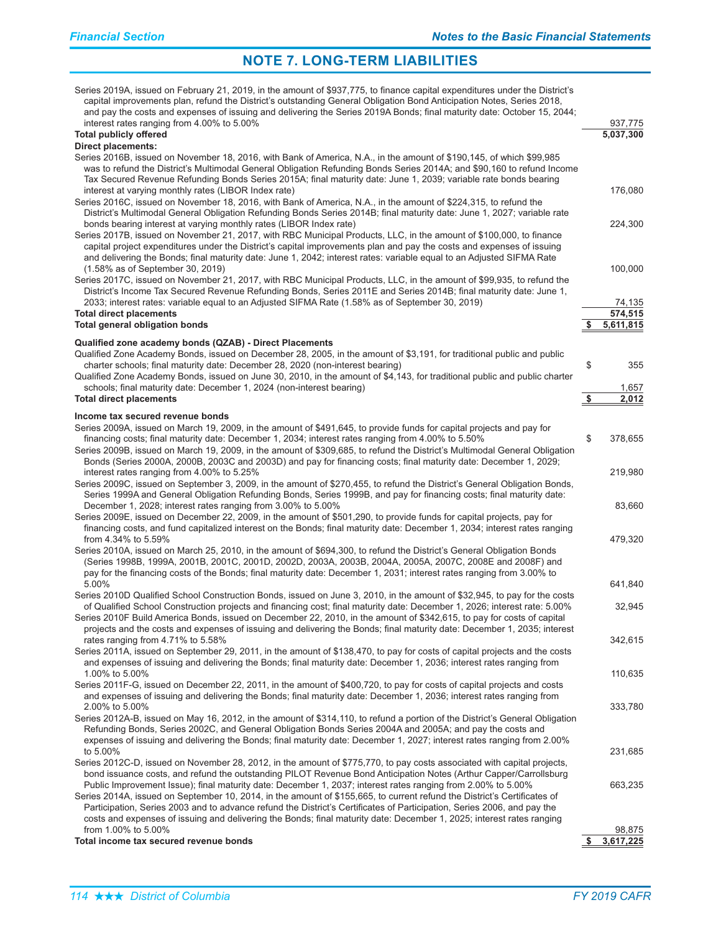| Series 2019A, issued on February 21, 2019, in the amount of \$937,775, to finance capital expenditures under the District's<br>capital improvements plan, refund the District's outstanding General Obligation Bond Anticipation Notes, Series 2018,<br>and pay the costs and expenses of issuing and delivering the Series 2019A Bonds; final maturity date: October 15, 2044;<br>interest rates ranging from 4.00% to 5.00%                                                                                                                                                                                                                                                                                                                |               | 937,775              |
|----------------------------------------------------------------------------------------------------------------------------------------------------------------------------------------------------------------------------------------------------------------------------------------------------------------------------------------------------------------------------------------------------------------------------------------------------------------------------------------------------------------------------------------------------------------------------------------------------------------------------------------------------------------------------------------------------------------------------------------------|---------------|----------------------|
| <b>Total publicly offered</b>                                                                                                                                                                                                                                                                                                                                                                                                                                                                                                                                                                                                                                                                                                                |               | 5,037,300            |
| <b>Direct placements:</b><br>Series 2016B, issued on November 18, 2016, with Bank of America, N.A., in the amount of \$190,145, of which \$99,985<br>was to refund the District's Multimodal General Obligation Refunding Bonds Series 2014A; and \$90,160 to refund Income<br>Tax Secured Revenue Refunding Bonds Series 2015A; final maturity date: June 1, 2039; variable rate bonds bearing<br>interest at varying monthly rates (LIBOR Index rate)<br>Series 2016C, issued on November 18, 2016, with Bank of America, N.A., in the amount of \$224,315, to refund the                                                                                                                                                                  |               | 176,080              |
| District's Multimodal General Obligation Refunding Bonds Series 2014B; final maturity date: June 1, 2027; variable rate<br>bonds bearing interest at varying monthly rates (LIBOR Index rate)<br>Series 2017B, issued on November 21, 2017, with RBC Municipal Products, LLC, in the amount of \$100,000, to finance<br>capital project expenditures under the District's capital improvements plan and pay the costs and expenses of issuing<br>and delivering the Bonds; final maturity date: June 1, 2042; interest rates: variable equal to an Adjusted SIFMA Rate                                                                                                                                                                       |               | 224,300              |
| (1.58% as of September 30, 2019)<br>Series 2017C, issued on November 21, 2017, with RBC Municipal Products, LLC, in the amount of \$99,935, to refund the<br>District's Income Tax Secured Revenue Refunding Bonds, Series 2011E and Series 2014B; final maturity date: June 1,                                                                                                                                                                                                                                                                                                                                                                                                                                                              |               | 100,000              |
| 2033; interest rates: variable equal to an Adjusted SIFMA Rate (1.58% as of September 30, 2019)                                                                                                                                                                                                                                                                                                                                                                                                                                                                                                                                                                                                                                              |               | 74,135               |
| <b>Total direct placements</b><br><b>Total general obligation bonds</b>                                                                                                                                                                                                                                                                                                                                                                                                                                                                                                                                                                                                                                                                      |               | 574,515<br>5,611,815 |
| Qualified zone academy bonds (QZAB) - Direct Placements                                                                                                                                                                                                                                                                                                                                                                                                                                                                                                                                                                                                                                                                                      |               |                      |
| Qualified Zone Academy Bonds, issued on December 28, 2005, in the amount of \$3,191, for traditional public and public<br>charter schools; final maturity date: December 28, 2020 (non-interest bearing)<br>Qualified Zone Academy Bonds, issued on June 30, 2010, in the amount of \$4,143, for traditional public and public charter                                                                                                                                                                                                                                                                                                                                                                                                       | \$            | 355                  |
| schools; final maturity date: December 1, 2024 (non-interest bearing)                                                                                                                                                                                                                                                                                                                                                                                                                                                                                                                                                                                                                                                                        |               | 1,657                |
| <b>Total direct placements</b>                                                                                                                                                                                                                                                                                                                                                                                                                                                                                                                                                                                                                                                                                                               | $\frac{1}{2}$ | 2,012                |
| Income tax secured revenue bonds                                                                                                                                                                                                                                                                                                                                                                                                                                                                                                                                                                                                                                                                                                             |               |                      |
| Series 2009A, issued on March 19, 2009, in the amount of \$491,645, to provide funds for capital projects and pay for<br>financing costs; final maturity date: December 1, 2034; interest rates ranging from 4.00% to 5.50%<br>Series 2009B, issued on March 19, 2009, in the amount of \$309,685, to refund the District's Multimodal General Obligation<br>Bonds (Series 2000A, 2000B, 2003C and 2003D) and pay for financing costs; final maturity date: December 1, 2029;                                                                                                                                                                                                                                                                | \$            | 378,655              |
| interest rates ranging from 4.00% to 5.25%                                                                                                                                                                                                                                                                                                                                                                                                                                                                                                                                                                                                                                                                                                   |               | 219,980              |
| Series 2009C, issued on September 3, 2009, in the amount of \$270,455, to refund the District's General Obligation Bonds,<br>Series 1999A and General Obligation Refunding Bonds, Series 1999B, and pay for financing costs; final maturity date:<br>December 1, 2028; interest rates ranging from 3.00% to 5.00%                                                                                                                                                                                                                                                                                                                                                                                                                            |               | 83,660               |
| Series 2009E, issued on December 22, 2009, in the amount of \$501,290, to provide funds for capital projects, pay for<br>financing costs, and fund capitalized interest on the Bonds; final maturity date: December 1, 2034; interest rates ranging<br>from 4.34% to 5.59%                                                                                                                                                                                                                                                                                                                                                                                                                                                                   |               | 479,320              |
| Series 2010A, issued on March 25, 2010, in the amount of \$694,300, to refund the District's General Obligation Bonds<br>(Series 1998B, 1999A, 2001B, 2001C, 2001D, 2002D, 2003A, 2003B, 2004A, 2005A, 2007C, 2008E and 2008F) and<br>pay for the financing costs of the Bonds; final maturity date: December 1, 2031; interest rates ranging from 3.00% to                                                                                                                                                                                                                                                                                                                                                                                  |               |                      |
| 5.00%                                                                                                                                                                                                                                                                                                                                                                                                                                                                                                                                                                                                                                                                                                                                        |               | 641,840              |
| Series 2010D Qualified School Construction Bonds, issued on June 3, 2010, in the amount of \$32,945, to pay for the costs<br>of Qualified School Construction projects and financing cost; final maturity date: December 1, 2026; interest rate: 5.00%<br>Series 2010F Build America Bonds, issued on December 22, 2010, in the amount of \$342,615, to pay for costs of capital<br>projects and the costs and expenses of issuing and delivering the Bonds; final maturity date: December 1, 2035; interest                                                                                                                                                                                                                                 |               | 32,945               |
| rates ranging from 4.71% to 5.58%                                                                                                                                                                                                                                                                                                                                                                                                                                                                                                                                                                                                                                                                                                            |               | 342,615              |
| Series 2011A, issued on September 29, 2011, in the amount of \$138,470, to pay for costs of capital projects and the costs<br>and expenses of issuing and delivering the Bonds; final maturity date: December 1, 2036; interest rates ranging from<br>1.00% to 5.00%                                                                                                                                                                                                                                                                                                                                                                                                                                                                         |               | 110,635              |
| Series 2011F-G, issued on December 22, 2011, in the amount of \$400,720, to pay for costs of capital projects and costs<br>and expenses of issuing and delivering the Bonds; final maturity date: December 1, 2036; interest rates ranging from                                                                                                                                                                                                                                                                                                                                                                                                                                                                                              |               |                      |
| 2.00% to 5.00%<br>Series 2012A-B, issued on May 16, 2012, in the amount of \$314,110, to refund a portion of the District's General Obligation<br>Refunding Bonds, Series 2002C, and General Obligation Bonds Series 2004A and 2005A; and pay the costs and<br>expenses of issuing and delivering the Bonds; final maturity date: December 1, 2027; interest rates ranging from 2.00%<br>to 5.00%                                                                                                                                                                                                                                                                                                                                            |               | 333,780<br>231,685   |
| Series 2012C-D, issued on November 28, 2012, in the amount of \$775,770, to pay costs associated with capital projects,<br>bond issuance costs, and refund the outstanding PILOT Revenue Bond Anticipation Notes (Arthur Capper/Carrollsburg<br>Public Improvement Issue); final maturity date: December 1, 2037; interest rates ranging from 2.00% to 5.00%<br>Series 2014A, issued on September 10, 2014, in the amount of \$155,665, to current refund the District's Certificates of<br>Participation, Series 2003 and to advance refund the District's Certificates of Participation, Series 2006, and pay the<br>costs and expenses of issuing and delivering the Bonds; final maturity date: December 1, 2025; interest rates ranging |               | 663,235              |
| from 1.00% to 5.00%<br>Total income tax secured revenue bonds                                                                                                                                                                                                                                                                                                                                                                                                                                                                                                                                                                                                                                                                                | \$            | 98,875<br>3,617,225  |
|                                                                                                                                                                                                                                                                                                                                                                                                                                                                                                                                                                                                                                                                                                                                              |               |                      |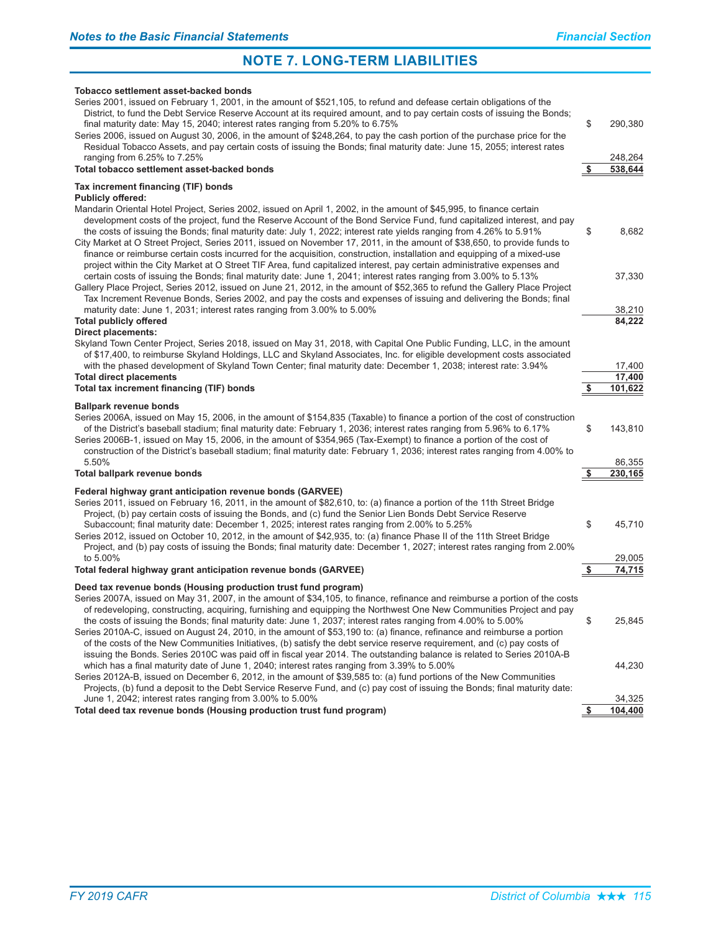#### Tobacco settlement asset-backed bonds

| Series 2001, issued on February 1, 2001, in the amount of \$521,105, to refund and defease certain obligations of the<br>District, to fund the Debt Service Reserve Account at its required amount, and to pay certain costs of issuing the Bonds;<br>final maturity date: May 15, 2040; interest rates ranging from 5.20% to 6.75%<br>Series 2006, issued on August 30, 2006, in the amount of \$248,264, to pay the cash portion of the purchase price for the<br>Residual Tobacco Assets, and pay certain costs of issuing the Bonds; final maturity date: June 15, 2055; interest rates<br>ranging from 6.25% to 7.25%<br>Total tobacco settlement asset-backed bonds                                                                                  | \$        | 290,380<br>248,264<br>538,644 |
|------------------------------------------------------------------------------------------------------------------------------------------------------------------------------------------------------------------------------------------------------------------------------------------------------------------------------------------------------------------------------------------------------------------------------------------------------------------------------------------------------------------------------------------------------------------------------------------------------------------------------------------------------------------------------------------------------------------------------------------------------------|-----------|-------------------------------|
| Tax increment financing (TIF) bonds                                                                                                                                                                                                                                                                                                                                                                                                                                                                                                                                                                                                                                                                                                                        |           |                               |
| <b>Publicly offered:</b>                                                                                                                                                                                                                                                                                                                                                                                                                                                                                                                                                                                                                                                                                                                                   |           |                               |
| Mandarin Oriental Hotel Project, Series 2002, issued on April 1, 2002, in the amount of \$45,995, to finance certain<br>development costs of the project, fund the Reserve Account of the Bond Service Fund, fund capitalized interest, and pay<br>the costs of issuing the Bonds; final maturity date: July 1, 2022; interest rate yields ranging from 4.26% to 5.91%<br>City Market at O Street Project, Series 2011, issued on November 17, 2011, in the amount of \$38,650, to provide funds to<br>finance or reimburse certain costs incurred for the acquisition, construction, installation and equipping of a mixed-use<br>project within the City Market at O Street TIF Area, fund capitalized interest, pay certain administrative expenses and | \$        | 8,682                         |
| certain costs of issuing the Bonds; final maturity date: June 1, 2041; interest rates ranging from 3.00% to 5.13%<br>Gallery Place Project, Series 2012, issued on June 21, 2012, in the amount of \$52,365 to refund the Gallery Place Project<br>Tax Increment Revenue Bonds, Series 2002, and pay the costs and expenses of issuing and delivering the Bonds; final<br>maturity date: June 1, 2031; interest rates ranging from 3.00% to 5.00%                                                                                                                                                                                                                                                                                                          |           | 37,330<br>38,210              |
| <b>Total publicly offered</b>                                                                                                                                                                                                                                                                                                                                                                                                                                                                                                                                                                                                                                                                                                                              |           | 84,222                        |
| <b>Direct placements:</b><br>Skyland Town Center Project, Series 2018, issued on May 31, 2018, with Capital One Public Funding, LLC, in the amount<br>of \$17,400, to reimburse Skyland Holdings, LLC and Skyland Associates, Inc. for eligible development costs associated<br>with the phased development of Skyland Town Center; final maturity date: December 1, 2038; interest rate: 3.94%                                                                                                                                                                                                                                                                                                                                                            |           | 17,400                        |
| <b>Total direct placements</b>                                                                                                                                                                                                                                                                                                                                                                                                                                                                                                                                                                                                                                                                                                                             |           | 17.400                        |
| Total tax increment financing (TIF) bonds                                                                                                                                                                                                                                                                                                                                                                                                                                                                                                                                                                                                                                                                                                                  |           | 101,622                       |
| <b>Ballpark revenue bonds</b><br>Series 2006A, issued on May 15, 2006, in the amount of \$154,835 (Taxable) to finance a portion of the cost of construction<br>of the District's baseball stadium; final maturity date: February 1, 2036; interest rates ranging from 5.96% to 6.17%<br>Series 2006B-1, issued on May 15, 2006, in the amount of \$354,965 (Tax-Exempt) to finance a portion of the cost of<br>construction of the District's baseball stadium; final maturity date: February 1, 2036; interest rates ranging from 4.00% to                                                                                                                                                                                                               | \$        | 143,810                       |
| 5.50%<br>Total ballpark revenue bonds                                                                                                                                                                                                                                                                                                                                                                                                                                                                                                                                                                                                                                                                                                                      | S         | 86,355<br>230,165             |
|                                                                                                                                                                                                                                                                                                                                                                                                                                                                                                                                                                                                                                                                                                                                                            |           |                               |
| Federal highway grant anticipation revenue bonds (GARVEE)<br>Series 2011, issued on February 16, 2011, in the amount of \$82,610, to: (a) finance a portion of the 11th Street Bridge<br>Project, (b) pay certain costs of issuing the Bonds, and (c) fund the Senior Lien Bonds Debt Service Reserve<br>Subaccount; final maturity date: December 1, 2025; interest rates ranging from 2.00% to 5.25%<br>Series 2012, issued on October 10, 2012, in the amount of \$42,935, to: (a) finance Phase II of the 11th Street Bridge<br>Project, and (b) pay costs of issuing the Bonds; final maturity date: December 1, 2027; interest rates ranging from 2.00%                                                                                              | \$        | 45,710                        |
| to 5.00%<br>Total federal highway grant anticipation revenue bonds (GARVEE)                                                                                                                                                                                                                                                                                                                                                                                                                                                                                                                                                                                                                                                                                | \$        | 29,005<br>74,715              |
| Deed tax revenue bonds (Housing production trust fund program)                                                                                                                                                                                                                                                                                                                                                                                                                                                                                                                                                                                                                                                                                             |           |                               |
| Series 2007A, issued on May 31, 2007, in the amount of \$34,105, to finance, refinance and reimburse a portion of the costs<br>of redeveloping, constructing, acquiring, furnishing and equipping the Northwest One New Communities Project and pay<br>the costs of issuing the Bonds; final maturity date: June 1, 2037; interest rates ranging from 4.00% to 5.00%<br>Series 2010A-C, issued on August 24, 2010, in the amount of \$53,190 to: (a) finance, refinance and reimburse a portion<br>of the costs of the New Communities Initiatives, (b) satisfy the debt service reserve requirement, and (c) pay costs of                                                                                                                                 | \$        | 25,845                        |
| issuing the Bonds. Series 2010C was paid off in fiscal year 2014. The outstanding balance is related to Series 2010A-B<br>which has a final maturity date of June 1, 2040; interest rates ranging from 3.39% to 5.00%<br>Series 2012A-B, issued on December 6, 2012, in the amount of \$39,585 to: (a) fund portions of the New Communities<br>Projects, (b) fund a deposit to the Debt Service Reserve Fund, and (c) pay cost of issuing the Bonds; final maturity date:<br>June 1, 2042; interest rates ranging from 3.00% to 5.00%                                                                                                                                                                                                                      |           | 44,230<br>34,325              |
| Total deed tax revenue bonds (Housing production trust fund program)                                                                                                                                                                                                                                                                                                                                                                                                                                                                                                                                                                                                                                                                                       | <u>\$</u> | 104,400                       |
|                                                                                                                                                                                                                                                                                                                                                                                                                                                                                                                                                                                                                                                                                                                                                            |           |                               |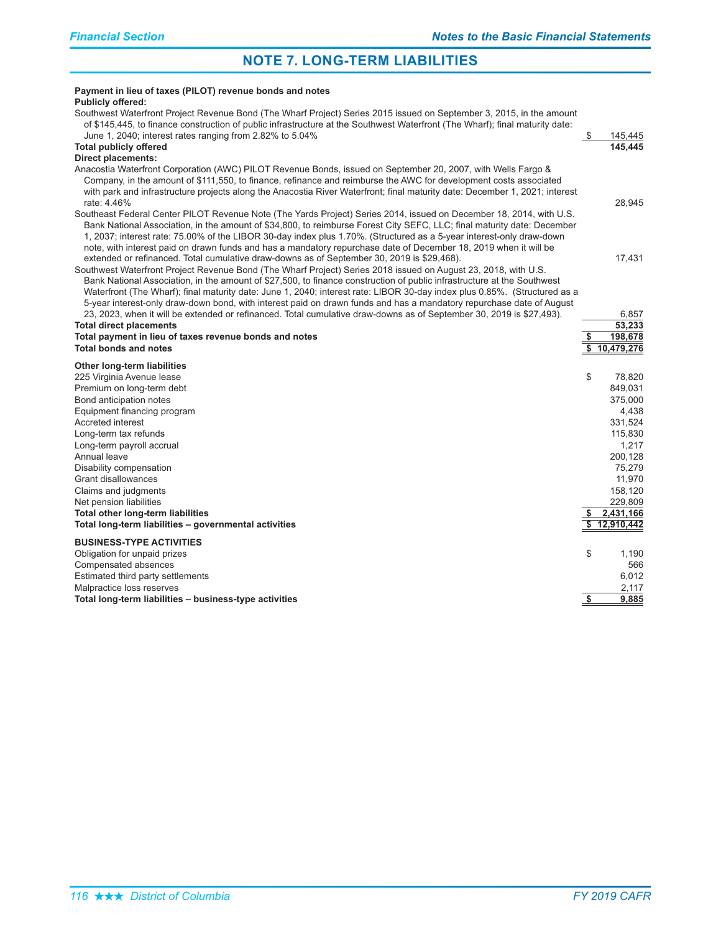| Payment in lieu of taxes (PILOT) revenue bonds and notes<br><b>Publicly offered:</b>                                                                                                                                                                                                                                                                                                                                                                                                                                                                                                         |               |                       |
|----------------------------------------------------------------------------------------------------------------------------------------------------------------------------------------------------------------------------------------------------------------------------------------------------------------------------------------------------------------------------------------------------------------------------------------------------------------------------------------------------------------------------------------------------------------------------------------------|---------------|-----------------------|
| Southwest Waterfront Project Revenue Bond (The Wharf Project) Series 2015 issued on September 3, 2015, in the amount<br>of \$145,445, to finance construction of public infrastructure at the Southwest Waterfront (The Wharf); final maturity date:                                                                                                                                                                                                                                                                                                                                         |               |                       |
| June 1, 2040; interest rates ranging from 2.82% to 5.04%                                                                                                                                                                                                                                                                                                                                                                                                                                                                                                                                     | \$            | 145,445<br>145,445    |
| <b>Total publicly offered</b><br>Direct placements:                                                                                                                                                                                                                                                                                                                                                                                                                                                                                                                                          |               |                       |
| Anacostia Waterfront Corporation (AWC) PILOT Revenue Bonds, issued on September 20, 2007, with Wells Fargo &<br>Company, in the amount of \$111,550, to finance, refinance and reimburse the AWC for development costs associated<br>with park and infrastructure projects along the Anacostia River Waterfront; final maturity date: December 1, 2021; interest<br>rate: 4.46%                                                                                                                                                                                                              |               | 28,945                |
| Southeast Federal Center PILOT Revenue Note (The Yards Project) Series 2014, issued on December 18, 2014, with U.S.<br>Bank National Association, in the amount of \$34,800, to reimburse Forest City SEFC, LLC; final maturity date: December<br>1, 2037; interest rate: 75.00% of the LIBOR 30-day index plus 1.70%. (Structured as a 5-year interest-only draw-down<br>note, with interest paid on drawn funds and has a mandatory repurchase date of December 18, 2019 when it will be                                                                                                   |               |                       |
| extended or refinanced. Total cumulative draw-downs as of September 30, 2019 is \$29,468).<br>Southwest Waterfront Project Revenue Bond (The Wharf Project) Series 2018 issued on August 23, 2018, with U.S.<br>Bank National Association, in the amount of \$27,500, to finance construction of public infrastructure at the Southwest<br>Waterfront (The Wharf); final maturity date: June 1, 2040; interest rate: LIBOR 30-day index plus 0.85%. (Structured as a<br>5-year interest-only draw-down bond, with interest paid on drawn funds and has a mandatory repurchase date of August |               | 17,431                |
| 23, 2023, when it will be extended or refinanced. Total cumulative draw-downs as of September 30, 2019 is \$27,493).                                                                                                                                                                                                                                                                                                                                                                                                                                                                         |               | 6.857                 |
| <b>Total direct placements</b>                                                                                                                                                                                                                                                                                                                                                                                                                                                                                                                                                               |               | 53,233                |
| Total payment in lieu of taxes revenue bonds and notes<br><b>Total bonds and notes</b>                                                                                                                                                                                                                                                                                                                                                                                                                                                                                                       |               | 198,678<br>10,479,276 |
|                                                                                                                                                                                                                                                                                                                                                                                                                                                                                                                                                                                              |               |                       |
| Other long-term liabilities                                                                                                                                                                                                                                                                                                                                                                                                                                                                                                                                                                  |               |                       |
| 225 Virginia Avenue lease                                                                                                                                                                                                                                                                                                                                                                                                                                                                                                                                                                    | \$            | 78,820                |
| Premium on long-term debt                                                                                                                                                                                                                                                                                                                                                                                                                                                                                                                                                                    |               | 849,031               |
| Bond anticipation notes<br>Equipment financing program                                                                                                                                                                                                                                                                                                                                                                                                                                                                                                                                       |               | 375,000<br>4,438      |
| Accreted interest                                                                                                                                                                                                                                                                                                                                                                                                                                                                                                                                                                            |               | 331,524               |
| Long-term tax refunds                                                                                                                                                                                                                                                                                                                                                                                                                                                                                                                                                                        |               | 115,830               |
| Long-term payroll accrual                                                                                                                                                                                                                                                                                                                                                                                                                                                                                                                                                                    |               | 1,217                 |
| Annual leave                                                                                                                                                                                                                                                                                                                                                                                                                                                                                                                                                                                 |               | 200,128               |
| Disability compensation                                                                                                                                                                                                                                                                                                                                                                                                                                                                                                                                                                      |               | 75,279                |
| Grant disallowances                                                                                                                                                                                                                                                                                                                                                                                                                                                                                                                                                                          |               | 11,970                |
| Claims and judgments                                                                                                                                                                                                                                                                                                                                                                                                                                                                                                                                                                         |               | 158,120               |
| Net pension liabilities                                                                                                                                                                                                                                                                                                                                                                                                                                                                                                                                                                      |               | 229,809               |
| Total other long-term liabilities                                                                                                                                                                                                                                                                                                                                                                                                                                                                                                                                                            |               | 2,431,166             |
| Total long-term liabilities - governmental activities                                                                                                                                                                                                                                                                                                                                                                                                                                                                                                                                        |               | 12,910,442            |
| <b>BUSINESS-TYPE ACTIVITIES</b>                                                                                                                                                                                                                                                                                                                                                                                                                                                                                                                                                              |               |                       |
| Obligation for unpaid prizes                                                                                                                                                                                                                                                                                                                                                                                                                                                                                                                                                                 | \$            | 1,190                 |
| Compensated absences                                                                                                                                                                                                                                                                                                                                                                                                                                                                                                                                                                         |               | 566                   |
| Estimated third party settlements                                                                                                                                                                                                                                                                                                                                                                                                                                                                                                                                                            |               | 6,012                 |
| Malpractice loss reserves                                                                                                                                                                                                                                                                                                                                                                                                                                                                                                                                                                    |               | 2,117                 |
| Total long-term liabilities - business-type activities                                                                                                                                                                                                                                                                                                                                                                                                                                                                                                                                       | $\frac{1}{2}$ | 9,885                 |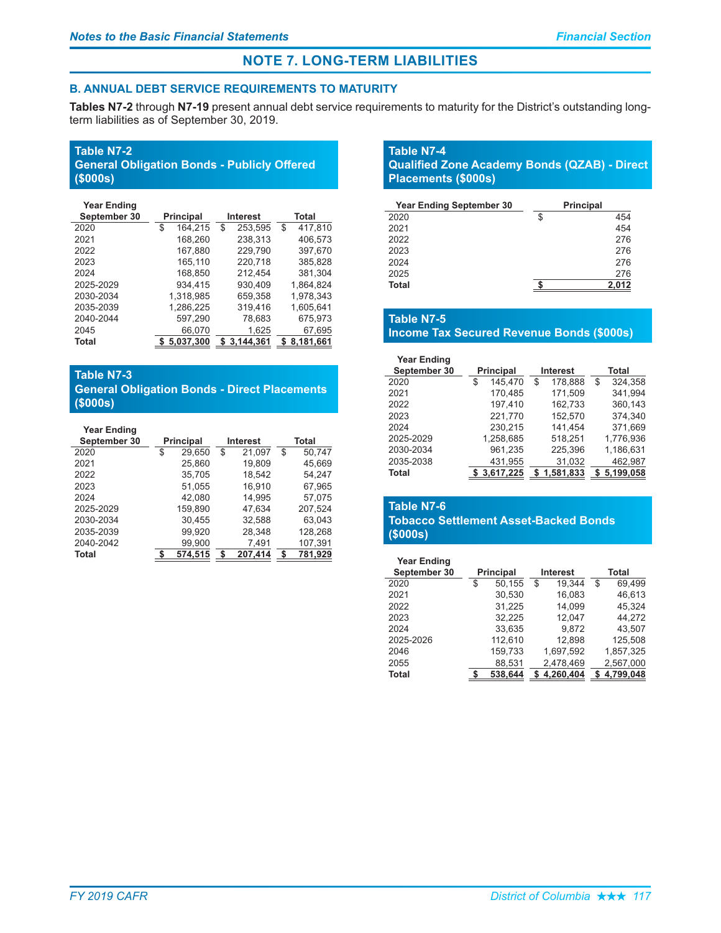### **B. ANNUAL DEBT SERVICE REQUIREMENTS TO MATURITY**

Tables N7-2 through N7-19 present annual debt service requirements to maturity for the District's outstanding longterm liabilities as of September 30, 2019.

# **Table N7-2**

|          | <b>General Obligation Bonds - Publicly Offered</b> |  |
|----------|----------------------------------------------------|--|
| (\$000s) |                                                    |  |

| <b>Year Ending</b> |                  |                 |               |
|--------------------|------------------|-----------------|---------------|
| September 30       | <b>Principal</b> | <b>Interest</b> | Total         |
| 2020               | 164,215<br>\$    | \$<br>253,595   | \$<br>417,810 |
| 2021               | 168,260          | 238,313         | 406,573       |
| 2022               | 167.880          | 229.790         | 397.670       |
| 2023               | 165.110          | 220.718         | 385.828       |
| 2024               | 168,850          | 212,454         | 381,304       |
| 2025-2029          | 934.415          | 930.409         | 1,864,824     |
| 2030-2034          | 1,318,985        | 659.358         | 1,978,343     |
| 2035-2039          | 1,286,225        | 319,416         | 1,605,641     |
| 2040-2044          | 597,290          | 78,683          | 675,973       |
| 2045               | 66,070           | 1,625           | 67,695        |
| Total              | 5,037,300        | 3,144,361       | 8,181,661     |
|                    |                  |                 |               |

### **Table N7-3**

### **General Obligation Bonds - Direct Placements**  $$000s)$

| <b>Year Ending</b> |                  |                 |         |    |         |  |  |
|--------------------|------------------|-----------------|---------|----|---------|--|--|
| September 30       | <b>Principal</b> | <b>Interest</b> |         |    | Total   |  |  |
| 2020               | \$<br>29,650     | \$              | 21,097  | \$ | 50,747  |  |  |
| 2021               | 25,860           |                 | 19,809  |    | 45,669  |  |  |
| 2022               | 35.705           |                 | 18.542  |    | 54.247  |  |  |
| 2023               | 51,055           |                 | 16,910  |    | 67,965  |  |  |
| 2024               | 42,080           |                 | 14,995  |    | 57,075  |  |  |
| 2025-2029          | 159.890          |                 | 47.634  |    | 207.524 |  |  |
| 2030-2034          | 30,455           |                 | 32,588  |    | 63,043  |  |  |
| 2035-2039          | 99,920           |                 | 28,348  |    | 128,268 |  |  |
| 2040-2042          | 99.900           |                 | 7.491   |    | 107.391 |  |  |
| Total              | 574.515          | S               | 207.414 |    | 781.929 |  |  |

### **Table N7-4 Qualified Zone Academy Bonds (QZAB) - Direct Placements (\$000s)**

| <b>Year Ending September 30</b> | <b>Principal</b> |
|---------------------------------|------------------|
| 2020                            | \$<br>454        |
| 2021                            | 454              |
| 2022                            | 276              |
| 2023                            | 276              |
| 2024                            | 276              |
| 2025                            | 276              |
| <b>Total</b>                    | 2,012            |

# **Table N7-5**

# **Income Tax Secured Revenue Bonds (\$000s)**

| <b>Year Ending</b> |                  |               |               |
|--------------------|------------------|---------------|---------------|
| September 30       | <b>Principal</b> | Interest      | Total         |
| 2020               | \$<br>145,470    | \$<br>178,888 | \$<br>324,358 |
| 2021               | 170.485          | 171,509       | 341,994       |
| 2022               | 197.410          | 162,733       | 360.143       |
| 2023               | 221,770          | 152,570       | 374,340       |
| 2024               | 230.215          | 141.454       | 371.669       |
| 2025-2029          | 1.258.685        | 518,251       | 1,776,936     |
| 2030-2034          | 961,235          | 225,396       | 1,186,631     |
| 2035-2038          | 431,955          | 31,032        | 462,987       |
| Total              | \$3.617.225      | 1.581.833     | 5.199.058     |

### **Table N7-6 Tobacco Settlement Asset-Backed Bonds**  $($000s)$

| <b>Year Ending</b><br>September 30 | <b>Principal</b> | <b>Interest</b> | Total        |
|------------------------------------|------------------|-----------------|--------------|
| 2020                               | \$<br>50,155     | \$<br>19.344    | \$<br>69.499 |
| 2021                               | 30,530           | 16,083          | 46,613       |
| 2022                               | 31,225           | 14,099          | 45,324       |
| 2023                               | 32,225           | 12.047          | 44.272       |
| 2024                               | 33,635           | 9,872           | 43,507       |
| 2025-2026                          | 112,610          | 12.898          | 125,508      |
| 2046                               | 159,733          | 1,697,592       | 1,857,325    |
| 2055                               | 88,531           | 2,478,469       | 2,567,000    |
| Total                              | 538.644          | 4.260.404       | 4.799.048    |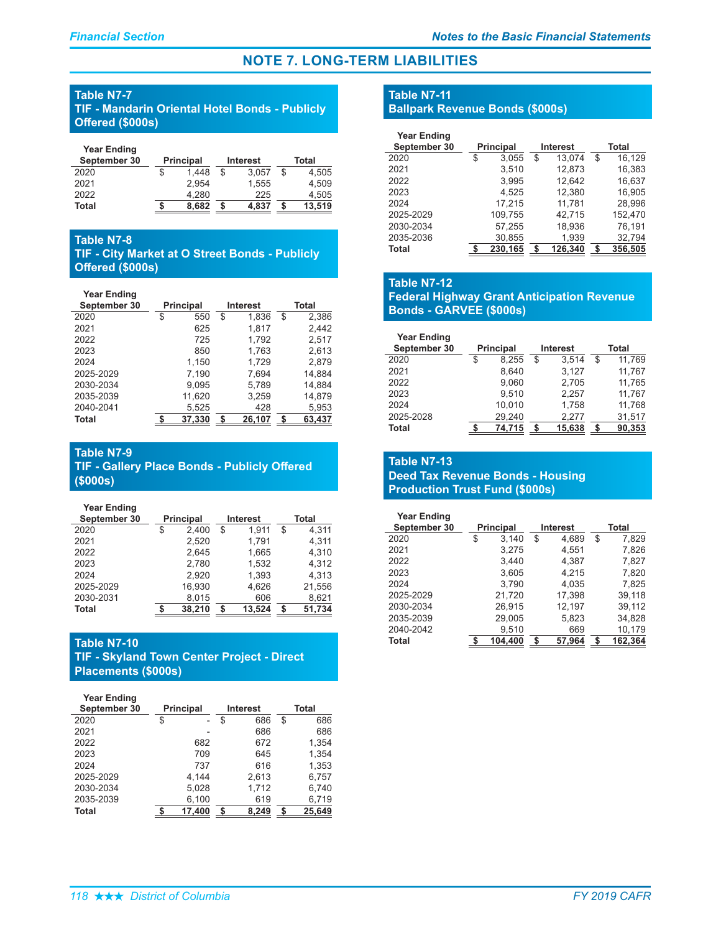# **Table N7-7**

**TIF - Mandarin Oriental Hotel Bonds - Publicly Offered (\$000s)** 

| <b>Year Ending</b> |                  |   |          |             |
|--------------------|------------------|---|----------|-------------|
| September 30       | <b>Principal</b> |   | Interest | Total       |
| 2020               | 1.448            | S | 3.057    | \$<br>4.505 |
| 2021               | 2.954            |   | 1.555    | 4.509       |
| 2022               | 4.280            |   | 225      | 4.505       |
| Total              | 8.682            |   | 4.837    | 13,519      |

# **Table N7-8**

**TIF - City Market at O Street Bonds - Publicly Offered (\$000s)** 

#### **Year Ending**

| September 30 | <b>Principal</b> |        | <b>Interest</b> |        | Total       |
|--------------|------------------|--------|-----------------|--------|-------------|
| 2020         | \$               | 550    | \$              | 1.836  | \$<br>2,386 |
| 2021         |                  | 625    |                 | 1.817  | 2,442       |
| 2022         |                  | 725    |                 | 1,792  | 2,517       |
| 2023         |                  | 850    |                 | 1,763  | 2,613       |
| 2024         |                  | 1,150  |                 | 1.729  | 2.879       |
| 2025-2029    |                  | 7,190  |                 | 7,694  | 14,884      |
| 2030-2034    |                  | 9,095  |                 | 5,789  | 14,884      |
| 2035-2039    |                  | 11,620 |                 | 3,259  | 14,879      |
| 2040-2041    |                  | 5,525  |                 | 428    | 5,953       |
| Total        |                  | 37.330 | \$              | 26,107 | 63.437      |

### **Table N7-9**

**TIF - Gallery Place Bonds - Publicly Offered**  $($000s)$ 

| September 30 | <b>Principal</b> |        | <b>Interest</b> |        | Total        |
|--------------|------------------|--------|-----------------|--------|--------------|
| 2020         | \$               | 2.400  | \$              | 1.911  | \$<br>4.311  |
| 2021         |                  | 2,520  |                 | 1,791  | 4,311        |
| 2022         |                  | 2,645  |                 | 1,665  | 4,310        |
| 2023         |                  | 2.780  |                 | 1.532  | 4.312        |
| 2024         |                  | 2.920  |                 | 1.393  | 4.313        |
| 2025-2029    |                  | 16.930 |                 | 4.626  | 21,556       |
| 2030-2031    |                  | 8,015  |                 | 606    | 8,621        |
| Total        |                  | 38.210 | S               | 13.524 | \$<br>51,734 |

# **Table N7-10**

**TIF - Skyland Town Center Project - Direct Placements (\$000s)** 

| <b>Year Ending</b><br>September 30 | <b>Principal</b> | <b>Interest</b> | <b>Total</b> |
|------------------------------------|------------------|-----------------|--------------|
| 2020                               | \$               | \$<br>686       | \$<br>686    |
| 2021                               |                  | 686             | 686          |
| 2022                               | 682              | 672             | 1,354        |
| 2023                               | 709              | 645             | 1,354        |
| 2024                               | 737              | 616             | 1,353        |
| 2025-2029                          | 4.144            | 2,613           | 6,757        |
| 2030-2034                          | 5,028            | 1,712           | 6,740        |
| 2035-2039                          | 6,100            | 619             | 6,719        |
| Total                              | 17.400           | 8.249           | \$<br>25.649 |

# **Table N7-11**

### **Ballpark Revenue Bonds (\$000s)**

| <b>Year Ending</b><br>September 30 | <b>Principal</b> | <b>Interest</b> | Total         |
|------------------------------------|------------------|-----------------|---------------|
| 2020                               | \$<br>3,055      | \$<br>13.074    | \$<br>16,129  |
| 2021                               | 3.510            | 12,873          | 16,383        |
| 2022                               | 3.995            | 12.642          | 16,637        |
| 2023                               | 4.525            | 12,380          | 16.905        |
| 2024                               | 17,215           | 11,781          | 28,996        |
| 2025-2029                          | 109,755          | 42,715          | 152,470       |
| 2030-2034                          | 57.255           | 18.936          | 76.191        |
| 2035-2036                          | 30,855           | 1,939           | 32,794        |
| Total                              | 230,165          | 126,340         | \$<br>356,505 |

### **Table N7-12**

### **Federal Highway Grant Anticipation Revenue Bonds - GARVEE (\$000s)**

| <b>Year Ending</b> |                  |                 |              |
|--------------------|------------------|-----------------|--------------|
| September 30       | <b>Principal</b> | <b>Interest</b> | Total        |
| 2020               | \$<br>8.255      | \$<br>3,514     | \$<br>11.769 |
| 2021               | 8.640            | 3.127           | 11.767       |
| 2022               | 9.060            | 2,705           | 11.765       |
| 2023               | 9.510            | 2.257           | 11,767       |
| 2024               | 10.010           | 1,758           | 11,768       |
| 2025-2028          | 29,240           | 2.277           | 31,517       |
| Total              | 74.715           | 15,638          | \$<br>90,353 |

### **Table N7-13 Deed Tax Revenue Bonds - Housing Production Trust Fund (\$000s)**

| <b>Year Ending</b> |                  |                 |    |         |
|--------------------|------------------|-----------------|----|---------|
| September 30       | <b>Principal</b> | <b>Interest</b> |    | Total   |
| 2020               | \$<br>3.140      | \$<br>4,689     | \$ | 7,829   |
| 2021               | 3.275            | 4.551           |    | 7.826   |
| 2022               | 3.440            | 4.387           |    | 7,827   |
| 2023               | 3,605            | 4.215           |    | 7,820   |
| 2024               | 3.790            | 4.035           |    | 7.825   |
| 2025-2029          | 21,720           | 17,398          |    | 39.118  |
| 2030-2034          | 26.915           | 12,197          |    | 39.112  |
| 2035-2039          | 29,005           | 5,823           |    | 34,828  |
| 2040-2042          | 9,510            | 669             |    | 10,179  |
| Total              | 104.400          | \$<br>57.964    | \$ | 162,364 |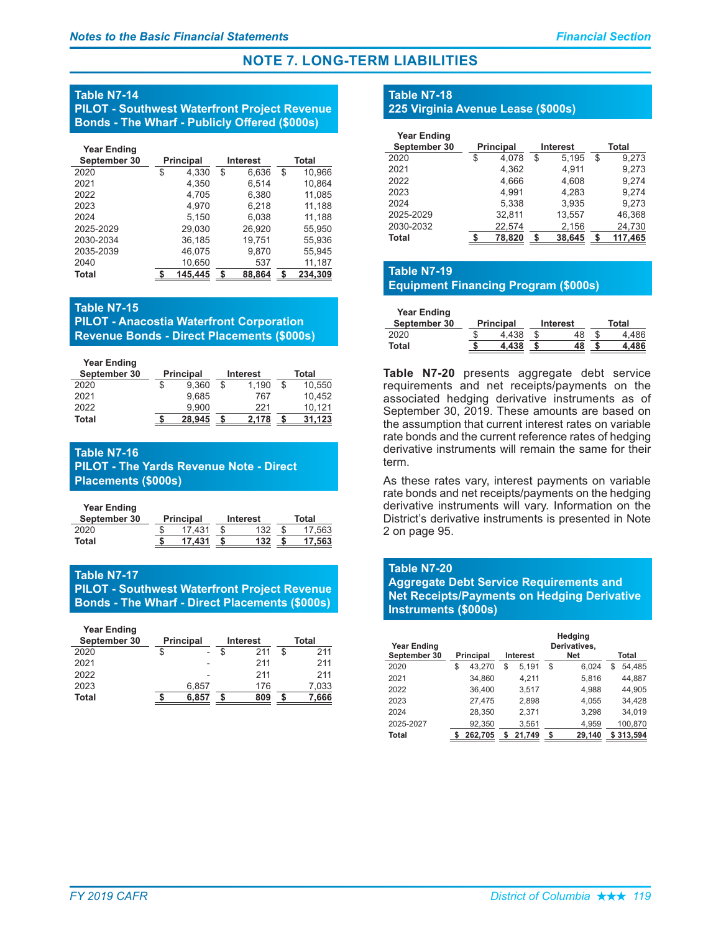#### **Table N7-14**

**PILOT - Southwest Waterfront Project Revenue** Bonds - The Wharf - Publicly Offered (\$000s)

| <b>Year Ending</b> |                  |                 |       |         |  |
|--------------------|------------------|-----------------|-------|---------|--|
| September 30       | <b>Principal</b> | <b>Interest</b> | Total |         |  |
| 2020               | \$<br>4,330      | \$<br>6,636     | \$    | 10,966  |  |
| 2021               | 4,350            | 6.514           |       | 10,864  |  |
| 2022               | 4,705            | 6,380           |       | 11,085  |  |
| 2023               | 4.970            | 6,218           |       | 11,188  |  |
| 2024               | 5.150            | 6.038           |       | 11,188  |  |
| 2025-2029          | 29,030           | 26,920          |       | 55,950  |  |
| 2030-2034          | 36,185           | 19.751          |       | 55,936  |  |
| 2035-2039          | 46,075           | 9,870           |       | 55.945  |  |
| 2040               | 10,650           | 537             |       | 11,187  |  |
| Total              | 145.445          | \$<br>88.864    | S     | 234.309 |  |

#### **Table N7-15**

**PILOT - Anacostia Waterfront Corporation Revenue Bonds - Direct Placements (\$000s)** 

| $\frac{1}{2}$ |  |  |
|---------------|--|--|
|               |  |  |

| <b>Year Ending</b> |                  |          |    |        |
|--------------------|------------------|----------|----|--------|
| September 30       | <b>Principal</b> | Interest |    | Total  |
| 2020               | 9.360            | 1.190    | \$ | 10.550 |
| 2021               | 9.685            | 767      |    | 10.452 |
| 2022               | 9.900            | 221      |    | 10.121 |
| Total              | 28.945           | 2.178    | S  | 31.123 |

### **Table N7-16**

**PILOT - The Yards Revenue Note - Direct Placements (\$000s)** 

**Year Ending** 

| September 30 | <b>Principal</b> | Interest | Total |        |  |
|--------------|------------------|----------|-------|--------|--|
| 2020         | 17.431           | 132      |       | 17.563 |  |
| Total        | 17.431           | 132      |       | 17.563 |  |

### **Table N7-17**

**PILOT - Southwest Waterfront Project Revenue Bonds - The Wharf - Direct Placements (\$000s)** 

| <b>Year Ending</b> |                  |          |       |       |  |
|--------------------|------------------|----------|-------|-------|--|
| September 30       | <b>Principal</b> | Interest | Total |       |  |
| 2020               |                  | 211      | \$    | 211   |  |
| 2021               |                  | 211      |       | 211   |  |
| 2022               |                  | 211      |       | 211   |  |
| 2023               | 6,857            | 176      |       | 7,033 |  |
| <b>Total</b>       | 6.857            | 809      |       | 7.666 |  |

### **Table N7-18**

### **225 Virginia Avenue Lease (\$000s)**

| <b>Year Ending</b><br>September 30 | <b>Principal</b> |    | <b>Interest</b> |    | Total   |
|------------------------------------|------------------|----|-----------------|----|---------|
| 2020                               | \$<br>4.078      | \$ | 5.195           | \$ | 9.273   |
| 2021                               | 4,362            |    | 4,911           |    | 9,273   |
| 2022                               | 4,666            |    | 4,608           |    | 9.274   |
| 2023                               | 4.991            |    | 4.283           |    | 9.274   |
| 2024                               | 5,338            |    | 3,935           |    | 9.273   |
| 2025-2029                          | 32,811           |    | 13,557          |    | 46,368  |
| 2030-2032                          | 22,574           |    | 2,156           |    | 24,730  |
| Total                              | 78.820           | S  | 38,645          | S  | 117.465 |

# **Table N7-19**

### **Equipment Financing Program (\$000s)**

**Year Ending** 

| September 30 | <b>Principal</b> | Interest | Total |       |  |
|--------------|------------------|----------|-------|-------|--|
| 2020         | 4 438            | 48       |       |       |  |
| Total        | .438             | 48       |       | . 486 |  |

Table N7-20 presents aggregate debt service requirements and net receipts/payments on the associated hedging derivative instruments as of September 30, 2019. These amounts are based on the assumption that current interest rates on variable rate bonds and the current reference rates of hedging derivative instruments will remain the same for their term.

As these rates vary, interest payments on variable rate bonds and net receipts/payments on the hedging derivative instruments will vary. Information on the District's derivative instruments is presented in Note 2 on page 95.

#### **Table N7-20**

**Aggregate Debt Service Requirements and Net Receipts/Payments on Hedging Derivative Instruments (\$000s)** 

| Year Ending<br>September 30 | <b>Principal</b> | <b>Interest</b> | Hedging<br>Derivatives,<br><b>Net</b> | Total        |
|-----------------------------|------------------|-----------------|---------------------------------------|--------------|
| 2020                        | \$<br>43.270     | \$<br>5,191     | \$<br>6.024                           | \$<br>54,485 |
| 2021                        | 34,860           | 4,211           | 5,816                                 | 44,887       |
| 2022                        | 36,400           | 3.517           | 4.988                                 | 44.905       |
| 2023                        | 27.475           | 2.898           | 4.055                                 | 34,428       |
| 2024                        | 28.350           | 2,371           | 3.298                                 | 34,019       |
| 2025-2027                   | 92.350           | 3.561           | 4.959                                 | 100.870      |
| Total                       | 262.705          | 21.749          | 29.140                                | \$313.594    |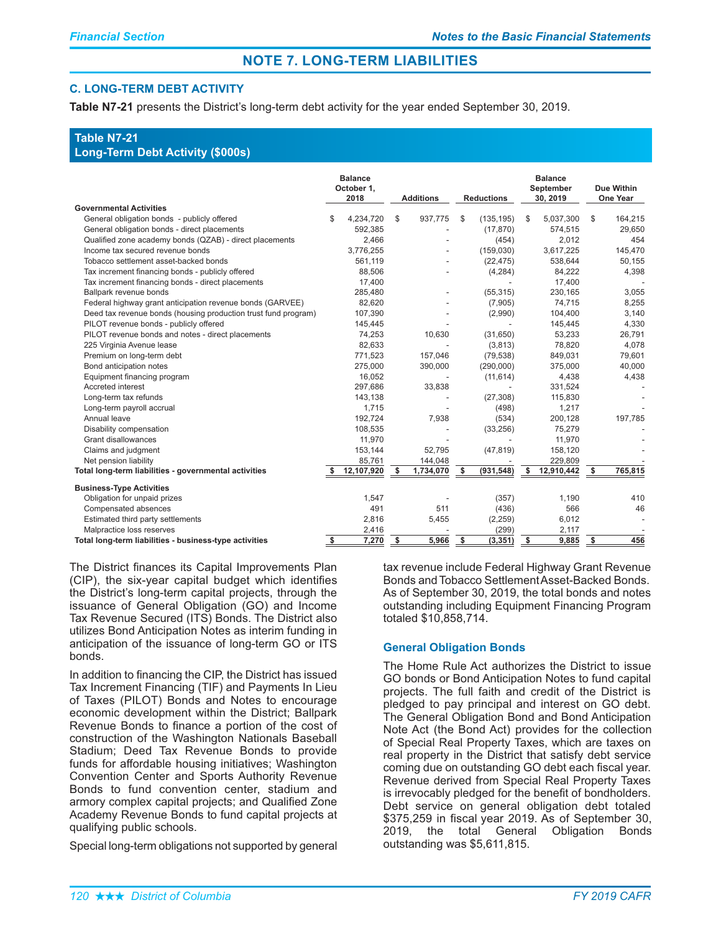### **C. LONG-TERM DEBT ACTIVITY**

Table N7-21 presents the District's long-term debt activity for the year ended September 30, 2019.

### **Table N7-21 Long-Term Debt Activity (\$000s)**

|                                                                |            | <b>Balance</b><br>October 1,<br>2018 |      | <b>Additions</b> |            | <b>Reductions</b> |               | <b>Balance</b><br>September<br>30, 2019 |            | Due Within<br>One Year |  |
|----------------------------------------------------------------|------------|--------------------------------------|------|------------------|------------|-------------------|---------------|-----------------------------------------|------------|------------------------|--|
| <b>Governmental Activities</b>                                 |            |                                      |      |                  |            |                   |               |                                         |            |                        |  |
| General obligation bonds - publicly offered                    | \$         | 4,234,720                            | \$   | 937,775          | \$         | (135, 195)        | S             | 5,037,300                               | \$         | 164,215                |  |
| General obligation bonds - direct placements                   |            | 592,385                              |      |                  |            | (17, 870)         |               | 574,515                                 |            | 29,650                 |  |
| Qualified zone academy bonds (QZAB) - direct placements        |            | 2,466                                |      |                  |            | (454)             |               | 2,012                                   |            | 454                    |  |
| Income tax secured revenue bonds                               |            | 3,776,255                            |      |                  |            | (159,030)         |               | 3,617,225                               |            | 145,470                |  |
| Tobacco settlement asset-backed bonds                          |            | 561,119                              |      |                  |            | (22, 475)         |               | 538,644                                 |            | 50,155                 |  |
| Tax increment financing bonds - publicly offered               |            | 88,506                               |      |                  |            | (4,284)           |               | 84,222                                  |            | 4,398                  |  |
| Tax increment financing bonds - direct placements              |            | 17,400                               |      |                  |            |                   |               | 17,400                                  |            |                        |  |
| Ballpark revenue bonds                                         |            | 285,480                              |      | ٠                |            | (55, 315)         |               | 230,165                                 |            | 3,055                  |  |
| Federal highway grant anticipation revenue bonds (GARVEE)      |            | 82,620                               |      |                  |            | (7,905)           |               | 74,715                                  |            | 8,255                  |  |
| Deed tax revenue bonds (housing production trust fund program) |            | 107,390                              |      |                  |            | (2,990)           |               | 104,400                                 |            | 3,140                  |  |
| PILOT revenue bonds - publicly offered                         |            | 145,445                              |      |                  |            |                   |               | 145,445                                 |            | 4,330                  |  |
| PILOT revenue bonds and notes - direct placements              |            | 74,253                               |      | 10,630           |            | (31,650)          |               | 53,233                                  |            | 26,791                 |  |
| 225 Virginia Avenue lease                                      |            | 82.633                               |      |                  |            | (3,813)           |               | 78.820                                  |            | 4,078                  |  |
| Premium on long-term debt                                      |            | 771,523                              |      | 157,046          |            | (79, 538)         |               | 849,031                                 |            | 79,601                 |  |
| Bond anticipation notes                                        |            | 275,000                              |      | 390,000          |            | (290,000)         |               | 375,000                                 |            | 40,000                 |  |
| Equipment financing program                                    |            | 16,052                               |      |                  |            | (11, 614)         |               | 4,438                                   |            | 4,438                  |  |
| Accreted interest                                              |            | 297,686                              |      | 33,838           |            |                   |               | 331,524                                 |            |                        |  |
| Long-term tax refunds                                          |            | 143,138                              |      |                  |            | (27, 308)         |               | 115,830                                 |            |                        |  |
| Long-term payroll accrual                                      |            | 1,715                                |      |                  |            | (498)             |               | 1,217                                   |            |                        |  |
| Annual leave                                                   |            | 192,724                              |      | 7,938            |            | (534)             |               | 200,128                                 |            | 197,785                |  |
| Disability compensation                                        |            | 108.535                              |      |                  |            | (33, 256)         |               | 75,279                                  |            |                        |  |
| Grant disallowances                                            |            | 11,970                               |      |                  |            |                   |               | 11,970                                  |            |                        |  |
| Claims and judgment                                            |            | 153,144                              |      | 52,795           |            | (47, 819)         |               | 158,120                                 |            |                        |  |
| Net pension liability                                          |            | 85,761                               |      | 144,048          |            |                   |               | 229,809                                 |            |                        |  |
| Total long-term liabilities - governmental activities          | -S         | 12,107,920                           | - \$ | 1,734,070        | s.         | (931, 548)        | \$.           | 12,910,442                              | - \$       | 765,815                |  |
| <b>Business-Type Activities</b>                                |            |                                      |      |                  |            |                   |               |                                         |            |                        |  |
| Obligation for unpaid prizes                                   |            | 1,547                                |      |                  |            | (357)             |               | 1,190                                   |            | 410                    |  |
| Compensated absences                                           |            | 491                                  |      | 511              |            | (436)             |               | 566                                     |            | 46                     |  |
| Estimated third party settlements                              |            | 2,816                                |      | 5,455            |            | (2,259)           |               | 6,012                                   |            |                        |  |
| Malpractice loss reserves                                      |            | 2,416                                |      |                  |            | (299)             |               | 2,117                                   |            |                        |  |
| Total long-term liabilities - business-type activities         | <u>_\$</u> | 7,270                                | -\$  | 5,966            | <u>_\$</u> | (3, 351)          | $\frac{1}{2}$ | 9,885                                   | <u>_\$</u> | 456                    |  |

The District finances its Capital Improvements Plan (CIP), the six-year capital budget which identifies the District's long-term capital projects, through the issuance of General Obligation (GO) and Income Tax Revenue Secured (ITS) Bonds. The District also utilizes Bond Anticipation Notes as interim funding in anticipation of the issuance of long-term GO or ITS bonds.

In addition to financing the CIP, the District has issued Tax Increment Financing (TIF) and Payments In Lieu of Taxes (PILOT) Bonds and Notes to encourage economic development within the District; Ballpark Revenue Bonds to finance a portion of the cost of construction of the Washington Nationals Baseball Stadium; Deed Tax Revenue Bonds to provide funds for affordable housing initiatives; Washington Convention Center and Sports Authority Revenue Bonds to fund convention center, stadium and armory complex capital projects; and Qualified Zone Academy Revenue Bonds to fund capital projects at qualifying public schools.

Special long-term obligations not supported by general

tax revenue include Federal Highway Grant Revenue Bonds and Tobacco Settlement Asset-Backed Bonds. As of September 30, 2019, the total bonds and notes outstanding including Equipment Financing Program totaled \$10,858,714.

### **General Obligation Bonds**

The Home Rule Act authorizes the District to issue GO bonds or Bond Anticipation Notes to fund capital projects. The full faith and credit of the District is pledged to pay principal and interest on GO debt. The General Obligation Bond and Bond Anticipation Note Act (the Bond Act) provides for the collection of Special Real Property Taxes, which are taxes on real property in the District that satisfy debt service coming due on outstanding GO debt each fiscal year. Revenue derived from Special Real Property Taxes is irrevocably pledged for the benefit of bondholders. Debt service on general obligation debt totaled \$375,259 in fiscal year 2019. As of September 30, 2019, the total General Obligation Bonds outstanding was \$5,611,815.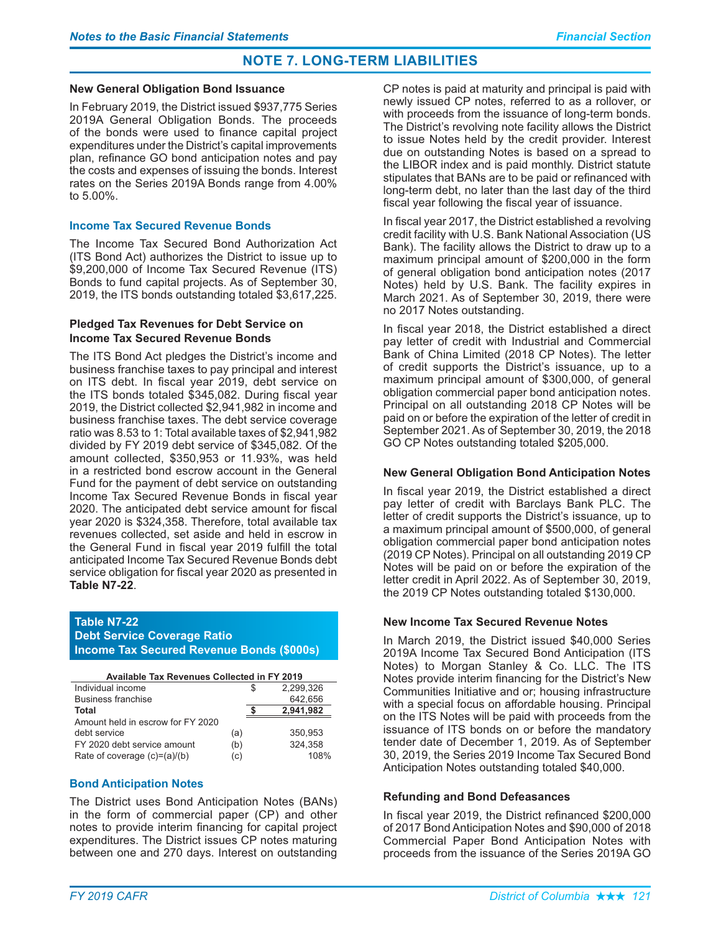#### **New General Obligation Bond Issuance**

In February 2019, the District issued \$937,775 Series 2019A General Obligation Bonds. The proceeds of the bonds were used to finance capital project expenditures under the District's capital improvements plan, refinance GO bond anticipation notes and pay the costs and expenses of issuing the bonds. Interest rates on the Series 2019A Bonds range from 4.00% to 5.00%.

### **Income Tax Secured Revenue Bonds**

The Income Tax Secured Bond Authorization Act (ITS Bond Act) authorizes the District to issue up to \$9,200,000 of Income Tax Secured Revenue (ITS) Bonds to fund capital projects. As of September 30, 2019, the ITS bonds outstanding totaled \$3,617,225.

#### **Pledged Tax Revenues for Debt Service on Income Tax Secured Revenue Bonds**

The ITS Bond Act pledges the District's income and business franchise taxes to pay principal and interest on ITS debt. In fiscal year 2019, debt service on the ITS bonds totaled \$345,082. During fiscal year 2019, the District collected \$2,941,982 in income and business franchise taxes. The debt service coverage ratio was 8.53 to 1: Total available taxes of \$2,941,982 divided by FY 2019 debt service of \$345,082. Of the amount collected, \$350,953 or 11.93%, was held in a restricted bond escrow account in the General Fund for the payment of debt service on outstanding Income Tax Secured Revenue Bonds in fiscal year 2020. The anticipated debt service amount for fiscal year 2020 is \$324,358. Therefore, total available tax revenues collected, set aside and held in escrow in the General Fund in fiscal vear 2019 fulfill the total anticipated Income Tax Secured Revenue Bonds debt service obligation for fiscal year 2020 as presented in Table N7-22.

### Table N7-22 **Debt Service Coverage Ratio Income Tax Secured Revenue Bonds (\$000s)**

| <b>Available Tax Revenues Collected in FY 2019</b> |     |           |
|----------------------------------------------------|-----|-----------|
| Individual income                                  |     | 2.299.326 |
| <b>Business franchise</b>                          |     | 642,656   |
| Total                                              |     | 2,941,982 |
| Amount held in escrow for FY 2020                  |     |           |
| debt service                                       | (a) | 350.953   |
| FY 2020 debt service amount                        | (b) | 324,358   |
| Rate of coverage $(c)=(a)/(b)$                     | (c) | 108%      |

### **Bond Anticipation Notes**

The District uses Bond Anticipation Notes (BANs) in the form of commercial paper (CP) and other notes to provide interim financing for capital project expenditures. The District issues CP notes maturing between one and 270 days. Interest on outstanding

CP notes is paid at maturity and principal is paid with newly issued CP notes, referred to as a rollover, or with proceeds from the issuance of long-term bonds. The District's revolving note facility allows the District to issue Notes held by the credit provider. Interest due on outstanding Notes is based on a spread to the LIBOR index and is paid monthly. District statute stipulates that BANs are to be paid or refinanced with long-term debt, no later than the last day of the third fiscal year following the fiscal year of issuance.

In fiscal year 2017, the District established a revolving credit facility with U.S. Bank National Association (US Bank). The facility allows the District to draw up to a maximum principal amount of \$200,000 in the form of general obligation bond anticipation notes (2017 Notes) held by U.S. Bank. The facility expires in March 2021. As of September 30, 2019, there were no 2017 Notes outstanding.

In fiscal year 2018, the District established a direct pay letter of credit with Industrial and Commercial Bank of China Limited (2018 CP Notes). The letter of credit supports the District's issuance, up to a maximum principal amount of \$300,000, of general obligation commercial paper bond anticipation notes. Principal on all outstanding 2018 CP Notes will be paid on or before the expiration of the letter of credit in September 2021. As of September 30, 2019, the 2018 GO CP Notes outstanding totaled \$205,000.

#### **New General Obligation Bond Anticipation Notes**

In fiscal year 2019, the District established a direct pay letter of credit with Barclays Bank PLC. The letter of credit supports the District's issuance, up to a maximum principal amount of \$500,000, of general obligation commercial paper bond anticipation notes (2019 CP Notes). Principal on all outstanding 2019 CP Notes will be paid on or before the expiration of the letter credit in April 2022. As of September 30, 2019, the 2019 CP Notes outstanding totaled \$130,000.

### **New Income Tax Secured Revenue Notes**

In March 2019, the District issued \$40,000 Series 2019A Income Tax Secured Bond Anticipation (ITS Notes) to Morgan Stanley & Co. LLC. The ITS Notes provide interim financing for the District's New Communities Initiative and or; housing infrastructure with a special focus on affordable housing. Principal on the ITS Notes will be paid with proceeds from the issuance of ITS bonds on or before the mandatory tender date of December 1, 2019. As of September 30, 2019, the Series 2019 Income Tax Secured Bond Anticipation Notes outstanding totaled \$40,000.

#### **Refunding and Bond Defeasances**

In fiscal year 2019, the District refinanced \$200,000 of 2017 Bond Anticipation Notes and \$90,000 of 2018 Commercial Paper Bond Anticipation Notes with proceeds from the issuance of the Series 2019A GO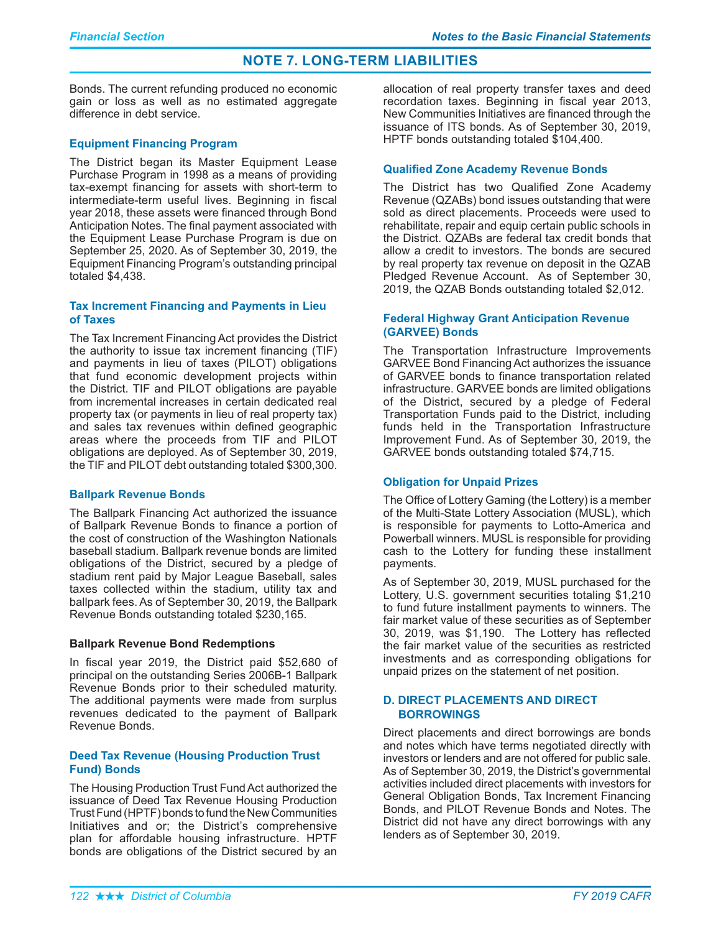Bonds. The current refunding produced no economic gain or loss as well as no estimated aggregate difference in debt service.

### **Equipment Financing Program**

The District began its Master Equipment Lease Purchase Program in 1998 as a means of providing tax-exempt financing for assets with short-term to intermediate-term useful lives. Beginning in fiscal year 2018, these assets were financed through Bond Anticipation Notes. The final payment associated with the Equipment Lease Purchase Program is due on September 25, 2020. As of September 30, 2019, the Equipment Financing Program's outstanding principal totaled \$4,438.

### Tax Increment Financing and Payments in Lieu of Taxes

The Tax Increment Financing Act provides the District the authority to issue tax increment financing (TIF) and payments in lieu of taxes (PILOT) obligations that fund economic development projects within the District. TIF and PILOT obligations are payable from incremental increases in certain dedicated real property tax (or payments in lieu of real property tax) and sales tax revenues within defined geographic areas where the proceeds from TIF and PILOT obligations are deployed. As of September 30, 2019, the TIF and PILOT debt outstanding totaled \$300,300.

### **Ballpark Revenue Bonds**

The Ballpark Financing Act authorized the issuance of Ballpark Revenue Bonds to finance a portion of the cost of construction of the Washington Nationals baseball stadium. Ballpark revenue bonds are limited obligations of the District, secured by a pledge of stadium rent paid by Major League Baseball, sales taxes collected within the stadium, utility tax and ballpark fees. As of September 30, 2019, the Ballpark Revenue Bonds outstanding totaled \$230,165.

### **Ballpark Revenue Bond Redemptions**

In fiscal year 2019, the District paid \$52,680 of principal on the outstanding Series 2006B-1 Ballpark Revenue Bonds prior to their scheduled maturity. The additional payments were made from surplus revenues dedicated to the payment of Ballpark Revenue Bonds.

### **Deed Tax Revenue (Housing Production Trust Fund) Bonds**

The Housing Production Trust Fund Act authorized the issuance of Deed Tax Revenue Housing Production Trust Fund (HPTF) bonds to fund the New Communities Initiatives and or; the District's comprehensive plan for affordable housing infrastructure. HPTF bonds are obligations of the District secured by an allocation of real property transfer taxes and deed recordation taxes. Beginning in fiscal year 2013, New Communities Initiatives are financed through the issuance of ITS bonds. As of September 30, 2019, HPTF bonds outstanding totaled \$104,400.

### **Qualified Zone Academy Revenue Bonds**

The District has two Qualified Zone Academy Revenue (QZABs) bond issues outstanding that were sold as direct placements. Proceeds were used to rehabilitate, repair and equip certain public schools in the District. QZABs are federal tax credit bonds that allow a credit to investors. The bonds are secured by real property tax revenue on deposit in the QZAB Pledged Revenue Account. As of September 30, 2019, the QZAB Bonds outstanding totaled \$2,012.

### **Federal Highway Grant Anticipation Revenue** (GARVEE) Bonds

The Transportation Infrastructure Improvements GARVEE Bond Financing Act authorizes the issuance of GARVEE bonds to finance transportation related infrastructure. GARVEE bonds are limited obligations of the District, secured by a pledge of Federal Transportation Funds paid to the District, including funds held in the Transportation Infrastructure Improvement Fund. As of September 30, 2019, the GARVEE bonds outstanding totaled \$74,715.

### **Obligation for Unpaid Prizes**

The Office of Lottery Gaming (the Lottery) is a member of the Multi-State Lottery Association (MUSL), which is responsible for payments to Lotto-America and Powerball winners. MUSL is responsible for providing cash to the Lottery for funding these installment payments.

As of September 30, 2019, MUSL purchased for the Lottery, U.S. government securities totaling \$1,210 to fund future installment payments to winners. The fair market value of these securities as of September 30, 2019, was \$1,190. The Lottery has reflected the fair market value of the securities as restricted investments and as corresponding obligations for unpaid prizes on the statement of net position.

### **D. DIRECT PLACEMENTS AND DIRECT BORROWINGS**

Direct placements and direct borrowings are bonds and notes which have terms negotiated directly with investors or lenders and are not offered for public sale. As of September 30, 2019, the District's governmental activities included direct placements with investors for General Obligation Bonds, Tax Increment Financing Bonds, and PILOT Revenue Bonds and Notes. The District did not have any direct borrowings with any lenders as of September 30, 2019.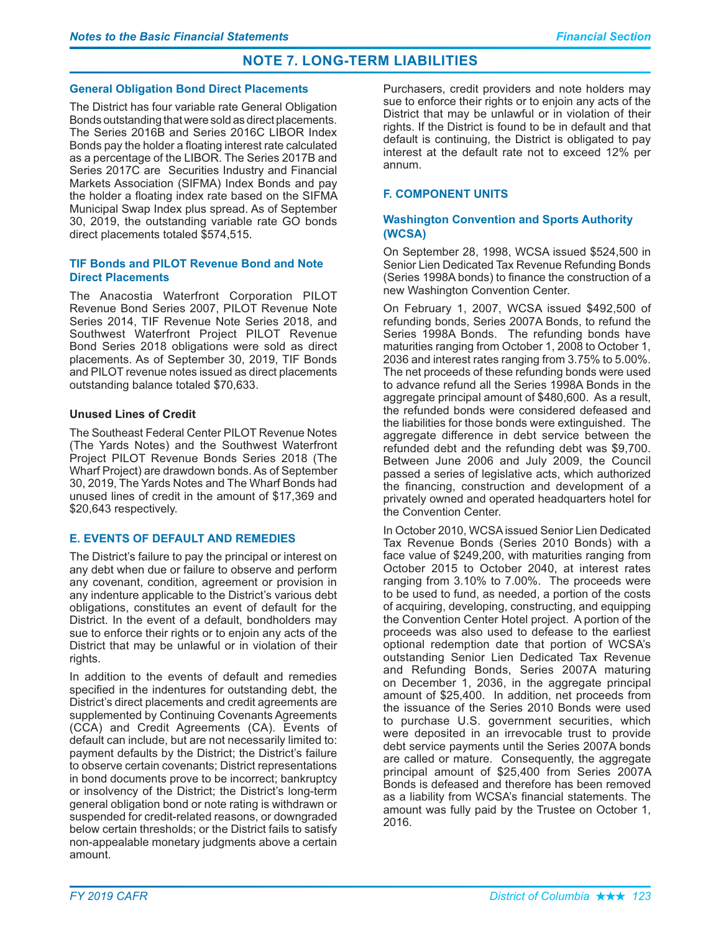### **General Obligation Bond Direct Placements**

The District has four variable rate General Obligation Bonds outstanding that were sold as direct placements. The Series 2016B and Series 2016C LIBOR Index Bonds pay the holder a floating interest rate calculated as a percentage of the LIBOR. The Series 2017B and Series 2017C are Securities Industry and Financial Markets Association (SIFMA) Index Bonds and pay the holder a floating index rate based on the SIFMA Municipal Swap Index plus spread. As of September 30, 2019, the outstanding variable rate GO bonds direct placements totaled \$574,515.

### **TIF Bonds and PILOT Revenue Bond and Note Direct Placements**

The Anacostia Waterfront Corporation PILOT Revenue Bond Series 2007, PILOT Revenue Note Series 2014, TIF Revenue Note Series 2018, and Southwest Waterfront Project PILOT Revenue Bond Series 2018 obligations were sold as direct placements. As of September 30, 2019, TIF Bonds and PILOT revenue notes issued as direct placements outstanding balance totaled \$70,633.

### **Unused Lines of Credit**

The Southeast Federal Center PILOT Revenue Notes (The Yards Notes) and the Southwest Waterfront Project PILOT Revenue Bonds Series 2018 (The Wharf Project) are drawdown bonds. As of September 30, 2019, The Yards Notes and The Wharf Bonds had unused lines of credit in the amount of \$17,369 and \$20,643 respectively.

### **E. EVENTS OF DEFAULT AND REMEDIES**

The District's failure to pay the principal or interest on any debt when due or failure to observe and perform any covenant, condition, agreement or provision in any indenture applicable to the District's various debt obligations, constitutes an event of default for the District. In the event of a default, bondholders may sue to enforce their rights or to enjoin any acts of the District that may be unlawful or in violation of their rights.

In addition to the events of default and remedies specified in the indentures for outstanding debt, the District's direct placements and credit agreements are supplemented by Continuing Covenants Agreements (CCA) and Credit Agreements (CA). Events of default can include, but are not necessarily limited to: payment defaults by the District; the District's failure to observe certain covenants; District representations in bond documents prove to be incorrect; bankruptcy or insolvency of the District; the District's long-term general obligation bond or note rating is withdrawn or suspended for credit-related reasons, or downgraded below certain thresholds; or the District fails to satisfy non-appealable monetary judgments above a certain amount.

Purchasers, credit providers and note holders may sue to enforce their rights or to enjoin any acts of the District that may be unlawful or in violation of their rights. If the District is found to be in default and that default is continuing, the District is obligated to pay interest at the default rate not to exceed 12% per annum.

### **F. COMPONENT UNITS**

### **Washington Convention and Sports Authority (WCSA)**

On September 28, 1998, WCSA issued \$524,500 in Senior Lien Dedicated Tax Revenue Refunding Bonds (Series 1998A bonds) to finance the construction of a new Washington Convention Center.

On February 1, 2007, WCSA issued \$492,500 of refunding bonds, Series 2007A Bonds, to refund the Series 1998A Bonds. The refunding bonds have maturities ranging from October 1, 2008 to October 1, 2036 and interest rates ranging from 3.75% to 5.00%. The net proceeds of these refunding bonds were used to advance refund all the Series 1998A Bonds in the aggregate principal amount of \$480,600. As a result, the refunded bonds were considered defeased and the liabilities for those bonds were extinguished. The aggregate difference in debt service between the refunded debt and the refunding debt was \$9,700. Between June 2006 and July 2009, the Council passed a series of legislative acts, which authorized the financing, construction and development of a privately owned and operated headquarters hotel for the Convention Center.

In October 2010, WCSA issued Senior Lien Dedicated Tax Revenue Bonds (Series 2010 Bonds) with a face value of \$249,200, with maturities ranging from October 2015 to October 2040, at interest rates ranging from 3.10% to 7.00%. The proceeds were to be used to fund, as needed, a portion of the costs of acquiring, developing, constructing, and equipping the Convention Center Hotel project. A portion of the proceeds was also used to defease to the earliest optional redemption date that portion of WCSA's outstanding Senior Lien Dedicated Tax Revenue and Refunding Bonds, Series 2007A maturing on December 1, 2036, in the aggregate principal amount of \$25,400. In addition, net proceeds from the issuance of the Series 2010 Bonds were used to purchase U.S. government securities, which were deposited in an irrevocable trust to provide debt service payments until the Series 2007A bonds are called or mature. Consequently, the aggregate principal amount of \$25,400 from Series 2007A Bonds is defeased and therefore has been removed as a liability from WCSA's financial statements. The amount was fully paid by the Trustee on October 1, 2016.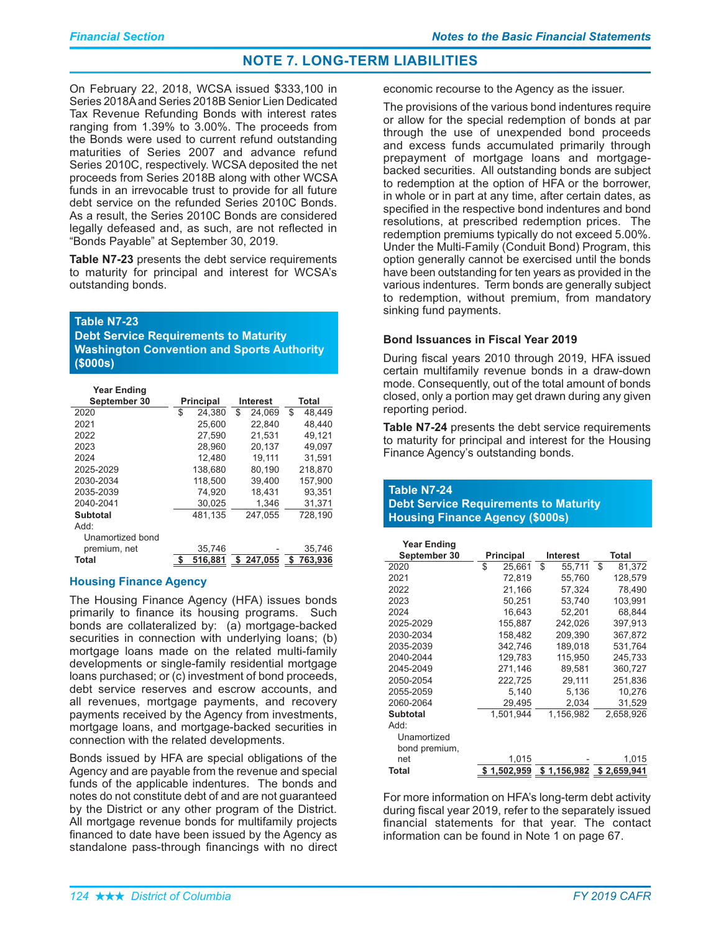On February 22, 2018, WCSA issued \$333,100 in Series 2018A and Series 2018B Senior Lien Dedicated Tax Revenue Refunding Bonds with interest rates ranging from 1.39% to 3.00%. The proceeds from the Bonds were used to current refund outstanding maturities of Series 2007 and advance refund Series 2010C, respectively. WCSA deposited the net proceeds from Series 2018B along with other WCSA funds in an irrevocable trust to provide for all future debt service on the refunded Series 2010C Bonds. As a result, the Series 2010C Bonds are considered legally defeased and, as such, are not reflected in "Bonds Payable" at September 30, 2019.

Table N7-23 presents the debt service requirements to maturity for principal and interest for WCSA's outstanding bonds.

Table N7-23

**Debt Service Requirements to Maturity Washington Convention and Sports Authority**  $($000s)$ 

| <b>Year Ending</b> |                  |    |                 |    |         |
|--------------------|------------------|----|-----------------|----|---------|
| September 30       | <b>Principal</b> |    | <b>Interest</b> |    | Total   |
| 2020               | \$<br>24.380     | \$ | 24.069          | \$ | 48.449  |
| 2021               | 25,600           |    | 22,840          |    | 48.440  |
| 2022               | 27.590           |    | 21.531          |    | 49.121  |
| 2023               | 28.960           |    | 20.137          |    | 49.097  |
| 2024               | 12.480           |    | 19.111          |    | 31.591  |
| 2025-2029          | 138.680          |    | 80,190          |    | 218,870 |
| 2030-2034          | 118,500          |    | 39,400          |    | 157.900 |
| 2035-2039          | 74.920           |    | 18.431          |    | 93.351  |
| 2040-2041          | 30,025           |    | 1,346           |    | 31,371  |
| Subtotal           | 481.135          |    | 247.055         |    | 728.190 |
| Add:               |                  |    |                 |    |         |
| Unamortized bond   |                  |    |                 |    |         |
| premium, net       | 35.746           |    |                 |    | 35.746  |
| Total              | \$<br>516.881    |    | \$247.055       | \$ | 763.936 |

### **Housing Finance Agency**

The Housing Finance Agency (HFA) issues bonds primarily to finance its housing programs. Such bonds are collateralized by: (a) mortgage-backed securities in connection with underlying loans; (b) mortgage loans made on the related multi-family developments or single-family residential mortgage loans purchased; or (c) investment of bond proceeds, debt service reserves and escrow accounts, and all revenues, mortgage payments, and recovery payments received by the Agency from investments, mortgage loans, and mortgage-backed securities in connection with the related developments.

Bonds issued by HFA are special obligations of the Agency and are payable from the revenue and special funds of the applicable indentures. The bonds and notes do not constitute debt of and are not guaranteed by the District or any other program of the District. All mortgage revenue bonds for multifamily projects financed to date have been issued by the Agency as standalone pass-through financings with no direct economic recourse to the Agency as the issuer.

The provisions of the various bond indentures require or allow for the special redemption of bonds at par through the use of unexpended bond proceeds and excess funds accumulated primarily through prepayment of mortgage loans and mortgagebacked securities. All outstanding bonds are subject to redemption at the option of HFA or the borrower. in whole or in part at any time, after certain dates, as specified in the respective bond indentures and bond resolutions, at prescribed redemption prices. The redemption premiums typically do not exceed 5.00%. Under the Multi-Family (Conduit Bond) Program, this option generally cannot be exercised until the bonds have been outstanding for ten years as provided in the various indentures. Term bonds are generally subject to redemption, without premium, from mandatory sinking fund payments.

### **Bond Issuances in Fiscal Year 2019**

During fiscal vears 2010 through 2019. HFA issued certain multifamily revenue bonds in a draw-down mode. Consequently, out of the total amount of bonds closed, only a portion may get drawn during any given reporting period.

Table N7-24 presents the debt service requirements to maturity for principal and interest for the Housing Finance Agency's outstanding bonds.

### Table N7-24 **Debt Service Requirements to Maturity Housing Finance Agency (\$000s)**

| <b>Year Ending</b> |                  |             |                 |              |
|--------------------|------------------|-------------|-----------------|--------------|
| September 30       | <b>Principal</b> |             | <b>Interest</b> | Total        |
| 2020               | \$               | 25.661      | \$<br>55.711    | \$<br>81.372 |
| 2021               |                  | 72,819      | 55,760          | 128,579      |
| 2022               |                  | 21,166      | 57,324          | 78,490       |
| 2023               |                  | 50,251      | 53,740          | 103.991      |
| 2024               |                  | 16,643      | 52,201          | 68,844       |
| 2025-2029          |                  | 155,887     | 242,026         | 397,913      |
| 2030-2034          |                  | 158,482     | 209,390         | 367,872      |
| 2035-2039          |                  | 342,746     | 189,018         | 531,764      |
| 2040-2044          |                  | 129,783     | 115.950         | 245,733      |
| 2045-2049          |                  | 271,146     | 89,581          | 360,727      |
| 2050-2054          |                  | 222,725     | 29,111          | 251,836      |
| 2055-2059          |                  | 5,140       | 5,136           | 10,276       |
| 2060-2064          |                  | 29,495      | 2,034           | 31,529       |
| <b>Subtotal</b>    |                  | 1,501,944   | 1,156,982       | 2,658,926    |
| Add:               |                  |             |                 |              |
| Unamortized        |                  |             |                 |              |
| bond premium,      |                  |             |                 |              |
| net                |                  | 1,015       |                 | 1,015        |
| Total              |                  | \$1,502,959 | \$1,156,982     | \$2,659,941  |

For more information on HFA's long-term debt activity during fiscal year 2019, refer to the separately issued financial statements for that year. The contact information can be found in Note 1 on page 67.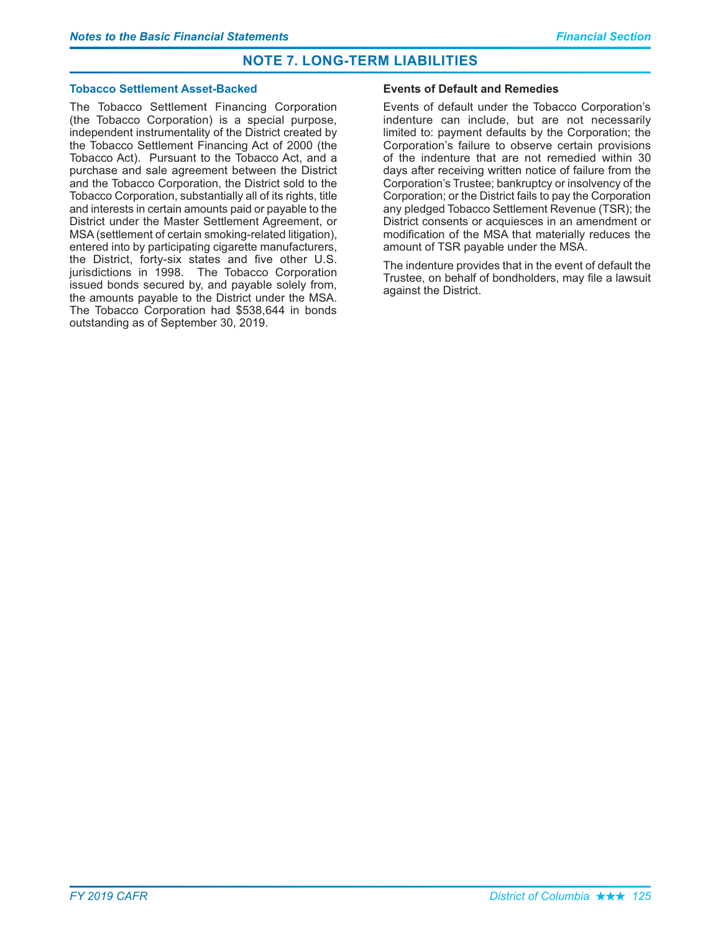### **Tobacco Settlement Asset-Backed**

The Tobacco Settlement Financing Corporation (the Tobacco Corporation) is a special purpose, independent instrumentality of the District created by the Tobacco Settlement Financing Act of 2000 (the Tobacco Act). Pursuant to the Tobacco Act. and a purchase and sale agreement between the District and the Tobacco Corporation, the District sold to the Tobacco Corporation, substantially all of its rights, title and interests in certain amounts paid or payable to the District under the Master Settlement Agreement, or MSA (settlement of certain smoking-related litigation), entered into by participating cigarette manufacturers, the District, forty-six states and five other U.S. jurisdictions in 1998. The Tobacco Corporation issued bonds secured by, and payable solely from, the amounts payable to the District under the MSA. The Tobacco Corporation had \$538,644 in bonds outstanding as of September 30, 2019.

### **Events of Default and Remedies**

Events of default under the Tobacco Corporation's indenture can include, but are not necessarily limited to: payment defaults by the Corporation; the Corporation's failure to observe certain provisions of the indenture that are not remedied within 30 days after receiving written notice of failure from the Corporation's Trustee: bankruptcy or insolvency of the Corporation; or the District fails to pay the Corporation any pledged Tobacco Settlement Revenue (TSR); the District consents or acquiesces in an amendment or modification of the MSA that materially reduces the amount of TSR payable under the MSA.

The indenture provides that in the event of default the Trustee, on behalf of bondholders, may file a lawsuit against the District.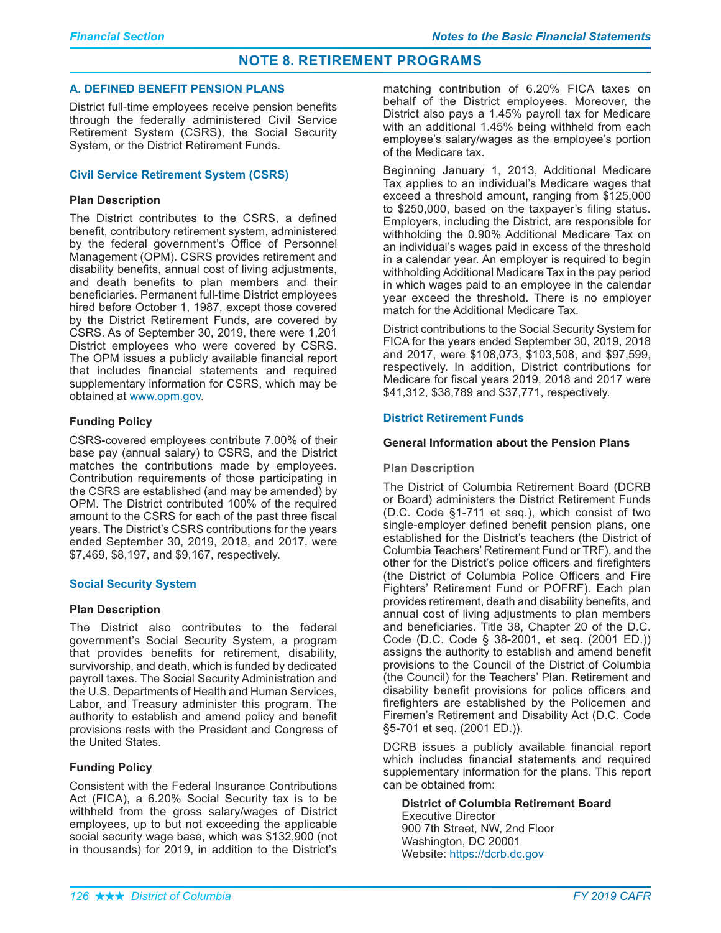### **A. DEFINED BENEFIT PENSION PLANS**

District full-time employees receive pension benefits through the federally administered Civil Service Retirement System (CSRS), the Social Security System, or the District Retirement Funds.

### **Civil Service Retirement System (CSRS)**

### **Plan Description**

The District contributes to the CSRS, a defined benefit, contributory retirement system, administered by the federal government's Office of Personnel Management (OPM). CSRS provides retirement and disability benefits, annual cost of living adjustments, and death benefits to plan members and their beneficiaries. Permanent full-time District employees hired before October 1, 1987, except those covered by the District Retirement Funds, are covered by CSRS. As of September 30, 2019, there were 1,201 District employees who were covered by CSRS. The OPM issues a publicly available financial report that includes financial statements and required supplementary information for CSRS, which may be obtained at www.opm.gov.

### **Funding Policy**

CSRS-covered employees contribute 7.00% of their base pay (annual salary) to CSRS, and the District matches the contributions made by employees. Contribution requirements of those participating in the CSRS are established (and may be amended) by OPM. The District contributed 100% of the required amount to the CSRS for each of the past three fiscal years. The District's CSRS contributions for the years ended September 30, 2019, 2018, and 2017, were \$7,469, \$8,197, and \$9,167, respectively.

### **Social Security System**

### **Plan Description**

The District also contributes to the federal government's Social Security System, a program that provides benefits for retirement, disability, survivorship, and death, which is funded by dedicated payroll taxes. The Social Security Administration and the U.S. Departments of Health and Human Services, Labor, and Treasury administer this program. The authority to establish and amend policy and benefit provisions rests with the President and Congress of the United States.

### **Funding Policy**

Consistent with the Federal Insurance Contributions Act (FICA), a 6.20% Social Security tax is to be withheld from the gross salary/wages of District employees, up to but not exceeding the applicable social security wage base, which was \$132,900 (not in thousands) for 2019, in addition to the District's

matching contribution of 6.20% FICA taxes on behalf of the District employees. Moreover, the District also pays a 1.45% payroll tax for Medicare with an additional 1.45% being withheld from each employee's salary/wages as the employee's portion of the Medicare tax.

Beginning January 1, 2013, Additional Medicare Tax applies to an individual's Medicare wages that exceed a threshold amount, ranging from \$125,000 to \$250,000, based on the taxpayer's filing status. Employers, including the District, are responsible for withholding the 0.90% Additional Medicare Tax on an individual's wages paid in excess of the threshold in a calendar year. An employer is required to begin withholding Additional Medicare Tax in the pay period in which wages paid to an employee in the calendar year exceed the threshold. There is no employer match for the Additional Medicare Tax.

District contributions to the Social Security System for FICA for the years ended September 30, 2019, 2018 and 2017, were \$108,073, \$103,508, and \$97,599, respectively. In addition, District contributions for Medicare for fiscal years 2019, 2018 and 2017 were \$41,312, \$38,789 and \$37,771, respectively.

### **District Retirement Funds**

### **General Information about the Pension Plans**

### **Plan Description**

The District of Columbia Retirement Board (DCRB or Board) administers the District Retirement Funds (D.C. Code §1-711 et seq.), which consist of two single-employer defined benefit pension plans, one established for the District's teachers (the District of Columbia Teachers' Retirement Fund or TRF), and the other for the District's police officers and firefighters (the District of Columbia Police Officers and Fire Fighters' Retirement Fund or POFRF). Each plan provides retirement, death and disability benefits, and annual cost of living adjustments to plan members and beneficiaries. Title 38, Chapter 20 of the D.C. Code (D.C. Code § 38-2001, et seq. (2001 ED.)) assigns the authority to establish and amend benefit provisions to the Council of the District of Columbia (the Council) for the Teachers' Plan. Retirement and disability benefit provisions for police officers and firefighters are established by the Policemen and Firemen's Retirement and Disability Act (D.C. Code §5-701 et seq. (2001 ED.)).

DCRB issues a publicly available financial report which includes financial statements and required supplementary information for the plans. This report can be obtained from:

**District of Columbia Retirement Board Executive Director** 900 7th Street, NW, 2nd Floor Washington, DC 20001 Website: https://dcrb.dc.gov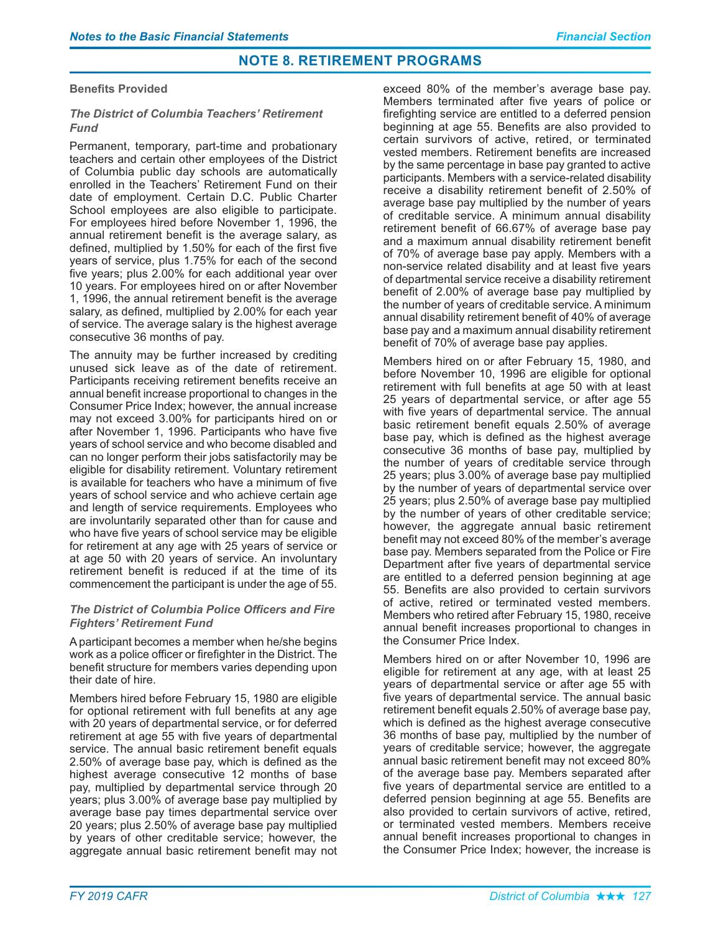### **Benefits Provided**

### **The District of Columbia Teachers' Retirement** *Fund*

Permanent, temporary, part-time and probationary teachers and certain other employees of the District of Columbia public day schools are automatically enrolled in the Teachers' Retirement Fund on their date of employment. Certain D.C. Public Charter School employees are also eligible to participate. For employees hired before November 1, 1996, the annual retirement benefit is the average salary, as defined, multiplied by 1.50% for each of the first five years of service, plus 1.75% for each of the second five years; plus 2.00% for each additional year over 10 years. For employees hired on or after November 1, 1996, the annual retirement benefit is the average salary, as defined, multiplied by 2.00% for each year of service. The average salary is the highest average consecutive 36 months of pay.

The annuity may be further increased by crediting unused sick leave as of the date of retirement. Participants receiving retirement benefits receive an annual benefit increase proportional to changes in the Consumer Price Index; however, the annual increase may not exceed 3.00% for participants hired on or after November 1, 1996. Participants who have five years of school service and who become disabled and can no longer perform their jobs satisfactorily may be eligible for disability retirement. Voluntary retirement is available for teachers who have a minimum of five years of school service and who achieve certain age and length of service requirements. Employees who are involuntarily separated other than for cause and who have five years of school service may be eligible for retirement at any age with 25 years of service or at age 50 with 20 years of service. An involuntary retirement benefit is reduced if at the time of its commencement the participant is under the age of 55.

### **The District of Columbia Police Officers and Fire Fighters' Retirement Fund**

A participant becomes a member when he/she begins work as a police officer or firefighter in the District. The benefit structure for members varies depending upon their date of hire.

Members hired before February 15, 1980 are eligible for optional retirement with full benefits at any age with 20 years of departmental service, or for deferred retirement at age 55 with five years of departmental service. The annual basic retirement benefit equals 2.50% of average base pay, which is defined as the highest average consecutive 12 months of base pay, multiplied by departmental service through 20 years; plus 3.00% of average base pay multiplied by average base pay times departmental service over 20 years; plus 2.50% of average base pay multiplied by years of other creditable service; however, the aggregate annual basic retirement benefit may not

exceed 80% of the member's average base pay. Members terminated after five years of police or firefighting service are entitled to a deferred pension beginning at age 55. Benefits are also provided to certain survivors of active, retired, or terminated vested members. Retirement benefits are increased by the same percentage in base pay granted to active participants. Members with a service-related disability receive a disability retirement benefit of 2.50% of average base pay multiplied by the number of years of creditable service. A minimum annual disability retirement benefit of 66.67% of average base pay and a maximum annual disability retirement benefit of 70% of average base pay apply. Members with a non-service related disability and at least five years of departmental service receive a disability retirement benefit of 2.00% of average base pay multiplied by the number of years of creditable service. A minimum annual disability retirement benefit of 40% of average base pay and a maximum annual disability retirement benefit of 70% of average base pay applies.

Members hired on or after February 15, 1980, and before November 10, 1996 are eligible for optional retirement with full benefits at age 50 with at least 25 years of departmental service, or after age 55 with five years of departmental service. The annual basic retirement benefit equals 2.50% of average base pay, which is defined as the highest average consecutive 36 months of base pay, multiplied by the number of years of creditable service through 25 years; plus 3.00% of average base pay multiplied by the number of years of departmental service over 25 years; plus 2.50% of average base pay multiplied by the number of years of other creditable service; however, the aggregate annual basic retirement benefit may not exceed 80% of the member's average base pay. Members separated from the Police or Fire Department after five years of departmental service are entitled to a deferred pension beginning at age 55. Benefits are also provided to certain survivors of active, retired or terminated vested members. Members who retired after February 15, 1980, receive annual benefit increases proportional to changes in the Consumer Price Index.

Members hired on or after November 10, 1996 are eligible for retirement at any age, with at least 25 years of departmental service or after age 55 with five years of departmental service. The annual basic retirement benefit equals 2.50% of average base pay, which is defined as the highest average consecutive 36 months of base pay, multiplied by the number of years of creditable service; however, the aggregate annual basic retirement benefit may not exceed 80% of the average base pay. Members separated after five years of departmental service are entitled to a deferred pension beginning at age 55. Benefits are also provided to certain survivors of active, retired, or terminated vested members. Members receive annual benefit increases proportional to changes in the Consumer Price Index; however, the increase is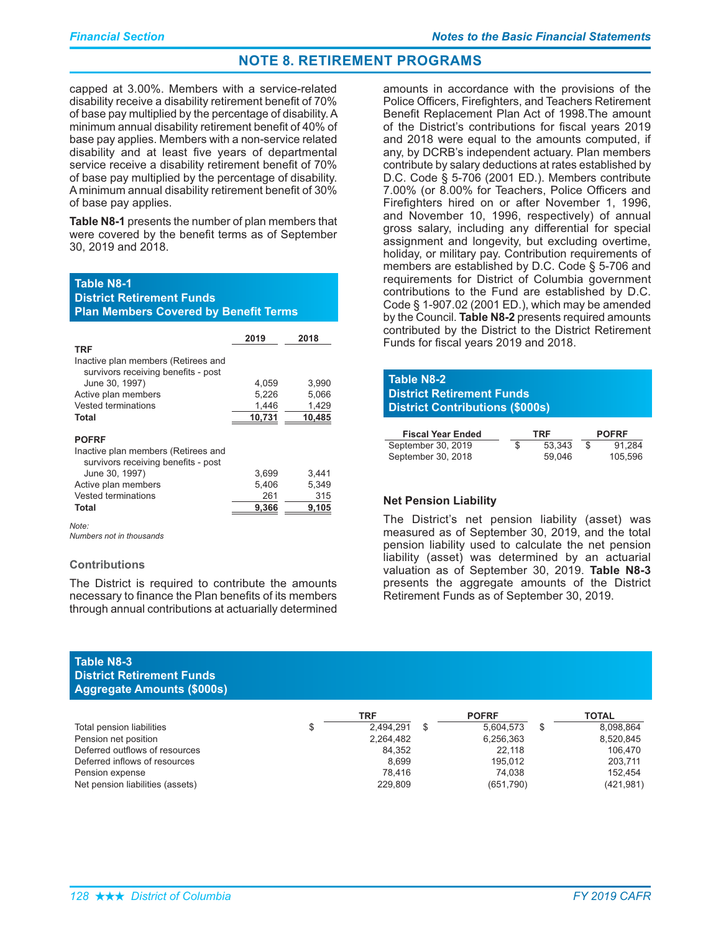capped at 3.00%. Members with a service-related disability receive a disability retirement benefit of 70% of base pay multiplied by the percentage of disability. A minimum annual disability retirement benefit of 40% of base pay applies. Members with a non-service related disability and at least five years of departmental service receive a disability retirement benefit of 70% of base pay multiplied by the percentage of disability. A minimum annual disability retirement benefit of 30% of base pay applies.

Table N8-1 presents the number of plan members that were covered by the benefit terms as of September 30, 2019 and 2018.

#### **Table N8-1**

District Retirement Funds **Plan Members Covered by Benefit Terms** 

|                                                                                            | 2019   | 2018   |
|--------------------------------------------------------------------------------------------|--------|--------|
| <b>TRF</b>                                                                                 |        |        |
| Inactive plan members (Retirees and<br>survivors receiving benefits - post                 |        |        |
| June 30, 1997)                                                                             | 4,059  | 3,990  |
| Active plan members                                                                        | 5,226  | 5,066  |
| Vested terminations                                                                        | 1,446  | 1,429  |
| Total                                                                                      | 10,731 | 10,485 |
| <b>POFRF</b><br>Inactive plan members (Retirees and<br>survivors receiving benefits - post |        |        |
| June 30, 1997)                                                                             | 3,699  | 3,441  |
| Active plan members                                                                        | 5,406  | 5,349  |
| Vested terminations                                                                        | 261    | 315    |
| Total                                                                                      | 9,366  | 9,105  |
| Note:                                                                                      |        |        |

*Numbers not in thousands*

#### **Contributions**

The District is required to contribute the amounts necessary to finance the Plan benefits of its members through annual contributions at actuarially determined

amounts in accordance with the provisions of the Police Officers, Firefighters, and Teachers Retirement Benefit Replacement Plan Act of 1998. The amount of the District's contributions for fiscal years 2019 and 2018 were equal to the amounts computed, if any, by DCRB's independent actuary. Plan members contribute by salary deductions at rates established by D.C. Code § 5-706 (2001 ED.). Members contribute 7.00% (or 8.00% for Teachers, Police Officers and Firefighters hired on or after November 1, 1996, and November 10, 1996, respectively) of annual gross salary, including any differential for special assignment and longevity, but excluding overtime, holiday, or military pay. Contribution requirements of members are established by D.C. Code  $\S$  5-706 and requirements for District of Columbia government contributions to the Fund are established by D.C. Code  $\S$  1-907.02 (2001 ED.), which may be amended by the Council. **Table N8-2** presents required amounts contributed by the District to the District Retirement Funds for fiscal years 2019 and 2018.

| Table N8-2<br><b>District Retirement Funds</b><br><b>District Contributions (\$000s)</b> |        |              |
|------------------------------------------------------------------------------------------|--------|--------------|
| <b>Fiscal Year Ended</b>                                                                 | TRF    | <b>POFRF</b> |
| Contambor 20, 2010                                                                       | ED DAD | 01,001       |

| Fiscal Year Ended  | IRF |        | <b>POFRF</b> |
|--------------------|-----|--------|--------------|
| September 30, 2019 |     | 53.343 | 91.284       |
| September 30, 2018 |     | 59.046 | 105.596      |

### **Net Pension Liability**

The District's net pension liability (asset) was measured as of September 30, 2019, and the total pension liability used to calculate the net pension liability (asset) was determined by an actuarial valuation as of September 30, 2019. Table N8-3 presents the aggregate amounts of the District Retirement Funds as of September 30, 2019.

### **Table N8-3 District Retirement Funds Aggregate Amounts (\$000s)**

|                                  | TRF       | <b>POFRF</b>    | TOTAL      |
|----------------------------------|-----------|-----------------|------------|
| Total pension liabilities        | 2.494.291 | \$<br>5.604.573 | 8.098.864  |
| Pension net position             | 2,264,482 | 6,256,363       | 8,520,845  |
| Deferred outflows of resources   | 84,352    | 22.118          | 106.470    |
| Deferred inflows of resources    | 8.699     | 195.012         | 203.711    |
| Pension expense                  | 78.416    | 74.038          | 152.454    |
| Net pension liabilities (assets) | 229.809   | (651,790)       | (421, 981) |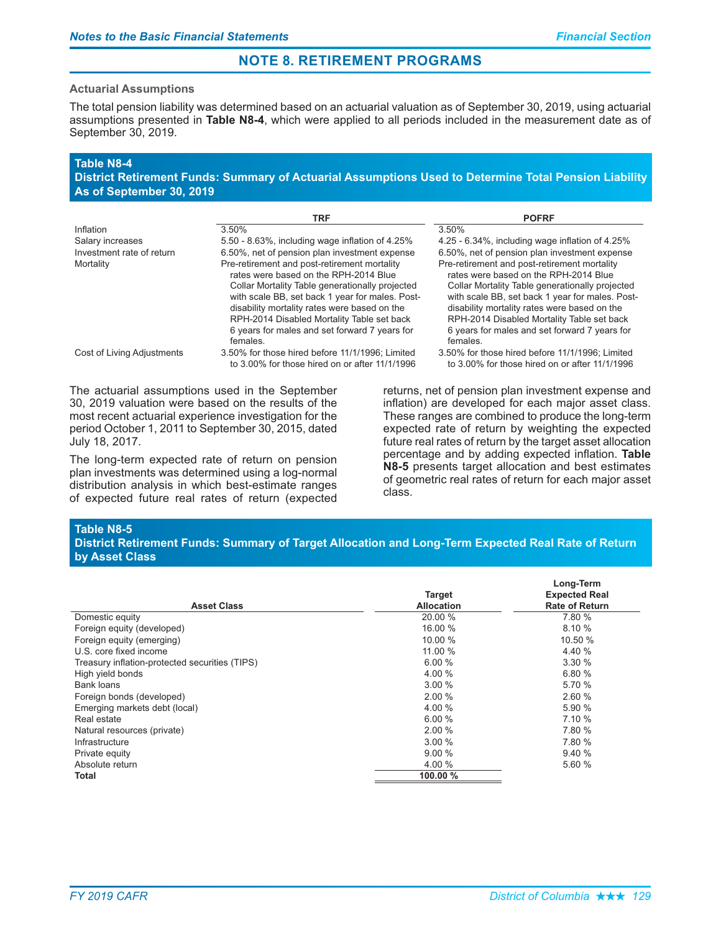#### **Actuarial Assumptions**

The total pension liability was determined based on an actuarial valuation as of September 30, 2019, using actuarial assumptions presented in Table N8-4, which were applied to all periods included in the measurement date as of September 30, 2019.

### Table N8-4

District Retirement Funds: Summary of Actuarial Assumptions Used to Determine Total Pension Liability As of September 30, 2019

|                            | TRF                                                                                                                                                                                                                                                           | <b>POFRF</b>                                                                                                                                                                                                                                                  |
|----------------------------|---------------------------------------------------------------------------------------------------------------------------------------------------------------------------------------------------------------------------------------------------------------|---------------------------------------------------------------------------------------------------------------------------------------------------------------------------------------------------------------------------------------------------------------|
| Inflation                  | 3.50%                                                                                                                                                                                                                                                         | 3.50%                                                                                                                                                                                                                                                         |
| Salary increases           | 5.50 - 8.63%, including wage inflation of 4.25%                                                                                                                                                                                                               | 4.25 - 6.34%, including wage inflation of 4.25%                                                                                                                                                                                                               |
| Investment rate of return  | 6.50%, net of pension plan investment expense                                                                                                                                                                                                                 | 6.50%, net of pension plan investment expense                                                                                                                                                                                                                 |
| Mortality                  | Pre-retirement and post-retirement mortality<br>rates were based on the RPH-2014 Blue                                                                                                                                                                         | Pre-retirement and post-retirement mortality<br>rates were based on the RPH-2014 Blue                                                                                                                                                                         |
|                            | Collar Mortality Table generationally projected<br>with scale BB, set back 1 year for males. Post-<br>disability mortality rates were based on the<br>RPH-2014 Disabled Mortality Table set back<br>6 years for males and set forward 7 years for<br>females. | Collar Mortality Table generationally projected<br>with scale BB, set back 1 year for males. Post-<br>disability mortality rates were based on the<br>RPH-2014 Disabled Mortality Table set back<br>6 years for males and set forward 7 years for<br>females. |
| Cost of Living Adjustments | 3.50% for those hired before 11/1/1996; Limited<br>to 3.00% for those hired on or after 11/1/1996                                                                                                                                                             | 3.50% for those hired before 11/1/1996: Limited<br>to 3.00% for those hired on or after 11/1/1996                                                                                                                                                             |

The actuarial assumptions used in the September 30, 2019 valuation were based on the results of the most recent actuarial experience investigation for the period October 1, 2011 to September 30, 2015, dated July 18, 2017.

The long-term expected rate of return on pension plan investments was determined using a log-normal distribution analysis in which best-estimate ranges of expected future real rates of return (expected

returns, net of pension plan investment expense and inflation) are developed for each major asset class. These ranges are combined to produce the long-term expected rate of return by weighting the expected future real rates of return by the target asset allocation percentage and by adding expected inflation. Table N8-5 presents target allocation and best estimates of geometric real rates of return for each major asset class.

### Table N8-5

### District Retirement Funds: Summary of Target Allocation and Long-Term Expected Real Rate of Return by Asset Class

| <b>Asset Class</b>                             | <b>Target</b><br><b>Allocation</b> | Long-Term<br><b>Expected Real</b><br><b>Rate of Return</b> |
|------------------------------------------------|------------------------------------|------------------------------------------------------------|
| Domestic equity                                | 20.00 %                            | 7.80 %                                                     |
| Foreign equity (developed)                     | 16.00 %                            | 8.10%                                                      |
| Foreign equity (emerging)                      | 10.00 %                            | 10.50 %                                                    |
| U.S. core fixed income                         | 11.00 %                            | 4.40 %                                                     |
| Treasury inflation-protected securities (TIPS) | 6.00%                              | 3.30%                                                      |
| High yield bonds                               | 4.00 %                             | 6.80%                                                      |
| Bank loans                                     | 3.00%                              | 5.70 %                                                     |
| Foreign bonds (developed)                      | 2.00%                              | 2.60%                                                      |
| Emerging markets debt (local)                  | 4.00 %                             | 5.90 %                                                     |
| Real estate                                    | 6.00%                              | 7.10%                                                      |
| Natural resources (private)                    | 2.00%                              | 7.80 %                                                     |
| Infrastructure                                 | 3.00%                              | 7.80 %                                                     |
| Private equity                                 | 9.00%                              | 9.40%                                                      |
| Absolute return                                | 4.00 %                             | 5.60 %                                                     |
| Total                                          | 100.00 %                           |                                                            |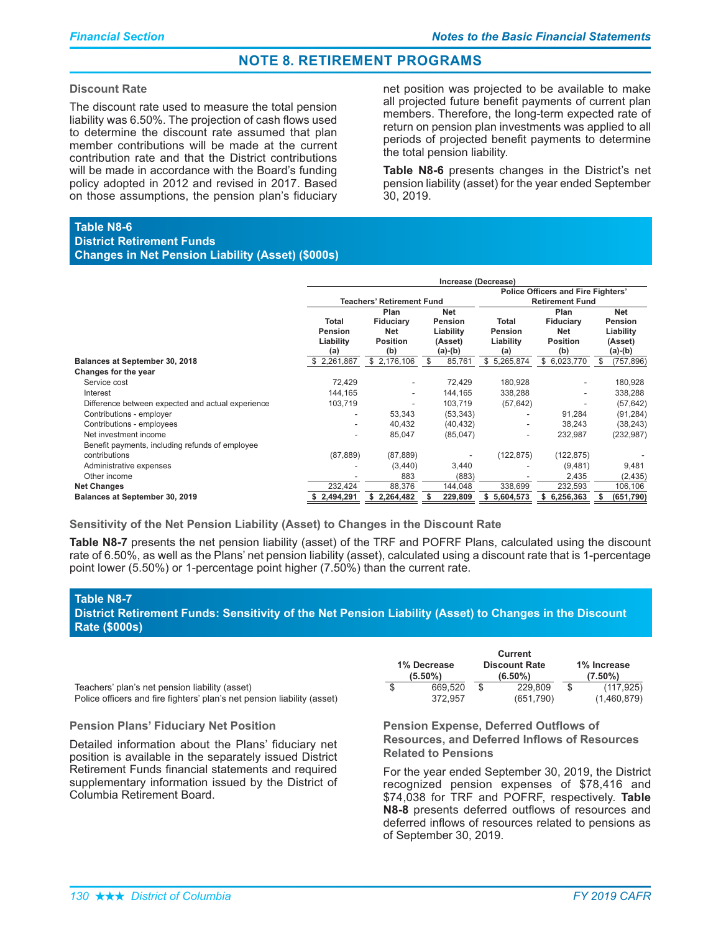#### **Discount Rate**

The discount rate used to measure the total pension liability was 6.50%. The projection of cash flows used to determine the discount rate assumed that plan member contributions will be made at the current contribution rate and that the District contributions will be made in accordance with the Board's funding policy adopted in 2012 and revised in 2017. Based on those assumptions, the pension plan's fiduciary

net position was projected to be available to make all projected future benefit payments of current plan members. Therefore, the long-term expected rate of return on pension plan investments was applied to all periods of projected benefit payments to determine the total pension liability.

**Table N8-6** presents changes in the District's net pension liability (asset) for the year ended September 30, 2019.

### **Table N8-6**

District Retirement Funds **Changes in Net Pension Liability (Asset) (\$000s)** 

|                                                   | Increase (Decrease)                                                                                                                                      |                                  |                                      |                                                    |                                                                     |                 |  |  |  |
|---------------------------------------------------|----------------------------------------------------------------------------------------------------------------------------------------------------------|----------------------------------|--------------------------------------|----------------------------------------------------|---------------------------------------------------------------------|-----------------|--|--|--|
|                                                   |                                                                                                                                                          | <b>Teachers' Retirement Fund</b> |                                      |                                                    | <b>Police Officers and Fire Fighters'</b><br><b>Retirement Fund</b> |                 |  |  |  |
|                                                   | Plan<br>Net<br>Total<br>Fiduciary<br><b>Pension</b><br>Net<br>Liability<br>Pension<br><b>Position</b><br>Liability<br>(Asset)<br>$(a)-(b)$<br>(b)<br>(a) |                                  | Total<br>Pension<br>Liability<br>(a) | Plan<br>Fiduciary<br>Net<br><b>Position</b><br>(b) | <b>Net</b><br>Pension<br>Liability<br>(Asset)<br>(a)-(b)            |                 |  |  |  |
| <b>Balances at September 30, 2018</b>             | \$2,261,867                                                                                                                                              | \$2,176,106                      | 85,761<br>\$                         | \$<br>5,265,874                                    | \$6,023,770                                                         | (757, 896)<br>S |  |  |  |
| Changes for the year                              |                                                                                                                                                          |                                  |                                      |                                                    |                                                                     |                 |  |  |  |
| Service cost                                      | 72,429                                                                                                                                                   |                                  | 72,429                               | 180,928                                            |                                                                     | 180,928         |  |  |  |
| Interest                                          | 144,165                                                                                                                                                  |                                  | 144,165                              | 338,288                                            |                                                                     | 338,288         |  |  |  |
| Difference between expected and actual experience | 103,719                                                                                                                                                  |                                  | 103,719                              | (57, 642)                                          |                                                                     | (57, 642)       |  |  |  |
| Contributions - employer                          |                                                                                                                                                          | 53,343                           | (53, 343)                            |                                                    | 91,284                                                              | (91, 284)       |  |  |  |
| Contributions - employees                         |                                                                                                                                                          | 40,432                           | (40, 432)                            |                                                    | 38,243                                                              | (38, 243)       |  |  |  |
| Net investment income                             | $\overline{\phantom{a}}$                                                                                                                                 | 85,047                           | (85,047)                             | $\overline{\phantom{a}}$                           | 232,987                                                             | (232, 987)      |  |  |  |
| Benefit payments, including refunds of employee   |                                                                                                                                                          |                                  |                                      |                                                    |                                                                     |                 |  |  |  |
| contributions                                     | (87, 889)                                                                                                                                                | (87, 889)                        |                                      | (122, 875)                                         | (122, 875)                                                          |                 |  |  |  |
| Administrative expenses                           |                                                                                                                                                          | (3,440)                          | 3,440                                |                                                    | (9,481)                                                             | 9,481           |  |  |  |
| Other income                                      |                                                                                                                                                          | 883                              |                                      | (883)                                              | 2,435                                                               | (2, 435)        |  |  |  |
| <b>Net Changes</b>                                | 232,424                                                                                                                                                  | 88,376                           | 144,048                              | 338,699                                            | 232,593                                                             | 106,106         |  |  |  |
| Balances at September 30, 2019                    | 2,494,291                                                                                                                                                | \$2,264,482                      | 229,809                              | 5,604,573<br>s.                                    | \$6,256,363                                                         | (651,790)       |  |  |  |

Sensitivity of the Net Pension Liability (Asset) to Changes in the Discount Rate

Table N8-7 presents the net pension liability (asset) of the TRF and POFRF Plans, calculated using the discount rate of 6.50%, as well as the Plans' net pension liability (asset), calculated using a discount rate that is 1-percentage point lower (5.50%) or 1-percentage point higher (7.50%) than the current rate.

### **Table N8-7**

District Retirement Funds: Sensitivity of the Net Pension Liability (Asset) to Changes in the Discount **Rate (\$000s)** 

Teachers' plan's net pension liability (asset) Police officers and fire fighters' plan's net pension liability (a

#### **Pension Plans' Fiduciary Net Position**

Detailed information about the Plans' fiduciary net position is available in the separately issued District Retirement Funds financial statements and required supplementary information issued by the District of Columbia Retirement Board.

|                           |         |   | <b>Current</b>                     |                           |             |  |
|---------------------------|---------|---|------------------------------------|---------------------------|-------------|--|
| 1% Decrease<br>$(5.50\%)$ |         |   | <b>Discount Rate</b><br>$(6.50\%)$ | 1% Increase<br>$(7.50\%)$ |             |  |
| \$                        | 669.520 | S | 229,809                            | \$                        | (117, 925)  |  |
|                           | 372.957 |   | (651,790)                          |                           | (1,460,879) |  |

**Pension Expense, Deferred Outflows of Resources, and Deferred Inflows of Resources Related to Pensions** 

For the year ended September 30, 2019, the District recognized pension expenses of \$78,416 and \$74,038 for TRF and POFRF, respectively. Table N8-8 presents deferred outflows of resources and deferred inflows of resources related to pensions as of September 30, 2019.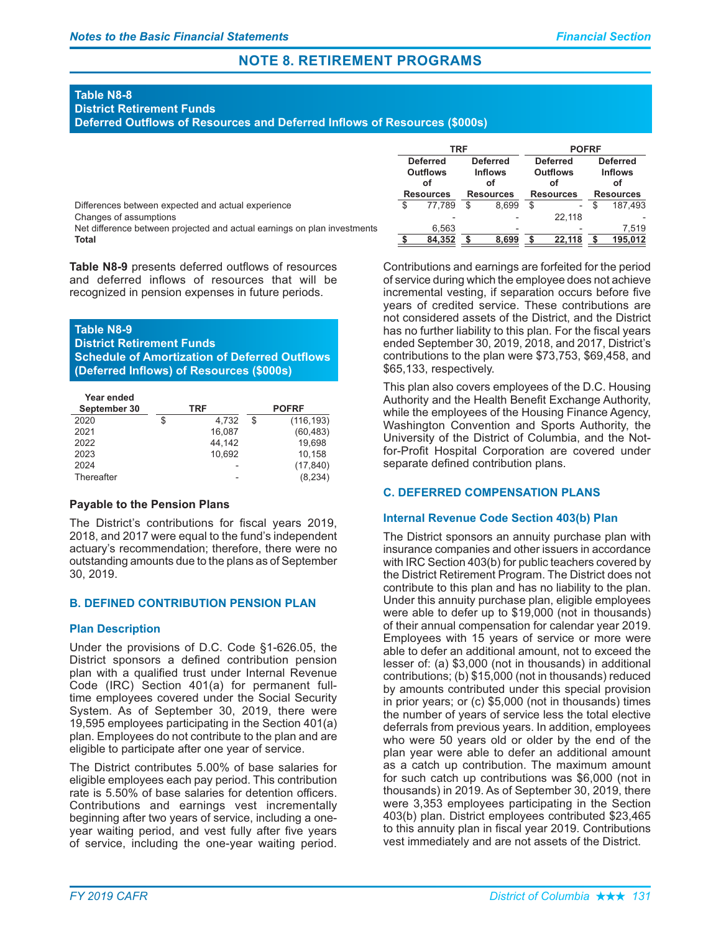### **Table N8-8**

### District Retirement Funds

**Deferred Outflows of Resources and Deferred Inflows of Resources (\$000s)** 

|                                                                          | TRF                                      |                  |                                         |                  | <b>POFRF</b> |                          |  |                  |  |                                         |
|--------------------------------------------------------------------------|------------------------------------------|------------------|-----------------------------------------|------------------|--------------|--------------------------|--|------------------|--|-----------------------------------------|
|                                                                          | <b>Deferred</b><br><b>Outflows</b><br>оf |                  | <b>Deferred</b><br><b>Inflows</b><br>оf |                  |              | <b>Outflows</b><br>οf    |  | <b>Deferred</b>  |  | <b>Deferred</b><br><b>Inflows</b><br>оf |
|                                                                          |                                          | <b>Resources</b> |                                         | <b>Resources</b> |              | <b>Resources</b>         |  | <b>Resources</b> |  |                                         |
| Differences between expected and actual experience                       |                                          | 77.789           |                                         | 8.699            | \$.          | $\overline{\phantom{a}}$ |  | 187.493          |  |                                         |
| Changes of assumptions                                                   |                                          |                  |                                         |                  |              | 22.118                   |  |                  |  |                                         |
| Net difference between projected and actual earnings on plan investments |                                          | 6.563            |                                         | $\qquad \qquad$  |              |                          |  | 7.519            |  |                                         |
| <b>Total</b>                                                             |                                          | 84,352           |                                         | 8.699            |              | 22.118                   |  | 195.012          |  |                                         |

Table N8-9 presents deferred outflows of resources and deferred inflows of resources that will be recognized in pension expenses in future periods.

### **Table N8-9**

**District Retirement Funds** 

**Schedule of Amortization of Deferred Outflows (Deferred Inflows) of Resources (\$000s)** 

| Year ended   |             |                  |
|--------------|-------------|------------------|
| September 30 | TRF         | <b>POFRF</b>     |
| 2020         | \$<br>4.732 | \$<br>(116, 193) |
| 2021         | 16,087      | (60, 483)        |
| 2022         | 44.142      | 19.698           |
| 2023         | 10.692      | 10,158           |
| 2024         |             | (17, 840)        |
| Thereafter   |             | (8.234)          |

### **Payable to the Pension Plans**

The District's contributions for fiscal years 2019, 2018, and 2017 were equal to the fund's independent actuary's recommendation; therefore, there were no outstanding amounts due to the plans as of September 30, 2019.

### **B. DEFINED CONTRIBUTION PENSION PLAN**

### **Plan Description**

Under the provisions of D.C. Code  $§1-626.05$ , the District sponsors a defined contribution pension plan with a qualified trust under Internal Revenue Code (IRC) Section 401(a) for permanent fulltime employees covered under the Social Security System. As of September 30, 2019, there were 19,595 employees participating in the Section 401(a) plan. Employees do not contribute to the plan and are eligible to participate after one year of service.

The District contributes 5.00% of base salaries for eligible employees each pay period. This contribution rate is 5.50% of base salaries for detention officers. Contributions and earnings vest incrementally beginning after two years of service, including a oneyear waiting period, and vest fully after five years of service, including the one-year waiting period.

Contributions and earnings are forfeited for the period of service during which the employee does not achieve incremental vesting, if separation occurs before five years of credited service. These contributions are not considered assets of the District, and the District has no further liability to this plan. For the fiscal years ended September 30, 2019, 2018, and 2017, District's contributions to the plan were \$73,753, \$69,458, and \$65,133, respectively.

This plan also covers employees of the D.C. Housing Authority and the Health Benefit Exchange Authority, while the employees of the Housing Finance Agency, Washington Convention and Sports Authority, the University of the District of Columbia, and the Notfor-Profit Hospital Corporation are covered under separate defined contribution plans.

### **C. DEFERRED COMPENSATION PLANS**

### **Internal Revenue Code Section 403(b) Plan**

The District sponsors an annuity purchase plan with insurance companies and other issuers in accordance with IRC Section 403(b) for public teachers covered by the District Retirement Program. The District does not contribute to this plan and has no liability to the plan. Under this annuity purchase plan, eligible employees were able to defer up to \$19,000 (not in thousands) of their annual compensation for calendar year 2019. Employees with 15 years of service or more were able to defer an additional amount, not to exceed the lesser of: (a) \$3,000 (not in thousands) in additional contributions; (b) \$15,000 (not in thousands) reduced by amounts contributed under this special provision in prior years; or (c) \$5,000 (not in thousands) times the number of years of service less the total elective deferrals from previous years. In addition, employees who were 50 years old or older by the end of the plan year were able to defer an additional amount as a catch up contribution. The maximum amount for such catch up contributions was \$6,000 (not in thousands) in 2019. As of September 30, 2019, there were 3,353 employees participating in the Section 403(b) plan. District employees contributed \$23,465 to this annuity plan in fiscal year 2019. Contributions vest immediately and are not assets of the District.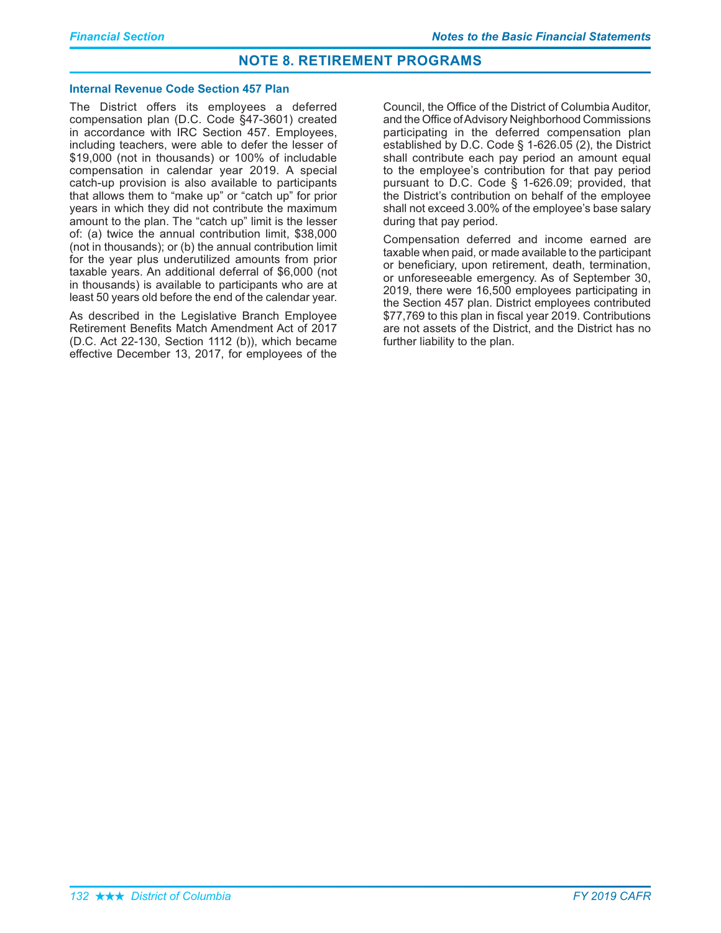#### **Internal Revenue Code Section 457 Plan**

The District offers its employees a deferred compensation plan (D.C. Code §47-3601) created in accordance with IRC Section 457. Employees, including teachers, were able to defer the lesser of \$19,000 (not in thousands) or 100% of includable compensation in calendar year 2019. A special catch-up provision is also available to participants that allows them to "make up" or "catch up" for prior years in which they did not contribute the maximum amount to the plan. The "catch up" limit is the lesser of: (a) twice the annual contribution limit, \$38,000 (not in thousands); or (b) the annual contribution limit for the year plus underutilized amounts from prior taxable years. An additional deferral of \$6,000 (not in thousands) is available to participants who are at least 50 years old before the end of the calendar year.

As described in the Legislative Branch Employee Retirement Benefits Match Amendment Act of 2017 (D.C. Act 22-130, Section 1112 (b)), which became effective December 13, 2017, for employees of the

Council, the Office of the District of Columbia Auditor, and the Office of Advisory Neighborhood Commissions participating in the deferred compensation plan established by D.C. Code  $\S$  1-626.05 (2), the District shall contribute each pay period an amount equal to the employee's contribution for that pay period pursuant to D.C. Code  $\S$  1-626.09; provided, that the District's contribution on behalf of the employee shall not exceed 3.00% of the employee's base salary during that pay period.

Compensation deferred and income earned are taxable when paid, or made available to the participant or beneficiary, upon retirement, death, termination, or unforeseeable emergency. As of September 30, 2019, there were 16,500 employees participating in the Section 457 plan. District employees contributed  $\$77,\!769$  to this plan in fiscal year 2019. Contributions are not assets of the District, and the District has no further liability to the plan.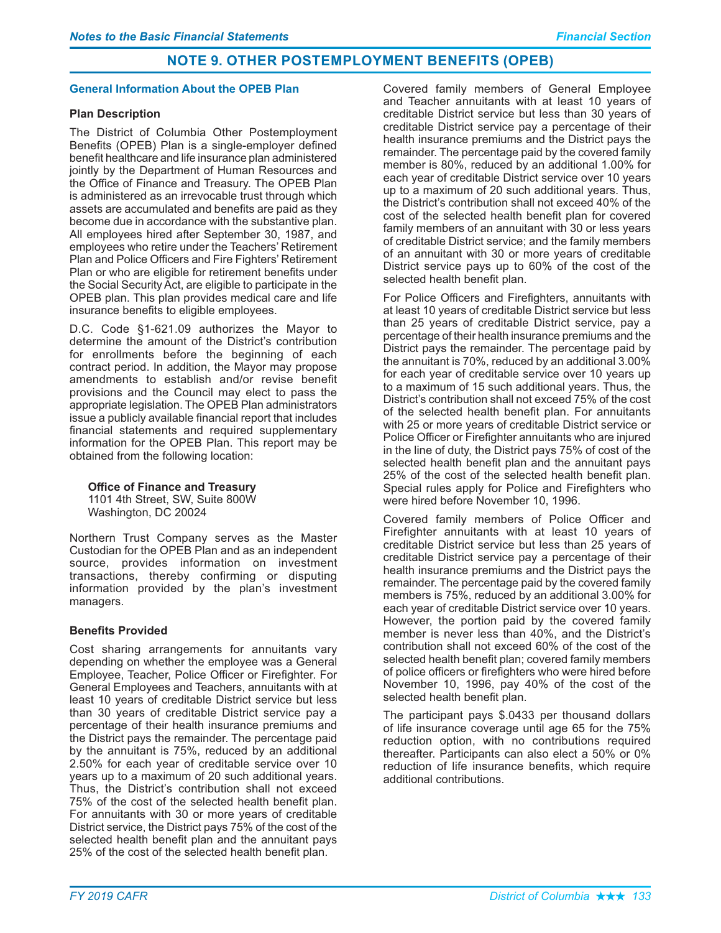# **NOTE 9. OTHER POSTEMPLOYMENT BENEFITS (OPEB)**

### **General Information About the OPEB Plan**

### **Plan Description**

The District of Columbia Other Postemployment Benefits (OPEB) Plan is a single-employer defined benefit healthcare and life insurance plan administered jointly by the Department of Human Resources and the Office of Finance and Treasury. The OPEB Plan is administered as an irrevocable trust through which assets are accumulated and benefits are paid as they become due in accordance with the substantive plan. All employees hired after September 30, 1987, and employees who retire under the Teachers' Retirement Plan and Police Officers and Fire Fighters' Retirement Plan or who are eligible for retirement benefits under the Social Security Act, are eligible to participate in the OPEB plan. This plan provides medical care and life insurance benefits to eligible employees.

D.C. Code  $§1-621.09$  authorizes the Mayor to determine the amount of the District's contribution for enrollments before the beginning of each contract period. In addition, the Mayor may propose amendments to establish and/or revise benefit provisions and the Council may elect to pass the appropriate legislation. The OPEB Plan administrators issue a publicly available financial report that includes financial statements and required supplementary information for the OPEB Plan. This report may be obtained from the following location:

**Office of Finance and Treasury** 

1101 4th Street, SW, Suite 800W Washington, DC 20024

Northern Trust Company serves as the Master Custodian for the OPEB Plan and as an independent source, provides information on investment transactions, thereby confirming or disputing information provided by the plan's investment managers.

### **Benefits Provided**

Cost sharing arrangements for annuitants vary depending on whether the employee was a General Employee, Teacher, Police Officer or Firefighter. For General Employees and Teachers, annuitants with at least 10 years of creditable District service but less than 30 years of creditable District service pay a percentage of their health insurance premiums and the District pays the remainder. The percentage paid by the annuitant is 75%, reduced by an additional 2.50% for each year of creditable service over 10 years up to a maximum of 20 such additional years. Thus, the District's contribution shall not exceed 75% of the cost of the selected health benefit plan. For annuitants with 30 or more years of creditable District service, the District pays 75% of the cost of the selected health benefit plan and the annuitant pays 25% of the cost of the selected health benefit plan.

Covered family members of General Employee and Teacher annuitants with at least 10 years of creditable District service but less than 30 years of creditable District service pay a percentage of their health insurance premiums and the District pays the remainder. The percentage paid by the covered family member is 80%, reduced by an additional 1.00% for each year of creditable District service over 10 years up to a maximum of 20 such additional years. Thus, the District's contribution shall not exceed 40% of the cost of the selected health benefit plan for covered family members of an annuitant with 30 or less years of creditable District service; and the family members of an annuitant with 30 or more years of creditable District service pays up to 60% of the cost of the selected health benefit plan.

For Police Officers and Firefighters, annuitants with at least 10 years of creditable District service but less than 25 years of creditable District service, pay a percentage of their health insurance premiums and the District pays the remainder. The percentage paid by the annuitant is 70%, reduced by an additional 3.00% for each year of creditable service over 10 years up to a maximum of 15 such additional years. Thus, the District's contribution shall not exceed 75% of the cost of the selected health benefit plan. For annuitants with 25 or more years of creditable District service or Police Officer or Firefighter annuitants who are injured in the line of duty, the District pays 75% of cost of the selected health benefit plan and the annuitant pays 25% of the cost of the selected health benefit plan. Special rules apply for Police and Firefighters who were hired before November 10, 1996.

Covered family members of Police Officer and Firefighter annuitants with at least 10 years of creditable District service but less than 25 years of creditable District service pay a percentage of their health insurance premiums and the District pays the remainder. The percentage paid by the covered family members is 75%, reduced by an additional 3.00% for each year of creditable District service over 10 years. However, the portion paid by the covered family member is never less than 40%, and the District's contribution shall not exceed 60% of the cost of the selected health benefit plan; covered family members of police officers or firefighters who were hired before November 10, 1996, pay 40% of the cost of the selected health benefit plan.

The participant pays \$.0433 per thousand dollars of life insurance coverage until age 65 for the 75% reduction option, with no contributions required thereafter. Participants can also elect a 50% or 0% reduction of life insurance benefits, which require additional contributions.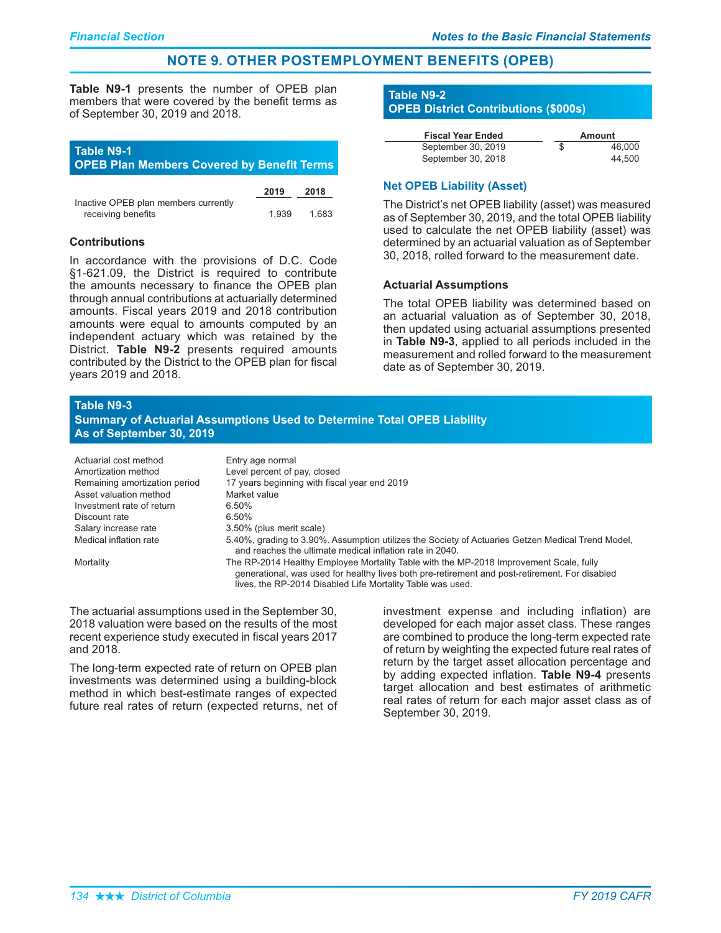# **NOTE 9. OTHER POSTEMPLOYMENT BENEFITS (OPEB)**

Table N9-1 presents the number of OPEB plan members that were covered by the benefit terms as of September 30, 2019 and 2018.

### **Table N9-1 OPEB Plan Members Covered by Benefit Terms**

|                                      | 2019  | 2018  |
|--------------------------------------|-------|-------|
| Inactive OPEB plan members currently |       |       |
| receiving benefits                   | 1.939 | 1.683 |

### **Contributions**

In accordance with the provisions of D.C. Code  $§1-621.09$ , the District is required to contribute the amounts necessary to finance the OPEB plan through annual contributions at actuarially determined amounts. Fiscal years 2019 and 2018 contribution amounts were equal to amounts computed by an independent actuary which was retained by the District. Table N9-2 presents required amounts contributed by the District to the OPEB plan for fiscal years 2019 and 2018.

# **Table N9-2 OPEB District Contributions (\$000s)**

| <b>Fiscal Year Ended</b> |   | Amount |
|--------------------------|---|--------|
| September 30, 2019       | S | 46.000 |
| September 30, 2018       |   | 44.500 |

### **Net OPEB Liability (Asset)**

The District's net OPEB liability (asset) was measured as of September 30, 2019, and the total OPEB liability used to calculate the net OPEB liability (asset) was determined by an actuarial valuation as of September 30, 2018, rolled forward to the measurement date.

### **Actuarial Assumptions**

The total OPEB liability was determined based on an actuarial valuation as of September 30, 2018, then updated using actuarial assumptions presented in Table N9-3, applied to all periods included in the measurement and rolled forward to the measurement date as of September 30, 2019.

#### **Table N9-3**

| <b>Summary of Actuarial Assumptions Used to Determine Total OPEB Liability</b> |  |
|--------------------------------------------------------------------------------|--|
| As of September 30, 2019                                                       |  |

| Actuarial cost method         | Entry age normal                                                                                                                                                                                                                                       |
|-------------------------------|--------------------------------------------------------------------------------------------------------------------------------------------------------------------------------------------------------------------------------------------------------|
| Amortization method           | Level percent of pay, closed                                                                                                                                                                                                                           |
| Remaining amortization period | 17 years beginning with fiscal year end 2019                                                                                                                                                                                                           |
| Asset valuation method        | Market value                                                                                                                                                                                                                                           |
| Investment rate of return     | 6.50%                                                                                                                                                                                                                                                  |
| Discount rate                 | 6.50%                                                                                                                                                                                                                                                  |
| Salary increase rate          | 3.50% (plus merit scale)                                                                                                                                                                                                                               |
| Medical inflation rate        | 5.40%, grading to 3.90%. Assumption utilizes the Society of Actuaries Getzen Medical Trend Model,<br>and reaches the ultimate medical inflation rate in 2040.                                                                                          |
| Mortality                     | The RP-2014 Healthy Employee Mortality Table with the MP-2018 Improvement Scale, fully<br>generational, was used for healthy lives both pre-retirement and post-retirement. For disabled<br>lives, the RP-2014 Disabled Life Mortality Table was used. |

The actuarial assumptions used in the September 30, 2018 valuation were based on the results of the most recent experience study executed in fiscal years 2017 and 2018.

The long-term expected rate of return on OPEB plan investments was determined using a building-block method in which best-estimate ranges of expected future real rates of return (expected returns, net of

investment expense and including inflation) are developed for each major asset class. These ranges are combined to produce the long-term expected rate of return by weighting the expected future real rates of return by the target asset allocation percentage and by adding expected inflation. Table N9-4 presents target allocation and best estimates of arithmetic real rates of return for each major asset class as of September 30, 2019.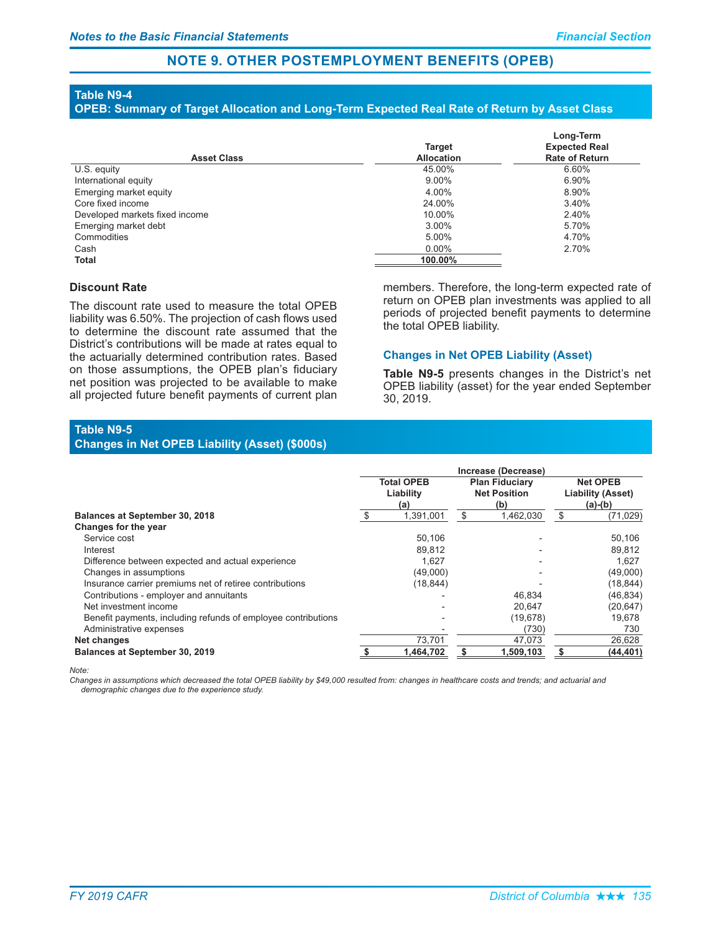# **NOTE 9. OTHER POSTEMPLOYMENT BENEFITS (OPEB)**

# **Table N9-4**

#### OPEB: Summary of Target Allocation and Long-Term Expected Real Rate of Return by Asset Class

| <b>Asset Class</b>             | <b>Target</b><br><b>Allocation</b> | Long-Term<br><b>Expected Real</b><br><b>Rate of Return</b> |
|--------------------------------|------------------------------------|------------------------------------------------------------|
| U.S. equity                    | 45.00%                             | 6.60%                                                      |
| International equity           | $9.00\%$                           | 6.90%                                                      |
| Emerging market equity         | 4.00%                              | 8.90%                                                      |
| Core fixed income              | 24.00%                             | 3.40%                                                      |
| Developed markets fixed income | 10.00%                             | 2.40%                                                      |
| Emerging market debt           | 3.00%                              | 5.70%                                                      |
| Commodities                    | 5.00%                              | 4.70%                                                      |
| Cash                           | $0.00\%$                           | 2.70%                                                      |
| <b>Total</b>                   | 100.00%                            |                                                            |

#### **Discount Rate**

The discount rate used to measure the total OPEB liability was 6.50%. The projection of cash flows used to determine the discount rate assumed that the District's contributions will be made at rates equal to the actuarially determined contribution rates. Based on those assumptions, the OPEB plan's fiduciary net position was projected to be available to make all projected future benefit payments of current plan members. Therefore, the long-term expected rate of return on OPEB plan investments was applied to all periods of projected benefit payments to determine the total OPEB liability.

#### **Changes in Net OPEB Liability (Asset)**

Table N9-5 presents changes in the District's net OPEB liability (asset) for the year ended September 30, 2019.

#### **Table N9-5** Changes in Net OPEB Liability (Asset) (\$000s)

|                                                               | Increase (Decrease) |                                       |   |                                                     |    |                                                          |
|---------------------------------------------------------------|---------------------|---------------------------------------|---|-----------------------------------------------------|----|----------------------------------------------------------|
|                                                               |                     | <b>Total OPEB</b><br>Liability<br>(a) |   | <b>Plan Fiduciary</b><br><b>Net Position</b><br>(b) |    | <b>Net OPEB</b><br><b>Liability (Asset)</b><br>$(a)-(b)$ |
| <b>Balances at September 30, 2018</b>                         | \$                  | 1,391,001                             | S | 1,462,030                                           | \$ | (71, 029)                                                |
| Changes for the year                                          |                     |                                       |   |                                                     |    |                                                          |
| Service cost                                                  |                     | 50,106                                |   |                                                     |    | 50,106                                                   |
| Interest                                                      |                     | 89,812                                |   |                                                     |    | 89,812                                                   |
| Difference between expected and actual experience             |                     | 1.627                                 |   |                                                     |    | 1.627                                                    |
| Changes in assumptions                                        |                     | (49,000)                              |   |                                                     |    | (49,000)                                                 |
| Insurance carrier premiums net of retiree contributions       |                     | (18, 844)                             |   |                                                     |    | (18, 844)                                                |
| Contributions - employer and annuitants                       |                     |                                       |   | 46,834                                              |    | (46, 834)                                                |
| Net investment income                                         |                     |                                       |   | 20,647                                              |    | (20, 647)                                                |
| Benefit payments, including refunds of employee contributions |                     |                                       |   | (19, 678)                                           |    | 19,678                                                   |
| Administrative expenses                                       |                     |                                       |   | (730)                                               |    | 730                                                      |
| Net changes                                                   |                     | 73.701                                |   | 47,073                                              |    | 26,628                                                   |
| <b>Balances at September 30, 2019</b>                         |                     | 1.464.702                             |   | 1.509.103                                           |    | (44, 401)                                                |

#### *Note:*

*Changes in assumptions which decreased the total OPEB liability by \$49,000 resulted from: changes in healthcare costs and trends; and actuarial and demographic changes due to the experience study.*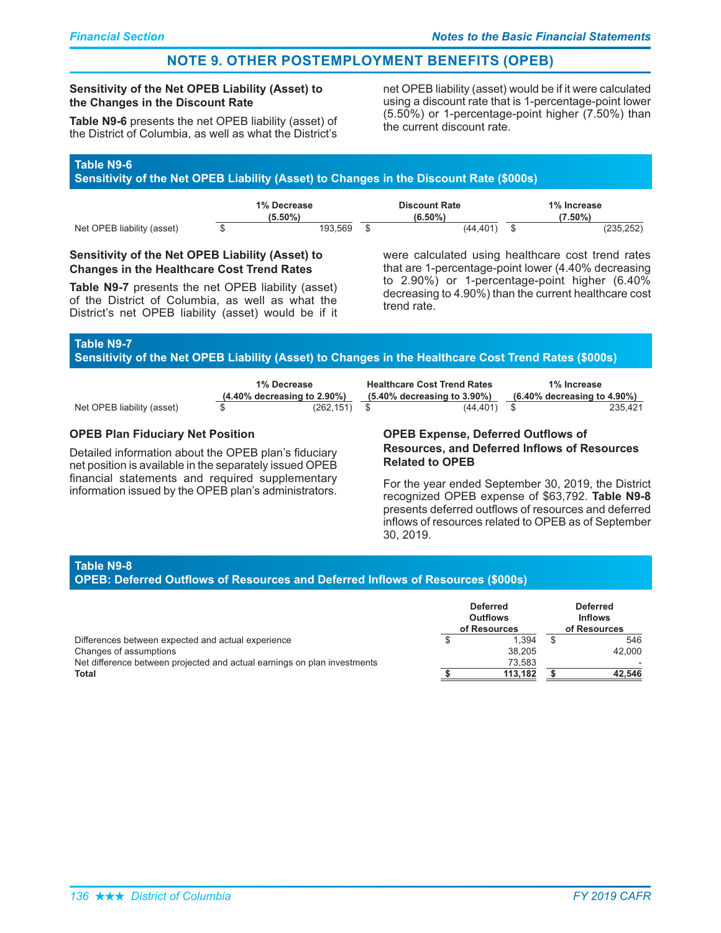# **NOTE 9. OTHER POSTEMPLOYMENT BENEFITS (OPEB)**

### Sensitivity of the Net OPEB Liability (Asset) to the Changes in the Discount Rate

Table N9-6 presents the net OPEB liability (asset) of the District of Columbia, as well as what the District's

net OPEB liability (asset) would be if it were calculated using a discount rate that is 1-percentage-point lower (5.50%) or 1-percentage-point higher (7.50%) than the current discount rate.

# **Table N9-6**

Sensitivity of the Net OPEB Liability (Asset) to Changes in the Discount Rate (\$000s)

|                            | 1% Decrease |         |  | <b>Discount Rate</b> | 1% Increase |            |  |  |
|----------------------------|-------------|---------|--|----------------------|-------------|------------|--|--|
|                            | $(5.50\%)$  |         |  | $(6.50\%)$           |             | $(7.50\%)$ |  |  |
| Net OPEB liability (asset) |             | 193.569 |  | (44.401)             |             | (235, 252) |  |  |

### Sensitivity of the Net OPEB Liability (Asset) to **Changes in the Healthcare Cost Trend Rates**

Table N9-7 presents the net OPEB liability (asset) of the District of Columbia, as well as what the District's net OPEB liability (asset) would be if it

were calculated using healthcare cost trend rates that are 1-percentage-point lower (4.40% decreasing to 2.90%) or 1-percentage-point higher (6.40% decreasing to 4.90%) than the current healthcare cost trend rate.

# **Table N9-7**

Sensitivity of the Net OPEB Liability (Asset) to Changes in the Healthcare Cost Trend Rates (\$000s)

|                            | 1% Decrease                    |              | <b>Healthcare Cost Trend Rates</b> |           | 1% Increase                       |         |  |
|----------------------------|--------------------------------|--------------|------------------------------------|-----------|-----------------------------------|---------|--|
|                            | $(4.40\%$ decreasing to 2.90%) |              | $(5.40\%$ decreasing to $3.90\%)$  |           | $(6.40\%$ decreasing to $4.90\%)$ |         |  |
| Net OPEB liability (asset) |                                | (262.151) \$ |                                    | (44, 401) |                                   | 235.421 |  |

### **OPEB Plan Fiduciary Net Position**

Detailed information about the OPEB plan's fiduciary net position is available in the separately issued OPEB financial statements and required supplementary information issued by the OPEB plan's administrators.

#### OPEB Expense, Deferred Outflows of **Resources, and Deferred Inflows of Resources Related to OPEB**

For the year ended September 30, 2019, the District recognized OPEB expense of \$63,792. Table N9-8 presents deferred outflows of resources and deferred inflows of resources related to OPEB as of September 30, 2019.

# **Table N9-8**

#### OPEB: Deferred Outflows of Resources and Deferred Inflows of Resources (\$000s)

|                                                                          | <b>Deferred</b><br><b>Outflows</b><br>of Resources | <b>Deferred</b><br><b>Inflows</b><br>of Resources |
|--------------------------------------------------------------------------|----------------------------------------------------|---------------------------------------------------|
| Differences between expected and actual experience                       | 1.394                                              | 546                                               |
| Changes of assumptions                                                   | 38.205                                             | 42.000                                            |
| Net difference between projected and actual earnings on plan investments | 73.583                                             |                                                   |
| Total                                                                    | 113.182                                            | 42.546                                            |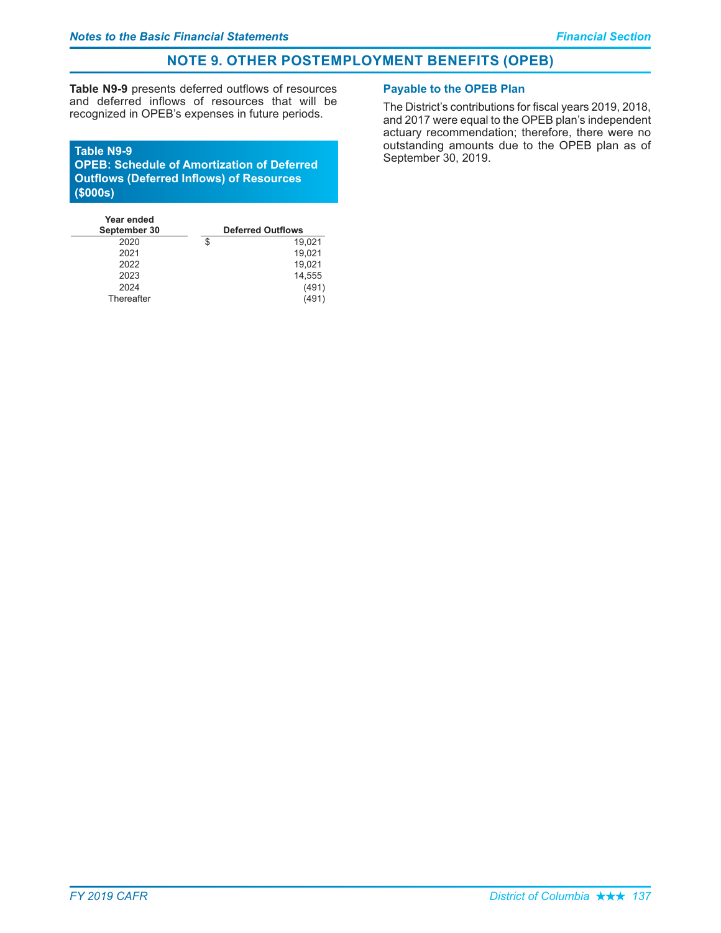# **NOTE 9. OTHER POSTEMPLOYMENT BENEFITS (OPEB)**

Table N9-9 presents deferred outflows of resources and deferred inflows of resources that will be recognized in OPEB's expenses in future periods.

#### **Table N9-9**

OPEB: Schedule of Amortization of Deferred **Outflows (Deferred Inflows) of Resources**  $($ \$000s $)$ 

| <b>Deferred Outflows</b> |        |  |
|--------------------------|--------|--|
| \$                       | 19,021 |  |
|                          | 19,021 |  |
|                          | 19,021 |  |
|                          | 14,555 |  |
|                          | (491)  |  |
|                          | (491   |  |
|                          |        |  |

# **Payable to the OPEB Plan**

The District's contributions for fiscal years 2019, 2018, and 2017 were equal to the OPEB plan's independent actuary recommendation; therefore, there were no outstanding amounts due to the OPEB plan as of September 30, 2019.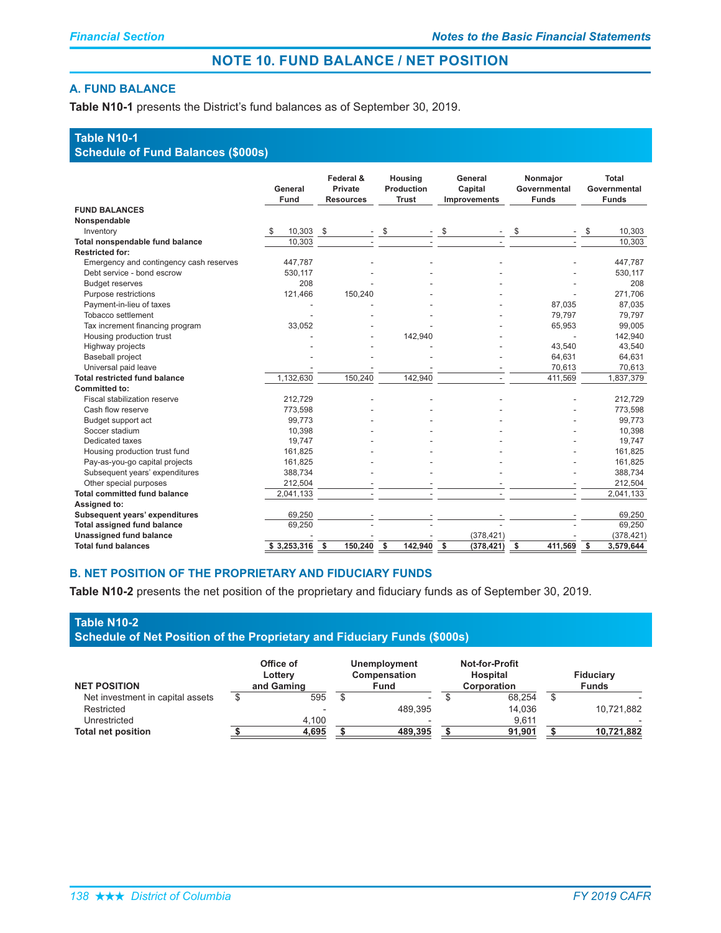# **NOTE 10. FUND BALANCE / NET POSITION**

### **A. FUND BALANCE**

Table N10-1 presents the District's fund balances as of September 30, 2019.

# **Table N10-1**

# **Schedule of Fund Balances (\$000s)**

|                                         | General<br>Fund  | Federal &<br>Private<br><b>Resources</b> | Housing<br>Production<br><b>Trust</b> | General<br>Capital<br><b>Improvements</b> | Nonmajor<br>Governmental<br><b>Funds</b> | Total<br>Governmental<br><b>Funds</b> |
|-----------------------------------------|------------------|------------------------------------------|---------------------------------------|-------------------------------------------|------------------------------------------|---------------------------------------|
| <b>FUND BALANCES</b>                    |                  |                                          |                                       |                                           |                                          |                                       |
| Nonspendable                            |                  |                                          |                                       |                                           |                                          |                                       |
| Inventory                               | $10,303$ \$<br>S |                                          | \$                                    | \$                                        | \$                                       | 10.303<br>\$                          |
| Total nonspendable fund balance         | 10,303           |                                          |                                       |                                           |                                          | 10.303                                |
| <b>Restricted for:</b>                  |                  |                                          |                                       |                                           |                                          |                                       |
| Emergency and contingency cash reserves | 447,787          |                                          |                                       |                                           |                                          | 447,787                               |
| Debt service - bond escrow              | 530,117          |                                          |                                       |                                           |                                          | 530,117                               |
| <b>Budget reserves</b>                  | 208              |                                          |                                       |                                           |                                          | 208                                   |
| Purpose restrictions                    | 121.466          | 150,240                                  |                                       |                                           |                                          | 271.706                               |
| Payment-in-lieu of taxes                |                  |                                          |                                       |                                           | 87,035                                   | 87,035                                |
| Tobacco settlement                      |                  |                                          |                                       |                                           | 79,797                                   | 79,797                                |
| Tax increment financing program         | 33,052           |                                          |                                       |                                           | 65,953                                   | 99,005                                |
| Housing production trust                |                  |                                          | 142,940                               |                                           |                                          | 142,940                               |
| Highway projects                        |                  |                                          |                                       |                                           | 43,540                                   | 43,540                                |
| <b>Baseball project</b>                 |                  |                                          |                                       |                                           | 64,631                                   | 64,631                                |
| Universal paid leave                    |                  |                                          |                                       |                                           | 70,613                                   | 70,613                                |
| <b>Total restricted fund balance</b>    | 1,132,630        | 150,240                                  | 142,940                               |                                           | 411,569                                  | 1,837,379                             |
| Committed to:                           |                  |                                          |                                       |                                           |                                          |                                       |
| Fiscal stabilization reserve            | 212,729          |                                          |                                       |                                           |                                          | 212,729                               |
| Cash flow reserve                       | 773,598          |                                          |                                       |                                           |                                          | 773,598                               |
| Budget support act                      | 99,773           |                                          |                                       |                                           |                                          | 99,773                                |
| Soccer stadium                          | 10,398           |                                          |                                       |                                           |                                          | 10,398                                |
| Dedicated taxes                         | 19,747           |                                          |                                       |                                           |                                          | 19,747                                |
| Housing production trust fund           | 161,825          |                                          |                                       |                                           |                                          | 161,825                               |
| Pay-as-you-go capital projects          | 161,825          |                                          |                                       |                                           |                                          | 161,825                               |
| Subsequent years' expenditures          | 388,734          |                                          |                                       |                                           |                                          | 388.734                               |
| Other special purposes                  | 212,504          |                                          |                                       |                                           |                                          | 212,504                               |
| <b>Total committed fund balance</b>     | 2,041,133        |                                          |                                       |                                           |                                          | 2,041,133                             |
| Assigned to:                            |                  |                                          |                                       |                                           |                                          |                                       |
| <b>Subsequent years' expenditures</b>   | 69.250           |                                          |                                       |                                           |                                          | 69.250                                |
| <b>Total assigned fund balance</b>      | 69,250           |                                          |                                       |                                           |                                          | 69,250                                |
| <b>Unassigned fund balance</b>          |                  |                                          |                                       | (378, 421)                                |                                          | (378, 421)                            |
| <b>Total fund balances</b>              | \$3,253,316      | 150,240<br>- \$                          | - \$<br>142,940                       | - \$<br>(378, 421)                        | -\$<br>411,569                           | \$<br>3,579,644                       |

### **B. NET POSITION OF THE PROPRIETARY AND FIDUCIARY FUNDS**

Table N10-2 presents the net position of the proprietary and fiduciary funds as of September 30, 2019.

| Table N10-2                                                                     |  |
|---------------------------------------------------------------------------------|--|
| <b>Schedule of Net Position of the Proprietary and Fiduciary Funds (\$000s)</b> |  |

|                                  | Office of<br>Lottery | <b>Unemployment</b><br>Compensation | <b>Not-for-Profit</b><br>Hospital | <b>Fiduciary</b> |
|----------------------------------|----------------------|-------------------------------------|-----------------------------------|------------------|
| <b>NET POSITION</b>              | and Gaming           | <b>Fund</b>                         | <b>Corporation</b>                | <b>Funds</b>     |
| Net investment in capital assets | 595                  | $\overline{\phantom{a}}$            | 68.254                            |                  |
| Restricted                       |                      | 489.395                             | 14.036                            | 10,721,882       |
| Unrestricted                     | 4.100                |                                     | 9.611                             |                  |
| <b>Total net position</b>        | 4,695                | 489.395                             | 91.901                            | 10,721,882       |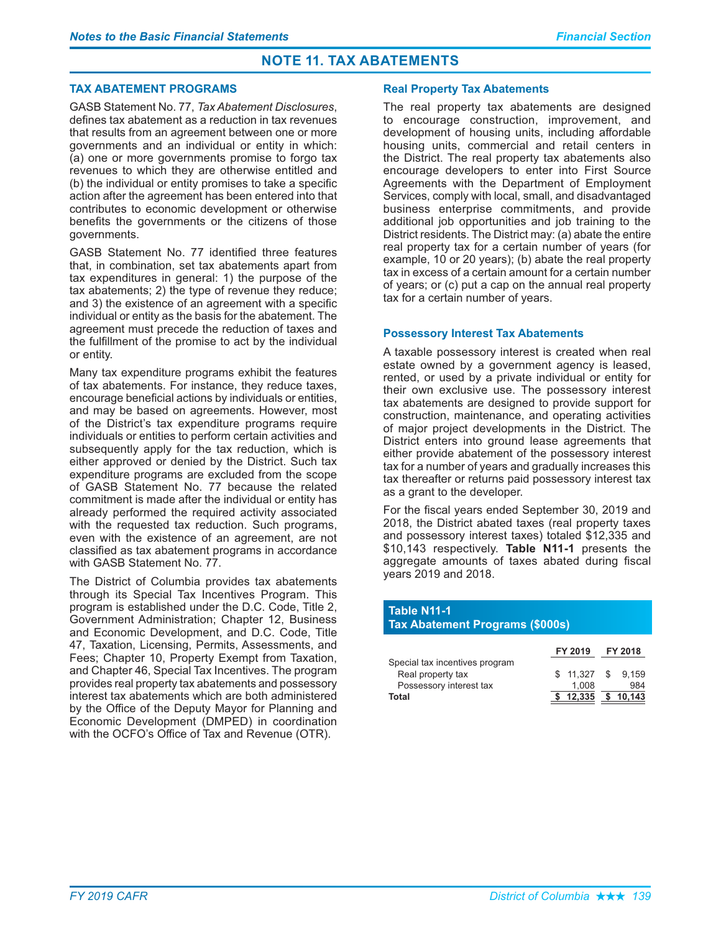# **NOTE 11. TAX ABATEMENTS**

### **TAX ABATEMENT PROGRAMS**

GASB Statement No. 77, Tax Abatement Disclosures, defines tax abatement as a reduction in tax revenues that results from an agreement between one or more governments and an individual or entity in which: (a) one or more governments promise to forgo tax revenues to which they are otherwise entitled and (b) the individual or entity promises to take a specific action after the agreement has been entered into that contributes to economic development or otherwise benefits the governments or the citizens of those governments.

GASB Statement No. 77 identified three features that, in combination, set tax abatements apart from tax expenditures in general: 1) the purpose of the tax abatements; 2) the type of revenue they reduce; and 3) the existence of an agreement with a specific individual or entity as the basis for the abatement. The agreement must precede the reduction of taxes and the fulfillment of the promise to act by the individual or entity.

Many tax expenditure programs exhibit the features of tax abatements. For instance, they reduce taxes, encourage beneficial actions by individuals or entities, and may be based on agreements. However, most of the District's tax expenditure programs require individuals or entities to perform certain activities and subsequently apply for the tax reduction, which is either approved or denied by the District. Such tax expenditure programs are excluded from the scope of GASB Statement No. 77 because the related commitment is made after the individual or entity has already performed the required activity associated with the requested tax reduction. Such programs, even with the existence of an agreement, are not classified as tax abatement programs in accordance with GASB Statement No. 77.

The District of Columbia provides tax abatements through its Special Tax Incentives Program. This program is established under the D.C. Code, Title 2, Government Administration; Chapter 12, Business and Economic Development, and D.C. Code, Title 47, Taxation, Licensing, Permits, Assessments, and Fees; Chapter 10, Property Exempt from Taxation, and Chapter 46, Special Tax Incentives. The program provides real property tax abatements and possessory interest tax abatements which are both administered by the Office of the Deputy Mayor for Planning and Economic Development (DMPED) in coordination with the OCFO's Office of Tax and Revenue (OTR).

### **Real Property Tax Abatements**

The real property tax abatements are designed to encourage construction, improvement, and development of housing units, including affordable housing units, commercial and retail centers in the District. The real property tax abatements also encourage developers to enter into First Source Agreements with the Department of Employment Services, comply with local, small, and disadvantaged business enterprise commitments, and provide additional job opportunities and job training to the District residents. The District may: (a) abate the entire real property tax for a certain number of years (for example, 10 or 20 years); (b) abate the real property tax in excess of a certain amount for a certain number of years; or (c) put a cap on the annual real property tax for a certain number of years.

### **Possessory Interest Tax Abatements**

A taxable possessory interest is created when real estate owned by a government agency is leased, rented, or used by a private individual or entity for their own exclusive use. The possessory interest tax abatements are designed to provide support for construction, maintenance, and operating activities of major project developments in the District. The District enters into ground lease agreements that either provide abatement of the possessory interest tax for a number of years and gradually increases this tax thereafter or returns paid possessory interest tax as a grant to the developer.

For the fiscal years ended September 30, 2019 and 2018, the District abated taxes (real property taxes and possessory interest taxes) totaled \$12,335 and \$10,143 respectively. Table N11-1 presents the aggregate amounts of taxes abated during fiscal years 2019 and 2018.

# **Table N11-1 Tax Abatement Programs (\$000s)**

|                                | FY 2019             |      | <b>FY 2018</b> |
|--------------------------------|---------------------|------|----------------|
| Special tax incentives program |                     |      |                |
| Real property tax              | \$11.327            | - \$ | 9.159          |
| Possessory interest tax        | 1.008               |      | 984            |
| Total                          | $$12.335$ $$10.143$ |      |                |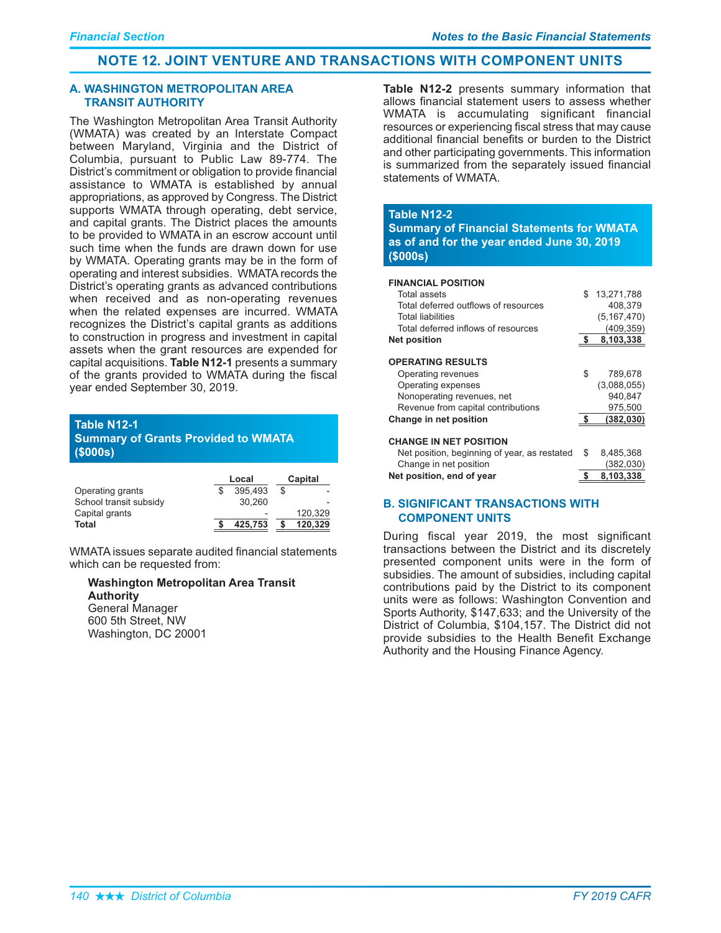# **NOTE 12. JOINT VENTURE AND TRANSACTIONS WITH COMPONENT UNITS**

#### **A. WASHINGTON METROPOLITAN AREA TRANSIT AUTHORITY**

The Washington Metropolitan Area Transit Authority (WMATA) was created by an Interstate Compact between Maryland, Virginia and the District of Columbia, pursuant to Public Law 89-774. The District's commitment or obligation to provide financial assistance to WMATA is established by annual appropriations, as approved by Congress. The District supports WMATA through operating, debt service, and capital grants. The District places the amounts to be provided to WMATA in an escrow account until such time when the funds are drawn down for use by WMATA. Operating grants may be in the form of operating and interest subsidies. WMATA records the District's operating grants as advanced contributions when received and as non-operating revenues when the related expenses are incurred. WMATA recognizes the District's capital grants as additions to construction in progress and investment in capital assets when the grant resources are expended for capital acquisitions. **Table N12-1** presents a summary of the grants provided to WMATA during the fiscal year ended September 30, 2019.

# **Table N12-1**

# **Summary of Grants Provided to WMATA**  $($000s)$

|                        | Local |                          |  | Capital |
|------------------------|-------|--------------------------|--|---------|
| Operating grants       |       | 395,493                  |  |         |
| School transit subsidy |       | 30.260                   |  |         |
| Capital grants         |       | $\overline{\phantom{a}}$ |  | 120.329 |
| Total                  |       | 425.753                  |  | 120.329 |

WMATA issues separate audited financial statements which can be requested from:

#### **Washington Metropolitan Area Transit Authority**

General Manager 600 5th Street, NW Washington, DC 20001

Table N12-2 presents summary information that allows financial statement users to assess whether WMATA is accumulating significant financial resources or experiencing fiscal stress that may cause additional financial benefits or burden to the District and other participating governments. This information is summarized from the separately issued financial statements of WMATA.

### **Table N12-2**

**Summary of Financial Statements for WMATA** as of and for the year ended June 30, 2019  $(5000s)$ 

#### **FINANCIAL POSITION**

| Total assets                                 | \$. | 13.271.788    |
|----------------------------------------------|-----|---------------|
| Total deferred outflows of resources         |     | 408,379       |
| <b>Total liabilities</b>                     |     | (5, 167, 470) |
| Total deferred inflows of resources          |     | (409,359)     |
| <b>Net position</b>                          |     | 8,103,338     |
|                                              |     |               |
| <b>OPERATING RESULTS</b>                     |     |               |
| Operating revenues                           | \$  | 789,678       |
| Operating expenses                           |     | (3,088,055)   |
| Nonoperating revenues, net                   |     | 940,847       |
| Revenue from capital contributions           |     | 975,500       |
| Change in net position                       | \$. | (382, 030)    |
|                                              |     |               |
| <b>CHANGE IN NET POSITION</b>                |     |               |
| Net position, beginning of year, as restated | S   | 8.485.368     |
|                                              |     |               |

| Net position, end of year                    | 8,103,338 |
|----------------------------------------------|-----------|
| Change in net position                       | (382,030) |
| INEL DOSITION, DEGITION OF VEAL, AS restated | 0.400.000 |

### **B. SIGNIFICANT TRANSACTIONS WITH COMPONENT UNITS**

During fiscal year 2019, the most significant transactions between the District and its discretely presented component units were in the form of subsidies. The amount of subsidies, including capital contributions paid by the District to its component units were as follows: Washington Convention and Sports Authority, \$147,633; and the University of the District of Columbia, \$104,157. The District did not provide subsidies to the Health Benefit Exchange Authority and the Housing Finance Agency.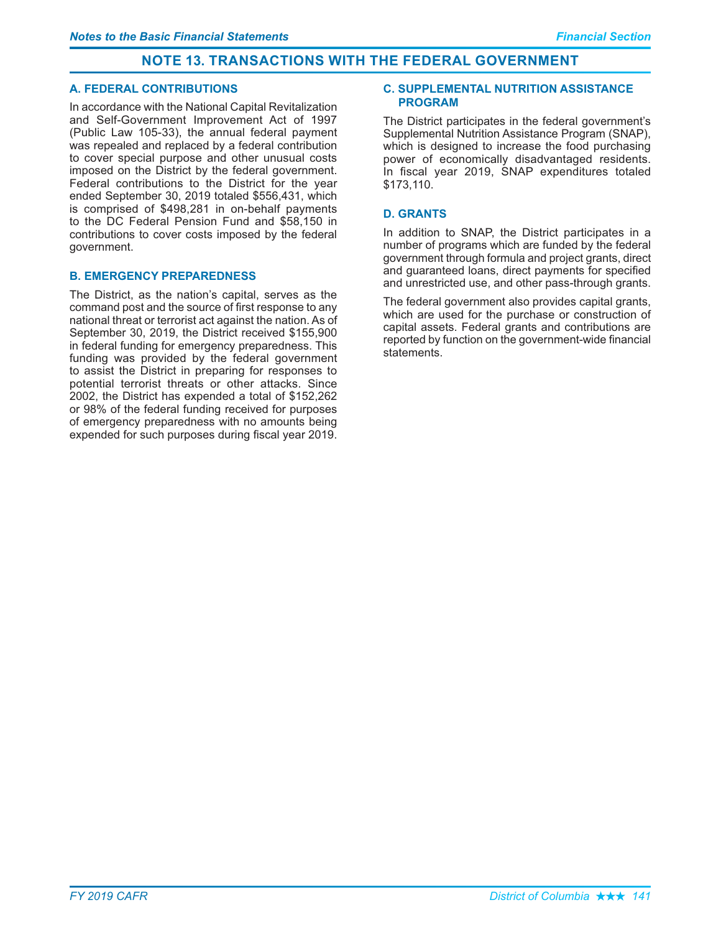# **NOTE 13. TRANSACTIONS WITH THE FEDERAL GOVERNMENT**

### **A. FEDERAL CONTRIBUTIONS**

In accordance with the National Capital Revitalization and Self-Government Improvement Act of 1997 (Public Law 105-33), the annual federal payment was repealed and replaced by a federal contribution to cover special purpose and other unusual costs imposed on the District by the federal government. Federal contributions to the District for the year ended September 30, 2019 totaled \$556,431, which is comprised of \$498,281 in on-behalf payments to the DC Federal Pension Fund and \$58,150 in contributions to cover costs imposed by the federal government.

## **B. EMERGENCY PREPAREDNESS**

The District, as the nation's capital, serves as the command post and the source of first response to any national threat or terrorist act against the nation. As of September 30, 2019, the District received \$155,900 in federal funding for emergency preparedness. This funding was provided by the federal government to assist the District in preparing for responses to potential terrorist threats or other attacks. Since 2002, the District has expended a total of \$152,262 or 98% of the federal funding received for purposes of emergency preparedness with no amounts being expended for such purposes during fiscal year 2019.

### **C. SUPPLEMENTAL NUTRITION ASSISTANCE PROGRAM**

The District participates in the federal government's Supplemental Nutrition Assistance Program (SNAP). which is designed to increase the food purchasing power of economically disadvantaged residents. In fiscal year 2019, SNAP expenditures totaled \$173.110.

# **D. GRANTS**

In addition to SNAP, the District participates in a number of programs which are funded by the federal government through formula and project grants, direct and quaranteed loans, direct payments for specified and unrestricted use, and other pass-through grants.

The federal government also provides capital grants. which are used for the purchase or construction of capital assets. Federal grants and contributions are reported by function on the government-wide financial statements.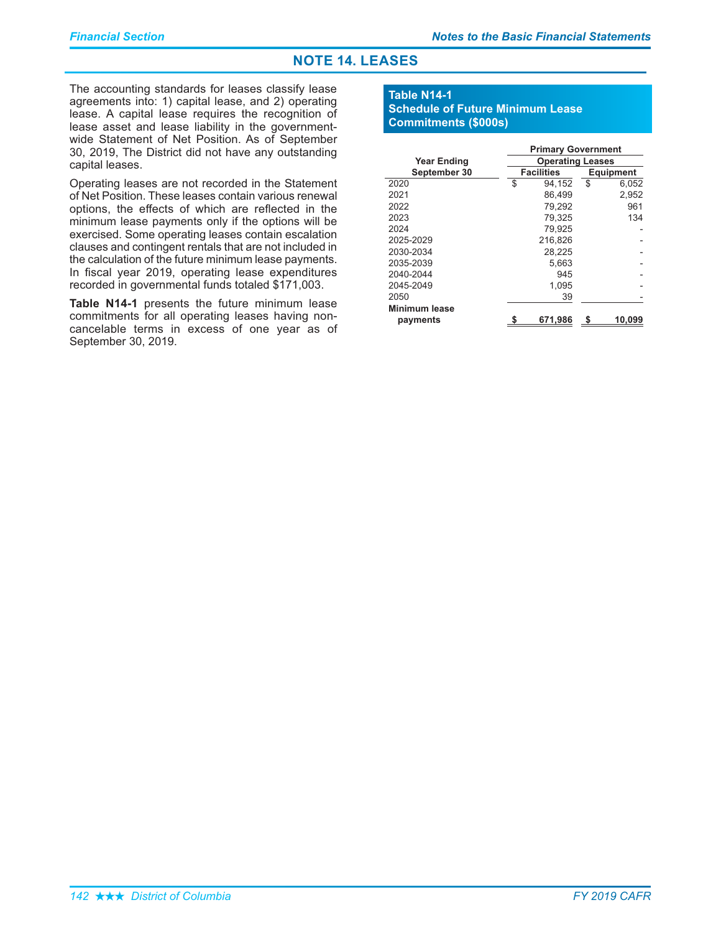# **NOTE 14. LEASES**

The accounting standards for leases classify lease agreements into: 1) capital lease, and 2) operating lease. A capital lease requires the recognition of lease asset and lease liability in the governmentwide Statement of Net Position. As of September 30, 2019, The District did not have any outstanding capital leases.

Operating leases are not recorded in the Statement of Net Position. These leases contain various renewal options, the effects of which are reflected in the minimum lease payments only if the options will be exercised. Some operating leases contain escalation clauses and contingent rentals that are not included in the calculation of the future minimum lease payments. In fiscal year 2019, operating lease expenditures recorded in governmental funds totaled \$171,003.

Table N14-1 presents the future minimum lease commitments for all operating leases having noncancelable terms in excess of one year as of September 30, 2019.

### **Table N14-1 Schedule of Future Minimum Lease Commitments (\$000s)**

|                    | <b>Primary Government</b> |                   |                  |        |
|--------------------|---------------------------|-------------------|------------------|--------|
| <b>Year Ending</b> | <b>Operating Leases</b>   |                   |                  |        |
| September 30       |                           | <b>Facilities</b> | <b>Equipment</b> |        |
| 2020               | \$                        | 94.152            | \$               | 6.052  |
| 2021               |                           | 86.499            |                  | 2,952  |
| 2022               |                           | 79.292            |                  | 961    |
| 2023               |                           | 79.325            |                  | 134    |
| 2024               |                           | 79,925            |                  |        |
| 2025-2029          |                           | 216.826           |                  |        |
| 2030-2034          |                           | 28,225            |                  |        |
| 2035-2039          |                           | 5,663             |                  |        |
| 2040-2044          |                           | 945               |                  |        |
| 2045-2049          |                           | 1,095             |                  |        |
| 2050               |                           | 39                |                  |        |
| Minimum lease      |                           |                   |                  |        |
| payments           |                           | 671,986           |                  | 10.099 |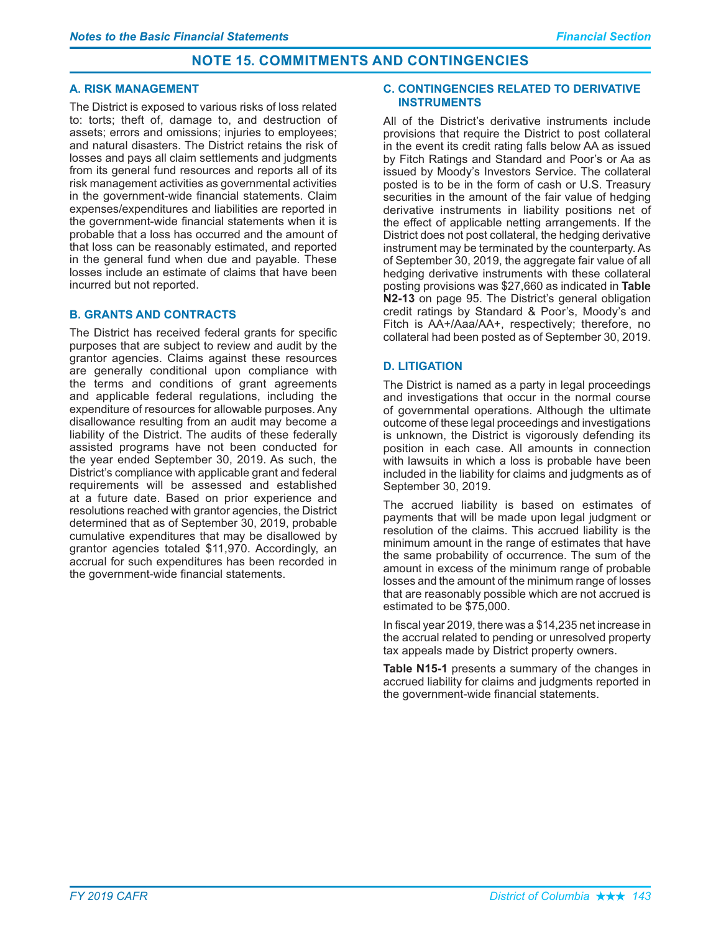# **NOTE 15. COMMITMENTS AND CONTINGENCIES**

### **A. RISK MANAGEMENT**

The District is exposed to various risks of loss related to: torts; theft of, damage to, and destruction of assets; errors and omissions; injuries to employees; and natural disasters. The District retains the risk of losses and pays all claim settlements and judgments from its general fund resources and reports all of its risk management activities as governmental activities in the government-wide financial statements. Claim expenses/expenditures and liabilities are reported in the government-wide financial statements when it is probable that a loss has occurred and the amount of that loss can be reasonably estimated, and reported in the general fund when due and payable. These losses include an estimate of claims that have been incurred but not reported.

# **B. GRANTS AND CONTRACTS**

The District has received federal grants for specific purposes that are subject to review and audit by the grantor agencies. Claims against these resources are generally conditional upon compliance with the terms and conditions of grant agreements and applicable federal regulations, including the expenditure of resources for allowable purposes. Any disallowance resulting from an audit may become a liability of the District. The audits of these federally assisted programs have not been conducted for the year ended September 30, 2019. As such, the District's compliance with applicable grant and federal requirements will be assessed and established at a future date. Based on prior experience and resolutions reached with grantor agencies, the District determined that as of September 30, 2019, probable cumulative expenditures that may be disallowed by grantor agencies totaled \$11,970. Accordingly, an accrual for such expenditures has been recorded in the government-wide financial statements.

### **C. CONTINGENCIES RELATED TO DERIVATIVE INSTRUMENTS**

All of the District's derivative instruments include provisions that require the District to post collateral in the event its credit rating falls below AA as issued by Fitch Ratings and Standard and Poor's or Aa as issued by Moody's Investors Service. The collateral posted is to be in the form of cash or U.S. Treasury securities in the amount of the fair value of hedging derivative instruments in liability positions net of the effect of applicable netting arrangements. If the District does not post collateral, the hedging derivative instrument may be terminated by the counterparty. As of September 30, 2019, the aggregate fair value of all hedging derivative instruments with these collateral posting provisions was \$27,660 as indicated in Table **N2-13** on page 95. The District's general obligation credit ratings by Standard & Poor's, Moody's and Fitch is AA+/Aaa/AA+, respectively; therefore, no collateral had been posted as of September 30, 2019.

# **D. LITIGATION**

The District is named as a party in legal proceedings and investigations that occur in the normal course of governmental operations. Although the ultimate outcome of these legal proceedings and investigations is unknown, the District is vigorously defending its position in each case. All amounts in connection with lawsuits in which a loss is probable have been included in the liability for claims and judgments as of September 30, 2019.

The accrued liability is based on estimates of payments that will be made upon legal judgment or resolution of the claims. This accrued liability is the minimum amount in the range of estimates that have the same probability of occurrence. The sum of the amount in excess of the minimum range of probable losses and the amount of the minimum range of losses that are reasonably possible which are not accrued is estimated to be \$75,000.

In fiscal year 2019, there was a \$14,235 net increase in the accrual related to pending or unresolved property tax appeals made by District property owners.

Table N15-1 presents a summary of the changes in accrued liability for claims and judgments reported in the government-wide financial statements.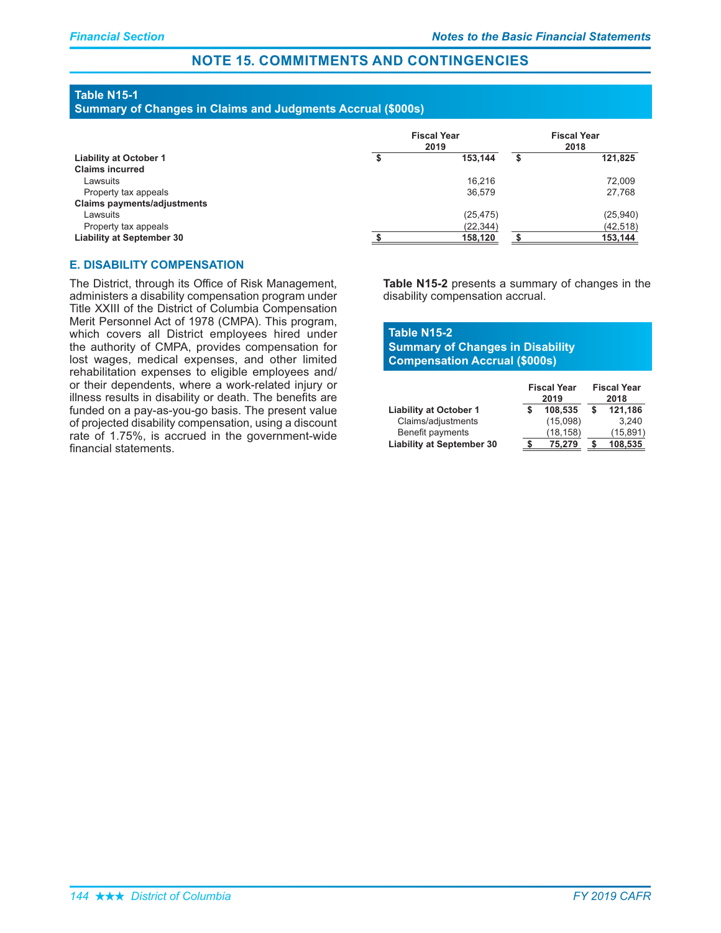# **NOTE 15. COMMITMENTS AND CONTINGENCIES**

# **Table N15-1**

**Summary of Changes in Claims and Judgments Accrual (\$000s)** 

|                                    | <b>Fiscal Year</b><br>2019 |           | <b>Fiscal Year</b><br>2018 |           |
|------------------------------------|----------------------------|-----------|----------------------------|-----------|
| <b>Liability at October 1</b>      |                            | 153.144   | \$                         | 121,825   |
| <b>Claims incurred</b>             |                            |           |                            |           |
| Lawsuits                           |                            | 16,216    |                            | 72,009    |
| Property tax appeals               |                            | 36,579    |                            | 27,768    |
| <b>Claims payments/adjustments</b> |                            |           |                            |           |
| Lawsuits                           |                            | (25, 475) |                            | (25,940)  |
| Property tax appeals               |                            | (22, 344) |                            | (42, 518) |
| <b>Liability at September 30</b>   |                            | 158,120   |                            | 153,144   |

### **E. DISABILITY COMPENSATION**

The District, through its Office of Risk Management, administers a disability compensation program under Title XXIII of the District of Columbia Compensation Merit Personnel Act of 1978 (CMPA). This program, which covers all District employees hired under the authority of CMPA, provides compensation for lost wages, medical expenses, and other limited rehabilitation expenses to eligible employees and/ or their dependents, where a work-related injury or illness results in disability or death. The benefits are funded on a pay-as-you-go basis. The present value of projected disability compensation, using a discount rate of 1.75%, is accrued in the government-wide financial statements.

**Table N15-2** presents a summary of changes in the disability compensation accrual.

# **Table N15-2 Summary of Changes in Disability Compensation Accrual (\$000s)**

|                                  | <b>Fiscal Year</b><br>2019 |           | <b>Fiscal Year</b><br>2018 |           |
|----------------------------------|----------------------------|-----------|----------------------------|-----------|
| <b>Liability at October 1</b>    |                            | 108.535   |                            | 121,186   |
| Claims/adjustments               |                            | (15,098)  |                            | 3.240     |
| Benefit payments                 |                            | (18, 158) |                            | (15, 891) |
| <b>Liability at September 30</b> |                            | 75.279    |                            | 108.535   |